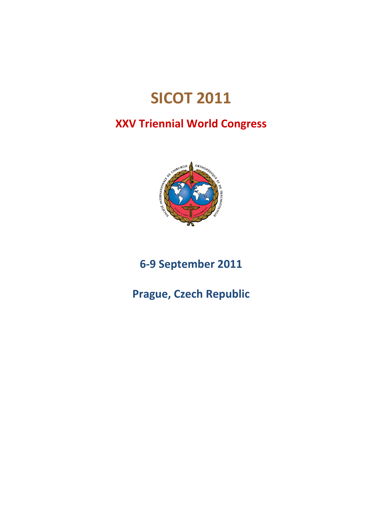# **SICOT 2011**

# **XXV Triennial World Congress**



**6‐9 September 2011**

**Prague, Czech Republic**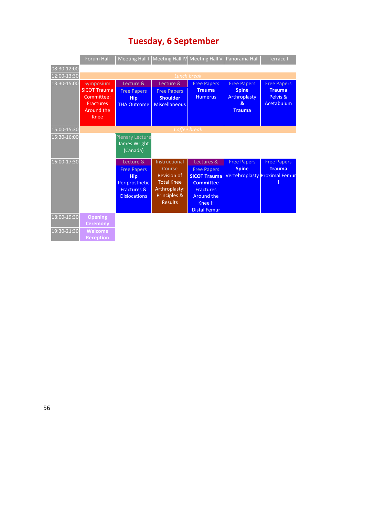|             | <b>Forum Hall</b>                                                                                      |                                                                                                                  | Meeting Hall I Meeting Hall IV Meeting Hall V Panorama Hall                                                           |                                                                                                                                                 |                                                                            | Terrace I                                                     |
|-------------|--------------------------------------------------------------------------------------------------------|------------------------------------------------------------------------------------------------------------------|-----------------------------------------------------------------------------------------------------------------------|-------------------------------------------------------------------------------------------------------------------------------------------------|----------------------------------------------------------------------------|---------------------------------------------------------------|
| 08:30-12:00 |                                                                                                        |                                                                                                                  |                                                                                                                       |                                                                                                                                                 |                                                                            |                                                               |
| 12:00-13:30 |                                                                                                        |                                                                                                                  |                                                                                                                       | <b>Lunch break</b>                                                                                                                              |                                                                            |                                                               |
| 13:30-15:00 | Symposium<br><b>SICOT Trauma</b><br>Committee:<br><b>Fractures</b><br><b>Around the</b><br><b>Knee</b> | Lecture &<br><b>Free Papers</b><br><b>Hip</b><br><b>THA Outcome</b>                                              | Lecture &<br><b>Free Papers</b><br><b>Shoulder</b><br><b>Miscellaneous</b>                                            | <b>Free Papers</b><br><b>Trauma</b><br><b>Humerus</b>                                                                                           | <b>Free Papers</b><br><b>Spine</b><br>Arthroplasty<br>&<br><b>Trauma</b>   | <b>Free Papers</b><br><b>Trauma</b><br>Pelvis &<br>Acetabulum |
| 15:00-15:30 |                                                                                                        |                                                                                                                  |                                                                                                                       | Coffee break                                                                                                                                    |                                                                            |                                                               |
| 15:30-16:00 |                                                                                                        | <b>Plenary Lecture</b><br>James Wright<br>(Canada)                                                               |                                                                                                                       |                                                                                                                                                 |                                                                            |                                                               |
| 16:00-17:30 |                                                                                                        | Lecture &<br><b>Free Papers</b><br><b>Hip</b><br>Periprosthetic<br><b>Fractures &amp;</b><br><b>Dislocations</b> | Instructional<br>Course<br><b>Revision of</b><br><b>Total Knee</b><br>Arthroplasty:<br>Principles &<br><b>Results</b> | Lectures &<br><b>Free Papers</b><br><b>SICOT Trauma</b><br><b>Committee</b><br><b>Fractures</b><br>Around the<br>Knee I:<br><b>Distal Femur</b> | <b>Free Papers</b><br><b>Spine</b><br><b>Vertebroplasty Proximal Femur</b> | <b>Free Papers</b><br><b>Trauma</b>                           |
| 18:00-19:30 | <b>Opening</b><br><b>Ceremony</b>                                                                      |                                                                                                                  |                                                                                                                       |                                                                                                                                                 |                                                                            |                                                               |
| 19:30-21:30 | <b>Welcome</b><br><b>Reception</b>                                                                     |                                                                                                                  |                                                                                                                       |                                                                                                                                                 |                                                                            |                                                               |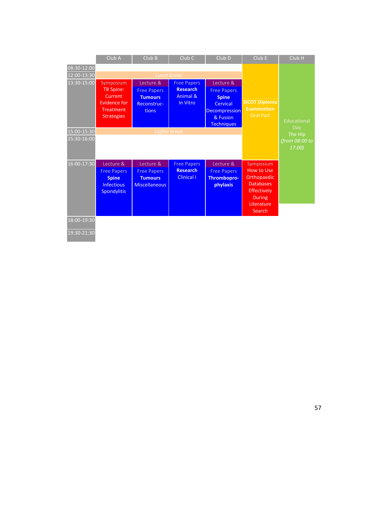|             | Club A                                                  | ClubB                                               | Club <sub>C</sub>                       | Club D                                         | ClubE                                                                                   | Club <sub>H</sub>        |
|-------------|---------------------------------------------------------|-----------------------------------------------------|-----------------------------------------|------------------------------------------------|-----------------------------------------------------------------------------------------|--------------------------|
| 08:30-12:00 |                                                         |                                                     |                                         |                                                |                                                                                         |                          |
| 12:00-13:30 |                                                         |                                                     | <b>Lunch break</b>                      |                                                |                                                                                         |                          |
| 13:30-15:00 | Symposium                                               | Lecture &                                           | <b>Free Papers</b>                      | Lecture &                                      |                                                                                         |                          |
|             | <b>TB Spine:</b><br>Current<br>Evidence for             | <b>Free Papers</b><br><b>Tumours</b><br>Reconstruc- | <b>Research</b><br>Animal &<br>In Vitro | <b>Free Papers</b><br><b>Spine</b><br>Cervical | <b>SICOT Diploma</b>                                                                    |                          |
|             | <b>Treatment</b><br><b>Strategies</b>                   | tions                                               |                                         | Decompression<br>& Fusion<br><b>Techniques</b> | <b>Examination</b><br><b>Oral Part</b>                                                  | Educational<br>Day       |
| 15:00-15:30 |                                                         |                                                     | Coffee break                            |                                                |                                                                                         | The Hip                  |
| 15:30-16:00 |                                                         |                                                     |                                         |                                                |                                                                                         | (from 08:00 to<br>17:00) |
| 16:00-17:30 | Lecture &                                               | Lecture &                                           | <b>Free Papers</b>                      | Lecture &                                      | Symposium                                                                               |                          |
|             | <b>Free Papers</b>                                      | <b>Free Papers</b>                                  | <b>Research</b>                         | <b>Free Papers</b>                             | <b>How to Use</b>                                                                       |                          |
|             | <b>Spine</b><br><b>Infectious</b><br><b>Spondylitis</b> | <b>Tumours</b><br><b>Miscellaneous</b>              | <b>Clinical I</b>                       | <b>Thrombopro-</b><br>phylaxis                 | Orthopaedic<br><b>Databases</b><br>Effectively<br><b>During</b><br>Literature<br>Search |                          |
|             |                                                         |                                                     |                                         |                                                |                                                                                         |                          |
| 18:00-19:30 |                                                         |                                                     |                                         |                                                |                                                                                         |                          |
| 19:30-21:30 |                                                         |                                                     |                                         |                                                |                                                                                         |                          |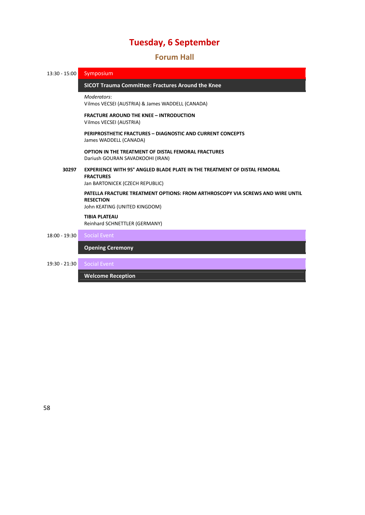### **Forum Hall**

| $13:30 - 15:00$ | Symposium                                                                                                                                  |  |  |  |
|-----------------|--------------------------------------------------------------------------------------------------------------------------------------------|--|--|--|
|                 | <b>SICOT Trauma Committee: Fractures Around the Knee</b>                                                                                   |  |  |  |
|                 | Moderators:<br>Vilmos VECSEI (AUSTRIA) & James WADDELL (CANADA)                                                                            |  |  |  |
|                 | <b>FRACTURE AROUND THE KNEE - INTRODUCTION</b><br>Vilmos VECSEI (AUSTRIA)                                                                  |  |  |  |
|                 | PERIPROSTHETIC FRACTURES - DIAGNOSTIC AND CURRENT CONCEPTS<br>James WADDELL (CANADA)                                                       |  |  |  |
|                 | <b>OPTION IN THE TREATMENT OF DISTAL FEMORAL FRACTURES</b><br>Dariush GOURAN SAVADKOOHI (IRAN)                                             |  |  |  |
| 30297           | <b>EXPERIENCE WITH 95° ANGLED BLADE PLATE IN THE TREATMENT OF DISTAL FEMORAL</b><br><b>FRACTURES</b><br>Jan BARTONICEK (CZECH REPUBLIC)    |  |  |  |
|                 | <b>PATELLA FRACTURE TREATMENT OPTIONS: FROM ARTHROSCOPY VIA SCREWS AND WIRE UNTIL</b><br><b>RESECTION</b><br>John KEATING (UNITED KINGDOM) |  |  |  |
|                 | <b>TIBIA PLATEAU</b><br>Reinhard SCHNETTLER (GERMANY)                                                                                      |  |  |  |
| $18:00 - 19:30$ | <b>Social Event</b>                                                                                                                        |  |  |  |
|                 | <b>Opening Ceremony</b>                                                                                                                    |  |  |  |
| 19:30 - 21:30   | <b>Social Event</b>                                                                                                                        |  |  |  |
|                 | <b>Welcome Reception</b>                                                                                                                   |  |  |  |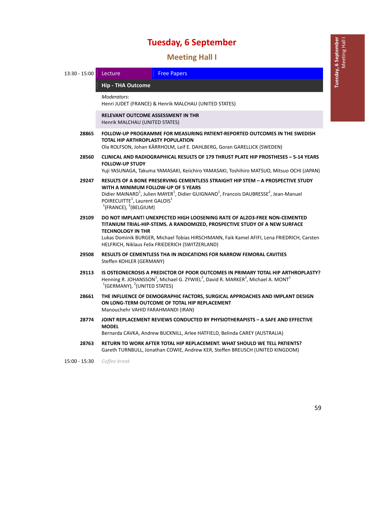1B**Meeting Hall I**

| 13:30 - 15:00 | Lecture                                                                                                                                                                                                                                                                                                                                                   | <b>Free Papers</b>                                                                                                                                                                                                   |  |
|---------------|-----------------------------------------------------------------------------------------------------------------------------------------------------------------------------------------------------------------------------------------------------------------------------------------------------------------------------------------------------------|----------------------------------------------------------------------------------------------------------------------------------------------------------------------------------------------------------------------|--|
|               | <b>Hip - THA Outcome</b>                                                                                                                                                                                                                                                                                                                                  |                                                                                                                                                                                                                      |  |
|               | Moderators:                                                                                                                                                                                                                                                                                                                                               | Henri JUDET (FRANCE) & Henrik MALCHAU (UNITED STATES)                                                                                                                                                                |  |
|               | <b>RELEVANT OUTCOME ASSESSMENT IN THR</b><br>Henrik MALCHAU (UNITED STATES)                                                                                                                                                                                                                                                                               |                                                                                                                                                                                                                      |  |
| 28865         | FOLLOW-UP PROGRAMME FOR MEASURING PATIENT-REPORTED OUTCOMES IN THE SWEDISH<br>TOTAL HIP ARTHROPLASTY POPULATION<br>Ola ROLFSON, Johan KÄRRHOLM, Leif E. DAHLBERG, Goran GARELLICK (SWEDEN)                                                                                                                                                                |                                                                                                                                                                                                                      |  |
| 28560         | CLINICAL AND RADIOGRAPHICAL RESULTS OF 179 THRUST PLATE HIP PROSTHESES - 5-14 YEARS<br><b>FOLLOW-UP STUDY</b><br>Yuji YASUNAGA, Takuma YAMASAKI, Keiichiro YAMASAKI, Toshihiro MATSUO, Mitsuo OCHI (JAPAN)                                                                                                                                                |                                                                                                                                                                                                                      |  |
| 29247         | RESULTS OF A BONE PRESERVING CEMENTLESS STRAIGHT HIP STEM - A PROSPECTIVE STUDY<br>WITH A MINIMUM FOLLOW-UP OF 5 YEARS<br>Didier MAINARD <sup>1</sup> , Julien MAYER <sup>1</sup> , Didier GUIGNAND <sup>1</sup> , Francois DAUBRESSE <sup>2</sup> , Jean-Manuel<br>POIRECUITTE <sup>1</sup> , Laurent GALOIS <sup>1</sup><br>$1$ (FRANCE), $2$ (BELGIUM) |                                                                                                                                                                                                                      |  |
| 29109         | DO NOT IMPLANT! UNEXPECTED HIGH LOOSENING RATE OF AL2O3-FREE NON-CEMENTED<br>TITANIUM TRIAL-HIP-STEMS. A RANDOMIZED, PROSPECTIVE STUDY OF A NEW SURFACE<br><b>TECHNOLOGY IN THR</b><br>Lukas Dominik BURGER, Michael Tobias HIRSCHMANN, Faik Kamel AFIFI, Lena FRIEDRICH, Carsten<br>HELFRICH, Niklaus Felix FRIEDERICH (SWITZERLAND)                     |                                                                                                                                                                                                                      |  |
| 29508         | <b>RESULTS OF CEMENTLESS THA IN INDICATIONS FOR NARROW FEMORAL CAVITIES</b><br>Steffen KOHLER (GERMANY)                                                                                                                                                                                                                                                   |                                                                                                                                                                                                                      |  |
| 29113         | $1$ (GERMANY), $2$ (UNITED STATES)                                                                                                                                                                                                                                                                                                                        | IS OSTEONECROSIS A PREDICTOR OF POOR OUTCOMES IN PRIMARY TOTAL HIP ARTHROPLASTY?<br>Henning R. JOHANSSON <sup>1</sup> , Michael G. ZYWIEL <sup>2</sup> , David R. MARKER <sup>2</sup> , Michael A. MONT <sup>1</sup> |  |
| 28661         | Manouchehr VAHID FARAHMANDI (IRAN)                                                                                                                                                                                                                                                                                                                        | THE INFLUENCE OF DEMOGRAPHIC FACTORS, SURGICAL APPROACHES AND IMPLANT DESIGN<br>ON LONG-TERM OUTCOME OF TOTAL HIP REPLACEMENT                                                                                        |  |
| 28774         | <b>MODEL</b>                                                                                                                                                                                                                                                                                                                                              | JOINT REPLACEMENT REVIEWS CONDUCTED BY PHYSIOTHERAPISTS - A SAFE AND EFFECTIVE<br>Bernarda CAVKA, Andrew BUCKNILL, Arlee HATFIELD, Belinda CAREY (AUSTRALIA)                                                         |  |
| 28763         |                                                                                                                                                                                                                                                                                                                                                           | RETURN TO WORK AFTER TOTAL HIP REPLACEMENT. WHAT SHOULD WE TELL PATIENTS?<br>Gareth TURNBULL, Jonathan COWIE, Andrew KER, Steffen BREUSCH (UNITED KINGDOM)                                                           |  |

15:00 ‐ 15:30 *Coffee break*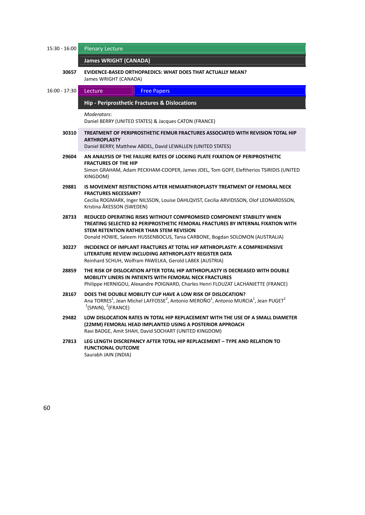| 15:30 - 16:00   | <b>Plenary Lecture</b>                                                                                                                                                                                                                                                             |  |  |  |
|-----------------|------------------------------------------------------------------------------------------------------------------------------------------------------------------------------------------------------------------------------------------------------------------------------------|--|--|--|
|                 | <b>James WRIGHT (CANADA)</b>                                                                                                                                                                                                                                                       |  |  |  |
| 30657           | <b>EVIDENCE-BASED ORTHOPAEDICS: WHAT DOES THAT ACTUALLY MEAN?</b><br>James WRIGHT (CANADA)                                                                                                                                                                                         |  |  |  |
| $16:00 - 17:30$ | Lecture<br><b>Free Papers</b>                                                                                                                                                                                                                                                      |  |  |  |
|                 | Hip - Periprosthetic Fractures & Dislocations                                                                                                                                                                                                                                      |  |  |  |
|                 | Moderators:<br>Daniel BERRY (UNITED STATES) & Jacques CATON (FRANCE)                                                                                                                                                                                                               |  |  |  |
| 30310           | TREATMENT OF PERIPROSTHETIC FEMUR FRACTURES ASSOCIATED WITH REVISION TOTAL HIP<br><b>ARTHROPLASTY</b><br>Daniel BERRY, Matthew ABDEL, David LEWALLEN (UNITED STATES)                                                                                                               |  |  |  |
| 29604           | AN ANALYSIS OF THE FAILURE RATES OF LOCKING PLATE FIXATION OF PERIPROSTHETIC                                                                                                                                                                                                       |  |  |  |
|                 | <b>FRACTURES OF THE HIP</b><br>Simon GRAHAM, Adam PECKHAM-COOPER, James JOEL, Tom GOFF, Eleftherios TSIRIDIS (UNITED<br>KINGDOM)                                                                                                                                                   |  |  |  |
| 29881           | IS MOVEMENT RESTRICTIONS AFTER HEMIARTHROPLASTY TREATMENT OF FEMORAL NECK<br><b>FRACTURES NECESSARY?</b><br>Cecilia ROGMARK, Inger NILSSON, Louise DAHLQVIST, Cecilia ARVIDSSON, Olof LEONARDSSON,<br>Kristina ÅKESSON (SWEDEN)                                                    |  |  |  |
| 28733           | REDUCED OPERATING RISKS WITHOUT COMPROMISED COMPONENT STABILITY WHEN<br>TREATING SELECTED B2 PERIPROSTHETIC FEMORAL FRACTURES BY INTERNAL FIXATION WITH<br>STEM RETENTION RATHER THAN STEM REVISION<br>Donald HOWIE, Saleem HUSSENBOCUS, Tania CARBONE, Bogdan SOLOMON (AUSTRALIA) |  |  |  |
| 30227           | INCIDENCE OF IMPLANT FRACTURES AT TOTAL HIP ARTHROPLASTY: A COMPREHENSIVE<br>LITERATURE REVIEW INCLUDING ARTHROPLASTY REGISTER DATA<br>Reinhard SCHUH, Wolfram PAWELKA, Gerold LABEK (AUSTRIA)                                                                                     |  |  |  |
| 28859           | THE RISK OF DISLOCATION AFTER TOTAL HIP ARTHROPLASTY IS DECREASED WITH DOUBLE<br><b>MOBILITY LINERS IN PATIENTS WITH FEMORAL NECK FRACTURES</b><br>Philippe HERNIGOU, Alexandre POIGNARD, Charles Henri FLOUZAT LACHANIETTE (FRANCE)                                               |  |  |  |
| 28167           | DOES THE DOUBLE MOBILITY CUP HAVE A LOW RISK OF DISLOCATION?<br>Ana TORRES <sup>1</sup> , Jean Michel LAFFOSSE <sup>2</sup> , Antonio MEROÑO <sup>1</sup> , Antonio MURCIA <sup>1</sup> , Jean PUGET <sup>2</sup><br>$(3$ PAIN), $(2)$ FRANCE)                                     |  |  |  |
| 29482           | LOW DISLOCATION RATES IN TOTAL HIP REPLACEMENT WITH THE USE OF A SMALL DIAMETER<br>(22MM) FEMORAL HEAD IMPLANTED USING A POSTERIOR APPROACH<br>Ravi BADGE, Amit SHAH, David SOCHART (UNITED KINGDOM)                                                                               |  |  |  |
| 27813           | LEG LENGTH DISCREPANCY AFTER TOTAL HIP REPLACEMENT - TYPE AND RELATION TO<br><b>FUNCTIONAL OUTCOME</b><br>Saurabh JAIN (INDIA)                                                                                                                                                     |  |  |  |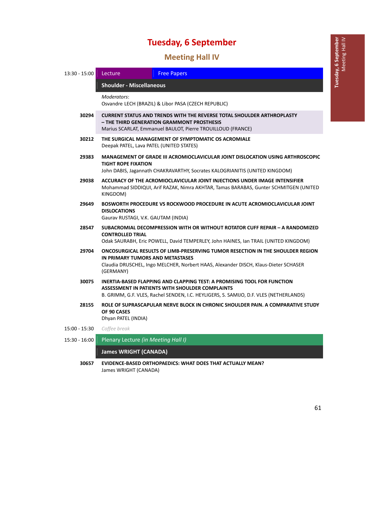### **Meeting Hall IV**

| 13:30 - 15:00 | Lecture                                                                                                                                                                                                                | <b>Free Papers</b>                                                                                                                                                                                                   |  |  |
|---------------|------------------------------------------------------------------------------------------------------------------------------------------------------------------------------------------------------------------------|----------------------------------------------------------------------------------------------------------------------------------------------------------------------------------------------------------------------|--|--|
|               | <b>Shoulder - Miscellaneous</b>                                                                                                                                                                                        |                                                                                                                                                                                                                      |  |  |
|               | Moderators:<br>Osvandre LECH (BRAZIL) & Libor PASA (CZECH REPUBLIC)                                                                                                                                                    |                                                                                                                                                                                                                      |  |  |
| 30294         | <b>CURRENT STATUS AND TRENDS WITH THE REVERSE TOTAL SHOULDER ARTHROPLASTY</b><br>- THE THIRD GENERATION GRAMMONT PROSTHESIS<br>Marius SCARLAT, Emmanuel BAULOT, Pierre TROUILLOUD (FRANCE)                             |                                                                                                                                                                                                                      |  |  |
| 30212         | THE SURGICAL MANAGEMENT OF SYMPTOMATIC OS ACROMIALE<br>Deepak PATEL, Lava PATEL (UNITED STATES)                                                                                                                        |                                                                                                                                                                                                                      |  |  |
| 29383         | <b>MANAGEMENT OF GRADE III ACROMIOCLAVICULAR JOINT DISLOCATION USING ARTHROSCOPIC</b><br><b>TIGHT ROPE FIXATION</b><br>John DABIS, Jagannath CHAKRAVARTHY, Socrates KALOGRIANITIS (UNITED KINGDOM)                     |                                                                                                                                                                                                                      |  |  |
| 29038         | ACCURACY OF THE ACROMIOCLAVICULAR JOINT INJECTIONS UNDER IMAGE INTENSIFIER<br>Mohammad SIDDIQUI, Arif RAZAK, Nimra AKHTAR, Tamas BARABAS, Gunter SCHMITGEN (UNITED<br>KINGDOM)                                         |                                                                                                                                                                                                                      |  |  |
| 29649         | BOSWORTH PROCEDURE VS ROCKWOOD PROCEDURE IN ACUTE ACROMIOCLAVICULAR JOINT<br><b>DISLOCATIONS</b><br>Gaurav RUSTAGI, V.K. GAUTAM (INDIA)                                                                                |                                                                                                                                                                                                                      |  |  |
| 28547         | SUBACROMIAL DECOMPRESSION WITH OR WITHOUT ROTATOR CUFF REPAIR - A RANDOMIZED<br><b>CONTROLLED TRIAL</b><br>Odak SAURABH, Eric POWELL, David TEMPERLEY, John HAINES, Ian TRAIL (UNITED KINGDOM)                         |                                                                                                                                                                                                                      |  |  |
| 29704         | ONCOSURGICAL RESULTS OF LIMB-PRESERVING TUMOR RESECTION IN THE SHOULDER REGION<br>IN PRIMARY TUMORS AND METASTASES<br>Claudia DRUSCHEL, Ingo MELCHER, Norbert HAAS, Alexander DISCH, Klaus-Dieter SCHASER<br>(GERMANY) |                                                                                                                                                                                                                      |  |  |
| 30075         |                                                                                                                                                                                                                        | INERTIA-BASED FLAPPING AND CLAPPING TEST: A PROMISING TOOL FOR FUNCTION<br>ASSESSMENT IN PATIENTS WITH SHOULDER COMPLAINTS<br>B. GRIMM, G.F. VLES, Rachel SENDEN, I.C. HEYLIGERS, S. SAMIJO, D.F. VLES (NETHERLANDS) |  |  |
| 28155         | OF 90 CASES<br>Dhyan PATEL (INDIA)                                                                                                                                                                                     | ROLE OF SUPRASCAPULAR NERVE BLOCK IN CHRONIC SHOULDER PAIN. A COMPARATIVE STUDY                                                                                                                                      |  |  |
| 15:00 - 15:30 | Coffee break                                                                                                                                                                                                           |                                                                                                                                                                                                                      |  |  |
| 15:30 - 16:00 | Plenary Lecture (in Meeting Hall I)                                                                                                                                                                                    |                                                                                                                                                                                                                      |  |  |
|               | <b>James WRIGHT (CANADA)</b>                                                                                                                                                                                           |                                                                                                                                                                                                                      |  |  |

**30657 EVIDENCE‐BASED ORTHOPAEDICS: WHAT DOES THAT ACTUALLY MEAN?** James WRIGHT (CANADA)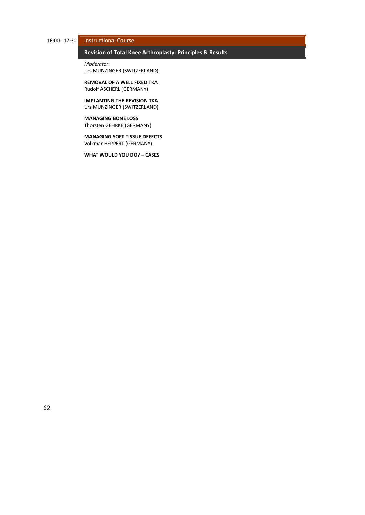### 16:00 ‐ 17:30 Instructional Course

### 64B**Revision of Total Knee Arthroplasty: Principles & Results** *̶ Instructional Course*

*Moderator*: Urs MUNZINGER (SWITZERLAND)

**REMOVAL OF A WELL FIXED TKA** Rudolf ASCHERL (GERMANY)

**IMPLANTING THE REVISION TKA** Urs MUNZINGER (SWITZERLAND)

**MANAGING BONE LOSS** Thorsten GEHRKE (GERMANY)

**MANAGING SOFT TISSUE DEFECTS** Volkmar HEPPERT (GERMANY)

**WHAT WOULD YOU DO? – CASES**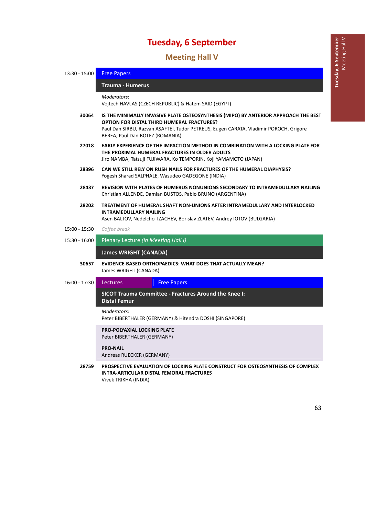## 13B**Meeting Hall V**

| $13:30 - 15:00$ | <b>Free Papers</b>                                                                                                                                                                                                                                                   |  |  |  |
|-----------------|----------------------------------------------------------------------------------------------------------------------------------------------------------------------------------------------------------------------------------------------------------------------|--|--|--|
|                 | <b>Trauma - Humerus</b>                                                                                                                                                                                                                                              |  |  |  |
|                 | Moderators:<br>Vojtech HAVLAS (CZECH REPUBLIC) & Hatem SAID (EGYPT)                                                                                                                                                                                                  |  |  |  |
| 30064           | IS THE MINIMALLY INVASIVE PLATE OSTEOSYNTHESIS (MIPO) BY ANTERIOR APPROACH THE BEST<br><b>OPTION FOR DISTAL THIRD HUMERAL FRACTURES?</b><br>Paul Dan SIRBU, Razvan ASAFTEI, Tudor PETREUS, Eugen CARATA, Vladimir POROCH, Grigore<br>BEREA, Paul Dan BOTEZ (ROMANIA) |  |  |  |
| 27018           | EARLY EXPERIENCE OF THE IMPACTION METHOD IN COMBINATION WITH A LOCKING PLATE FOR<br>THE PROXIMAL HUMERAL FRACTURES IN OLDER ADULTS<br>Jiro NAMBA, Tatsuji FUJIWARA, Ko TEMPORIN, Koji YAMAMOTO (JAPAN)                                                               |  |  |  |
| 28396           | CAN WE STILL RELY ON RUSH NAILS FOR FRACTURES OF THE HUMERAL DIAPHYSIS?<br>Yogesh Sharad SALPHALE, Wasudeo GADEGONE (INDIA)                                                                                                                                          |  |  |  |
| 28437           | REVISION WITH PLATES OF HUMERUS NONUNIONS SECONDARY TO INTRAMEDULLARY NAILING<br>Christian ALLENDE, Damian BUSTOS, Pablo BRUNO (ARGENTINA)                                                                                                                           |  |  |  |
| 28202           | TREATMENT OF HUMERAL SHAFT NON-UNIONS AFTER INTRAMEDULLARY AND INTERLOCKED<br><b>INTRAMEDULLARY NAILING</b><br>Asen BALTOV, Nedelcho TZACHEV, Borislav ZLATEV, Andrey IOTOV (BULGARIA)                                                                               |  |  |  |
| 15:00 - 15:30   | Coffee break                                                                                                                                                                                                                                                         |  |  |  |
| $15:30 - 16:00$ | Plenary Lecture (in Meeting Hall I)                                                                                                                                                                                                                                  |  |  |  |
|                 | <b>James WRIGHT (CANADA)</b>                                                                                                                                                                                                                                         |  |  |  |
| 30657           | <b>EVIDENCE-BASED ORTHOPAEDICS: WHAT DOES THAT ACTUALLY MEAN?</b><br>James WRIGHT (CANADA)                                                                                                                                                                           |  |  |  |
| $16:00 - 17:30$ | Lectures<br><b>Free Papers</b>                                                                                                                                                                                                                                       |  |  |  |
|                 | SICOT Trauma Committee - Fractures Around the Knee I:<br><b>Distal Femur</b>                                                                                                                                                                                         |  |  |  |
|                 | Moderators:<br>Peter BIBERTHALER (GERMANY) & Hitendra DOSHI (SINGAPORE)                                                                                                                                                                                              |  |  |  |
|                 | <b>PRO-POLYAXIAL LOCKING PLATE</b><br>Peter BIBERTHALER (GERMANY)                                                                                                                                                                                                    |  |  |  |
|                 | <b>PRO-NAIL</b><br>Andreas RUECKER (GERMANY)                                                                                                                                                                                                                         |  |  |  |
| 28759           | PROSPECTIVE EVALUATION OF LOCKING PLATE CONSTRUCT FOR OSTEOSYNTHESIS OF COMPLEX<br><b>INTRA-ARTICULAR DISTAL FEMORAL FRACTURES</b><br>Vivek TRIKHA (INDIA)                                                                                                           |  |  |  |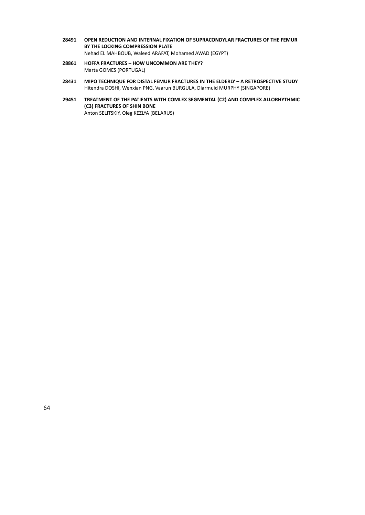- **28491 OPEN REDUCTION AND INTERNAL FIXATION OF SUPRACONDYLAR FRACTURES OF THE FEMUR BY THE LOCKING COMPRESSION PLATE** Nehad EL MAHBOUB, Waleed ARAFAT, Mohamed AWAD (EGYPT)
- **28861 HOFFA FRACTURES – HOW UNCOMMON ARE THEY?** Marta GOMES (PORTUGAL)
- **28431 MIPO TECHNIQUE FOR DISTAL FEMUR FRACTURES IN THE ELDERLY – A RETROSPECTIVE STUDY** Hitendra DOSHI, Wenxian PNG, Vaarun BURGULA, Diarmuid MURPHY (SINGAPORE)
- **29451 TREATMENT OF THE PATIENTS WITH COMLEX SEGMENTAL (C2) AND COMPLEX ALLORHYTHMIC (C3) FRACTURES OF SHIN BONE** Anton SELITSKIY, Oleg KEZLYA (BELARUS)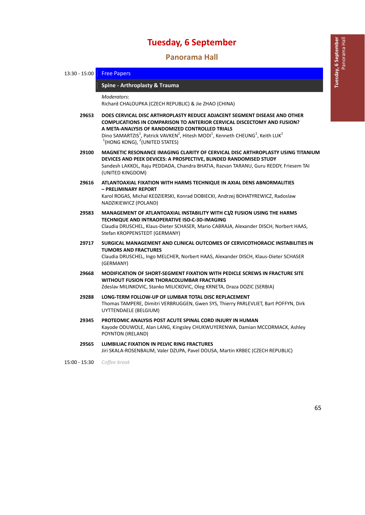14B**Panorama Hall**

### 13:30 - 15:00 Free Papers

#### 67B**Spine ‐ Arthroplasty & Trauma** *̶ Free Papers*

*Moderators*:

Richard CHALOUPKA (CZECH REPUBLIC) & Jie ZHAO (CHINA)

- **29653 DOES CERVICAL DISC ARTHROPLASTY REDUCE ADJACENT SEGMENT DISEASE AND OTHER COMPLICATIONS IN COMPARISON TO ANTERIOR CERVICAL DISCECTOMY AND FUSION? A META‐ANALYSIS OF RANDOMIZED CONTROLLED TRIALS** Dino SAMARTZIS<sup>1</sup>, Patrick VAVKEN<sup>2</sup>, Hitesh MODI<sup>1</sup>, Kenneth CHEUNG<sup>1</sup>, Keith LUK<sup>1</sup>  $1$ (HONG KONG),  $2$ (UNITED STATES)
- **29100 MAGNETIC RESONANCE IMAGING CLARITY OF CERVICAL DISC ARTHROPLASTY USING TITANIUM DEVICES AND PEEK DEVICES: A PROSPECTIVE, BLINDED RANDOMISED STUDY** Sandesh LAKKOL, Raju PEDDADA, Chandra BHATIA, Razvan TARANU, Guru REDDY, Friesem TAI (UNITED KINGDOM)

**29616 ATLANTOAXIAL FIXATION WITH HARMS TECHNIQUE IN AXIAL DENS ABNORMALITIES – PRELIMINARY REPORT** Karol ROGAS, Michal KEDZIERSKI, Konrad DOBIECKI, Andrzej BOHATYREWICZ, Radoslaw NADZIKIEWICZ (POLAND)

- **29583 MANAGEMENT OF ATLANTOAXIAL INSTABILITY WITH C1/2 FUSION USING THE HARMS TECHNIQUE AND INTRAOPERATIVE ISO‐C‐3D‐IMAGING** Claudia DRUSCHEL, Klaus‐Dieter SCHASER, Mario CABRAJA, Alexander DISCH, Norbert HAAS, Stefan KROPPENSTEDT (GERMANY)
- **29717 SURGICAL MANAGEMENT AND CLINICAL OUTCOMES OF CERVICOTHORACIC INSTABILITIES IN TUMORS AND FRACTURES** Claudia DRUSCHEL, Ingo MELCHER, Norbert HAAS, Alexander DISCH, Klaus‐Dieter SCHASER (GERMANY)
- **29668 MODIFICATION OF SHORT‐SEGMENT FIXATION WITH PEDICLE SCREWS IN FRACTURE SITE WITHOUT FUSION FOR THORACOLUMBAR FRACTURES** Zdeslav MILINKOVIC, Stanko MILICKOVIC, Oleg KRNETA, Draza DOZIC (SERBIA)
- **29288 LONG‐TERM FOLLOW‐UP OF LUMBAR TOTAL DISC REPLACEMENT** Thomas TAMPERE, Dimitri VERBRUGGEN, Gwen SYS, Thierry PARLEVLIET, Bart POFFYN, Dirk UYTTENDAELE (BELGIUM)
- **29345 PROTEOMIC ANALYSIS POST ACUTE SPINAL CORD INJURY IN HUMAN** Kayode ODUWOLE, Alan LANG, Kingsley CHUKWUYERENWA, Damian MCCORMACK, Ashley POYNTON (IRELAND)
- **29565 LUMBILIAC FIXATION IN PELVIC RING FRACTURES** Jiri SKALA‐ROSENBAUM, Valer DZUPA, Pavel DOUSA, Martin KRBEC (CZECH REPUBLIC)

15:00 ‐ 15:30 *Coffee break*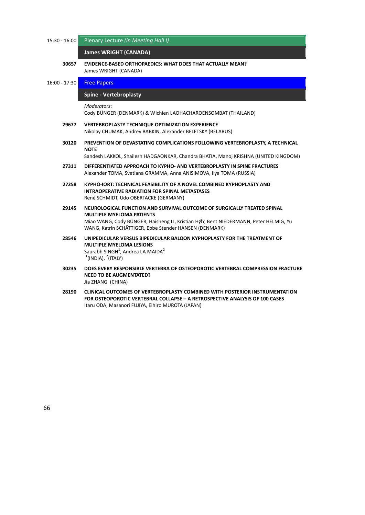15:30 ‐ 16:00 Plenary Lecture *(in Meeting Hall I)*

### *James WRIGHT (CANADA)*

**30657 EVIDENCE‐BASED ORTHOPAEDICS: WHAT DOES THAT ACTUALLY MEAN?** James WRIGHT (CANADA)

### 16:00 - 17:30 **Free Papers**

#### 68B**Spine ‐ Vertebroplasty** *̶ Free Papers*

*Moderators*:

Cody BÜNGER (DENMARK) & Wichien LAOHACHAROENSOMBAT (THAILAND)

- **29677 VERTEBROPLASTY TECHNIQUE OPTIMIZATION EXPERIENCE** Nikolay CHUMAK, Andrey BABKIN, Alexander BELETSKY (BELARUS)
- **30120 PREVENTION OF DEVASTATING COMPLICATIONS FOLLOWING VERTEBROPLASTY, A TECHNICAL NOTE**

Sandesh LAKKOL, Shailesh HADGAONKAR, Chandra BHATIA, Manoj KRISHNA (UNITED KINGDOM)

- **27311 DIFFERENTIATED APPROACH TO KYPHO‐ AND VERTEBROPLASTY IN SPINE FRACTURES** Alexander TOMA, Svetlana GRAMMA, Anna ANISIMOVA, Ilya TOMA (RUSSIA)
- **27258 KYPHO‐IORT: TECHNICAL FEASIBILITY OF A NOVEL COMBINED KYPHOPLASTY AND INTRAOPERATIVE RADIATION FOR SPINAL METASTASES** René SCHMIDT, Udo OBERTACKE (GERMANY)
- **29145 NEUROLOGICAL FUNCTION AND SURVIVAL OUTCOME OF SURGICALLY TREATED SPINAL MULTIPLE MYELOMA PATIENTS** Miao WANG, Cody BÜNGER, Haisheng LI, Kristian HØY, Bent NIEDERMANN, Peter HELMIG, Yu WANG, Katrin SCHÄTTIGER, Ebbe Stender HANSEN (DENMARK)
- **28546 UNIPEDICULAR VERSUS BIPEDICULAR BALOON KYPHOPLASTY FOR THE TREATMENT OF MULTIPLE MYELOMA LESIONS** Saurabh SINGH<sup>1</sup>, Andrea LA MAIDA<sup>2</sup>  $1$ (INDIA),  $2$ (ITALY)
- **30235 DOES EVERY RESPONSIBLE VERTEBRA OF OSTEOPOROTIC VERTEBRAL COMPRESSION FRACTURE NEED TO BE AUGMENTATED?** Jia ZHANG (CHINA)
- **28190 CLINICAL OUTCOMES OF VERTEBROPLASTY COMBINED WITH POSTERIOR INSTRUMENTATION FOR OSTEOPOROTIC VERTEBRAL COLLAPSE – A RETROSPECTIVE ANALYSIS OF 100 CASES** Itaru ODA, Masanori FUJIYA, Eihiro MUROTA (JAPAN)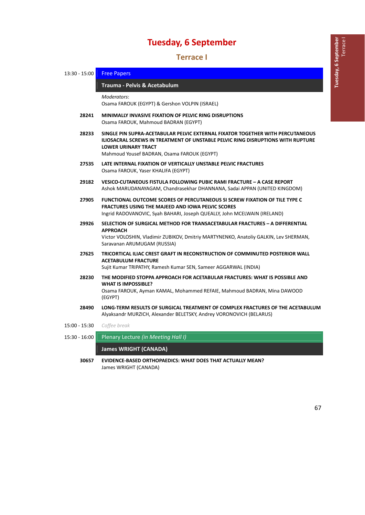15B**Terrace I**

| 13:30 - 15:00 | <b>Free Papers</b>                                                                                                                                                                                                                                    |  |  |  |
|---------------|-------------------------------------------------------------------------------------------------------------------------------------------------------------------------------------------------------------------------------------------------------|--|--|--|
|               | Trauma - Pelvis & Acetabulum                                                                                                                                                                                                                          |  |  |  |
|               | Moderators:<br>Osama FAROUK (EGYPT) & Gershon VOLPIN (ISRAEL)                                                                                                                                                                                         |  |  |  |
| 28241         | <b>MINIMALLY INVASIVE FIXATION OF PELVIC RING DISRUPTIONS</b><br>Osama FAROUK, Mahmoud BADRAN (EGYPT)                                                                                                                                                 |  |  |  |
| 28233         | SINGLE PIN SUPRA-ACETABULAR PELVIC EXTERNAL FIXATOR TOGETHER WITH PERCUTANEOUS<br><b>ILIOSACRAL SCREWS IN TREATMENT OF UNSTABLE PELVIC RING DISRUPTIONS WITH RUPTURE</b><br><b>LOWER URINARY TRACT</b><br>Mahmoud Yousef BADRAN, Osama FAROUK (EGYPT) |  |  |  |
| 27535         | LATE INTERNAL FIXATION OF VERTICALLY UNSTABLE PELVIC FRACTURES<br>Osama FAROUK, Yaser KHALIFA (EGYPT)                                                                                                                                                 |  |  |  |
| 29182         | VESICO-CUTANEOUS FISTULA FOLLOWING PUBIC RAMI FRACTURE - A CASE REPORT<br>Ashok MARUDANAYAGAM, Chandrasekhar DHANNANA, Sadai APPAN (UNITED KINGDOM)                                                                                                   |  |  |  |
| 27905         | <b>FUNCTIONAL OUTCOME SCORES OF PERCUTANEOUS SI SCREW FIXATION OF TILE TYPE C</b><br><b>FRACTURES USING THE MAJEED AND IOWA PELVIC SCORES</b><br>Ingrid RADOVANOVIC, Syah BAHARI, Joseph QUEALLY, John MCELWAIN (IRELAND)                             |  |  |  |
| 29926         | SELECTION OF SURGICAL METHOD FOR TRANSACETABULAR FRACTURES - A DIFFERENTIAL<br><b>APPROACH</b><br>Victor VOLOSHIN, Vladimir ZUBIKOV, Dmitriy MARTYNENKO, Anatoliy GALKIN, Lev SHERMAN,<br>Saravanan ARUMUGAM (RUSSIA)                                 |  |  |  |
| 27625         | TRICORTICAL ILIAC CREST GRAFT IN RECONSTRUCTION OF COMMINUTED POSTERIOR WALL<br><b>ACETABULUM FRACTURE</b><br>Sujit Kumar TRIPATHY, Ramesh Kumar SEN, Sameer AGGARWAL (INDIA)                                                                         |  |  |  |
| 28230         | THE MODIFIED STOPPA APPROACH FOR ACETABULAR FRACTURES: WHAT IS POSSIBLE AND<br><b>WHAT IS IMPOSSIBLE?</b><br>Osama FAROUK, Ayman KAMAL, Mohammed REFAIE, Mahmoud BADRAN, Mina DAWOOD<br>(EGYPT)                                                       |  |  |  |
| 28490         | LONG-TERM RESULTS OF SURGICAL TREATMENT OF COMPLEX FRACTURES OF THE ACETABULUM<br>Alyaksandr MURZICH, Alexander BELETSKY, Andrey VORONOVICH (BELARUS)                                                                                                 |  |  |  |
| 15:00 - 15:30 | Coffee break                                                                                                                                                                                                                                          |  |  |  |
| 15:30 - 16:00 | Plenary Lecture (in Meeting Hall I)                                                                                                                                                                                                                   |  |  |  |

**James WRIGHT (CANADA)** 

**30657 EVIDENCE‐BASED ORTHOPAEDICS: WHAT DOES THAT ACTUALLY MEAN?** James WRIGHT (CANADA)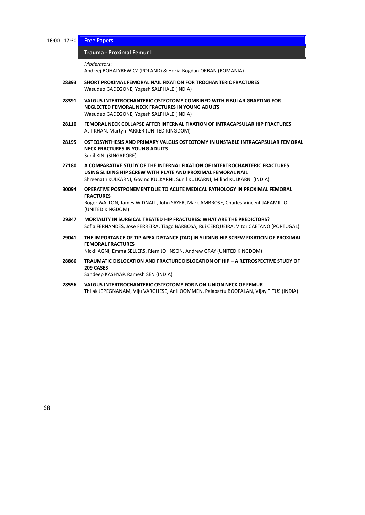16:00 - 17:30 Free Papers

#### 70B**Trauma ‐ Proximal Femur I** *̶ Free Papers*

*Moderators*:

Andrzej BOHATYREWICZ (POLAND) & Horia‐Bogdan ORBAN (ROMANIA)

- **28393 SHORT PROXIMAL FEMORAL NAIL FIXATION FOR TROCHANTERIC FRACTURES** Wasudeo GADEGONE, Yogesh SALPHALE (INDIA)
- **28391 VALGUS INTERTROCHANTERIC OSTEOTOMY COMBINED WITH FIBULAR GRAFTING FOR NEGLECTED FEMORAL NECK FRACTURES IN YOUNG ADULTS** Wasudeo GADEGONE, Yogesh SALPHALE (INDIA)
- **28110 FEMORAL NECK COLLAPSE AFTER INTERNAL FIXATION OF INTRACAPSULAR HIP FRACTURES** Asif KHAN, Martyn PARKER (UNITED KINGDOM)
- **28195 OSTEOSYNTHESIS AND PRIMARY VALGUS OSTEOTOMY IN UNSTABLE INTRACAPSULAR FEMORAL NECK FRACTURES IN YOUNG ADULTS** Sunil KINI (SINGAPORE)
- **27180 A COMPARATIVE STUDY OF THE INTERNAL FIXATION OF INTERTROCHANTERIC FRACTURES USING SLIDING HIP SCREW WITH PLATE AND PROXIMAL FEMORAL NAIL** Shreenath KULKARNI, Govind KULKARNI, Sunil KULKARNI, Milind KULKARNI (INDIA)
- **30094 OPERATIVE POSTPONEMENT DUE TO ACUTE MEDICAL PATHOLOGY IN PROXIMAL FEMORAL FRACTURES** Roger WALTON, James WIDNALL, John SAYER, Mark AMBROSE, Charles Vincent JARAMILLO (UNITED KINGDOM)
- **29347 MORTALITY IN SURGICAL TREATED HIP FRACTURES: WHAT ARE THE PREDICTORS?** Sofia FERNANDES, José FERREIRA, Tiago BARBOSA, Rui CERQUEIRA, Vitor CAETANO (PORTUGAL)
- **29041 THE IMPORTANCE OF TIP‐APEX DISTANCE (TAD) IN SLIDING HIP SCREW FIXATION OF PROXIMAL FEMORAL FRACTURES**

Nickil AGNI, Emma SELLERS, Riem JOHNSON, Andrew GRAY (UNITED KINGDOM)

**28866 TRAUMATIC DISLOCATION AND FRACTURE DISLOCATION OF HIP – A RETROSPECTIVE STUDY OF 209 CASES**

Sandeep KASHYAP, Ramesh SEN (INDIA)

**28556 VALGUS INTERTROCHANTERIC OSTEOTOMY FOR NON‐UNION NECK OF FEMUR** Thilak JEPEGNANAM, Viju VARGHESE, Anil OOMMEN, Palapattu BOOPALAN, Vijay TITUS (INDIA)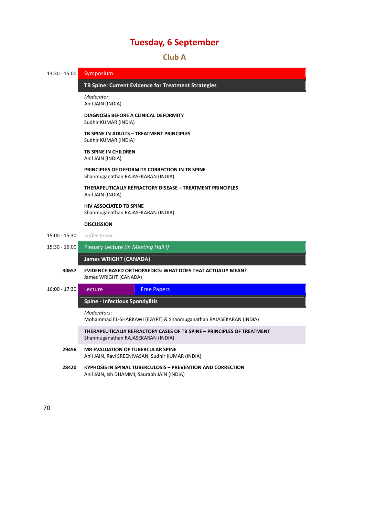### 16B**Club A**

71B**TB Spine: Current Evidence for Treatment Strategies** *̶ Symposium*

13:30 - 15:00 Symposium

*Moderator*:

|                 | Anil JAIN (INDIA)                                                                                            |                                                                                                                   |  |  |  |
|-----------------|--------------------------------------------------------------------------------------------------------------|-------------------------------------------------------------------------------------------------------------------|--|--|--|
|                 | <b>DIAGNOSIS BEFORE A CLINICAL DEFORMITY</b><br>Sudhir KUMAR (INDIA)                                         |                                                                                                                   |  |  |  |
|                 | TB SPINE IN ADULTS - TREATMENT PRINCIPLES<br>Sudhir KUMAR (INDIA)                                            |                                                                                                                   |  |  |  |
|                 | TB SPINE IN CHILDREN<br>Anil JAIN (INDIA)                                                                    |                                                                                                                   |  |  |  |
|                 | PRINCIPLES OF DEFORMITY CORRECTION IN TB SPINE<br>Shanmuganathan RAJASEKARAN (INDIA)                         |                                                                                                                   |  |  |  |
|                 | Anil JAIN (INDIA)                                                                                            | THERAPEUTICALLY REFRACTORY DISEASE - TREATMENT PRINCIPLES                                                         |  |  |  |
|                 | <b>HIV ASSOCIATED TB SPINE</b><br>Shanmuganathan RAJASEKARAN (INDIA)                                         |                                                                                                                   |  |  |  |
|                 | <b>DISCUSSION</b>                                                                                            |                                                                                                                   |  |  |  |
| $15:00 - 15:30$ | Coffee break                                                                                                 |                                                                                                                   |  |  |  |
| $15:30 - 16:00$ | Plenary Lecture (in Meeting Hall I)                                                                          |                                                                                                                   |  |  |  |
|                 | <b>James WRIGHT (CANADA)</b>                                                                                 |                                                                                                                   |  |  |  |
| 30657           | James WRIGHT (CANADA)                                                                                        | EVIDENCE-BASED ORTHOPAEDICS: WHAT DOES THAT ACTUALLY MEAN?                                                        |  |  |  |
| $16:00 - 17:30$ | Lecture                                                                                                      | <b>Free Papers</b>                                                                                                |  |  |  |
|                 | <b>Spine - Infectious Spondylitis</b>                                                                        |                                                                                                                   |  |  |  |
|                 | Moderators:<br>Mohammad EL-SHARKAWI (EGYPT) & Shanmuganathan RAJASEKARAN (INDIA)                             |                                                                                                                   |  |  |  |
|                 | THERAPEUTICALLY REFRACTORY CASES OF TB SPINE - PRINCIPLES OF TREATMENT<br>Shanmuganathan RAJASEKARAN (INDIA) |                                                                                                                   |  |  |  |
| 29456           | <b>MR EVALUATION OF TUBERCULAR SPINE</b>                                                                     | Anil JAIN, Ravi SREENIVASAN, Sudhir KUMAR (INDIA)                                                                 |  |  |  |
| 28420           |                                                                                                              | <b>KYPHOSIS IN SPINAL TUBERCULOSIS - PREVENTION AND CORRECTION</b><br>Anil JAIN, Ish DHAMMI, Saurabh JAIN (INDIA) |  |  |  |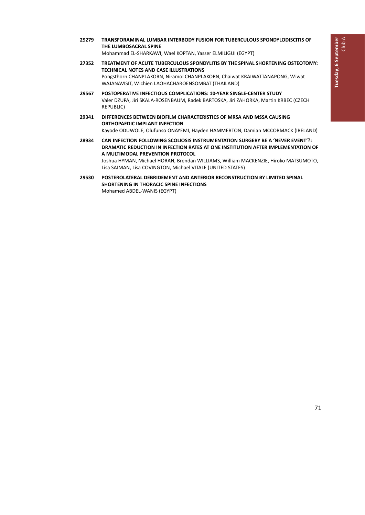**29279 TRANSFORAMINAL LUMBAR INTERBODY FUSION FOR TUBERCULOUS SPONDYLODISCITIS OF THE LUMBOSACRAL SPINE**

Mohammad EL‐SHARKAWI, Wael KOPTAN, Yasser ELMILIGUI (EGYPT)

- **27352 TREATMENT OF ACUTE TUBERCULOUS SPONDYLITIS BY THE SPINAL SHORTENING OSTEOTOMY: TECHNICAL NOTES AND CASE ILLUSTRATIONS** Pongsthorn CHANPLAKORN, Niramol CHANPLAKORN, Chaiwat KRAIWATTANAPONG, Wiwat WAJANAVISIT, Wichien LAOHACHAROENSOMBAT (THAILAND)
- **29567 POSTOPERATIVE INFECTIOUS COMPLICATIONS: 10‐YEAR SINGLE‐CENTER STUDY** Valer DZUPA, Jiri SKALA‐ROSENBAUM, Radek BARTOSKA, Jiri ZAHORKA, Martin KRBEC (CZECH REPUBLIC)
- **29341 DIFFERENCES BETWEEN BIOFILM CHARACTERISTICS OF MRSA AND MSSA CAUSING ORTHOPAEDIC IMPLANT INFECTION** Kayode ODUWOLE, Olufunso ONAYEMI, Hayden HAMMERTON, Damian MCCORMACK (IRELAND)
- **28934 CAN INFECTION FOLLOWING SCOLIOSIS INSTRUMENTATION SURGERY BE A 'NEVER EVENT'?: DRAMATIC REDUCTION IN INFECTION RATES AT ONE INSTITUTION AFTER IMPLEMENTATION OF A MULTIMODAL PREVENTION PROTOCOL** Joshua HYMAN, Michael HORAN, Brendan WILLIAMS, William MACKENZIE, Hiroko MATSUMOTO, Lisa SAIMAN, Lisa COVINGTON, Michael VITALE (UNITED STATES)
- **29530 POSTEROLATERAL DEBRIDEMENT AND ANTERIOR RECONSTRUCTION BY LIMITED SPINAL SHORTENING IN THORACIC SPINE INFECTIONS** Mohamed ABDEL‐WANIS (EGYPT)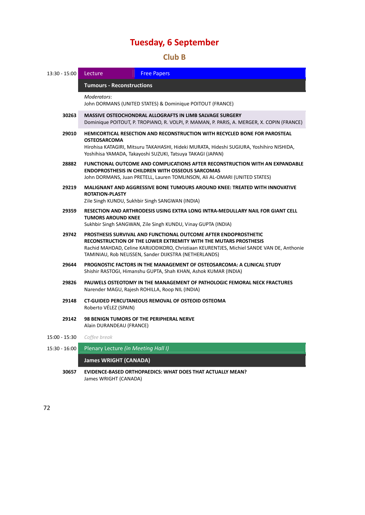### 17B**Club B**

| $13:30 - 15:00$ | Lecture<br><b>Free Papers</b>                                                                                                                                                                                                                                                             |                                                                          |  |
|-----------------|-------------------------------------------------------------------------------------------------------------------------------------------------------------------------------------------------------------------------------------------------------------------------------------------|--------------------------------------------------------------------------|--|
|                 | <b>Tumours - Reconstructions</b>                                                                                                                                                                                                                                                          |                                                                          |  |
|                 | Moderators:                                                                                                                                                                                                                                                                               |                                                                          |  |
|                 | John DORMANS (UNITED STATES) & Dominique POITOUT (FRANCE)                                                                                                                                                                                                                                 |                                                                          |  |
| 30263           | <b>MASSIVE OSTEOCHONDRAL ALLOGRAFTS IN LIMB SALVAGE SURGERY</b><br>Dominique POITOUT, P. TROPIANO, R. VOLPI, P. MAMAN, P. PARIS, A. MERGER, X. COPIN (FRANCE)                                                                                                                             |                                                                          |  |
| 29010           | <b>HEMICORTICAL RESECTION AND RECONSTRUCTION WITH RECYCLED BONE FOR PAROSTEAL</b><br><b>OSTEOSARCOMA</b><br>Hirohisa KATAGIRI, Mitsuru TAKAHASHI, Hideki MURATA, Hideshi SUGIURA, Yoshihiro NISHIDA,<br>Yoshihisa YAMADA, Takayoshi SUZUKI, Tatsuya TAKAGI (JAPAN)                        |                                                                          |  |
| 28882           | FUNCTIONAL OUTCOME AND COMPLICATIONS AFTER RECONSTRUCTION WITH AN EXPANDABLE<br><b>ENDOPROSTHESIS IN CHILDREN WITH OSSEOUS SARCOMAS</b><br>John DORMANS, Juan PRETELL, Lauren TOMLINSON, Ali AL-OMARI (UNITED STATES)                                                                     |                                                                          |  |
| 29219           | <b>MALIGNANT AND AGGRESSIVE BONE TUMOURS AROUND KNEE: TREATED WITH INNOVATIVE</b><br><b>ROTATION-PLASTY</b><br>Zile Singh KUNDU, Sukhbir Singh SANGWAN (INDIA)                                                                                                                            |                                                                          |  |
| 29359           | RESECTION AND ARTHRODESIS USING EXTRA LONG INTRA-MEDULLARY NAIL FOR GIANT CELL<br><b>TUMORS AROUND KNEE</b><br>Sukhbir Singh SANGWAN, Zile Singh KUNDU, Vinay GUPTA (INDIA)                                                                                                               |                                                                          |  |
| 29742           | PROSTHESIS SURVIVAL AND FUNCTIONAL OUTCOME AFTER ENDOPROSTHETIC<br>RECONSTRUCTION OF THE LOWER EXTREMITY WITH THE MUTARS PROSTHESIS<br>Rachid MAHDAD, Celine KARIJODIKORO, Christiaan KEURENTJES, Michiel SANDE VAN DE, Anthonie<br>TAMINIAU, Rob NELISSEN, Sander DIJKSTRA (NETHERLANDS) |                                                                          |  |
| 29644           | PROGNOSTIC FACTORS IN THE MANAGEMENT OF OSTEOSARCOMA: A CLINICAL STUDY<br>Shishir RASTOGI, Himanshu GUPTA, Shah KHAN, Ashok KUMAR (INDIA)                                                                                                                                                 |                                                                          |  |
| 29826           | Narender MAGU, Rajesh ROHILLA, Roop NIL (INDIA)                                                                                                                                                                                                                                           | PAUWELS OSTEOTOMY IN THE MANAGEMENT OF PATHOLOGIC FEMORAL NECK FRACTURES |  |
| 29148           | <b>CT-GUIDED PERCUTANEOUS REMOVAL OF OSTEOID OSTEOMA</b><br>Roberto VÉLEZ (SPAIN)                                                                                                                                                                                                         |                                                                          |  |
| 29142           | <b>98 BENIGN TUMORS OF THE PERIPHERAL NERVE</b><br>Alain DURANDEAU (FRANCE)                                                                                                                                                                                                               |                                                                          |  |
| 15:00 - 15:30   | Coffee break                                                                                                                                                                                                                                                                              |                                                                          |  |
| $15:30 - 16:00$ | Plenary Lecture (in Meeting Hall I)                                                                                                                                                                                                                                                       |                                                                          |  |
|                 | <b>James WRIGHT (CANADA)</b>                                                                                                                                                                                                                                                              |                                                                          |  |
| 30657           | <b>EVIDENCE-BASED ORTHOPAEDICS: WHAT DOES THAT ACTUALLY MEAN?</b><br>James WRIGHT (CANADA)                                                                                                                                                                                                |                                                                          |  |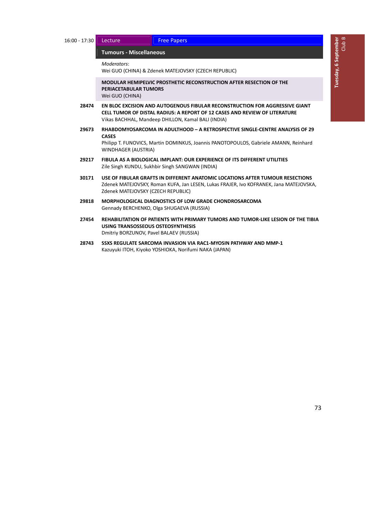#### 74B**Tumours ‐ Miscellaneous** *̶ Lecture / Free Papers*

*Moderators*:

Wei GUO (CHINA) & Zdenek MATEJOVSKY (CZECH REPUBLIC)

**MODULAR HEMIPELVIC PROSTHETIC RECONSTRUCTION AFTER RESECTION OF THE PERIACETABULAR TUMORS** Wei GUO (CHINA)

- **28474 EN BLOC EXCISION AND AUTOGENOUS FIBULAR RECONSTRUCTION FOR AGGRESSIVE GIANT CELL TUMOR OF DISTAL RADIUS: A REPORT OF 12 CASES AND REVIEW OF LITERATURE** Vikas BACHHAL, Mandeep DHILLON, Kamal BALI (INDIA)
- **29673 RHABDOMYOSARCOMA IN ADULTHOOD – A RETROSPECTIVE SINGLE‐CENTRE ANALYSIS OF 29 CASES**

Philipp T. FUNOVICS, Martin DOMINKUS, Joannis PANOTOPOULOS, Gabriele AMANN, Reinhard WINDHAGER (AUSTRIA)

- **29217 FIBULA AS A BIOLOGICAL IMPLANT: OUR EXPERIENCE OF ITS DIFFERENT UTILITIES** Zile Singh KUNDU, Sukhbir Singh SANGWAN (INDIA)
- **30171 USE OF FIBULAR GRAFTS IN DIFFERENT ANATOMIC LOCATIONS AFTER TUMOUR RESECTIONS** Zdenek MATEJOVSKY, Roman KUFA, Jan LESEN, Lukas FRAJER, Ivo KOFRANEK, Jana MATEJOVSKA, Zdenek MATEJOVSKY (CZECH REPUBLIC)
- **29818 MORPHOLOGICAL DIAGNOSTICS OF LOW GRADE CHONDROSARCOMA** Gennady BERCHENKO, Olga SHUGAEVA (RUSSIA)
- **27454 REHABILITATION OF PATIENTS WITH PRIMARY TUMORS AND TUMOR‐LIKE LESION OF THE TIBIA USING TRANSOSSEOUS OSTEOSYNTHESIS** Dmitriy BORZUNOV, Pavel BALAEV (RUSSIA)
- **28743 SSXS REGULATE SARCOMA INVASION VIA RAC1‐MYOSIN PATHWAY AND MMP‐1** Kazuyuki ITOH, Kiyoko YOSHIOKA, Norifumi NAKA (JAPAN)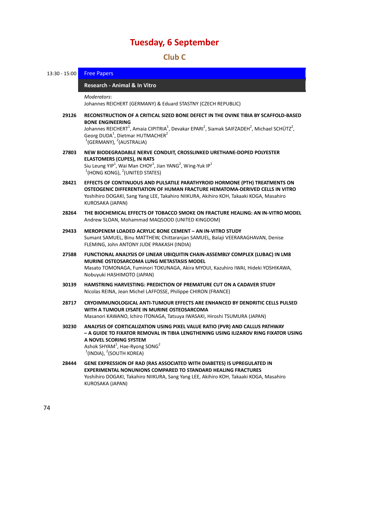### 18B**Club C**

| $13:30 - 15:00$ | <b>Free Papers</b>                                                                                                                                                                                                                                                                                                                                                                          |
|-----------------|---------------------------------------------------------------------------------------------------------------------------------------------------------------------------------------------------------------------------------------------------------------------------------------------------------------------------------------------------------------------------------------------|
|                 | Research - Animal & In Vitro                                                                                                                                                                                                                                                                                                                                                                |
|                 | Moderators:<br>Johannes REICHERT (GERMANY) & Eduard STASTNY (CZECH REPUBLIC)                                                                                                                                                                                                                                                                                                                |
| 29126           | RECONSTRUCTION OF A CRITICAL SIZED BONE DEFECT IN THE OVINE TIBIA BY SCAFFOLD-BASED<br><b>BONE ENGINEERING</b><br>Johannes REICHERT <sup>1</sup> , Amaia CIPITRIA <sup>1</sup> , Devakar EPARI <sup>2</sup> , Siamak SAIFZADEH <sup>2</sup> , Michael SCHÜTZ <sup>2</sup> ,<br>Georg DUDA <sup>1</sup> , Dietmar HUTMACHER <sup>2</sup><br><sup>1</sup> (GERMANY), <sup>2</sup> (AUSTRALIA) |
| 27803           | NEW BIODEGRADABLE NERVE CONDUIT, CROSSLINKED URETHANE-DOPED POLYESTER<br><b>ELASTOMERS (CUPES), IN RATS</b><br>Siu Leung YIP <sup>1</sup> , Wai Man CHOY <sup>1</sup> , Jian YANG <sup>2</sup> , Wing-Yuk IP <sup>1</sup><br>$1$ (HONG KONG), $2$ (UNITED STATES)                                                                                                                           |
| 28421           | EFFECTS OF CONTINUOUS AND PULSATILE PARATHYROID HORMONE (PTH) TREATMENTS ON<br>OSTEOGENIC DIFFERENTIATION OF HUMAN FRACTURE HEMATOMA-DERIVED CELLS IN VITRO<br>Yoshihiro DOGAKI, Sang Yang LEE, Takahiro NIIKURA, Akihiro KOH, Takaaki KOGA, Masahiro<br>KUROSAKA (JAPAN)                                                                                                                   |
| 28264           | THE BIOCHEMICAL EFFECTS OF TOBACCO SMOKE ON FRACTURE HEALING: AN IN-VITRO MODEL<br>Andrew SLOAN, Mohammad MAQSOOD (UNITED KINGDOM)                                                                                                                                                                                                                                                          |
| 29433           | <b>MEROPENEM LOADED ACRYLIC BONE CEMENT - AN IN-VITRO STUDY</b><br>Sumant SAMUEL, Binu MATTHEW, Chittaranjan SAMUEL, Balaji VEERARAGHAVAN, Denise<br>FLEMING, John ANTONY JUDE PRAKASH (INDIA)                                                                                                                                                                                              |
| 27588           | FUNCTIONAL ANALYSIS OF LINEAR UBIQUITIN CHAIN-ASSEMBLY COMPLEX (LUBAC) IN LM8<br><b>MURINE OSTEOSARCOMA LUNG METASTASIS MODEL</b><br>Masato TOMONAGA, Fuminori TOKUNAGA, Akira MYOUI, Kazuhiro IWAI, Hideki YOSHIKAWA,<br>Nobuyuki HASHIMOTO (JAPAN)                                                                                                                                        |
| 30139           | <b>HAMSTRING HARVESTING: PREDICTION OF PREMATURE CUT ON A CADAVER STUDY</b><br>Nicolas REINA, Jean Michel LAFFOSSE, Philippe CHIRON (FRANCE)                                                                                                                                                                                                                                                |
| 28717           | CRYOIMMUNOLOGICAL ANTI-TUMOUR EFFECTS ARE ENHANCED BY DENDRITIC CELLS PULSED<br>WITH A TUMOUR LYSATE IN MURINE OSTEOSARCOMA<br>Masanori KAWANO, Ichiro ITONAGA, Tatsuya IWASAKI, Hiroshi TSUMURA (JAPAN)                                                                                                                                                                                    |
| 30230           | ANALYSIS OF CORTICALIZATION USING PIXEL VALUE RATIO (PVR) AND CALLUS PATHWAY<br>– A GUIDE TO FIXATOR REMOVAL IN TIBIA LENGTHENING USING ILIZAROV RING FIXATOR USING<br>A NOVEL SCORING SYSTEM<br>Ashok SHYAM <sup>1</sup> , Hae-Ryong SONG <sup>2</sup><br>$1$ (INDIA), $2$ (SOUTH KOREA)                                                                                                   |
| 28444           | GENE EXPRESSION OF RAD (RAS ASSOCIATED WITH DIABETES) IS UPREGULATED IN<br><b>EXPERIMENTAL NONUNIONS COMPARED TO STANDARD HEALING FRACTURES</b><br>Yoshihiro DOGAKI, Takahiro NIIKURA, Sang Yang LEE, Akihiro KOH, Takaaki KOGA, Masahiro<br>KUROSAKA (JAPAN)                                                                                                                               |
| 74              |                                                                                                                                                                                                                                                                                                                                                                                             |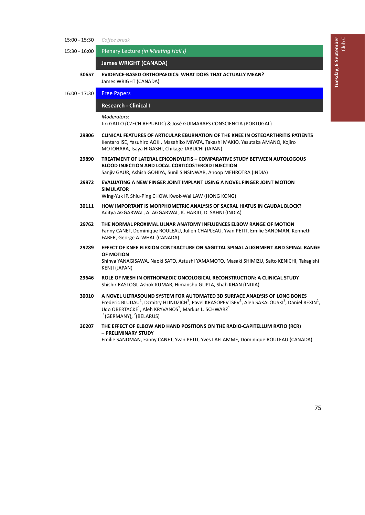- 15:00 ‐ 15:30 *Coffee break*
- 15:30 ‐ 16:00 Plenary Lecture *(in Meeting Hall I)*

**James WRIGHT (CANADA)** 

- **30657 EVIDENCE‐BASED ORTHOPAEDICS: WHAT DOES THAT ACTUALLY MEAN?** James WRIGHT (CANADA)
- 16:00 17:30 **Free Papers**

76B**Research ‐ Clinical I** *̶ Free Papers*

*Moderators*:

Jiri GALLO (CZECH REPUBLIC) & José GUIMARAES CONSCIENCIA (PORTUGAL)

- **29806 CLINICAL FEATURES OF ARTICULAR EBURNATION OF THE KNEE IN OSTEOARTHRITIS PATIENTS** Kentaro ISE, Yasuhiro AOKI, Masahiko MIYATA, Takashi MAKIO, Yasutaka AMANO, Kojiro MOTOHARA, Isaya HIGASHI, Chikage TABUCHI (JAPAN)
- **29890 TREATMENT OF LATERAL EPICONDYLITIS – COMPARATIVE STUDY BETWEEN AUTOLOGOUS BLOOD INJECTION AND LOCAL CORTICOSTEROID INJECTION** Sanjiv GAUR, Ashish GOHIYA, Sunil SINSINWAR, Anoop MEHROTRA (INDIA)
- **29972 EVALUATING A NEW FINGER JOINT IMPLANT USING A NOVEL FINGER JOINT MOTION SIMULATOR**

Wing‐Yuk IP, Shiu‐Ping CHOW, Kwok‐Wai LAW (HONG KONG)

- **30111 HOW IMPORTANT IS MORPHOMETRIC ANALYSIS OF SACRAL HIATUS IN CAUDAL BLOCK?** Aditya AGGARWAL, A. AGGARWAL, K. HARJIT, D. SAHNI (INDIA)
- **29762 THE NORMAL PROXIMAL ULNAR ANATOMY INFLUENCES ELBOW RANGE OF MOTION** Fanny CANET, Dominique ROULEAU, Julien CHAPLEAU, Yvan PETIT, Emilie SANDMAN, Kenneth FABER, George ATWHAL (CANADA)
- **29289 EFFECT OF KNEE FLEXION CONTRACTURE ON SAGITTAL SPINAL ALIGNMENT AND SPINAL RANGE OF MOTION** Shinya YANAGISAWA, Naoki SATO, Astushi YAMAMOTO, Masaki SHIMIZU, Saito KENICHI, Takagishi KENJI (JAPAN)
- **29646 ROLE OF MESH IN ORTHOPAEDIC ONCOLOGICAL RECONSTRUCTION: A CLINICAL STUDY** Shishir RASTOGI, Ashok KUMAR, Himanshu GUPTA, Shah KHAN (INDIA)
- **30010 A NOVEL ULTRASOUND SYSTEM FOR AUTOMATED 3D SURFACE ANALYSIS OF LONG BONES** Frederic BLUDAU<sup>1</sup>, Dzmitry HLINDZICH<sup>1</sup>, Pavel KRASOPEVTSEV<sup>1</sup>, Aleh SAKALOUSKI<sup>2</sup>, Daniel REXIN<sup>1</sup>, Udo OBERTACKE<sup>1</sup>, Aleh KRYVANOS<sup>1</sup>, Markus L. SCHWARZ<sup>1</sup>  $1$ (GERMANY),  $2$ (BELARUS)
- **30207 THE EFFECT OF ELBOW AND HAND POSITIONS ON THE RADIO‐CAPITELLUM RATIO (RCR) – PRELIMINARY STUDY** Emilie SANDMAN, Fanny CANET, Yvan PETIT, Yves LAFLAMME, Dominique ROULEAU (CANADA)

75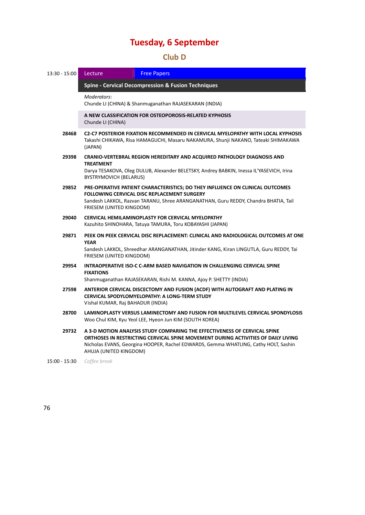### 19B**Club D**

| 13:30 - 15:00 | Lecture                                                                                                                                                                                                                                                | <b>Free Papers</b>                                                                                                                                                                                                                                    |  |  |  |
|---------------|--------------------------------------------------------------------------------------------------------------------------------------------------------------------------------------------------------------------------------------------------------|-------------------------------------------------------------------------------------------------------------------------------------------------------------------------------------------------------------------------------------------------------|--|--|--|
|               | <b>Spine - Cervical Decompression &amp; Fusion Techniques</b>                                                                                                                                                                                          |                                                                                                                                                                                                                                                       |  |  |  |
|               | Moderators:                                                                                                                                                                                                                                            | Chunde LI (CHINA) & Shanmuganathan RAJASEKARAN (INDIA)                                                                                                                                                                                                |  |  |  |
|               | Chunde LI (CHINA)                                                                                                                                                                                                                                      | A NEW CLASSIFICATION FOR OSTEOPOROSIS-RELATED KYPHOSIS                                                                                                                                                                                                |  |  |  |
| 28468         | C2-C7 POSTERIOR FIXATION RECOMMENDED IN CERVICAL MYELOPATHY WITH LOCAL KYPHOSIS<br>Takashi CHIKAWA, Risa HAMAGUCHI, Masaru NAKAMURA, Shunji NAKANO, Tateaki SHIMAKAWA<br>(JAPAN)                                                                       |                                                                                                                                                                                                                                                       |  |  |  |
| 29398         | <b>CRANIO-VERTEBRAL REGION HEREDITARY AND ACQUIRED PATHOLOGY DIAGNOSIS AND</b><br><b>TREATMENT</b><br>Darya TESAKOVA, Oleg DULUB, Alexander BELETSKY, Andrey BABKIN, Inessa IL'YASEVICH, Irina<br>BYSTRYMOVICH (BELARUS)                               |                                                                                                                                                                                                                                                       |  |  |  |
| 29852         | PRE-OPERATIVE PATIENT CHARACTERISTICS; DO THEY INFLUENCE ON CLINICAL OUTCOMES<br><b>FOLLOWING CERVICAL DISC REPLACEMENT SURGERY</b><br>Sandesh LAKKOL, Razvan TARANU, Shree ARANGANATHAN, Guru REDDY, Chandra BHATIA, Tail<br>FRIESEM (UNITED KINGDOM) |                                                                                                                                                                                                                                                       |  |  |  |
| 29040         | CERVICAL HEMILAMINOPLASTY FOR CERVICAL MYELOPATHY<br>Kazuhito SHINOHARA, Tatuya TAMURA, Toru KOBAYASHI (JAPAN)                                                                                                                                         |                                                                                                                                                                                                                                                       |  |  |  |
| 29871         | <b>YEAR</b><br>FRIESEM (UNITED KINGDOM)                                                                                                                                                                                                                | PEEK ON PEEK CERVICAL DISC REPLACEMENT: CLINICAL AND RADIOLOGICAL OUTCOMES AT ONE<br>Sandesh LAKKOL, Shreedhar ARANGANATHAN, Jitinder KANG, Kiran LINGUTLA, Guru REDDY, Tai                                                                           |  |  |  |
| 29954         | <b>FIXATIONS</b>                                                                                                                                                                                                                                       | INTRAOPERATIVE ISO-C C-ARM BASED NAVIGATION IN CHALLENGING CERVICAL SPINE<br>Shanmuganathan RAJASEKARAN, Rishi M. KANNA, Ajoy P. SHETTY (INDIA)                                                                                                       |  |  |  |
| 27598         |                                                                                                                                                                                                                                                        | ANTERIOR CERVICAL DISCECTOMY AND FUSION (ACDF) WITH AUTOGRAFT AND PLATING IN<br>CERVICAL SPODYLOMYELOPATHY: A LONG-TERM STUDY<br>Vishal KUMAR, Raj BAHADUR (INDIA)                                                                                    |  |  |  |
| 28700         |                                                                                                                                                                                                                                                        | LAMINOPLASTY VERSUS LAMINECTOMY AND FUSION FOR MULTILEVEL CERVICAL SPONDYLOSIS<br>Woo Chul KIM, Kyu Yeol LEE, Hyeon Jun KIM (SOUTH KOREA)                                                                                                             |  |  |  |
| 29732         | AHUJA (UNITED KINGDOM)                                                                                                                                                                                                                                 | A 3-D MOTION ANALYSIS STUDY COMPARING THE EFFECTIVENESS OF CERVICAL SPINE<br>ORTHOSES IN RESTRICTING CERVICAL SPINE MOVEMENT DURING ACTIVITIES OF DAILY LIVING<br>Nicholas EVANS, Georgina HOOPER, Rachel EDWARDS, Gemma WHATLING, Cathy HOLT, Sashin |  |  |  |
| 15:00 - 15:30 | Coffee break                                                                                                                                                                                                                                           |                                                                                                                                                                                                                                                       |  |  |  |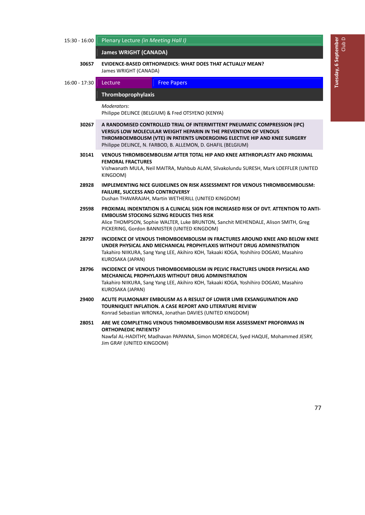| 15:30 - 16:00 | Plenary Lecture (in Meeting Hall I)                                                                                                                                                                                                                                                               |                                                                                                                                                                                                                                                                                  |  |  |  |  |
|---------------|---------------------------------------------------------------------------------------------------------------------------------------------------------------------------------------------------------------------------------------------------------------------------------------------------|----------------------------------------------------------------------------------------------------------------------------------------------------------------------------------------------------------------------------------------------------------------------------------|--|--|--|--|
|               | <b>James WRIGHT (CANADA)</b>                                                                                                                                                                                                                                                                      |                                                                                                                                                                                                                                                                                  |  |  |  |  |
| 30657         | James WRIGHT (CANADA)                                                                                                                                                                                                                                                                             | <b>EVIDENCE-BASED ORTHOPAEDICS: WHAT DOES THAT ACTUALLY MEAN?</b>                                                                                                                                                                                                                |  |  |  |  |
| 16:00 - 17:30 | Lecture                                                                                                                                                                                                                                                                                           | <b>Free Papers</b>                                                                                                                                                                                                                                                               |  |  |  |  |
|               | Thromboprophylaxis                                                                                                                                                                                                                                                                                |                                                                                                                                                                                                                                                                                  |  |  |  |  |
|               | Moderators:                                                                                                                                                                                                                                                                                       | Philippe DELINCE (BELGIUM) & Fred OTSYENO (KENYA)                                                                                                                                                                                                                                |  |  |  |  |
| 30267         | A RANDOMISED CONTROLLED TRIAL OF INTERMITTENT PNEUMATIC COMPRESSION (IPC)<br><b>VERSUS LOW MOLECULAR WEIGHT HEPARIN IN THE PREVENTION OF VENOUS</b><br>THROMBOEMBOLISM (VTE) IN PATIENTS UNDERGOING ELECTIVE HIP AND KNEE SURGERY<br>Philippe DELINCE, N. FARBOD, B. ALLEMON, D. GHAFIL (BELGIUM) |                                                                                                                                                                                                                                                                                  |  |  |  |  |
| 30141         | <b>FEMORAL FRACTURES</b><br>KINGDOM)                                                                                                                                                                                                                                                              | VENOUS THROMBOEMBOLISM AFTER TOTAL HIP AND KNEE ARTHROPLASTY AND PROXIMAL<br>Vishwanath MULA, Neil MAITRA, Mahbub ALAM, Silvakolundu SURESH, Mark LOEFFLER (UNITED                                                                                                               |  |  |  |  |
| 28928         | <b>FAILURE, SUCCESS AND CONTROVERSY</b>                                                                                                                                                                                                                                                           | <b>IMPLEMENTING NICE GUIDELINES ON RISK ASSESSMENT FOR VENOUS THROMBOEMBOLISM:</b><br>Dushan THAVARAJAH, Martin WETHERILL (UNITED KINGDOM)                                                                                                                                       |  |  |  |  |
| 29598         |                                                                                                                                                                                                                                                                                                   | PROXIMAL INDENTATION IS A CLINICAL SIGN FOR INCREASED RISK OF DVT. ATTENTION TO ANTI-<br><b>EMBOLISM STOCKING SIZING REDUCES THIS RISK</b><br>Alice THOMPSON, Sophie WALTER, Luke BRUNTON, Sanchit MEHENDALE, Alison SMITH, Greg<br>PICKERING, Gordon BANNISTER (UNITED KINGDOM) |  |  |  |  |
| 28797         | KUROSAKA (JAPAN)                                                                                                                                                                                                                                                                                  | INCIDENCE OF VENOUS THROMBOEMBOLISM IN FRACTURES AROUND KNEE AND BELOW KNEE<br>UNDER PHYSICAL AND MECHANICAL PROPHYLAXIS WITHOUT DRUG ADMINISTRATION<br>Takahiro NIIKURA, Sang Yang LEE, Akihiro KOH, Takaaki KOGA, Yoshihiro DOGAKI, Masahiro                                   |  |  |  |  |
| 28796         | KUROSAKA (JAPAN)                                                                                                                                                                                                                                                                                  | INCIDENCE OF VENOUS THROMBOEMBOLISM IN PELVIC FRACTURES UNDER PHYSICAL AND<br>MECHANICAL PROPHYLAXIS WITHOUT DRUG ADMINISTRATION<br>Takahiro NIIKURA, Sang Yang LEE, Akihiro KOH, Takaaki KOGA, Yoshihiro DOGAKI, Masahiro                                                       |  |  |  |  |
| 29400         |                                                                                                                                                                                                                                                                                                   | ACUTE PULMONARY EMBOLISM AS A RESULT OF LOWER LIMB EXSANGUINATION AND<br>TOURNIQUET INFLATION. A CASE REPORT AND LITERATURE REVIEW<br>Konrad Sebastian WRONKA, Jonathan DAVIES (UNITED KINGDOM)                                                                                  |  |  |  |  |
| 28051         | <b>ORTHOPAEDIC PATIENTS?</b><br>Jim GRAY (UNITED KINGDOM)                                                                                                                                                                                                                                         | ARE WE COMPLETING VENOUS THROMBOEMBOLISM RISK ASSESSMENT PROFORMAS IN<br>Nawfal AL-HADITHY, Madhavan PAPANNA, Simon MORDECAI, Syed HAQUE, Mohammed JESRY,                                                                                                                        |  |  |  |  |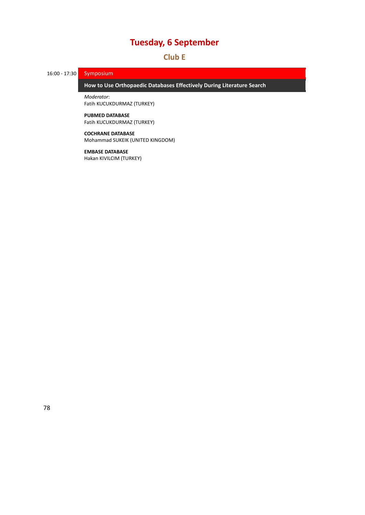### 20B**Club E**

16:00 - 17:30 Symposium

79B**How to Use Orthopaedic Databases Effectively During Literature Search** *̶ Symposium*

*Moderator*: Fatih KUCUKDURMAZ (TURKEY)

### **PUBMED DATABASE**

Fatih KUCUKDURMAZ (TURKEY)

### **COCHRANE DATABASE**

Mohammad SUKEIK (UNITED KINGDOM)

### **EMBASE DATABASE**

Hakan KIVILCIM (TURKEY)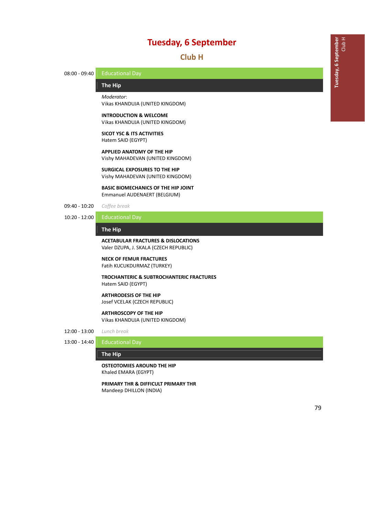21B**Club H**

08:00 - 09:40 Educational Day

### 80B**The Hip** *̶ Educational Day*

*Moderator*: Vikas KHANDUJA (UNITED KINGDOM)

**INTRODUCTION & WELCOME** Vikas KHANDUJA (UNITED KINGDOM)

**SICOT YSC & ITS ACTIVITIES** Hatem SAID (EGYPT)

**APPLIED ANATOMY OF THE HIP** Vishy MAHADEVAN (UNITED KINGDOM)

**SURGICAL EXPOSURES TO THE HIP** Vishy MAHADEVAN (UNITED KINGDOM)

**BASIC BIOMECHANICS OF THE HIP JOINT** Emmanuel AUDENAERT (BELGIUM)

- 09:40 ‐ 10:20 *Coffee break*
- 10:20 ‐ 12:00 Educational Day

**The Hip** *̶ Educational Day*

### **ACETABULAR FRACTURES & DISLOCATIONS**

Valer DZUPA, J. SKALA (CZECH REPUBLIC)

#### **NECK OF FEMUR FRACTURES** Fatih KUCUKDURMAZ (TURKEY)

**TROCHANTERIC & SUBTROCHANTERIC FRACTURES** Hatem SAID (EGYPT)

**ARTHRODESIS OF THE HIP** Josef VCELAK (CZECH REPUBLIC)

### **ARTHROSCOPY OF THE HIP**

Vikas KHANDUJA (UNITED KINGDOM)

- 12:00 ‐ 13:00 *Lunch break*
- 13:00 ‐ 14:40 Educational Day

#### **The Hip** *̶ Educational Day*

**OSTEOTOMIES AROUND THE HIP** Khaled EMARA (EGYPT)

**PRIMARY THR & DIFFICULT PRIMARY THR** Mandeep DHILLON (INDIA)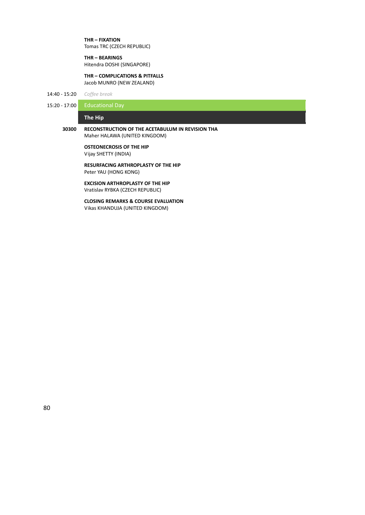**THR – FIXATION** Tomas TRC (CZECH REPUBLIC)

**THR – BEARINGS**

Hitendra DOSHI (SINGAPORE)

**THR – COMPLICATIONS & PITFALLS** Jacob MUNRO (NEW ZEALAND)

14:40 ‐ 15:20 *Coffee break*

15:20 - 17:00 Educational Day

### **The Hip** *̶ Educational Day*

### **30300 RECONSTRUCTION OF THE ACETABULUM IN REVISION THA** Maher HALAWA (UNITED KINGDOM)

**OSTEONECROSIS OF THE HIP** Vijay SHETTY (INDIA)

**RESURFACING ARTHROPLASTY OF THE HIP** Peter YAU (HONG KONG)

**EXCISION ARTHROPLASTY OF THE HIP** Vratislav RYBKA (CZECH REPUBLIC)

**CLOSING REMARKS & COURSE EVALUATION** Vikas KHANDUJA (UNITED KINGDOM)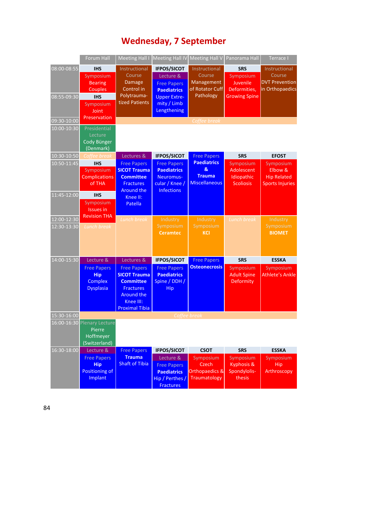# 217B**Wednesday, 7 September**

|                            | Forum Hall                                                             | <b>Meeting Hall I</b>                                                                                                                        | <b>Meeting Hall IV</b>                                                                        | <b>Meeting Hall V</b>                                            | Panorama Hall                                                | Terrace I                                                            |
|----------------------------|------------------------------------------------------------------------|----------------------------------------------------------------------------------------------------------------------------------------------|-----------------------------------------------------------------------------------------------|------------------------------------------------------------------|--------------------------------------------------------------|----------------------------------------------------------------------|
| 08:00-08:55                | <b>IHS</b><br>Symposium<br><b>Bearing</b><br>Couples                   | Instructional<br>Course<br>Damage<br>Control in                                                                                              | <b>IFPOS/SICOT</b><br>Lecture &<br><b>Free Papers</b><br><b>Paediatrics</b>                   | Instructional<br>Course<br>Management<br>of Rotator Cuff         | <b>SRS</b><br>Symposium<br>Juvenile<br>Deformities,          | Instructional<br>Course<br><b>DVT Prevention</b><br>in Orthopaedics  |
| 08:55-09:30                | <b>IHS</b><br>Symposium<br>Joint                                       | Polytrauma-<br>tized Patients                                                                                                                | <b>Upper Extre-</b><br>mity / Limb<br>Lengthening                                             | Pathology                                                        | <b>Growing Spine</b>                                         |                                                                      |
| 09:30-10:00                | Preservation                                                           |                                                                                                                                              |                                                                                               | Coffee break                                                     |                                                              |                                                                      |
| 10:00-10:30                | Presidential<br>Lecture<br>Cody Bünger<br>(Denmark)                    |                                                                                                                                              |                                                                                               |                                                                  |                                                              |                                                                      |
| 10:30-10:50                | Coffee break                                                           | Lectures &                                                                                                                                   | <b>IFPOS/SICOT</b>                                                                            | <b>Free Papers</b>                                               | <b>SRS</b>                                                   | <b>EFOST</b>                                                         |
| 10:50-11:45                | <b>IHS</b><br>Symposium<br><b>Complications</b><br>of THA              | <b>Free Papers</b><br><b>SICOT Trauma</b><br><b>Committee</b><br><b>Fractures</b><br><b>Around the</b>                                       | <b>Free Papers</b><br><b>Paediatrics</b><br>Neuromus-<br>cular / Knee /<br><b>Infections</b>  | <b>Paediatrics</b><br>&<br><b>Trauma</b><br><b>Miscellaneous</b> | Symposium<br>Adolescent<br>Idiopathic<br><b>Scoliosis</b>    | Symposium<br>Elbow &<br><b>Hip Related</b><br><b>Sports Injuries</b> |
| 11:45-12:00                | <b>IHS</b><br>Symposium<br><b>Issues in</b><br><b>Revision THA</b>     | Knee II:<br>Patella                                                                                                                          |                                                                                               |                                                                  |                                                              |                                                                      |
| 12:00-12:30<br>12:30-13:30 | <b>Lunch break</b>                                                     | <b>Lunch break</b>                                                                                                                           | Industry<br>Symposium<br><b>Ceramtec</b>                                                      | Industry<br>Symposium<br><b>KCI</b>                              | Lunch break                                                  | Industry<br>Symposium<br><b>BIOMET</b>                               |
| 14:00-15:30                | Lecture &                                                              | Lectures &                                                                                                                                   |                                                                                               |                                                                  | <b>SRS</b>                                                   | <b>ESSKA</b>                                                         |
|                            | <b>Free Papers</b><br><b>Hip</b><br><b>Complex</b><br><b>Dysplasia</b> | <b>Free Papers</b><br><b>SICOT Trauma</b><br><b>Committee</b><br><b>Fractures</b><br><b>Around the</b><br>Knee III:<br><b>Proximal Tibia</b> | <b>IFPOS/SICOT</b><br><b>Free Papers</b><br><b>Paediatrics</b><br>Spine / DDH /<br><b>Hip</b> | <b>Free Papers</b><br><b>Osteonecrosis</b>                       | Symposium<br><b>Adult Spine</b><br>Deformity                 | Symposium<br><b>Athlete's Ankle</b>                                  |
| 15:30-16:00                |                                                                        |                                                                                                                                              |                                                                                               | Coffee break                                                     |                                                              |                                                                      |
|                            | 16:00-16:30 Plenary Lecture<br>Pierre<br>Hoffmeyer<br>(Switzerland)    |                                                                                                                                              |                                                                                               |                                                                  |                                                              |                                                                      |
| 16:30-18:00                | Lecture &                                                              | <b>Free Papers</b>                                                                                                                           | <b>IFPOS/SICOT</b>                                                                            | <b>CSOT</b>                                                      | <b>SRS</b>                                                   | <b>ESSKA</b>                                                         |
|                            | <b>Free Papers</b><br><b>Hip</b><br>Positioning of<br>Implant          | <b>Trauma</b><br><b>Shaft of Tibia</b>                                                                                                       | Lecture &<br><b>Free Papers</b><br><b>Paediatrics</b><br>Hip / Perthes /<br><b>Fractures</b>  | Symposium<br><b>Czech</b><br>Orthopaedics &<br>Traumatology      | Symposium<br><b>Kyphosis &amp;</b><br>Spondylolis-<br>thesis | Symposium<br>Hip<br>Arthroscopy                                      |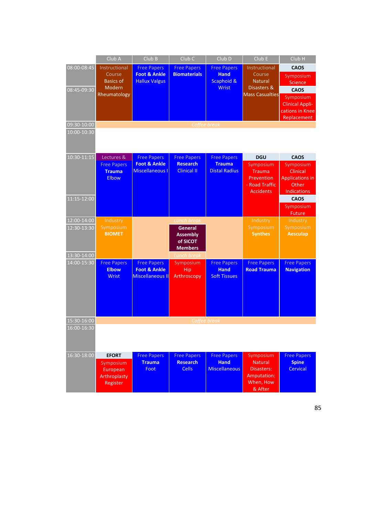|                                           | Club A                                                                | Club B                                                                   | Club <sub>C</sub>                                                                                           | Club <sub>D</sub>                                               | Club E                                                                                       | Club H                                                                                                                                            |
|-------------------------------------------|-----------------------------------------------------------------------|--------------------------------------------------------------------------|-------------------------------------------------------------------------------------------------------------|-----------------------------------------------------------------|----------------------------------------------------------------------------------------------|---------------------------------------------------------------------------------------------------------------------------------------------------|
| 08:00-08:45<br>08:45-09:30<br>09:30-10:00 | Instructional<br>Course<br><b>Basics of</b><br>Modern<br>Rheumatology | <b>Free Papers</b><br><b>Foot &amp; Ankle</b><br><b>Hallux Valgus</b>    | <b>Free Papers</b><br><b>Biomaterials</b><br>Coffee break                                                   | <b>Free Papers</b><br><b>Hand</b><br>Scaphoid &<br><b>Wrist</b> | Instructional<br>Course<br><b>Natural</b><br>Disasters &<br><b>Mass Casualties</b>           | <b>CAOS</b><br>Symposium<br><b>Science</b><br><b>CAOS</b><br>Symposium<br><b>Clinical Appli-</b><br>cations in Knee<br>Replacement                |
| 10:00-10:30                               |                                                                       |                                                                          |                                                                                                             |                                                                 |                                                                                              |                                                                                                                                                   |
| 10:30-11:15<br>11:15-12:00                | Lectures &<br><b>Free Papers</b><br><b>Trauma</b><br>Elbow            | <b>Free Papers</b><br><b>Foot &amp; Ankle</b><br><b>Miscellaneous I</b>  | <b>Free Papers</b><br><b>Research</b><br><b>Clinical II</b>                                                 | <b>Free Papers</b><br><b>Trauma</b><br><b>Distal Radius</b>     | <b>DGU</b><br>Symposium<br><b>Trauma</b><br>Prevention<br>- Road Traffic<br><b>Accidents</b> | <b>CAOS</b><br>Symposium<br><b>Clinical</b><br><b>Applications in</b><br>Other<br><b>Indications</b><br><b>CAOS</b><br>Symposium<br><b>Future</b> |
| 12:00-14:00<br>12:30-13:30<br>13:30-14:00 | Industry<br>Symposium<br><b>BIOMET</b>                                |                                                                          | <b>Lunch break</b><br><b>General</b><br><b>Assembly</b><br>of SICOT<br><b>Members</b><br><b>Lunch break</b> |                                                                 | Industry<br>Symposium<br><b>Synthes</b>                                                      | Industry<br>Symposium<br><b>Aesculap</b>                                                                                                          |
| 14:00-15:30                               | <b>Free Papers</b><br><b>Elbow</b><br><b>Wrist</b>                    | <b>Free Papers</b><br><b>Foot &amp; Ankle</b><br><b>Miscellaneous II</b> | Symposium<br><b>Hip</b><br>Arthroscopy                                                                      | <b>Free Papers</b><br><b>Hand</b><br><b>Soft Tissues</b>        | <b>Free Papers</b><br><b>Road Trauma</b>                                                     | <b>Free Papers</b><br><b>Navigation</b>                                                                                                           |
| 15:30-16:00                               |                                                                       |                                                                          |                                                                                                             | Coffee break                                                    |                                                                                              |                                                                                                                                                   |
| $16:00 - 16:30$                           |                                                                       |                                                                          |                                                                                                             |                                                                 |                                                                                              |                                                                                                                                                   |
| 16:30-18:00                               | <b>EFORT</b><br>Symposium<br>European<br>Arthroplasty<br>Register     | <b>Free Papers</b><br><b>Trauma</b><br>Foot                              | <b>Free Papers</b><br><b>Research</b><br><b>Cells</b>                                                       | <b>Free Papers</b><br><b>Hand</b><br><b>Miscellaneous</b>       | Symposium<br><b>Natural</b><br>Disasters:<br>Amputation:<br>When, How<br>& After             | <b>Free Papers</b><br><b>Spine</b><br>Cervical                                                                                                    |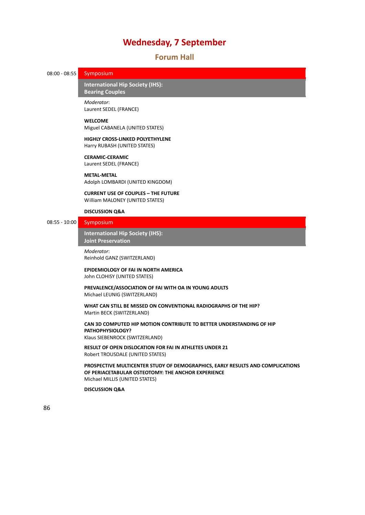### **Wednesday, 7 September**

### **Forum Hall**

### 08:00 - 08:55 Symposium

81B**International Hip Society (IHS): Bearing Couples** 

*Moderator*: Laurent SEDEL (FRANCE)

### **WELCOME**

Miguel CABANELA (UNITED STATES)

#### **HIGHLY CROSS‐LINKED POLYETHYLENE** Harry RUBASH (UNITED STATES)

**CERAMIC‐CERAMIC** Laurent SEDEL (FRANCE)

#### **METAL‐METAL**

Adolph LOMBARDI (UNITED KINGDOM)

### **CURRENT USE OF COUPLES – THE FUTURE** William MALONEY (UNITED STATES)

### **DISCUSSION Q&A**

### 08:55 - 10:00 Symposium

82B**International Hip Society (IHS):** *Joint Preservation* 

*Moderator*: Reinhold GANZ (SWITZERLAND)

### **EPIDEMIOLOGY OF FAI IN NORTH AMERICA**

John CLOHISY (UNITED STATES)

### **PREVALENCE/ASSOCIATION OF FAI WITH OA IN YOUNG ADULTS** Michael LEUNIG (SWITZERLAND)

**WHAT CAN STILL BE MISSED ON CONVENTIONAL RADIOGRAPHS OF THE HIP?** Martin BECK (SWITZERLAND)

### **CAN 3D COMPUTED HIP MOTION CONTRIBUTE TO BETTER UNDERSTANDING OF HIP PATHOPHYSIOLOGY?**

Klaus SIEBENROCK (SWITZERLAND)

**RESULT OF OPEN DISLOCATION FOR FAI IN ATHLETES UNDER 21** Robert TROUSDALE (UNITED STATES)

**PROSPECTIVE MULTICENTER STUDY OF DEMOGRAPHICS, EARLY RESULTS AND COMPLICATIONS OF PERIACETABULAR OSTEOTOMY: THE ANCHOR EXPERIENCE** Michael MILLIS (UNITED STATES)

### **DISCUSSION Q&A**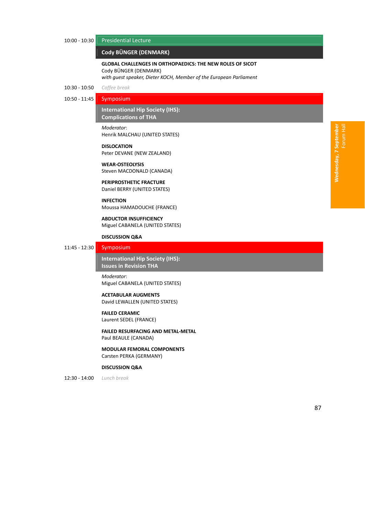### 10:00 ‐ 10:30 Presidential Lecture

### 83B**Cody BÜNGER (DENMARK)** *̶ Presidential Lecture*

### **GLOBAL CHALLENGES IN ORTHOPAEDICS: THE NEW ROLES OF SICOT** Cody BÜNGER (DENMARK)

*with guest speaker, Dieter KOCH, Member of the European Parliament*

### 10:30 ‐ 10:50 *Coffee break*

### 10:50 ‐ 11:45 Symposium

### 84B**International Hip Society (IHS): Complications of THA**

*Moderator*: Henrik MALCHAU (UNITED STATES)

### **DISLOCATION** Peter DEVANE (NEW ZEALAND)

**WEAR‐OSTEOLYSIS** Steven MACDONALD (CANADA)

### **PERIPROSTHETIC FRACTURE** Daniel BERRY (UNITED STATES)

**INFECTION** Moussa HAMADOUCHE (FRANCE)

**ABDUCTOR INSUFFICIENCY** Miguel CABANELA (UNITED STATES)

### **DISCUSSION Q&A**

### 11:45 ‐ 12:30 Symposium

85B**International Hip Society (IHS): Issues** in Revision THA

*Moderator*: Miguel CABANELA (UNITED STATES)

### **ACETABULAR AUGMENTS**

David LEWALLEN (UNITED STATES)

### **FAILED CERAMIC**

Laurent SEDEL (FRANCE)

**FAILED RESURFACING AND METAL‐METAL** Paul BEAULE (CANADA)

**MODULAR FEMORAL COMPONENTS** Carsten PERKA (GERMANY)

#### **DISCUSSION Q&A**

12:30 ‐ 14:00 *Lunch break*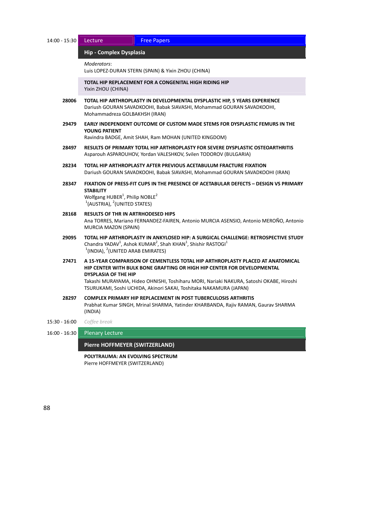| 14:00 - 15:30 | Lecture<br><b>Free Papers</b>                                                                                                                                                                                                                                                                                                                             |  |  |  |  |
|---------------|-----------------------------------------------------------------------------------------------------------------------------------------------------------------------------------------------------------------------------------------------------------------------------------------------------------------------------------------------------------|--|--|--|--|
|               | Hip - Complex Dysplasia                                                                                                                                                                                                                                                                                                                                   |  |  |  |  |
|               | Moderators:<br>Luis LOPEZ-DURAN STERN (SPAIN) & Yixin ZHOU (CHINA)                                                                                                                                                                                                                                                                                        |  |  |  |  |
|               | TOTAL HIP REPLACEMENT FOR A CONGENITAL HIGH RIDING HIP<br>Yixin ZHOU (CHINA)                                                                                                                                                                                                                                                                              |  |  |  |  |
| 28006         | TOTAL HIP ARTHROPLASTY IN DEVELOPMENTAL DYSPLASTIC HIP, 5 YEARS EXPERIENCE<br>Dariush GOURAN SAVADKOOHI, Babak SIAVASHI, Mohammad GOURAN SAVADKOOHI,<br>Mohammadreza GOLBAKHSH (IRAN)                                                                                                                                                                     |  |  |  |  |
| 29479         | EARLY INDEPENDENT OUTCOME OF CUSTOM MADE STEMS FOR DYSPLASTIC FEMURS IN THE<br>YOUNG PATIENT<br>Ravindra BADGE, Amit SHAH, Ram MOHAN (UNITED KINGDOM)                                                                                                                                                                                                     |  |  |  |  |
| 28497         | RESULTS OF PRIMARY TOTAL HIP ARTHROPLASTY FOR SEVERE DYSPLASTIC OSTEOARTHRITIS<br>Asparouh ASPAROUHOV, Yordan VALESHKOV, Svilen TODOROV (BULGARIA)                                                                                                                                                                                                        |  |  |  |  |
| 28234         | TOTAL HIP ARTHROPLASTY AFTER PREVIOUS ACETABULUM FRACTURE FIXATION<br>Dariush GOURAN SAVADKOOHI, Babak SIAVASHI, Mohammad GOURAN SAVADKOOHI (IRAN)                                                                                                                                                                                                        |  |  |  |  |
| 28347         | FIXATION OF PRESS-FIT CUPS IN THE PRESENCE OF ACETABULAR DEFECTS - DESIGN VS PRIMARY<br><b>STABILITY</b><br>Wolfgang HUBER <sup>1</sup> , Philip NOBLE <sup>2</sup><br>$1$ (AUSTRIA), $2$ (UNITED STATES)                                                                                                                                                 |  |  |  |  |
| 28168         | <b>RESULTS OF THR IN ARTRHODESED HIPS</b><br>Ana TORRES, Mariano FERNANDEZ-FAIREN, Antonio MURCIA ASENSIO, Antonio MEROÑO, Antonio<br>MURCIA MAZON (SPAIN)                                                                                                                                                                                                |  |  |  |  |
| 29095         | TOTAL HIP ARTHROPLASTY IN ANKYLOSED HIP: A SURGICAL CHALLENGE: RETROSPECTIVE STUDY<br>Chandra YADAV <sup>1</sup> , Ashok KUMAR <sup>2</sup> , Shah KHAN <sup>1</sup> , Shishir RASTOGI <sup>1</sup><br>$1$ (INDIA), $2$ (UNITED ARAB EMIRATES)                                                                                                            |  |  |  |  |
| 27471         | A 15-YEAR COMPARISON OF CEMENTLESS TOTAL HIP ARTHROPLASTY PLACED AT ANATOMICAL<br>HIP CENTER WITH BULK BONE GRAFTING OR HIGH HIP CENTER FOR DEVELOPMENTAL<br><b>DYSPLASIA OF THE HIP</b><br>Takashi MURAYAMA, Hideo OHNISHI, Toshiharu MORI, Nariaki NAKURA, Satoshi OKABE, Hiroshi<br>TSURUKAMI, Soshi UCHIDA, Akinori SAKAI, Toshitaka NAKAMURA (JAPAN) |  |  |  |  |
| 28297         | <b>COMPLEX PRIMARY HIP REPLACEMENT IN POST TUBERCULOSIS ARTHRITIS</b><br>Prabhat Kumar SINGH, Mrinal SHARMA, Yatinder KHARBANDA, Rajiv RAMAN, Gaurav SHARMA<br>(INDIA)                                                                                                                                                                                    |  |  |  |  |
| 15:30 - 16:00 | Coffee break                                                                                                                                                                                                                                                                                                                                              |  |  |  |  |
| 16:00 - 16:30 | <b>Plenary Lecture</b>                                                                                                                                                                                                                                                                                                                                    |  |  |  |  |
|               | Pierre HOFFMEYER (SWITZERLAND)                                                                                                                                                                                                                                                                                                                            |  |  |  |  |
|               | POLYTRAUMA: AN EVOLVING SPECTRUM                                                                                                                                                                                                                                                                                                                          |  |  |  |  |

Pierre HOFFMEYER (SWITZERLAND)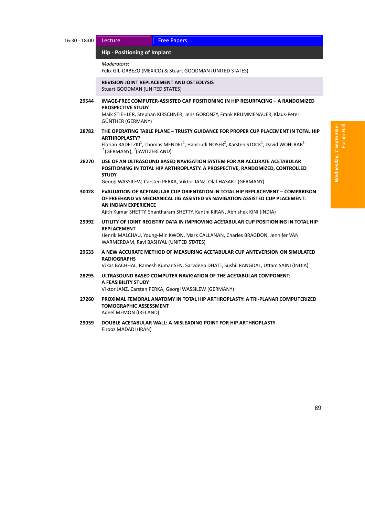#### 8B**Hip ‐ Positioning of Implant** *̶ Lecture / Free Papers*

*Moderators*:

Felix GIL‐ORBEZO (MEXICO) & Stuart GOODMAN (UNITED STATES)

### **REVISION JOINT REPLACEMENT AND OSTEOLYSIS**

Stuart GOODMAN (UNITED STATES)

- **29544 IMAGE‐FREE COMPUTER‐ASSISTED CAP POSITIONING IN HIP RESURFACING – A RANDOMIZED PROSPECTIVE STUDY** Maik STIEHLER, Stephan KIRSCHNER, Jens GORONZY, Frank KRUMMENAUER, Klaus‐Peter GÜNTHER (GERMANY)
- **28782 THE OPERATING TABLE PLANE – TRUSTY GUIDANCE FOR PROPER CUP PLACEMENT IN TOTAL HIP ARTHROPLASTY?** Florian RADETZKI<sup>1</sup>, Thomas MENDEL<sup>1</sup>, Hansrudi NOSER<sup>2</sup>, Karsten STOCK<sup>1</sup>, David WOHLRAB<sup>1</sup>  $1$ (GERMANY),  $2$ (SWITZERLAND)
- **28270 USE OF AN ULTRASOUND BASED NAVIGATION SYSTEM FOR AN ACCURATE ACETABULAR POSITIONING IN TOTAL HIP ARTHROPLASTY. A PROSPECTIVE, RANDOMIZED, CONTROLLED STUDY**

Georgi WASSILEW, Carsten PERKA, Viktor JANZ, Olaf HASART (GERMANY)

**30028 EVALUATION OF ACETABULAR CUP ORIENTATION IN TOTAL HIP REPLACEMENT – COMPARISON OF FREEHAND VS MECHANICAL JIG ASSISTED VS NAVIGATION ASSISTED CUP PLACEMENT: AN INDIAN EXPERIENCE**

Ajith Kumar SHETTY, Shantharam SHETTY, Kanthi KIRAN, Abhishek KINI (INDIA)

- **29992 UTILITY OF JOINT REGISTRY DATA IN IMPROVING ACETABULAR CUP POSITIONING IN TOTAL HIP REPLACEMENT** Henrik MALCHAU, Young‐Min KWON, Mark CALLANAN, Charles BRAGDON, Jennifer VAN WARMERDAM, Ravi BASHYAL (UNITED STATES)
- **29633 A NEW ACCURATE METHOD OF MEASURING ACETABULAR CUP ANTEVERSION ON SIMULATED RADIOGRAPHS**

Vikas BACHHAL, Ramesh Kumar SEN, Sarvdeep DHATT, Sushil RANGDAL, Uttam SAINI (INDIA)

- **28295 ULTRASOUND BASED COMPUTER NAVIGATION OF THE ACETABULAR COMPONENT: A FEASIBILITY STUDY** Viktor JANZ, Carsten PERKA, Georgi WASSILEW (GERMANY)
- **27260 PROXIMAL FEMORAL ANATOMY IN TOTAL HIP ARTHROPLASTY: A TRI‐PLANAR COMPUTERIZED TOMOGRAPHIC ASSESSMENT** Adeel MEMON (IRELAND)
- **29059 DOUBLE ACETABULAR WALL: A MISLEADING POINT FOR HIP ARTHROPLASTY** Firooz MADADI (IRAN)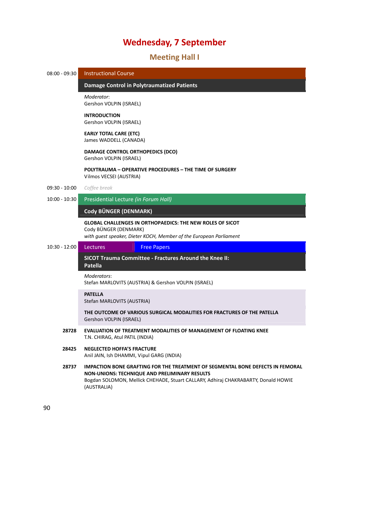### **Wednesday, 7 September**

### 23B**Meeting Hall I**



90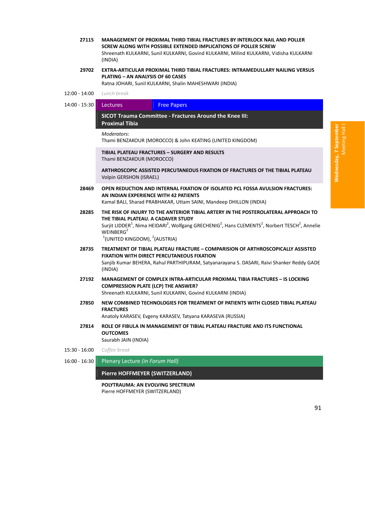- **27115 MANAGEMENT OF PROXIMAL THIRD TIBIAL FRACTURES BY INTERLOCK NAIL AND POLLER SCREW ALONG WITH POSSIBLE EXTENDED IMPLICATIONS OF POLLER SCREW** Shreenath KULKARNI, Sunil KULKARNI, Govind KULKARNI, Milind KULKARNI, Vidisha KULKARNI (INDIA)
- **29702 EXTRA‐ARTICULAR PROXIMAL THIRD TIBIAL FRACTURES: INTRAMEDULLARY NAILING VERSUS PLATING – AN ANALYSIS OF 60 CASES**

Ratna JOHARI, Sunil KULKARNI, Shalin MAHESHWARI (INDIA)

12:00 ‐ 14:00 *Lunch break*

14:00 - 15:30 Lectures Free Papers

91B**SICOT Trauma Committee ‐ Fractures Around the Knee III: Proximal Tibia** *– Lectures / Free Papers*

#### *Moderators*:

Thami BENZAKOUR (MOROCCO) & John KEATING (UNITED KINGDOM)

**TIBIAL PLATEAU FRACTURES – SURGERY AND RESULTS** Thami BENZAKOUR (MOROCCO)

**ARTHROSCOPIC ASSISTED PERCUTANEOUS FIXATION OF FRACTURES OF THE TIBIAL PLATEAU** Volpin GERSHON (ISRAEL)

- **28469 OPEN REDUCTION AND INTERNAL FIXATION OF ISOLATED PCL FOSSA AVULSION FRACTURES: AN INDIAN EXPERIENCE WITH 42 PATIENTS** Kamal BALI, Sharad PRABHAKAR, Uttam SAINI, Mandeep DHILLON (INDIA)
- **28285 THE RISK OF INJURY TO THE ANTERIOR TIBIAL ARTERY IN THE POSTEROLATERAL APPROACH TO THE TIBIAL PLATEAU. A CADAVER STUDY** Surjit LIDDER<sup>1</sup>, Nima HEIDARI<sup>2</sup>, Wolfgang GRECHENIG<sup>2</sup>, Hans CLEMENTS<sup>2</sup>, Norbert TESCH<sup>2</sup>, Annelie WEINBERG $2$  $1$ (UNITED KINGDOM),  $2$ (AUSTRIA)
- **28735 TREATMENT OF TIBIAL PLATEAU FRACTURE – COMPARISION OF ARTHROSCOPICALLY ASSISTED**

**FIXATION WITH DIRECT PERCUTANEOUS FIXATION** Sanjib Kumar BEHERA, Rahul PARTHIPURAM, Satyanarayana S. DASARI, Raivi Shanker Reddy GADE (INDIA)

- **27192 MANAGEMENT OF COMPLEX INTRA‐ARTICULAR PROXIMAL TIBIA FRACTURES – IS LOCKING COMPRESSION PLATE (LCP) THE ANSWER?** Shreenath KULKARNI, Sunil KULKARNI, Govind KULKARNI (INDIA)
- **27850 NEW COMBINED TECHNOLOGIES FOR TREATMENT OF PATIENTS WITH CLOSED TIBIAL PLATEAU FRACTURES**

Anatoly KARASEV, Evgeny KARASEV, Tatyana KARASEVA (RUSSIA)

- **27814 ROLE OF FIBULA IN MANAGEMENT OF TIBIAL PLATEAU FRACTURE AND ITS FUNCTIONAL OUTCOMES** Saurabh JAIN (INDIA)
- 15:30 ‐ 16:00 *Coffee break*

16:00 ‐ 16:30 Plenary Lecture *(in Forum Hall)*

#### **Pierre HOFFMEYER (SWITZERLAND)**

**POLYTRAUMA: AN EVOLVING SPECTRUM** Pierre HOFFMEYER (SWITZERLAND)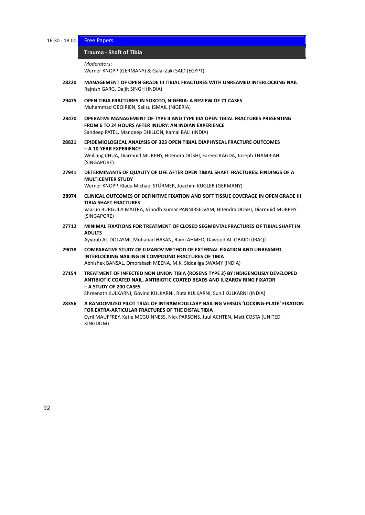16:30 ‐ 18:00 Free Papers

### 92B**Trauma ‐ Shaft of Tibia** *̶ Free Papers*

*Moderators*:

Werner KNOPP (GERMANY) & Galal Zaki SAID (EGYPT)

- **28220 MANAGEMENT OF OPEN GRADE III TIBIAL FRACTURES WITH UNREAMED INTERLOCKING NAIL** Rajnish GARG, Daljit SINGH (INDIA)
- **29475 OPEN TIBIA FRACTURES IN SOKOTO, NIGERIA: A REVIEW OF 71 CASES** Muhammad OBOIRIEN, Salisu ISMAIL (NIGERIA)
- **28470 OPERATIVE MANAGEMENT OF TYPE II AND TYPE IIIA OPEN TIBIAL FRACTURES PRESENTING FROM 6 TO 24 HOURS AFTER INJURY: AN INDIAN EXPERIENCE** Sandeep PATEL, Mandeep DHILLON, Kamal BALI (INDIA)
- **28821 EPIDEMIOLOGICAL ANALYSIS OF 323 OPEN TIBIAL DIAPHYSEAL FRACTURE OUTCOMES – A 10‐YEAR EXPERIENCE** Weiliang CHUA, Diarmuid MURPHY, Hitendra DOSHI, Fareed KAGDA, Joseph THAMBIAH (SINGAPORE)
- **27941 DETERMINANTS OF QUALITY OF LIFE AFTER OPEN TIBIAL SHAFT FRACTURES: FINDINGS OF A MULTICENTER STUDY**

Werner KNOPP, Klaus‐Michael STÜRMER, Joachim KUGLER (GERMANY)

**28974 CLINICAL OUTCOMES OF DEFINITIVE FIXATION AND SOFT TISSUE COVERAGE IN OPEN GRADE III TIBIA SHAFT FRACTURES** Vaarun BURGULA MAITRA, Vinodh Kumar PANNIRSELVAM, Hitendra DOSHI, Diarmuid MURPHY

(SINGAPORE)

**27712 MINIMAL FIXATIONS FOR TREATMENT OF CLOSED SEGMENTAL FRACTURES OF TIBIAL SHAFT IN ADULTS**

Ayyoub AL‐DOLAYMI, Mohanad HASAN, Rami AHMED, Dawood AL‐OBAIDI (IRAQ)

- **29018 COMPARATIVE STUDY OF ILIZAROV METHOD OF EXTERNAL FIXATION AND UNREAMED INTERLOCKING NAILING IN COMPOUND FRACTURES OF TIBIA** Abhishek BANSAL, Omprakash MEENA, M.K. Siddaliga SWAMY (INDIA)
- **27154 TREATMENT OF INFECTED NON UNION TIBIA {ROSENS TYPE 2} BY INDIGENOUSLY DEVELOPED ANTIBIOTIC COATED NAIL, ANTIBIOTIC COATED BEADS AND ILIZAROV RING FIXATOR – A STUDY OF 200 CASES**

Shreenath KULKARNI, Govind KULKARNI, Ruta KULKARNI, Sunil KULKARNI (INDIA)

**28356 A RANDOMIZED PILOT TRIAL OF INTRAMEDULLARY NAILING VERSUS 'LOCKING‐PLATE' FIXATION FOR EXTRA‐ARTICULAR FRACTURES OF THE DISTAL TIBIA** Cyril MAUFFREY, Katie MCGUINNESS, Nick PARSONS, Juul ACHTEN, Matt COSTA (UNITED KINGDOM)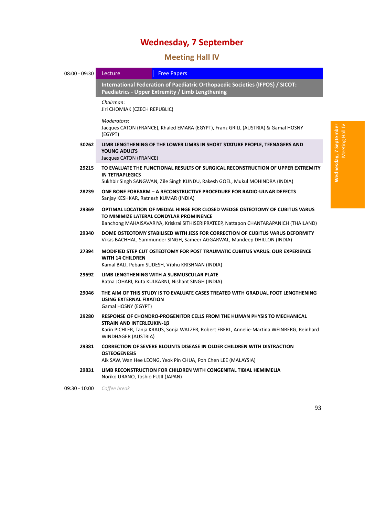# **Wednesday, 7 September**

## 24B**Meeting Hall IV**

| 08:00 - 09:30 | Lecture                                                                                                                                                                                                          | <b>Free Papers</b>                                                                                                                                                     |  |  |  |
|---------------|------------------------------------------------------------------------------------------------------------------------------------------------------------------------------------------------------------------|------------------------------------------------------------------------------------------------------------------------------------------------------------------------|--|--|--|
|               | International Federation of Paediatric Orthopaedic Societies (IFPOS) / SICOT:<br>Paediatrics - Upper Extremity / Limb Lengthening                                                                                |                                                                                                                                                                        |  |  |  |
|               | Chairman:<br>Jiri CHOMIAK (CZECH REPUBLIC)                                                                                                                                                                       |                                                                                                                                                                        |  |  |  |
|               | Moderators:<br>(EGYPT)                                                                                                                                                                                           | Jacques CATON (FRANCE), Khaled EMARA (EGYPT), Franz GRILL (AUSTRIA) & Gamal HOSNY                                                                                      |  |  |  |
| 30262         | LIMB LENGTHENING OF THE LOWER LIMBS IN SHORT STATURE PEOPLE, TEENAGERS AND<br><b>YOUNG ADULTS</b><br>Jacques CATON (FRANCE)                                                                                      |                                                                                                                                                                        |  |  |  |
| 29215         | TO EVALUATE THE FUNCTIONAL RESULTS OF SURGICAL RECONSTRUCTION OF UPPER EXTREMITY<br><b>IN TETRAPLEGICS</b><br>Sukhbir Singh SANGWAN, Zile Singh KUNDU, Rakesh GOEL, Mukul MOHINDRA (INDIA)                       |                                                                                                                                                                        |  |  |  |
| 28239         | <b>ONE BONE FOREARM - A RECONSTRUCTIVE PROCEDURE FOR RADIO-ULNAR DEFECTS</b><br>Sanjay KESHKAR, Ratnesh KUMAR (INDIA)                                                                                            |                                                                                                                                                                        |  |  |  |
| 29369         | OPTIMAL LOCATION OF MEDIAL HINGE FOR CLOSED WEDGE OSTEOTOMY OF CUBITUS VARUS<br>TO MINIMIZE LATERAL CONDYLAR PROMINENCE<br>Banchong MAHAISAVARIYA, Kriskrai SITHISERIPRATEEP, Nattapon CHANTARAPANICH (THAILAND) |                                                                                                                                                                        |  |  |  |
| 29340         | DOME OSTEOTOMY STABILISED WITH JESS FOR CORRECTION OF CUBITUS VARUS DEFORMITY<br>Vikas BACHHAL, Sammunder SINGH, Sameer AGGARWAL, Mandeep DHILLON (INDIA)                                                        |                                                                                                                                                                        |  |  |  |
| 27394         | <b>WITH 14 CHILDREN</b>                                                                                                                                                                                          | MODIFIED STEP CUT OSTEOTOMY FOR POST TRAUMATIC CUBITUS VARUS: OUR EXPERIENCE<br>Kamal BALI, Pebam SUDESH, Vibhu KRISHNAN (INDIA)                                       |  |  |  |
| 29692         |                                                                                                                                                                                                                  | LIMB LENGTHENING WITH A SUBMUSCULAR PLATE<br>Ratna JOHARI, Ruta KULKARNI, Nishant SINGH (INDIA)                                                                        |  |  |  |
| 29046         | <b>USING EXTERNAL FIXATION</b><br>Gamal HOSNY (EGYPT)                                                                                                                                                            | THE AIM OF THIS STUDY IS TO EVALUATE CASES TREATED WITH GRADUAL FOOT LENGTHENING                                                                                       |  |  |  |
| 29280         | STRAIN AND INTERLEUKIN-1B<br><b>WINDHAGER (AUSTRIA)</b>                                                                                                                                                          | RESPONSE OF CHONDRO-PROGENITOR CELLS FROM THE HUMAN PHYSIS TO MECHANICAL<br>Karin PICHLER, Tanja KRAUS, Sonja WALZER, Robert EBERL, Annelie-Martina WEINBERG, Reinhard |  |  |  |
| 29381         | <b>OSTEOGENESIS</b>                                                                                                                                                                                              | <b>CORRECTION OF SEVERE BLOUNTS DISEASE IN OLDER CHILDREN WITH DISTRACTION</b><br>Aik SAW, Wan Hee LEONG, Yeok Pin CHUA, Poh Chen LEE (MALAYSIA)                       |  |  |  |
| 29831         | Noriko URANO, Toshio FUJII (JAPAN)                                                                                                                                                                               | LIMB RECONSTRUCTION FOR CHILDREN WITH CONGENITAL TIBIAL HEMIMELIA                                                                                                      |  |  |  |

09:30 ‐ 10:00 *Coffee break*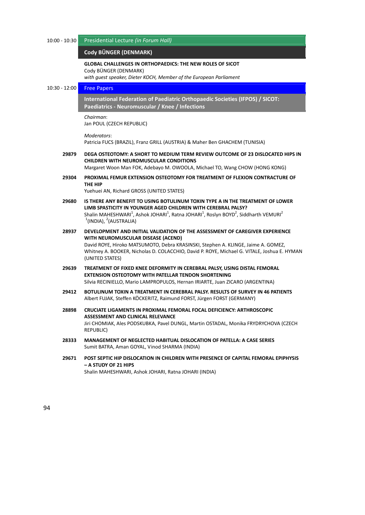| $10:00 - 10:30$ | Presidential Lecture (in Forum Hall)                                                                                                                                                                                                                                                                                                 |
|-----------------|--------------------------------------------------------------------------------------------------------------------------------------------------------------------------------------------------------------------------------------------------------------------------------------------------------------------------------------|
|                 | Cody BÜNGER (DENMARK)                                                                                                                                                                                                                                                                                                                |
|                 | <b>GLOBAL CHALLENGES IN ORTHOPAEDICS: THE NEW ROLES OF SICOT</b><br>Cody BÜNGER (DENMARK)                                                                                                                                                                                                                                            |
|                 | with guest speaker, Dieter KOCH, Member of the European Parliament                                                                                                                                                                                                                                                                   |
| $10:30 - 12:00$ | <b>Free Papers</b>                                                                                                                                                                                                                                                                                                                   |
|                 | International Federation of Paediatric Orthopaedic Societies (IFPOS) / SICOT:<br>Paediatrics - Neuromuscular / Knee / Infections                                                                                                                                                                                                     |
|                 | Chairman:<br>Jan POUL (CZECH REPUBLIC)                                                                                                                                                                                                                                                                                               |
|                 | Moderators:<br>Patricia FUCS (BRAZIL), Franz GRILL (AUSTRIA) & Maher Ben GHACHEM (TUNISIA)                                                                                                                                                                                                                                           |
| 29879           | DEGA OSTEOTOMY: A SHORT TO MEDIUM TERM REVIEW OUTCOME OF 23 DISLOCATED HIPS IN<br><b>CHILDREN WITH NEUROMUSCULAR CONDITIONS</b><br>Margaret Woon Man FOK, Adebayo M. OWOOLA, Michael TO, Wang CHOW (HONG KONG)                                                                                                                       |
| 29304           | PROXIMAL FEMUR EXTENSION OSTEOTOMY FOR TREATMENT OF FLEXION CONTRACTURE OF<br>THE HIP                                                                                                                                                                                                                                                |
|                 | Yuehuei AN, Richard GROSS (UNITED STATES)                                                                                                                                                                                                                                                                                            |
| 29680           | IS THERE ANY BENEFIT TO USING BOTULINUM TOXIN TYPE A IN THE TREATMENT OF LOWER<br>LIMB SPASTICITY IN YOUNGER AGED CHILDREN WITH CEREBRAL PALSY?<br>Shalin MAHESHWARI <sup>1</sup> , Ashok JOHARI <sup>1</sup> , Ratna JOHARI <sup>1</sup> , Roslyn BOYD <sup>2</sup> , Siddharth VEMURI <sup>2</sup><br>$1$ (INDIA), $2$ (AUSTRALIA) |
| 28937           | DEVELOPMENT AND INITIAL VALIDATION OF THE ASSESSMENT OF CAREGIVER EXPERIENCE<br>WITH NEUROMUSCULAR DISEASE (ACEND)<br>David ROYE, Hiroko MATSUMOTO, Debra KRASINSKI, Stephen A. KLINGE, Jaime A. GOMEZ,<br>Whitney A. BOOKER, Nicholas D. COLACCHIO, David P. ROYE, Michael G. VITALE, Joshua E. HYMAN<br>(UNITED STATES)            |
| 29639           | TREATMENT OF FIXED KNEE DEFORMITY IN CEREBRAL PALSY, USING DISTAL FEMORAL<br><b>EXTENSION OSTEOTOMY WITH PATELLAR TENDON SHORTENING</b><br>Silvia RECINIELLO, Mario LAMPROPULOS, Hernan IRIARTE, Juan ZICARO (ARGENTINA)                                                                                                             |
| 29412           | BOTULINUM TOXIN A TREATMENT IN CEREBRAL PALSY. RESULTS OF SURVEY IN 46 PATIENTS<br>Albert FUJAK, Steffen KÖCKERITZ, Raimund FORST, Jürgen FORST (GERMANY)                                                                                                                                                                            |
| 28898           | CRUCIATE LIGAMENTS IN PROXIMAL FEMORAL FOCAL DEFICIENCY: ARTHROSCOPIC<br>ASSESSMENT AND CLINICAL RELEVANCE<br>Jiri CHOMIAK, Ales PODSKUBKA, Pavel DUNGL, Martin OSTADAL, Monika FRYDRYCHOVA (CZECH<br><b>REPUBLIC)</b>                                                                                                               |
| 28333           | <b>MANAGEMENT OF NEGLECTED HABITUAL DISLOCATION OF PATELLA: A CASE SERIES</b><br>Sumit BATRA, Aman GOYAL, Vinod SHARMA (INDIA)                                                                                                                                                                                                       |
| 29671           | POST SEPTIC HIP DISLOCATION IN CHILDREN WITH PRESENCE OF CAPITAL FEMORAL EPIPHYSIS<br>- A STUDY OF 21 HIPS<br>Shalin MAHESHWARI, Ashok JOHARI, Ratna JOHARI (INDIA)                                                                                                                                                                  |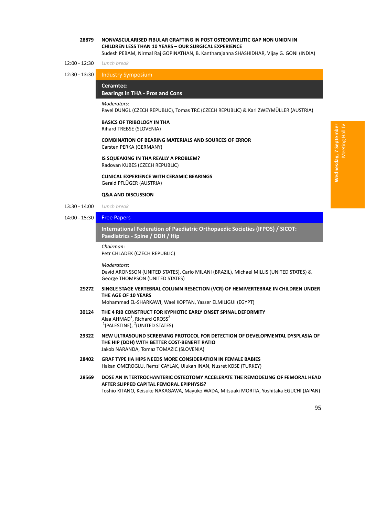# **28879 NONVASCULARISED FIBULAR GRAFTING IN POST OSTEOMYELITIC GAP NON UNION IN CHILDREN LESS THAN 10 YEARS – OUR SURGICAL EXPERIENCE**

Sudesh PEBAM, Nirmal Raj GOPINATHAN, B. Kantharajanna SHASHIDHAR, Vijay G. GONI (INDIA)

#### 12:00 ‐ 12:30 *Lunch break*

12:30 ‐ 13:30 Industry Symposium

#### 95B**Ceramtec:**

#### **Bearings in THA ‐ Pros and Cons** *̶ Industry Symposium*

*Moderators*:

Pavel DUNGL (CZECH REPUBLIC), Tomas TRC (CZECH REPUBLIC) & Karl ZWEYMÜLLER (AUSTRIA)

#### **BASICS OF TRIBOLOGY IN THA**

Rihard TREBSE (SLOVENIA)

# **COMBINATION OF BEARING MATERIALS AND SOURCES OF ERROR**

Carsten PERKA (GERMANY)

#### **IS SQUEAKING IN THA REALLY A PROBLEM?** Radovan KUBES (CZECH REPUBLIC)

**CLINICAL EXPERIENCE WITH CERAMIC BEARINGS**

Gerald PFLÜGER (AUSTRIA)

# **Q&A AND DISCUSSION**

- 13:30 ‐ 14:00 *Lunch break*
- 

# 14:00 ‐ 15:30 Free Papers

96B**International Federation of Paediatric Orthopaedic Societies (IFPOS) / SICOT: Paediatrics ‐ Spine / DDH / Hip** *̶ Free Papers*

*Chairman*: Petr CHLADEK (CZECH REPUBLIC)

*Moderators*:

David ARONSSON (UNITED STATES), Carlo MILANI (BRAZIL), Michael MILLIS (UNITED STATES) & George THOMPSON (UNITED STATES)

**29272 SINGLE STAGE VERTEBRAL COLUMN RESECTION (VCR) OF HEMIVERTEBRAE IN CHILDREN UNDER THE AGE OF 10 YEARS**

Mohammad EL‐SHARKAWI, Wael KOPTAN, Yasser ELMILIGUI (EGYPT)

- **30124 THE 4 RIB CONSTRUCT FOR KYPHOTIC EARLY ONSET SPINAL DEFORMITY** Alaa AHMAD<sup>1</sup>, Richard GROSS<sup>2</sup>  $1$ (PALESTINE),  $2$ (UNITED STATES)
- **29322 NEW ULTRASOUND SCREENING PROTOCOL FOR DETECTION OF DEVELOPMENTAL DYSPLASIA OF THE HIP (DDH) WITH BETTER COST‐BENEFIT RATIO** Jakob NARANDA, Tomaz TOMAZIC (SLOVENIA)
- **28402 GRAF TYPE IIA HIPS NEEDS MORE CONSIDERATION IN FEMALE BABIES** Hakan OMEROGLU, Remzi CAYLAK, Ulukan INAN, Nusret KOSE (TURKEY)
- **28569 DOSE AN INTERTROCHANTERIC OSTEOTOMY ACCELERATE THE REMODELING OF FEMORAL HEAD AFTER SLIPPED CAPITAL FEMORAL EPIPHYSIS?** Toshio KITANO, Keisuke NAKAGAWA, Mayuko WADA, Mitsuaki MORITA, Yoshitaka EGUCHI (JAPAN)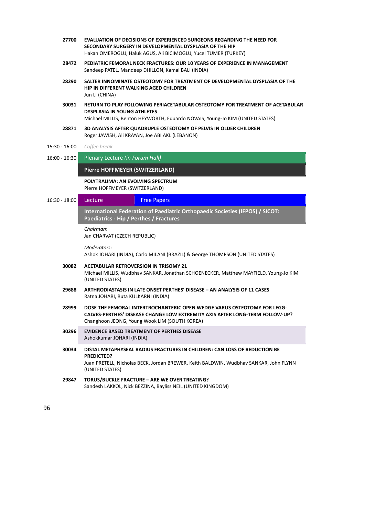| 27700           | EVALUATION OF DECISIONS OF EXPERIENCED SURGEONS REGARDING THE NEED FOR<br>SECONDARY SURGERY IN DEVELOPMENTAL DYSPLASIA OF THE HIP<br>Hakan OMEROGLU, Haluk AGUS, Ali BICIMOGLU, Yucel TUMER (TURKEY)            |  |  |  |  |  |  |
|-----------------|-----------------------------------------------------------------------------------------------------------------------------------------------------------------------------------------------------------------|--|--|--|--|--|--|
| 28472           | PEDIATRIC FEMORAL NECK FRACTURES: OUR 10 YEARS OF EXPERIENCE IN MANAGEMENT<br>Sandeep PATEL, Mandeep DHILLON, Kamal BALI (INDIA)                                                                                |  |  |  |  |  |  |
| 28290           | SALTER INNOMINATE OSTEOTOMY FOR TREATMENT OF DEVELOPMENTAL DYSPLASIA OF THE<br><b>HIP IN DIFFERENT WALKING AGED CHILDREN</b><br>Jun LI (CHINA)                                                                  |  |  |  |  |  |  |
| 30031           | RETURN TO PLAY FOLLOWING PERIACETABULAR OSTEOTOMY FOR TREATMENT OF ACETABULAR<br><b>DYSPLASIA IN YOUNG ATHLETES</b><br>Michael MILLIS, Benton HEYWORTH, Eduardo NOVAIS, Young-Jo KIM (UNITED STATES)            |  |  |  |  |  |  |
| 28871           | 3D ANALYSIS AFTER QUADRUPLE OSTEOTOMY OF PELVIS IN OLDER CHILDREN<br>Roger JAWISH, Ali KRAYAN, Joe ABI AKL (LEBANON)                                                                                            |  |  |  |  |  |  |
| 15:30 - 16:00   | Coffee break                                                                                                                                                                                                    |  |  |  |  |  |  |
| $16:00 - 16:30$ | Plenary Lecture (in Forum Hall)                                                                                                                                                                                 |  |  |  |  |  |  |
|                 | Pierre HOFFMEYER (SWITZERLAND)                                                                                                                                                                                  |  |  |  |  |  |  |
|                 | POLYTRAUMA: AN EVOLVING SPECTRUM<br>Pierre HOFFMEYER (SWITZERLAND)                                                                                                                                              |  |  |  |  |  |  |
| $16:30 - 18:00$ | <b>Free Papers</b><br>Lecture                                                                                                                                                                                   |  |  |  |  |  |  |
|                 | International Federation of Paediatric Orthopaedic Societies (IFPOS) / SICOT:<br>Paediatrics - Hip / Perthes / Fractures                                                                                        |  |  |  |  |  |  |
|                 | Chairman:<br>Jan CHARVAT (CZECH REPUBLIC)                                                                                                                                                                       |  |  |  |  |  |  |
|                 | Moderators:<br>Ashok JOHARI (INDIA), Carlo MILANI (BRAZIL) & George THOMPSON (UNITED STATES)                                                                                                                    |  |  |  |  |  |  |
| 30082           | <b>ACETABULAR RETROVERSION IN TRISOMY 21</b><br>Michael MILLIS, Wudbhav SANKAR, Jonathan SCHOENECKER, Matthew MAYFIELD, Young-Jo KIM<br>(UNITED STATES)                                                         |  |  |  |  |  |  |
| 29688           | ARTHRODIASTASIS IN LATE ONSET PERTHES' DISEASE - AN ANALYSIS OF 11 CASES<br>Ratna JOHARI, Ruta KULKARNI (INDIA)                                                                                                 |  |  |  |  |  |  |
| 28999           | DOSE THE FEMORAL INTERTROCHANTERIC OPEN WEDGE VARUS OSTEOTOMY FOR LEGG-<br><b>CALVES-PERTHES' DISEASE CHANGE LOW EXTREMITY AXIS AFTER LONG-TERM FOLLOW-UP?</b><br>Changhoon JEONG, Young Wook LIM (SOUTH KOREA) |  |  |  |  |  |  |
| 30296           | <b>EVIDENCE BASED TREATMENT OF PERTHES DISEASE</b><br>Ashokkumar JOHARI (INDIA)                                                                                                                                 |  |  |  |  |  |  |
| 30034           | DISTAL METAPHYSEAL RADIUS FRACTURES IN CHILDREN: CAN LOSS OF REDUCTION BE<br><b>PREDICTED?</b><br>Juan PRETELL, Nicholas BECK, Jordan BREWER, Keith BALDWIN, Wudbhav SANKAR, John FLYNN<br>(UNITED STATES)      |  |  |  |  |  |  |
| 29847           | TORUS/BUCKLE FRACTURE - ARE WE OVER TREATING?<br>Sandesh LAKKOL, Nick BEZZINA, Bayliss NEIL (UNITED KINGDOM)                                                                                                    |  |  |  |  |  |  |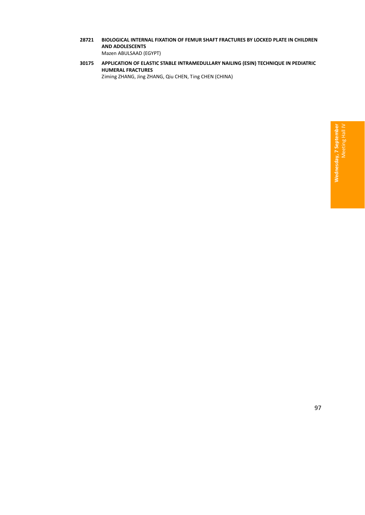- **28721 BIOLOGICAL INTERNAL FIXATION OF FEMUR SHAFT FRACTURES BY LOCKED PLATE IN CHILDREN AND ADOLESCENTS** Mazen ABULSAAD (EGYPT)
- **30175 APPLICATION OF ELASTIC STABLE INTRAMEDULLARY NAILING (ESIN) TECHNIQUE IN PEDIATRIC HUMERAL FRACTURES** Ziming ZHANG, Jing ZHANG, Qiu CHEN, Ting CHEN (CHINA)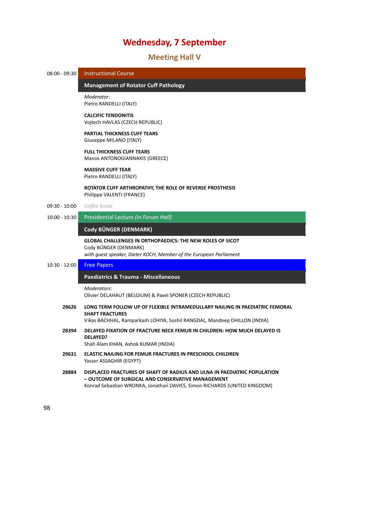# 25B**Meeting Hall V**

| $08:00 - 09:30$ | <b>Instructional Course</b>                                                                                                                                                                                |  |  |  |  |
|-----------------|------------------------------------------------------------------------------------------------------------------------------------------------------------------------------------------------------------|--|--|--|--|
|                 |                                                                                                                                                                                                            |  |  |  |  |
|                 | <b>Management of Rotator Cuff Pathology</b>                                                                                                                                                                |  |  |  |  |
|                 | Moderator:<br>Pietro RANDELLI (ITALY)                                                                                                                                                                      |  |  |  |  |
|                 | <b>CALCIFIC TENDONITIS</b><br>Vojtech HAVLAS (CZECH REPUBLIC)                                                                                                                                              |  |  |  |  |
|                 | <b>PARTIAL THICKNESS CUFF TEARS</b><br>Giuseppe MILANO (ITALY)                                                                                                                                             |  |  |  |  |
|                 | <b>FULL THICKNESS CUFF TEARS</b><br>Manos ANTONOGIANNAKIS (GREECE)                                                                                                                                         |  |  |  |  |
|                 | <b>MASSIVE CUFF TEAR</b><br>Pietro RANDELLI (ITALY)                                                                                                                                                        |  |  |  |  |
|                 | ROTATOR CUFF ARTHROPATHY, THE ROLE OF REVERSE PROSTHESIS<br>Philippe VALENTI (FRANCE)                                                                                                                      |  |  |  |  |
| $09:30 - 10:00$ | Coffee break                                                                                                                                                                                               |  |  |  |  |
| $10:00 - 10:30$ | Presidential Lecture (in Forum Hall)                                                                                                                                                                       |  |  |  |  |
|                 | Cody BÜNGER (DENMARK)                                                                                                                                                                                      |  |  |  |  |
|                 | <b>GLOBAL CHALLENGES IN ORTHOPAEDICS: THE NEW ROLES OF SICOT</b><br>Cody BÜNGER (DENMARK)<br>with guest speaker, Dieter KOCH, Member of the European Parliament                                            |  |  |  |  |
| $10:30 - 12:00$ | <b>Free Papers</b>                                                                                                                                                                                         |  |  |  |  |
|                 | Paediatrics & Trauma - Miscellaneous                                                                                                                                                                       |  |  |  |  |
|                 | Moderators:<br>Olivier DELAHAUT (BELGIUM) & Pavel SPONER (CZECH REPUBLIC)                                                                                                                                  |  |  |  |  |
| 28626           | LONG TERM FOLLOW UP OF FLEXIBLE INTRAMEDULLARY NAILING IN PAEDIATRIC FEMORAL<br><b>SHAFT FRACTURES</b>                                                                                                     |  |  |  |  |
|                 | Vikas BACHHAL, Ramparkash LOHIYA, Sushil RANGDAL, Mandeep DHILLON (INDIA)                                                                                                                                  |  |  |  |  |
| 28394           | DELAYED FIXATION OF FRACTURE NECK FEMUR IN CHILDREN: HOW MUCH DELAYED IS<br><b>DELAYED?</b><br>Shah Alam KHAN, Ashok KUMAR (INDIA)                                                                         |  |  |  |  |
| 29631           | <b>ELASTIC NAILING FOR FEMUR FRACTURES IN PRESCHOOL CHILDREN</b><br>Yasser ASSAGHIR (EGYPT)                                                                                                                |  |  |  |  |
| 28884           | DISPLACED FRACTURES OF SHAFT OF RADIUS AND ULNA IN PAEDIATRIC POPULATION<br>- OUTCOME OF SURGICAL AND CONSERVATIVE MANAGEMENT<br>Konrad Sebastian WRONKA, Jonathan DAVIES, Simon RICHARDS (UNITED KINGDOM) |  |  |  |  |

┳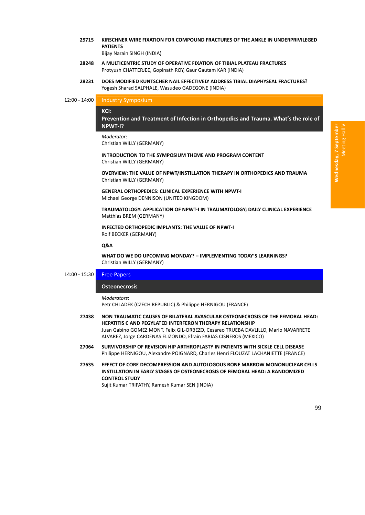**29715 KIRSCHNER WIRE FIXATION FOR COMPOUND FRACTURES OF THE ANKLE IN UNDERPRIVILEGED PATIENTS**

Bijay Narain SINGH (INDIA)

- **28248 A MULTICENTRIC STUDY OF OPERATIVE FIXATION OF TIBIAL PLATEAU FRACTURES** Protyush CHATTERJEE, Gopinath ROY, Gaur Gautam KAR (INDIA)
- **28231 DOES MODIFIED KUNTSCHER NAIL EFFECTIVELY ADDRESS TIBIAL DIAPHYSEAL FRACTURES?** Yogesh Sharad SALPHALE, Wasudeo GADEGONE (INDIA)

# 12:00 - 14:00 **Industry Symposium**

#### 10B**KCI:**

**Prevention and Treatment of Infection in Orthopedics and Trauma. What's the role of NPWT‐I?** *̶ Industry Symposium*

#### *Moderator*:

Christian WILLY (GERMANY)

**INTRODUCTION TO THE SYMPOSIUM THEME AND PROGRAM CONTENT** Christian WILLY (GERMANY)

**OVERVIEW: THE VALUE OF NPWT/INSTILLATION THERAPY IN ORTHOPEDICS AND TRAUMA** Christian WILLY (GERMANY)

**GENERAL ORTHOPEDICS: CLINICAL EXPERIENCE WITH NPWT‐I** Michael George DENNISON (UNITED KINGDOM)

**TRAUMATOLOGY: APPLICATION OF NPWT‐I IN TRAUMATOLOGY; DAILY CLINICAL EXPERIENCE** Matthias BREM (GERMANY)

**INFECTED ORTHOPEDIC IMPLANTS: THE VALUE OF NPWT‐I** Rolf BECKER (GERMANY)

#### **Q&A**

**WHAT DO WE DO UPCOMING MONDAY? – IMPLEMENTING TODAY'S LEARNINGS?** Christian WILLY (GERMANY)

### 14:00 - 15:30 **Free Papers**

#### **Osteonecrosis**

#### *Moderators*:

Petr CHLADEK (CZECH REPUBLIC) & Philippe HERNIGOU (FRANCE)

- **27438 NON TRAUMATIC CAUSES OF BILATERAL AVASCULAR OSTEONECROSIS OF THE FEMORAL HEAD: HEPATITIS C AND PEGYLATED INTERFERON THERAPY RELATIONSHIP** Juan Gabino GOMEZ MONT, Felix GIL‐ORBEZO, Cesareo TRUEBA DAVLILLO, Mario NAVARRETE ALVAREZ, Jorge CARDENAS ELIZONDO, Efrain FARIAS CISNEROS (MEXICO)
- **27064 SURVIVORSHIP OF REVISION HIP ARTHROPLASTY IN PATIENTS WITH SICKLE CELL DISEASE** Philippe HERNIGOU, Alexandre POIGNARD, Charles Henri FLOUZAT LACHANIETTE (FRANCE)
- **27635 EFFECT OF CORE DECOMPRESSION AND AUTOLOGOUS BONE MARROW MONONUCLEAR CELLS INSTILLATION IN EARLY STAGES OF OSTEONECROSIS OF FEMORAL HEAD: A RANDOMIZED CONTROL STUDY**

Sujit Kumar TRIPATHY, Ramesh Kumar SEN (INDIA)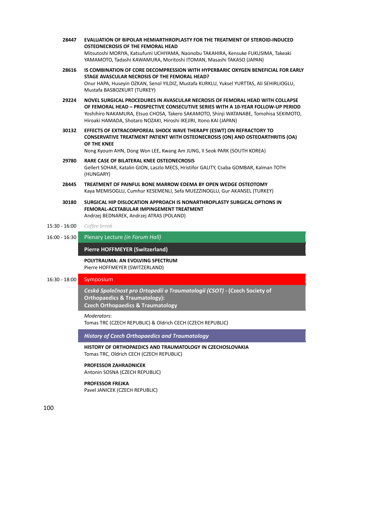- **28447 EVALUATION OF BIPOLAR HEMIARTHROPLASTY FOR THE TREATMENT OF STEROID‐INDUCED OSTEONECROSIS OF THE FEMORAL HEAD** Mitsutoshi MORIYA, Katsufumi UCHIYAMA, Naonobu TAKAHIRA, Kensuke FUKUSIMA, Takeaki YAMAMOTO, Tadashi KAWAMURA, Moritoshi ITOMAN, Masashi TAKASO (JAPAN)
- **28616 IS COMBINATION OF CORE DECOMPRESSION WITH HYPERBARIC OXYGEN BENEFICIAL FOR EARLY STAGE AVASCULAR NECROSIS OF THE FEMORAL HEAD?** Onur HAPA, Huseyin OZKAN, Senol YILDIZ, Mustafa KURKLU, Yuksel YURTTAS, Ali SEHIRLIOGLU, Mustafa BASBOZKURT (TURKEY)
- **29224 NOVEL SURGICAL PROCEDURES IN AVASCULAR NECROSIS OF FEMORAL HEAD WITH COLLAPSE OF FEMORAL HEAD – PROSPECTIVE CONSECUTIVE SERIES WITH A 10‐YEAR FOLLOW‐UP PERIOD** Yoshihiro NAKAMURA, Etsuo CHOSA, Takero SAKAMOTO, Shinji WATANABE, Tomohisa SEKIMOTO, Hiroaki HAMADA, Shotaro NOZAKI, Hiroshi IKEJIRI, Itono KAI (JAPAN)
- **30132 EFFECTS OF EXTRACORPOREAL SHOCK WAVE THERAPY (ESWT) ON REFRACTORY TO CONSERVATIVE TREATMENT PATIENT WITH OSTEONECROSIS (ON) AND OSTEOARTHRITIS (OA) OF THE KNEE**

Nong Kyoum AHN, Dong Won LEE, Kwang Am JUNG, Il Seok PARK (SOUTH KOREA)

- **29780 RARE CASE OF BILATERAL KNEE OSTEONECROSIS** Gellert SOHAR, Katalin GION, Laszlo MECS, Hristifor GALITY, Csaba GOMBAR, Kalman TOTH (HUNGARY)
- **28445 TREATMENT OF PAINFUL BONE MARROW EDEMA BY OPEN WEDGE OSTEOTOMY** Kaya MEMISOGLU, Cumhur KESEMENLI, Sefa MUEZZINOGLU, Gur AKANSEL (TURKEY)
- **30180 SURGICAL HIP DISLOCATION APPROACH IS NONARTHROPLASTY SURGICAL OPTIONS IN FEMORAL‐ACETABULAR IMPINGEMENT TREATMENT** Andrzej BEDNAREK, Andrzej ATRAS (POLAND)

#### 15:30 ‐ 16:00 *Coffee break*

16:00 ‐ 16:30 Plenary Lecture *(in Forum Hall)*

#### **Pierre HOFFMEYER (Switzerland)**

**POLYTRAUMA: AN EVOLVING SPECTRUM** Pierre HOFFMEYER (SWITZERLAND)

# 16:30 ‐ 18:00 Symposium

102B*Ceská Společnost pro Ortopedii a Traumatologii (CSOT)* **‐ (Czech Society of Orthopaedics & Traumatology): Czech Orthopaedics & Traumatology** 

#### *Moderators*:

Tomas TRC (CZECH REPUBLIC) & Oldrich CECH (CZECH REPUBLIC)

*History of Czech Orthopaedics and Traumatology*

**HISTORY OF ORTHOPAEDICS AND TRAUMATOLOGY IN CZECHOSLOVAKIA** Tomas TRC, Oldrich CECH (CZECH REPUBLIC)

#### **PROFESSOR ZAHRADNICEK**

Antonin SOSNA (CZECH REPUBLIC)

# **PROFESSOR FREJKA**

Pavel JANICEK (CZECH REPUBLIC)

100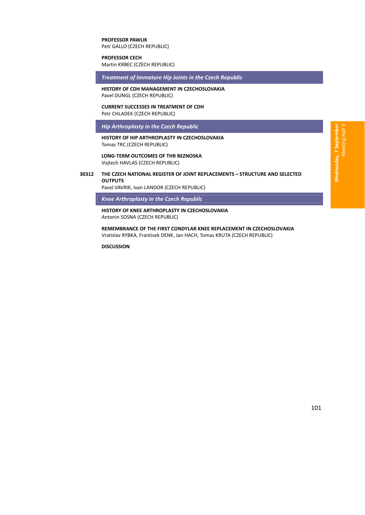### **PROFESSOR PAWLIK** Petr GALLO (CZECH REPUBLIC)

**PROFESSOR CECH**

Martin KRBEC (CZECH REPUBLIC)

*Treatment of Immature Hip Joints in the Czech Republic*

**HISTORY OF CDH MANAGEMENT IN CZECHOSLOVAKIA** Pavel DUNGL (CZECH REPUBLIC)

#### **CURRENT SUCCESSES IN TREATMENT OF CDH** Petr CHLADEK (CZECH REPUBLIC)

*Hip Arthroplasty in the Czech Republic*

#### **HISTORY OF HIP ARTHROPLASTY IN CZECHOSLOVAKIA** Tomas TRC (CZECH REPUBLIC)

**LONG‐TERM OUTCOMES OF THR BEZNOSKA** Vojtech HAVLAS (CZECH REPUBLIC)

## **30312 THE CZECH NATIONAL REGISTER OF JOINT REPLACEMENTS – STRUCTURE AND SELECTED OUTPUTS**

Pavel VAVRIK, Ivan LANDOR (CZECH REPUBLIC)

*Knee Arthroplasty in the Czech Republic*

**HISTORY OF KNEE ARTHROPLASTY IN CZECHOSLOVAKIA** Antonin SOSNA (CZECH REPUBLIC)

**REMEMBRANCE OF THE FIRST CONDYLAR KNEE REPLACEMENT IN CZECHOSLOVAKIA** Vratislav RYBKA, Frantisek DENK, Jan HACH, Tomas KRUTA (CZECH REPUBLIC)

**DISCUSSION**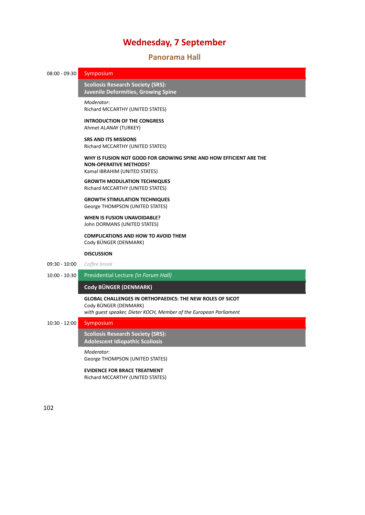# 26B**Panorama Hall**

# 08:00 - 09:30 Symposium

103B**Scoliosis Research Society (SRS): Juvenile Deformities, Growing Spine** *̶ Symposium*

*Moderator*: Richard MCCARTHY (UNITED STATES)

**INTRODUCTION OF THE CONGRESS** Ahmet ALANAY (TURKEY)

**SRS AND ITS MISSIONS** Richard MCCARTHY (UNITED STATES)

**WHY IS FUSION NOT GOOD FOR GROWING SPINE AND HOW EFFICIENT ARE THE NON‐OPERATIVE METHODS?** Kamal IBRAHIM (UNITED STATES)

**GROWTH MODULATION TECHNIQUES** Richard MCCARTHY (UNITED STATES)

**GROWTH STIMULATION TECHNIQUES** George THOMPSON (UNITED STATES)

#### **WHEN IS FUSION UNAVOIDABLE?** John DORMANS (UNITED STATES)

**COMPLICATIONS AND HOW TO AVOID THEM** Cody BÜNGER (DENMARK)

#### **DISCUSSION**

- 09:30 ‐ 10:00 *Coffee break*
- 10:00 ‐ 10:30 Presidential Lecture *(in Forum Hall)*

# **Cody BÜNGER (DENMARK)** *̶ Presidential Lecture*

# **GLOBAL CHALLENGES IN ORTHOPAEDICS: THE NEW ROLES OF SICOT** Cody BÜNGER (DENMARK)

*with guest speaker, Dieter KOCH, Member of the European Parliament*

# 10:30 ‐ 12:00 Symposium

104B**Scoliosis Research Society (SRS): Adolescent Idiopathic Scoliosis** 

### *Moderator*:

George THOMPSON (UNITED STATES)

#### **EVIDENCE FOR BRACE TREATMENT**

Richard MCCARTHY (UNITED STATES)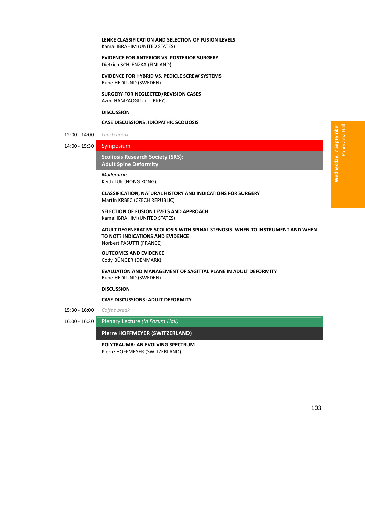#### **LENKE CLASSIFICATION AND SELECTION OF FUSION LEVELS** Kamal IBRAHIM (UNITED STATES)

#### **EVIDENCE FOR ANTERIOR VS. POSTERIOR SURGERY** Dietrich SCHLENZKA (FINLAND)

**EVIDENCE FOR HYBRID VS. PEDICLE SCREW SYSTEMS** Rune HEDLUND (SWEDEN)

**SURGERY FOR NEGLECTED/REVISION CASES** Azmi HAMZAOGLU (TURKEY)

#### **DISCUSSION**

#### **CASE DISCUSSIONS: IDIOPATHIC SCOLIOSIS**

12:00 ‐ 14:00 *Lunch break*

14:00 ‐ 15:30 Symposium

105B**Scoliosis Research Society (SRS): Adult Spine Deformity** 

#### *Moderator*:

Keith LUK (HONG KONG)

**CLASSIFICATION, NATURAL HISTORY AND INDICATIONS FOR SURGERY** Martin KRBEC (CZECH REPUBLIC)

# **SELECTION OF FUSION LEVELS AND APPROACH**

Kamal IBRAHIM (UNITED STATES)

**ADULT DEGENERATIVE SCOLIOSIS WITH SPINAL STENOSIS. WHEN TO INSTRUMENT AND WHEN TO NOT? INDICATIONS AND EVIDENCE**

Norbert PASUTTI (FRANCE)

# **OUTCOMES AND EVIDENCE**

Cody BÜNGER (DENMARK)

#### **EVALUATION AND MANAGEMENT OF SAGITTAL PLANE IN ADULT DEFORMITY** Rune HEDLUND (SWEDEN)

#### **DISCUSSION**

**CASE DISCUSSIONS: ADULT DEFORMITY**

15:30 ‐ 16:00 *Coffee break*

16:00 ‐ 16:30 Plenary Lecture *(in Forum Hall)*

#### **Pierre HOFFMEYER (SWITZERLAND)** *̶ Plenary Lecture*

**POLYTRAUMA: AN EVOLVING SPECTRUM** Pierre HOFFMEYER (SWITZERLAND)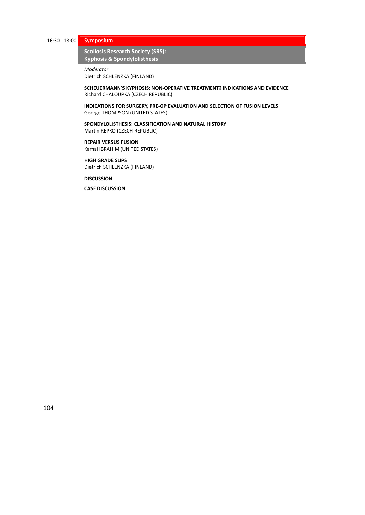16:30 ‐ 18:00 Symposium

**Scoliosis Research Society (SRS): Kyphosis & Spondylolisthesis** 

*Moderator*:

Dietrich SCHLENZKA (FINLAND)

**SCHEUERMANN'S KYPHOSIS: NON‐OPERATIVE TREATMENT? INDICATIONS AND EVIDENCE** Richard CHALOUPKA (CZECH REPUBLIC)

**INDICATIONS FOR SURGERY, PRE‐OP EVALUATION AND SELECTION OF FUSION LEVELS** George THOMPSON (UNITED STATES)

**SPONDYLOLISTHESIS: CLASSIFICATION AND NATURAL HISTORY** Martin REPKO (CZECH REPUBLIC)

#### **REPAIR VERSUS FUSION** Kamal IBRAHIM (UNITED STATES)

**HIGH GRADE SLIPS** Dietrich SCHLENZKA (FINLAND)

**DISCUSSION**

**CASE DISCUSSION**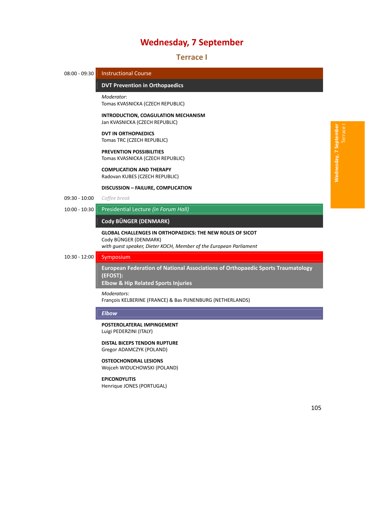27B**Terrace I**



Gregor ADAMCZYK (POLAND)

#### **OSTEOCHONDRAL LESIONS** Wojceh WIDUCHOWSKI (POLAND)

#### **EPICONDYLITIS**

Henrique JONES (PORTUGAL)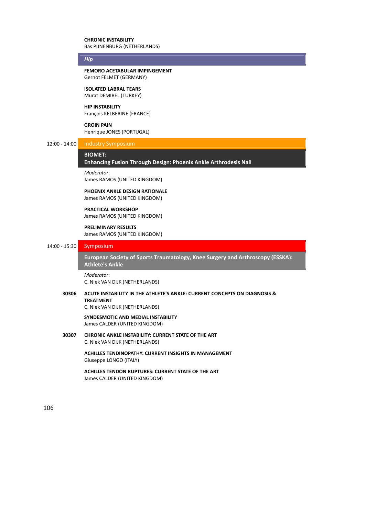#### **CHRONIC INSTABILITY** Bas PIJNENBURG (NETHERLANDS)

### *Hip*

**FEMORO ACETABULAR IMPINGEMENT** Gernot FELMET (GERMANY)

#### **ISOLATED LABRAL TEARS** Murat DEMIREL (TURKEY)

**HIP INSTABILITY**

François KELBERINE (FRANCE)

#### **GROIN PAIN**

Henrique JONES (PORTUGAL)

# 12:00 ‐ 14:00 Industry Symposium

# BIOMET:

# **Enhancing Fusion Through Design: Phoenix Ankle Arthrodesis Nail** *̶ Industry Symposium*

*Moderator*:

James RAMOS (UNITED KINGDOM)

# **PHOENIX ANKLE DESIGN RATIONALE**

James RAMOS (UNITED KINGDOM)

#### **PRACTICAL WORKSHOP** James RAMOS (UNITED KINGDOM)

# **PRELIMINARY RESULTS**

James RAMOS (UNITED KINGDOM)

# 14:00 ‐ 15:30 Symposium

10B**European Society of Sports Traumatology, Knee Surgery and Arthroscopy (ESSKA): Athlete's Ankle** 

#### *Moderator*:

C. Niek VAN DIJK (NETHERLANDS)

# **30306 ACUTE INSTABILITY IN THE ATHLETE'S ANKLE: CURRENT CONCEPTS ON DIAGNOSIS & TREATMENT**

C. Niek VAN DIJK (NETHERLANDS)

#### **SYNDESMOTIC AND MEDIAL INSTABILITY** James CALDER (UNITED KINGDOM)

**30307 CHRONIC ANKLE INSTABILITY: CURRENT STATE OF THE ART** C. Niek VAN DIJK (NETHERLANDS)

> **ACHILLES TENDINOPATHY: CURRENT INSIGHTS IN MANAGEMENT** Giuseppe LONGO (ITALY)

**ACHILLES TENDON RUPTURES: CURRENT STATE OF THE ART** James CALDER (UNITED KINGDOM)

106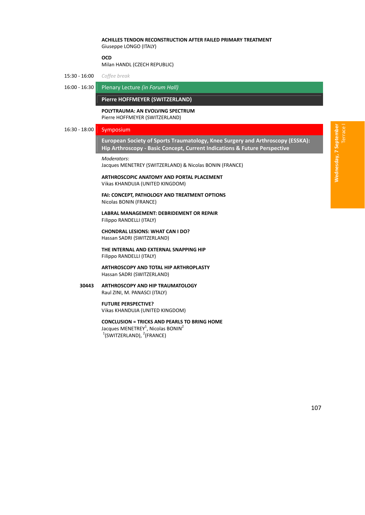## **ACHILLES TENDON RECONSTRUCTION AFTER FAILED PRIMARY TREATMENT** Giuseppe LONGO (ITALY)

#### **OCD**

Milan HANDL (CZECH REPUBLIC)

- 15:30 ‐ 16:00 *Coffee break*
- 16:00 ‐ 16:30 Plenary Lecture *(in Forum Hall)*

#### **Pierre HOFFMEYER (SWITZERLAND)**

**POLYTRAUMA: AN EVOLVING SPECTRUM** Pierre HOFFMEYER (SWITZERLAND)

# 16:30 ‐ 18:00 Symposium

1B**European Society of Sports Traumatology, Knee Surgery and Arthroscopy (ESSKA): Hip Arthroscopy ‐ Basic Concept, Current Indications & Future Perspective** *̶ Symposium*

*Moderators*:

Jacques MENETREY (SWITZERLAND) & Nicolas BONIN (FRANCE)

**ARTHROSCOPIC ANATOMY AND PORTAL PLACEMENT** Vikas KHANDUJA (UNITED KINGDOM)

**FAI: CONCEPT, PATHOLOGY AND TREATMENT OPTIONS** Nicolas BONIN (FRANCE)

**LABRAL MANAGEMENT: DEBRIDEMENT OR REPAIR** Filippo RANDELLI (ITALY)

**CHONDRAL LESIONS: WHAT CAN I DO?** Hassan SADRI (SWITZERLAND)

**THE INTERNAL AND EXTERNAL SNAPPING HIP** Filippo RANDELLI (ITALY)

**ARTHROSCOPY AND TOTAL HIP ARTHROPLASTY** Hassan SADRI (SWITZERLAND)

# **30443 ARTHROSCOPY AND HIP TRAUMATOLOGY**

Raul ZINI, M. PANASCI (ITALY)

# **FUTURE PERSPECTIVE?**

Vikas KHANDUJA (UNITED KINGDOM)

## **CONCLUSION = TRICKS AND PEARLS TO BRING HOME**

Jacques MENETREY<sup>1</sup>, Nicolas BONIN<sup>2</sup>  $1$ (SWITZERLAND),  $2$ (FRANCE)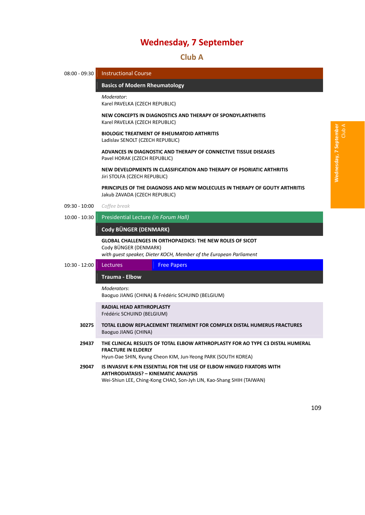28B**Club A**

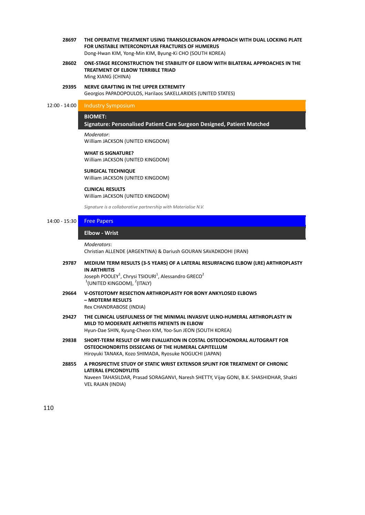- **28697 THE OPERATIVE TREATMENT USING TRANSOLECRANON APPROACH WITH DUAL LOCKING PLATE FOR UNSTABLE INTERCONDYLAR FRACTURES OF HUMERUS** Dong‐Hwan KIM, Yong‐Min KIM, Byung‐Ki CHO (SOUTH KOREA)
- **28602 ONE‐STAGE RECONSTRUCTION THE STABILITY OF ELBOW WITH BILATERAL APPROACHES IN THE TREATMENT OF ELBOW TERRIBLE TRIAD** Ming XIANG (CHINA)
- **29395 NERVE GRAFTING IN THE UPPER EXTREMITY** Georgios PAPADOPOULOS, Harilaos SAKELLARIDES (UNITED STATES)

## 12:00 - 14:00 Industry Symposium

#### BIOMET:

## **Signature: Personalised Patient Care Surgeon Designed, Patient Matched** *̶ Industry Symposium*

#### *Moderator*:

William JACKSON (UNITED KINGDOM)

### **WHAT IS SIGNATURE?** William JACKSON (UNITED KINGDOM)

**SURGICAL TECHNIQUE** William JACKSON (UNITED KINGDOM)

#### **CLINICAL RESULTS** William JACKSON (UNITED KINGDOM)

*Signature is a collaborative partnership with Materialise N.V.*

# 14:00 - 15:30 **Free Papers**

# 15B**Elbow ‐ Wrist** *̶ Free Papers*

*Moderators*:

Christian ALLENDE (ARGENTINA) & Dariush GOURAN SAVADKOOHI (IRAN)

**29787 MEDIUM TERM RESULTS (3‐5 YEARS) OF A LATERAL RESURFACING ELBOW (LRE) ARTHROPLASTY IN ARTHRITIS**

Joseph POOLEY<sup>1</sup>, Chrysi TSIOURI<sup>1</sup>, Alessandro GRECO<sup>2</sup>  $1$ (UNITED KINGDOM),  $2$ (ITALY)

- **29664 V‐OSTEOTOMY RESECTION ARTHROPLASTY FOR BONY ANKYLOSED ELBOWS – MIDTERM RESULTS** Rex CHANDRABOSE (INDIA)
- **29427 THE CLINICAL USEFULNESS OF THE MINIMAL INVASIVE ULNO‐HUMERAL ARTHROPLASTY IN MILD TO MODERATE ARTHRITIS PATIENTS IN ELBOW** Hyun‐Dae SHIN, Kyung‐Cheon KIM, Yoo‐Sun JEON (SOUTH KOREA)
- **29838 SHORT‐TERM RESULT OF MRI EVALUATION IN COSTAL OSTEOCHONDRAL AUTOGRAFT FOR OSTEOCHONDRITIS DISSECANS OF THE HUMERAL CAPITELLUM** Hiroyuki TANAKA, Kozo SHIMADA, Ryosuke NOGUCHI (JAPAN)
- **28855 A PROSPECTIVE STUDY OF STATIC WRIST EXTENSOR SPLINT FOR TREATMENT OF CHRONIC LATERAL EPICONDYLITIS** Naveen TAHASILDAR, Prasad SORAGANVI, Naresh SHETTY, Vijay GONI, B.K. SHASHIDHAR, Shakti VEL RAJAN (INDIA)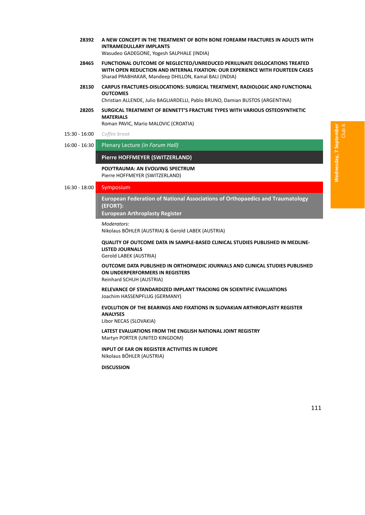**28392 A NEW CONCEPT IN THE TREATMENT OF BOTH BONE FOREARM FRACTURES IN ADULTS WITH INTRAMEDULLARY IMPLANTS**

Wasudeo GADEGONE, Yogesh SALPHALE (INDIA)

- **28465 FUNCTIONAL OUTCOME OF NEGLECTED/UNREDUCED PERILUNATE DISLOCATIONS TREATED WITH OPEN REDUCTION AND INTERNAL FIXATION: OUR EXPERIENCE WITH FOURTEEN CASES** Sharad PRABHAKAR, Mandeep DHILLON, Kamal BALI (INDIA)
- **28130 CARPUS FRACTURES‐DISLOCATIONS: SURGICAL TREATMENT, RADIOLOGIC AND FUNCTIONAL OUTCOMES**

Christian ALLENDE, Julio BAGLIARDELLI, Pablo BRUNO, Damian BUSTOS (ARGENTINA)

**28205 SURGICAL TREATMENT OF BENNETT'S FRACTURE TYPES WITH VARIOUS OSTEOSYNTHETIC MATERIALS**

Roman PAVIC, Mario MALOVIC (CROATIA)

- 15:30 ‐ 16:00 *Coffee break*
- 16:00 ‐ 16:30 Plenary Lecture *(in Forum Hall)*

#### **Pierre HOFFMEYER (SWITZERLAND)**

**POLYTRAUMA: AN EVOLVING SPECTRUM** Pierre HOFFMEYER (SWITZERLAND)

#### 16:30 - 18:00 Symposium

16B**European Federation of National Associations of Orthopaedics and Traumatology (EFORT):**

**European Arthroplasty Register** 

#### *Moderators*:

Nikolaus BÖHLER (AUSTRIA) & Gerold LABEK (AUSTRIA)

**QUALITY OF OUTCOME DATA IN SAMPLE‐BASED CLINICAL STUDIES PUBLISHED IN MEDLINE‐ LISTED JOURNALS**

# Gerold LABEK (AUSTRIA)

**OUTCOME DATA PUBLISHED IN ORTHOPAEDIC JOURNALS AND CLINICAL STUDIES PUBLISHED ON UNDERPERFORMERS IN REGISTERS** Reinhard SCHUH (AUSTRIA)

**RELEVANCE OF STANDARDIZED IMPLANT TRACKING ON SCIENTIFIC EVALUATIONS** Joachim HASSENPFLUG (GERMANY)

# **EVOLUTION OF THE BEARINGS AND FIXATIONS IN SLOVAKIAN ARTHROPLASTY REGISTER ANALYSES**

Libor NECAS (SLOVAKIA)

**LATEST EVALUATIONS FROM THE ENGLISH NATIONAL JOINT REGISTRY** Martyn PORTER (UNITED KINGDOM)

**INPUT OF EAR ON REGISTER ACTIVITIES IN EUROPE** Nikolaus BÖHLER (AUSTRIA)

# **DISCUSSION**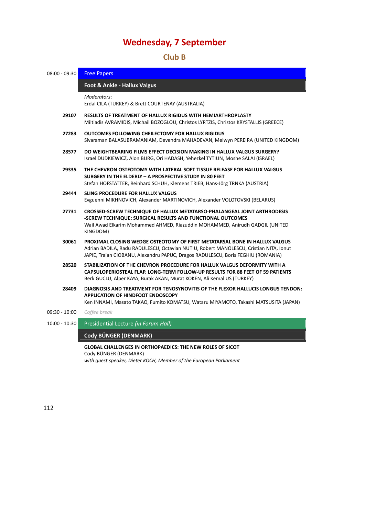# 29B**Club B**

| 08:00 - 09:30   | <b>Free Papers</b>                                                                                                                                                                                                                                      |  |  |  |  |
|-----------------|---------------------------------------------------------------------------------------------------------------------------------------------------------------------------------------------------------------------------------------------------------|--|--|--|--|
|                 | Foot & Ankle - Hallux Valgus                                                                                                                                                                                                                            |  |  |  |  |
|                 | Moderators:<br>Erdal CILA (TURKEY) & Brett COURTENAY (AUSTRALIA)                                                                                                                                                                                        |  |  |  |  |
| 29107           | <b>RESULTS OF TREATMENT OF HALLUX RIGIDUS WITH HEMIARTHROPLASTY</b><br>Miltiadis AVRAMIDIS, Michail BOZOGLOU, Christos LYRTZIS, Christos KRYSTALLIS (GREECE)                                                                                            |  |  |  |  |
| 27283           | OUTCOMES FOLLOWING CHEILECTOMY FOR HALLUX RIGIDUS<br>Sivaraman BALASUBRAMANIAM, Devendra MAHADEVAN, Melwyn PEREIRA (UNITED KINGDOM)                                                                                                                     |  |  |  |  |
| 28577           | DO WEIGHTBEARING FILMS EFFECT DECISION MAKING IN HALLUX VALGUS SURGERY?<br>Israel DUDKIEWICZ, Alon BURG, Ori HADASH, Yehezkel TYTIUN, Moshe SALAI (ISRAEL)                                                                                              |  |  |  |  |
| 29335           | THE CHEVRON OSTEOTOMY WITH LATERAL SOFT TISSUE RELEASE FOR HALLUX VALGUS<br>SURGERY IN THE ELDERLY - A PROSPECTIVE STUDY IN 80 FEET<br>Stefan HOFSTÄTTER, Reinhard SCHUH, Klemens TRIEB, Hans-Jörg TRNKA (AUSTRIA)                                      |  |  |  |  |
| 29444           | <b>SLING PROCEDURE FOR HALLUX VALGUS</b><br>Evguenni MIKHNOVICH, Alexander MARTINOVICH, Alexander VOLOTOVSKI (BELARUS)                                                                                                                                  |  |  |  |  |
| 27731           | <b>CROSSED-SCREW TECHNIQUE OF HALLUX METATARSO-PHALANGEAL JOINT ARTHRODESIS</b><br>-SCREW TECHNIQUE: SURGICAL RESULTS AND FUNCTIONAL OUTCOMES<br>Wail Awad Elkarim Mohammed AHMED, Riazuddin MOHAMMED, Anirudh GADGIL (UNITED<br>KINGDOM)               |  |  |  |  |
| 30061           | PROXIMAL CLOSING WEDGE OSTEOTOMY OF FIRST METATARSAL BONE IN HALLUX VALGUS<br>Adrian BADILA, Radu RADULESCU, Octavian NUTIU, Robert MANOLESCU, Cristian NITA, Ionut<br>JAPIE, Traian CIOBANU, Alexandru PAPUC, Dragos RADULESCU, Boris FEGHIU (ROMANIA) |  |  |  |  |
| 28520           | STABILIZATION OF THE CHEVRON PROCEDURE FOR HALLUX VALGUS DEFORMITY WITH A<br>CAPSULOPERIOSTEAL FLAP. LONG-TERM FOLLOW-UP RESULTS FOR 88 FEET OF 59 PATIENTS<br>Berk GUCLU, Alper KAYA, Burak AKAN, Murat KOKEN, Ali Kemal US (TURKEY)                   |  |  |  |  |
| 28409           | DIAGNOSIS AND TREATMENT FOR TENOSYNOVITIS OF THE FLEXOR HALLUCIS LONGUS TENDON:<br><b>APPLICATION OF HINDFOOT ENDOSCOPY</b><br>Ken INNAMI, Masato TAKAO, Fumito KOMATSU, Wataru MIYAMOTO, Takashi MATSUSITA (JAPAN)                                     |  |  |  |  |
| 09:30 - 10:00   | Coffee break                                                                                                                                                                                                                                            |  |  |  |  |
| $10:00 - 10:30$ | Presidential Lecture (in Forum Hall)                                                                                                                                                                                                                    |  |  |  |  |
|                 | Cody BÜNGER (DENMARK)                                                                                                                                                                                                                                   |  |  |  |  |
|                 | <b>GLOBAL CHALLENGES IN ORTHOPAEDICS: THE NEW ROLES OF SICOT</b><br>Cody BÜNGER (DENMARK)<br>with guest speaker, Dieter KOCH, Member of the European Parliament                                                                                         |  |  |  |  |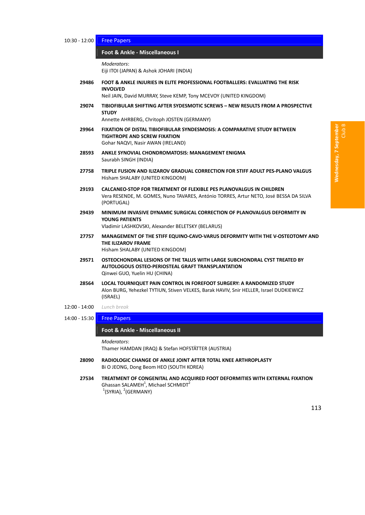#### 10:30 - 12:00 Free Papers

#### 18B**Foot & Ankle ‐ Miscellaneous I** *̶ Free Papers*

*Moderators*:

Eiji ITOI (JAPAN) & Ashok JOHARI (INDIA)

**29486 FOOT & ANKLE INJURIES IN ELITE PROFESSIONAL FOOTBALLERS: EVALUATING THE RISK INVOLVED**

Neil JAIN, David MURRAY, Steve KEMP, Tony MCEVOY (UNITED KINGDOM)

**29074 TIBIOFIBULAR SHIFTING AFTER SYDESMOTIC SCREWS – NEW RESULTS FROM A PROSPECTIVE STUDY**

Annette AHRBERG, Chritoph JOSTEN (GERMANY)

- **29964 FIXATION OF DISTAL TIBIOFIBULAR SYNDESMOSIS: A COMPARATIVE STUDY BETWEEN TIGHTROPE AND SCREW FIXATION** Gohar NAQVI, Nasir AWAN (IRELAND)
- **28593 ANKLE SYNOVIAL CHONDROMATOSIS: MANAGEMENT ENIGMA** Saurabh SINGH (INDIA)
- **27758 TRIPLE FUSION AND ILIZAROV GRADUAL CORRECTION FOR STIFF ADULT PES‐PLANO VALGUS** Hisham SHALABY (UNITED KINGDOM)
- **29193 CALCANEO‐STOP FOR TREATMENT OF FLEXIBLE PES PLANOVALGUS IN CHILDREN** Vera RESENDE, M. GOMES, Nuno TAVARES, António TORRES, Artur NETO, José BESSA DA SILVA (PORTUGAL)
- **29439 MINIMUM INVASIVE DYNAMIC SURGICAL CORRECTION OF PLANOVALGUS DEFORMITY IN YOUNG PATIENTS** Vladimir LASHKOVSKI, Alexander BELETSKY (BELARUS)
- **27757 MANAGEMENT OF THE STIFF EQUINO‐CAVO‐VARUS DEFORMITY WITH THE V‐OSTEOTOMY AND THE ILIZAROV FRAME** Hisham SHALABY (UNITED KINGDOM)
- **29571 OSTEOCHONDRAL LESIONS OF THE TALUS WITH LARGE SUBCHONDRAL CYST TREATED BY AUTOLOGOUS OSTEO‐PERIOSTEAL GRAFT TRANSPLANTATION** Qinwei GUO, Yuelin HU (CHINA)
- **28564 LOCAL TOURNIQUET PAIN CONTROL IN FOREFOOT SURGERY: A RANDOMIZED STUDY** Alon BURG, Yehezkel TYTIUN, Stiven VELKES, Barak HAVIV, Snir HELLER, Israel DUDKIEWICZ (ISRAEL)
- 12:00 ‐ 14:00 *Lunch break*
- 14:00 15:30 Free Papers

#### 19B**Foot & Ankle ‐ Miscellaneous II** *̶ Free Papers*

*Moderators*:

Thamer HAMDAN (IRAQ) & Stefan HOFSTÄTTER (AUSTRIA)

- **28090 RADIOLOGIC CHANGE OF ANKLE JOINT AFTER TOTAL KNEE ARTHROPLASTY** Bi O JEONG, Dong Beom HEO (SOUTH KOREA)
- **27534 TREATMENT OF CONGENITAL AND ACQUIRED FOOT DEFORMITIES WITH EXTERNAL FIXATION** Ghassan SALAMEH $<sup>1</sup>$ , Michael SCHMIDT $<sup>2</sup>$ </sup></sup>  $1$ (SYRIA),  $2$ (GERMANY)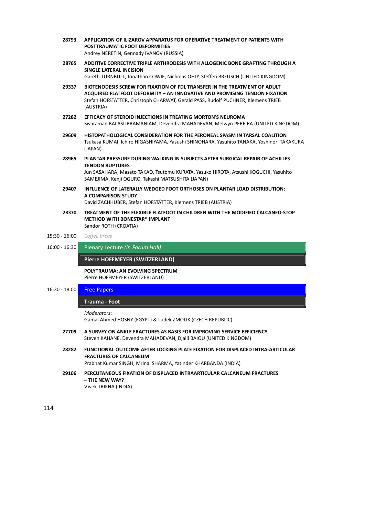- **28793 APPLICATION OF ILIZAROV APPARATUS FOR OPERATIVE TREATMENT OF PATIENTS WITH POSTTRAUMATIC FOOT DEFORMITIES** Andrey NERETIN, Gennady IVANOV (RUSSIA)
- **28765 ADDITIVE CORRECTIVE TRIPLE ARTHRODESIS WITH ALLOGENIC BONE GRAFTING THROUGH A SINGLE LATERAL INCISION**

Gareth TURNBULL, Jonathan COWIE, Nicholas OHLY, Steffen BREUSCH (UNITED KINGDOM)

- **29337 BIOTENODESIS SCREW FOR FIXATION OF FDL TRANSFER IN THE TREATMENT OF ADULT ACQUIRED FLATFOOT DEFORMITY – AN INNOVATIVE AND PROMISING TENDON FIXATION** Stefan HOFSTÄTTER, Christoph CHARWAT, Gerald PASS, Rudolf PUCHNER, Klemens TRIEB (AUSTRIA)
- **27282 EFFICACY OF STEROID INJECTIONS IN TREATING MORTON'S NEUROMA** Sivaraman BALASUBRAMANIAM, Devendra MAHADEVAN, Melwyn PEREIRA (UNITED KINGDOM)
- **29609 HISTOPATHOLOGICAL CONSIDERATION FOR THE PERONEAL SPASM IN TARSAL COALITION** Tsukasa KUMAI, Ichiro HIGASHIYAMA, Yasushi SHINOHARA, Yasuhito TANAKA, Yoshinori TAKAKURA (JAPAN)
- **28965 PLANTAR PRESSURE DURING WALKING IN SUBJECTS AFTER SURGICAL REPAIR OF ACHILLES TENDON RUPTURES** Jun SASAHARA, Masato TAKAO, Tsutomu KURATA, Yasuko HIROTA, Atsushi KOGUCHI, Yasuhito SAMEJIMA, Kenji OGURO, Takashi MATSUSHITA (JAPAN)
- **29407 INFLUENCE OF LATERALLY WEDGED FOOT ORTHOSES ON PLANTAR LOAD DISTRIBUTION: A COMPARISON STUDY** David ZACHHUBER, Stefan HOFSTÄTTER, Klemens TRIEB (AUSTRIA)
- **28370 TREATMENT OF THE FLEXIBLE FLATFOOT IN CHILDREN WITH THE MODIFIED CALCANEO‐STOP METHOD WITH BONESTAR® IMPLANT** Sandor ROTH (CROATIA)

#### 15:30 ‐ 16:00 *Coffee break*

16:00 ‐ 16:30 Plenary Lecture *(in Forum Hall)*

**Pierre HOFFMEYER (SWITZERLAND)** 

**POLYTRAUMA: AN EVOLVING SPECTRUM** Pierre HOFFMEYER (SWITZERLAND)

16:30 - 18:00 **Free Papers** 

#### 120B**Trauma ‐ Foot** *̶ Free Papers*

*Moderators*:

Gamal Ahmed HOSNY (EGYPT) & Ludek ZMOLIK (CZECH REPUBLIC)

- **27709 A SURVEY ON ANKLE FRACTURES AS BASIS FOR IMPROVING SERVICE EFFICIENCY** Steven KAHANE, Devendra MAHADEVAN, Djalil BAIOU (UNITED KINGDOM)
- **28282 FUNCTIONAL OUTCOME AFTER LOCKING PLATE FIXATION FOR DISPLACED INTRA‐ARTICULAR FRACTURES OF CALCANEUM**

Prabhat Kumar SINGH, Mrinal SHARMA, Yatinder KHARBANDA (INDIA)

**29106 PERCUTANEOUS FIXATION OF DISPLACED INTRAARTICULAR CALCANEUM FRACTURES – THE NEW WAY?** Vivek TRIKHA (INDIA)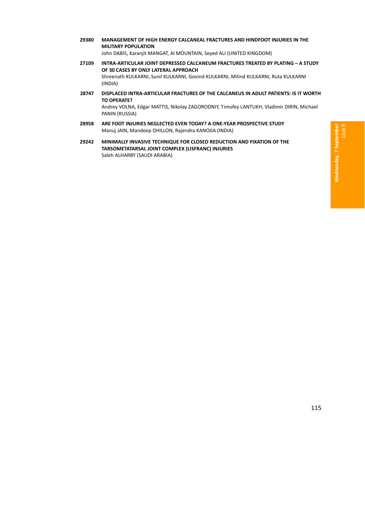- **29380 MANAGEMENT OF HIGH ENERGY CALCANEAL FRACTURES AND HINDFOOT INJURIES IN THE MILITARY POPULATION** John DABIS, Karanjit MANGAT, Al MOUNTAIN, Seyed ALI (UNITED KINGDOM)
- **27109 INTRA‐ARTICULAR JOINT DEPRESSED CALCANEUM FRACTURES TREATED BY PLATING – A STUDY OF 30 CASES BY ONLY LATERAL APPROACH** Shreenath KULKARNI, Sunil KULKARNI, Govind KULKARNI, Milind KULKARNI, Ruta KULKARNI (INDIA)
- **28747 DISPLACED INTRA‐ARTICULAR FRACTURES OF THE CALCANEUS IN ADULT PATIENTS: IS IT WORTH TO OPERATE?** Andrey VOLNA, Edgar MATTIS, Nikolay ZAGORODNIY, Timofey LANTUKH, Vladimir DIRIN, Michael PANIN (RUSSIA)
- **28958 ARE FOOT INJURIES NEGLECTED EVEN TODAY? A ONE‐YEAR PROSPECTIVE STUDY** Manuj JAIN, Mandeep DHILLON, Rajendra KANOJIA (INDIA)
- **29242 MINIMALLY INVASIVE TECHNIQUE FOR CLOSED REDUCTION AND FIXATION OF THE TARSOMETATARSAL JOINT COMPLEX (LISFRANC) INJURIES** Saleh ALHARBY (SAUDI ARABIA)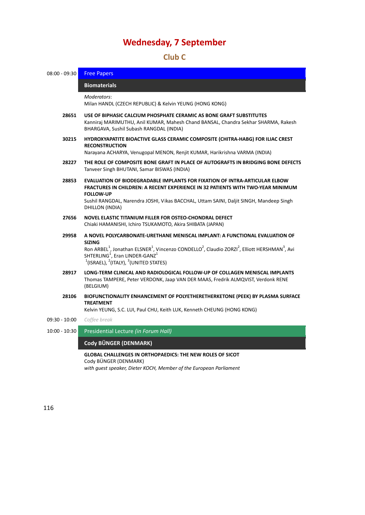# 30B**Club C**

| $08:00 - 09:30$ | <b>Free Papers</b>                                                                                                                                                                                                                                                                                                                                                    |  |  |  |  |  |
|-----------------|-----------------------------------------------------------------------------------------------------------------------------------------------------------------------------------------------------------------------------------------------------------------------------------------------------------------------------------------------------------------------|--|--|--|--|--|
|                 | <b>Biomaterials</b>                                                                                                                                                                                                                                                                                                                                                   |  |  |  |  |  |
|                 | Moderators:<br>Milan HANDL (CZECH REPUBLIC) & Kelvin YEUNG (HONG KONG)                                                                                                                                                                                                                                                                                                |  |  |  |  |  |
| 28651           | USE OF BIPHASIC CALCIUM PHOSPHATE CERAMIC AS BONE GRAFT SUBSTITUTES<br>Kanniraj MARIMUTHU, Anil KUMAR, Mahesh Chand BANSAL, Chandra Sekhar SHARMA, Rakesh<br>BHARGAVA, Sushil Subash RANGDAL (INDIA)                                                                                                                                                                  |  |  |  |  |  |
| 30215           | HYDROXYAPATITE BIOACTIVE GLASS CERAMIC COMPOSITE (CHITRA-HABG) FOR ILIAC CREST<br><b>RECONSTRUCTION</b><br>Narayana ACHARYA, Venugopal MENON, Renjit KUMAR, Harikrishna VARMA (INDIA)                                                                                                                                                                                 |  |  |  |  |  |
| 28227           | THE ROLE OF COMPOSITE BONE GRAFT IN PLACE OF AUTOGRAFTS IN BRIDGING BONE DEFECTS<br>Tanveer Singh BHUTANI, Samar BISWAS (INDIA)                                                                                                                                                                                                                                       |  |  |  |  |  |
| 28853           | EVALUATION OF BIODEGRADABLE IMPLANTS FOR FIXATION OF INTRA-ARTICULAR ELBOW<br>FRACTURES IN CHILDREN: A RECENT EXPERIENCE IN 32 PATIENTS WITH TWO-YEAR MINIMUM<br><b>FOLLOW-UP</b><br>Sushil RANGDAL, Narendra JOSHI, Vikas BACCHAL, Uttam SAINI, Daljit SINGH, Mandeep Singh<br>DHILLON (INDIA)                                                                       |  |  |  |  |  |
| 27656           | NOVEL ELASTIC TITANIUM FILLER FOR OSTEO-CHONDRAL DEFECT<br>Chiaki HAMANISHI, Ichiro TSUKAMOTO, Akira SHIBATA (JAPAN)                                                                                                                                                                                                                                                  |  |  |  |  |  |
| 29958           | A NOVEL POLYCARBONATE-URETHANE MENISCAL IMPLANT: A FUNCTIONAL EVALUATION OF<br><b>SIZING</b><br>Ron ARBEL <sup>1</sup> , Jonathan ELSNER <sup>1</sup> , Vincenzo CONDELLO <sup>2</sup> , Claudio ZORZI <sup>2</sup> , Elliott HERSHMAN <sup>3</sup> , Avi<br>SHTERLING <sup>1</sup> , Eran LINDER-GANZ <sup>1</sup><br>$1$ (ISRAEL), $2$ (ITALY), $3$ (UNITED STATES) |  |  |  |  |  |
| 28917           | LONG-TERM CLINICAL AND RADIOLOGICAL FOLLOW-UP OF COLLAGEN MENISCAL IMPLANTS<br>Thomas TAMPERE, Peter VERDONK, Jaap VAN DER MAAS, Fredrik ALMQVIST, Verdonk RENE<br>(BELGIUM)                                                                                                                                                                                          |  |  |  |  |  |
| 28106           | BIOFUNCTIONALITY ENHANCEMENT OF POLYETHERETHERKETONE (PEEK) BY PLASMA SURFACE<br><b>TREATMENT</b><br>Kelvin YEUNG, S.C. LUI, Paul CHU, Keith LUK, Kenneth CHEUNG (HONG KONG)                                                                                                                                                                                          |  |  |  |  |  |
| $09:30 - 10:00$ | Coffee break                                                                                                                                                                                                                                                                                                                                                          |  |  |  |  |  |
| $10:00 - 10:30$ | Presidential Lecture (in Forum Hall)                                                                                                                                                                                                                                                                                                                                  |  |  |  |  |  |
|                 | Cody BÜNGER (DENMARK)                                                                                                                                                                                                                                                                                                                                                 |  |  |  |  |  |
|                 | GLOBAL CHALLENGES IN ORTHOPAEDICS: THE NEW ROLES OF SICOT<br>Cody BÜNGER (DENMARK)<br>with quest speaker, Dieter KOCH, Member of the European Parliament                                                                                                                                                                                                              |  |  |  |  |  |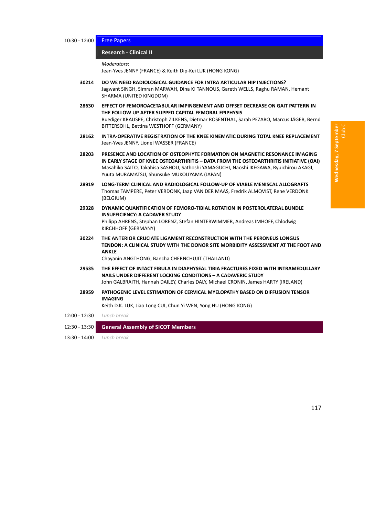#### 10:30 - 12:00 Free Papers

#### 12B**Research ‐ Clinical II** *̶ Free Papers*

*Moderators*:

Jean‐Yves JENNY (FRANCE) & Keith Dip‐Kei LUK (HONG KONG)

- **30214 DO WE NEED RADIOLOGICAL GUIDANCE FOR INTRA ARTICULAR HIP INJECTIONS?** Jagwant SINGH, Simran MARWAH, Dina Ki TANNOUS, Gareth WELLS, Raghu RAMAN, Hemant SHARMA (UNITED KINGDOM)
- **28630 EFFECT OF FEMOROACETABULAR IMPINGEMENT AND OFFSET DECREASE ON GAIT PATTERN IN THE FOLLOW UP AFTER SLIPPED CAPITAL FEMORAL EPIPHYSIS** Ruediger KRAUSPE, Christoph ZILKENS, Dietmar ROSENTHAL, Sarah PEZARO, Marcus JÄGER, Bernd BITTERSOHL, Bettina WESTHOFF (GERMANY)
- **28162 INTRA‐OPERATIVE REGISTRATION OF THE KNEE KINEMATIC DURING TOTAL KNEE REPLACEMENT** Jean‐Yves JENNY, Lionel WASSER (FRANCE)
- **28203 PRESENCE AND LOCATION OF OSTEOPHYTE FORMATION ON MAGNETIC RESONANCE IMAGING IN EARLY STAGE OF KNEE OSTEOARTHRITIS – DATA FROM THE OSTEOARTHRITIS INITIATIVE (OAI)** Masahiko SAITO, Takahisa SASHOU, Sathoshi YAMAGUCHI, Naoshi IKEGAWA, Ryuichirou AKAGI, Yuuta MURAMATSU, Shunsuke MUKOUYAMA (JAPAN)
- **28919 LONG‐TERM CLINICAL AND RADIOLOGICAL FOLLOW‐UP OF VIABLE MENISCAL ALLOGRAFTS** Thomas TAMPERE, Peter VERDONK, Jaap VAN DER MAAS, Fredrik ALMQVIST, Rene VERDONK (BELGIUM)
- **29328 DYNAMIC QUANTIFICATION OF FEMORO‐TIBIAL ROTATION IN POSTEROLATERAL BUNDLE INSUFFICIENCY: A CADAVER STUDY** Philipp AHRENS, Stephan LORENZ, Stefan HINTERWIMMER, Andreas IMHOFF, Chlodwig KIRCHHOFF (GERMANY)
- **30224 THE ANTERIOR CRUCIATE LIGAMENT RECONSTRUCTION WITH THE PERONEUS LONGUS TENDON: A CLINICAL STUDY WITH THE DONOR SITE MORBIDITY ASSESSMENT AT THE FOOT AND ANKLE**

Chayanin ANGTHONG, Bancha CHERNCHUJIT (THAILAND)

- **29535 THE EFFECT OF INTACT FIBULA IN DIAPHYSEAL TIBIA FRACTURES FIXED WITH INTRAMEDULLARY NAILS UNDER DIFFERENT LOCKING CONDITIONS – A CADAVERIC STUDY** John GALBRAITH, Hannah DAILEY, Charles DALY, Michael CRONIN, James HARTY (IRELAND)
- **28959 PATHOGENIC LEVEL ESTIMATION OF CERVICAL MYELOPATHY BASED ON DIFFUSION TENSOR IMAGING**

Keith D.K. LUK, Jiao Long CUI, Chun Yi WEN, Yong HU (HONG KONG)

- 12:00 ‐ 12:30 *Lunch break*
- 12:30 ‐ 13:30 **General Assembly of SICOT Members**
- 13:30 ‐ 14:00 *Lunch break*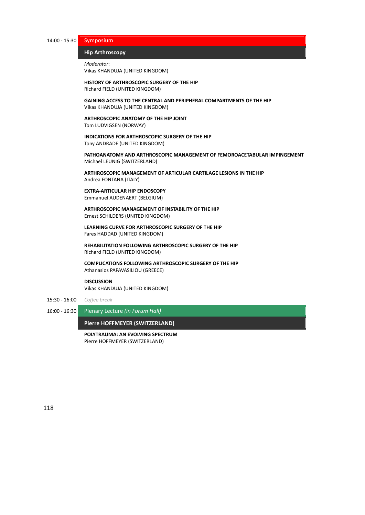14:00 ‐ 15:30 Symposium

#### **Hip Arthroscopy**

```
Moderator:
Vikas KHANDUJA (UNITED KINGDOM)
```
**HISTORY OF ARTHROSCOPIC SURGERY OF THE HIP** Richard FIELD (UNITED KINGDOM)

**GAINING ACCESS TO THE CENTRAL AND PERIPHERAL COMPARTMENTS OF THE HIP** Vikas KHANDUJA (UNITED KINGDOM)

**ARTHROSCOPIC ANATOMY OF THE HIP JOINT** Tom LUDVIGSEN (NORWAY)

**INDICATIONS FOR ARTHROSCOPIC SURGERY OF THE HIP** Tony ANDRADE (UNITED KINGDOM)

**PATHOANATOMY AND ARTHROSCOPIC MANAGEMENT OF FEMOROACETABULAR IMPINGEMENT** Michael LEUNIG (SWITZERLAND)

**ARTHROSCOPIC MANAGEMENT OF ARTICULAR CARTILAGE LESIONS IN THE HIP** Andrea FONTANA (ITALY)

#### **EXTRA‐ARTICULAR HIP ENDOSCOPY** Emmanuel AUDENAERT (BELGIUM)

**ARTHROSCOPIC MANAGEMENT OF INSTABILITY OF THE HIP** Ernest SCHILDERS (UNITED KINGDOM)

**LEARNING CURVE FOR ARTHROSCOPIC SURGERY OF THE HIP** Fares HADDAD (UNITED KINGDOM)

**REHABILITATION FOLLOWING ARTHROSCOPIC SURGERY OF THE HIP** Richard FIELD (UNITED KINGDOM)

**COMPLICATIONS FOLLOWING ARTHROSCOPIC SURGERY OF THE HIP** Athanasios PAPAVASILIOU (GREECE)

#### **DISCUSSION**

Vikas KHANDUJA (UNITED KINGDOM)

- 15:30 ‐ 16:00 *Coffee break*
- 16:00 ‐ 16:30 Plenary Lecture *(in Forum Hall)*

**Pierre HOFFMEYER (SWITZERLAND)** 

**POLYTRAUMA: AN EVOLVING SPECTRUM** Pierre HOFFMEYER (SWITZERLAND)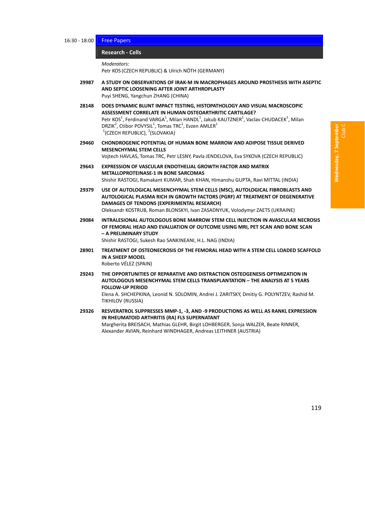#### 124B**Research ‐ Cells** *̶ Free Papers*

*Moderators*:

Petr KOS (CZECH REPUBLIC) & Ulrich NÖTH (GERMANY)

- **29987 A STUDY ON OBSERVATIONS OF IRAK‐M IN MACROPHAGES AROUND PROSTHESIS WITH ASEPTIC AND SEPTIC LOOSENING AFTER JOINT ARTHROPLASTY** Puyi SHENG, Yangchun ZHANG (CHINA)
- **28148 DOES DYNAMIC BLUNT IMPACT TESTING, HISTOPATHOLOGY AND VISUAL MACROSCOPIC ASSESSMENT CORRELATE IN HUMAN OSTEOARTHRITIC CARTILAGE?** Petr KOS<sup>1</sup>, Ferdinand VARGA<sup>1</sup>, Milan HANDL<sup>1</sup>, Jakub KAUTZNER<sup>1</sup>, Vaclav CHUDACEK<sup>1</sup>, Milan  $DRZ$ IK<sup>2</sup>, Ctibor POVYSIL<sup>1</sup>, Tomas TRC<sup>1</sup>, Evzen AMLER<sup>1</sup>  $1$ (CZECH REPUBLIC),  $2$ (SLOVAKIA)
- **29460 CHONDROGENIC POTENTIAL OF HUMAN BONE MARROW AND ADIPOSE TISSUE DERIVED MESENCHYMAL STEM CELLS** Vojtech HAVLAS, Tomas TRC, Petr LESNY, Pavla JENDELOVA, Eva SYKOVA (CZECH REPUBLIC)
- **29643 EXPRESSION OF VASCULAR ENDOTHELIAL GROWTH FACTOR AND MATRIX METALLOPROTEINASE‐1 IN BONE SARCOMAS** Shishir RASTOGI, Ramakant KUMAR, Shah KHAN, Himanshu GUPTA, Ravi MITTAL (INDIA)
- **29379 USE OF AUTOLOGICAL MESENCHYMAL STEM CELLS (MSC), AUTOLOGICAL FIBROBLASTS AND AUTOLOGICAL PLASMA RICH IN GROWTH FACTORS (PGRF) AT TREATMENT OF DEGENERATIVE DAMAGES OF TENDONS (EXPERIMENTAL RESEARCH)** Oleksandr KOSTRUB, Roman BLONSKYI, Ivan ZASADNYUK, Volodymyr ZAETS (UKRAINE)
- **29084 INTRALESIONAL AUTOLOGOUS BONE MARROW STEM CELL INJECTION IN AVASCULAR NECROSIS OF FEMORAL HEAD AND EVALUATION OF OUTCOME USING MRI, PET SCAN AND BONE SCAN – A PRELIMINARY STUDY** Shishir RASTOGI, Sukesh Rao SANKINEANI, H.L. NAG (INDIA)
- **28901 TREATMENT OF OSTEONECROSIS OF THE FEMORAL HEAD WITH A STEM CELL LOADED SCAFFOLD IN A SHEEP MODEL** Roberto VÉLEZ (SPAIN)
- **29243 THE OPPORTUNITIES OF REPARATIVE AND DISTRACTION OSTEOGENESIS OPTIMIZATION IN AUTOLOGOUS MESENCHYMAL STEM CELLS TRANSPLANTATION – THE ANALYSIS AT 5 YEARS FOLLOW‐UP PERIOD**

Elena A. SHCHEPKINA, Leonid N. SOLOMIN, Andrei J. ZARITSKY, Dmitiy G. POLYNTZEV, Rashid M. TIKHILOV (RUSSIA)

**29326 RESVERATROL SUPPRESSES MMP‐1, ‐3, AND ‐9 PRODUCTIONS AS WELL AS RANKL EXPRESSION IN RHEUMATOID ARTHRITIS (RA) FLS SUPERNATANT** Margherita BREISACH, Mathias GLEHR, Birgit LOHBERGER, Sonja WALZER, Beate RINNER, Alexander AVIAN, Reinhard WINDHAGER, Andreas LEITHNER (AUSTRIA)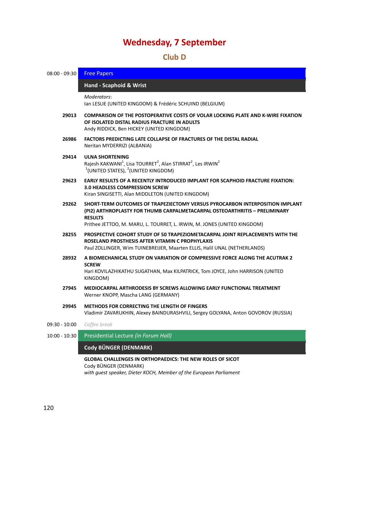# 31B**Club D**

| $08:00 - 09:30$ | <b>Free Papers</b>                                                                                                                                                                                                                                       |  |  |  |  |  |  |
|-----------------|----------------------------------------------------------------------------------------------------------------------------------------------------------------------------------------------------------------------------------------------------------|--|--|--|--|--|--|
|                 | <b>Hand - Scaphoid &amp; Wrist</b>                                                                                                                                                                                                                       |  |  |  |  |  |  |
|                 | Moderators:<br>Ian LESLIE (UNITED KINGDOM) & Frédéric SCHUIND (BELGIUM)                                                                                                                                                                                  |  |  |  |  |  |  |
| 29013           | COMPARISON OF THE POSTOPERATIVE COSTS OF VOLAR LOCKING PLATE AND K-WIRE FIXATION<br>OF ISOLATED DISTAL RADIUS FRACTURE IN ADULTS<br>Andy RIDDICK, Ben HICKEY (UNITED KINGDOM)                                                                            |  |  |  |  |  |  |
| 26986           | <b>FACTORS PREDICTING LATE COLLAPSE OF FRACTURES OF THE DISTAL RADIAL</b><br>Neritan MYDERRIZI (ALBANIA)                                                                                                                                                 |  |  |  |  |  |  |
| 29414           | <b>ULNA SHORTENING</b><br>Rajesh KAKWANI <sup>1</sup> , Lisa TOURRET <sup>2</sup> , Alan STIRRAT <sup>2</sup> , Les IRWIN <sup>2</sup><br>$1$ (UNITED STATES), $2$ (UNITED KINGDOM)                                                                      |  |  |  |  |  |  |
| 29623           | <b>EARLY RESULTS OF A RECENTLY INTRODUCED IMPLANT FOR SCAPHOID FRACTURE FIXATION:</b><br>3.0 HEADLESS COMPRESSION SCREW<br>Kiran SINGISETTI, Alan MIDDLETON (UNITED KINGDOM)                                                                             |  |  |  |  |  |  |
| 29262           | SHORT-TERM OUTCOMES OF TRAPEZIECTOMY VERSUS PYROCARBON INTERPOSITION IMPLANT<br>(PI2) ARTHROPLASTY FOR THUMB CARPALMETACARPAL OSTEOARTHRITIS - PRELIMINARY<br><b>RESULTS</b><br>Prithee JETTOO, M. MARU, L. TOURRET, L. IRWIN, M. JONES (UNITED KINGDOM) |  |  |  |  |  |  |
| 28255           | PROSPECTIVE COHORT STUDY OF 50 TRAPEZIOMETACARPAL JOINT REPLACEMENTS WITH THE<br>ROSELAND PROSTHESIS AFTER VITAMIN C PROPHYLAXIS<br>Paul ZOLLINGER, Wim TUINEBREIJER, Maarten ELLIS, Halil UNAL (NETHERLANDS)                                            |  |  |  |  |  |  |
| 28932           | A BIOMECHANICAL STUDY ON VARIATION OF COMPRESSIVE FORCE ALONG THE ACUTRAK 2<br><b>SCREW</b><br>Hari KOVILAZHIKATHU SUGATHAN, Max KILPATRICK, Tom JOYCE, John HARRISON (UNITED<br>KINGDOM)                                                                |  |  |  |  |  |  |
| 27945           | MEDIOCARPAL ARTHRODESIS BY SCREWS ALLOWING EARLY FUNCTIONAL TREATMENT<br>Werner KNOPP, Mascha LANG (GERMANY)                                                                                                                                             |  |  |  |  |  |  |
| 29945           | METHODS FOR CORRECTING THE LENGTH OF FINGERS<br>Vladimir ZAVARUKHIN, Alexey BAINDURASHVILI, Sergey GOLYANA, Anton GOVOROV (RUSSIA)                                                                                                                       |  |  |  |  |  |  |
| $09:30 - 10:00$ | Coffee break                                                                                                                                                                                                                                             |  |  |  |  |  |  |
| $10:00 - 10:30$ | Presidential Lecture (in Forum Hall)                                                                                                                                                                                                                     |  |  |  |  |  |  |
|                 | <b>Cody BÜNGER (DENMARK)</b>                                                                                                                                                                                                                             |  |  |  |  |  |  |
|                 | <b>GLOBAL CHALLENGES IN ORTHOPAEDICS: THE NEW ROLES OF SICOT</b><br>Cody BÜNGER (DENMARK)<br>with quest speaker, Dieter KOCH, Member of the European Parliament                                                                                          |  |  |  |  |  |  |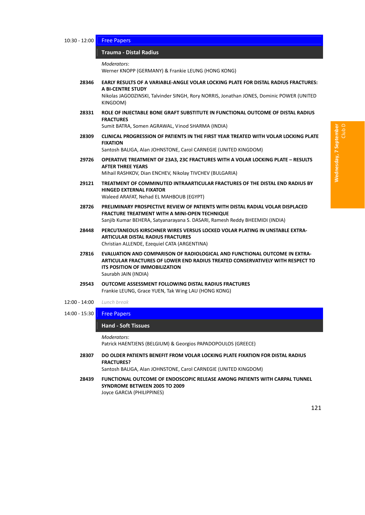#### 10:30 - 12:00 Free Papers

#### 126B**Trauma ‐ Distal Radius** *̶ Free Papers*

*Moderators*:

Werner KNOPP (GERMANY) & Frankie LEUNG (HONG KONG)

- **28346 EARLY RESULTS OF A VARIABLE‐ANGLE VOLAR LOCKING PLATE FOR DISTAL RADIUS FRACTURES: A BI‐CENTRE STUDY** Nikolas JAGODZINSKI, Talvinder SINGH, Rory NORRIS, Jonathan JONES, Dominic POWER (UNITED KINGDOM)
- **28331 ROLE OF INJECTABLE BONE GRAFT SUBSTITUTE IN FUNCTIONAL OUTCOME OF DISTAL RADIUS FRACTURES**

Sumit BATRA, Somen AGRAWAL, Vinod SHARMA (INDIA)

**28309 CLINICAL PROGRESSION OF PATIENTS IN THE FIRST YEAR TREATED WITH VOLAR LOCKING PLATE FIXATION**

Santosh BALIGA, Alan JOHNSTONE, Carol CARNEGIE (UNITED KINGDOM)

- **29726 OPERATIVE TREATMENT OF 23A3, 23C FRACTURES WITH A VOLAR LOCKING PLATE – RESULTS AFTER THREE YEARS** Mihail RASHKOV, Dian ENCHEV, Nikolay TIVCHEV (BULGARIA)
- **29121 TREATMENT OF COMMINUTED INTRAARTICULAR FRACTURES OF THE DISTAL END RADIUS BY HINGED EXTERNAL FIXATOR** Waleed ARAFAT, Nehad EL MAHBOUB (EGYPT)
- **28726 PRELIMINARY PROSPECTIVE REVIEW OF PATIENTS WITH DISTAL RADIAL VOLAR DISPLACED FRACTURE TREATMENT WITH A MINI‐OPEN TECHNIQUE** Sanjib Kumar BEHERA, Satyanarayana S. DASARI, Ramesh Reddy BHEEMIDI (INDIA)
- **28448 PERCUTANEOUS KIRSCHNER WIRES VERSUS LOCKED VOLAR PLATING IN UNSTABLE EXTRA‐ ARTICULAR DISTAL RADIUS FRACTURES** Christian ALLENDE, Ezequiel CATA (ARGENTINA)
- **27816 EVALUATION AND COMPARISON OF RADIOLOGICAL AND FUNCTIONAL OUTCOME IN EXTRA‐ ARTICULAR FRACTURES OF LOWER END RADIUS TREATED CONSERVATIVELY WITH RESPECT TO ITS POSITION OF IMMOBILIZATION** Saurabh JAIN (INDIA)
- **29543 OUTCOME ASSESSMENT FOLLOWING DISTAL RADIUS FRACTURES** Frankie LEUNG, Grace YUEN, Tak Wing LAU (HONG KONG)
- 12:00 ‐ 14:00 *Lunch break*
- 14:00 15:30 **Free Papers**

### 127B**Hand ‐ Soft Tissues** *̶ Free Papers*

*Moderators*:

Patrick HAENTJENS (BELGIUM) & Georgios PAPADOPOULOS (GREECE)

**28307 DO OLDER PATIENTS BENEFIT FROM VOLAR LOCKING PLATE FIXATION FOR DISTAL RADIUS FRACTURES?**

Santosh BALIGA, Alan JOHNSTONE, Carol CARNEGIE (UNITED KINGDOM)

**28439 FUNCTIONAL OUTCOME OF ENDOSCOPIC RELEASE AMONG PATIENTS WITH CARPAL TUNNEL SYNDROME BETWEEN 2005 TO 2009** Joyce GARCIA (PHILIPPINES)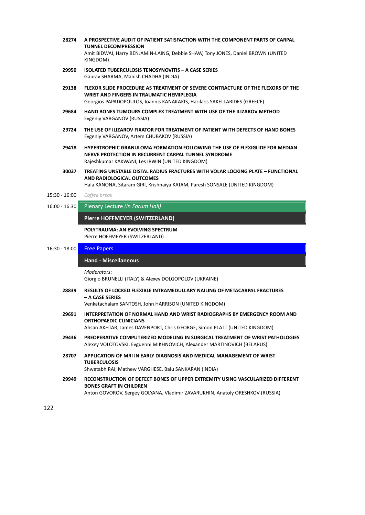- **28274 A PROSPECTIVE AUDIT OF PATIENT SATISFACTION WITH THE COMPONENT PARTS OF CARPAL TUNNEL DECOMPRESSION** Amit BIDWAI, Harry BENJAMIN‐LAING, Debbie SHAW, Tony JONES, Daniel BROWN (UNITED KINGDOM)
- **29950 ISOLATED TUBERCULOSIS TENOSYNOVITIS – A CASE SERIES** Gaurav SHARMA, Manish CHADHA (INDIA)
- **29138 FLEXOR SLIDE PROCEDURE AS TREATMENT OF SEVERE CONTRACTURE OF THE FLEXORS OF THE WRIST AND FINGERS IN TRAUMATIC HEMIPLEGIA** Georgios PAPADOPOULOS, Ioannis KANAKAKIS, Harilaos SAKELLARIDES (GREECE)
- **29684 HAND BONES TUMOURS COMPLEX TREATMENT WITH USE OF THE ILIZAROV METHOD** Evgeniy VARGANOV (RUSSIA)
- **29724 THE USE OF ILIZAROV FIXATOR FOR TREATMENT OF PATIENT WITH DEFECTS OF HAND BONES** Evgeniy VARGANOV, Artem CHUBAKOV (RUSSIA)
- **29418 HYPERTROPHIC GRANULOMA FORMATION FOLLOWING THE USE OF FLEXIGLIDE FOR MEDIAN NERVE PROTECTION IN RECURRENT CARPAL TUNNEL SYNDROME** Rajeshkumar KAKWANI, Les IRWIN (UNITED KINGDOM)
- **30037 TREATING UNSTABLE DISTAL RADIUS FRACTURES WITH VOLAR LOCKING PLATE – FUNCTIONAL AND RADIOLOGICAL OUTCOMES**

Hala KANONA, Sitaram GIRI, Krishnaiya KATAM, Paresh SONSALE (UNITED KINGDOM)

- 15:30 ‐ 16:00 *Coffee break*
- 16:00 ‐ 16:30 Plenary Lecture *(in Forum Hall)*

#### **Pierre HOFFMEYER (SWITZERLAND)** *̶ Plenary Lecture*

**POLYTRAUMA: AN EVOLVING SPECTRUM** Pierre HOFFMEYER (SWITZERLAND)

#### 16:30 ‐ 18:00 Free Papers

#### 128B**Hand ‐ Miscellaneous** *̶ Free Papers*

*Moderators*:

Giorgio BRUNELLI (ITALY) & Alexey DOLGOPOLOV (UKRAINE)

**28839 RESULTS OF LOCKED FLEXIBLE INTRAMEDULLARY NAILING OF METACARPAL FRACTURES – A CASE SERIES**

Venkatachalam SANTOSH, John HARRISON (UNITED KINGDOM)

**29691 INTERPRETATION OF NORMAL HAND AND WRIST RADIOGRAPHS BY EMERGENCY ROOM AND ORTHOPAEDIC CLINICIANS**

Ahsan AKHTAR, James DAVENPORT, Chris GEORGE, Simon PLATT (UNITED KINGDOM)

- **29436 PREOPERATIVE COMPUTERIZED MODELING IN SURGICAL TREATMENT OF WRIST PATHOLOGIES** Alexey VOLOTOVSKI, Evguenni MIKHNOVICH, Alexander MARTINOVICH (BELARUS)
- **28707 APPLICATION OF MRI IN EARLY DIAGNOSIS AND MEDICAL MANAGEMENT OF WRIST TUBERCULOSIS**

Shwetabh RAI, Mathew VARGHESE, Balu SANKARAN (INDIA)

**29949 RECONSTRUCTION OF DEFECT BONES OF UPPER EXTREMITY USING VASCULARIZED DIFFERENT BONES GRAFT IN CHILDREN** Anton GOVOROV, Sergey GOLYANA, Vladimir ZAVARUKHIN, Anatoly ORESHKOV (RUSSIA)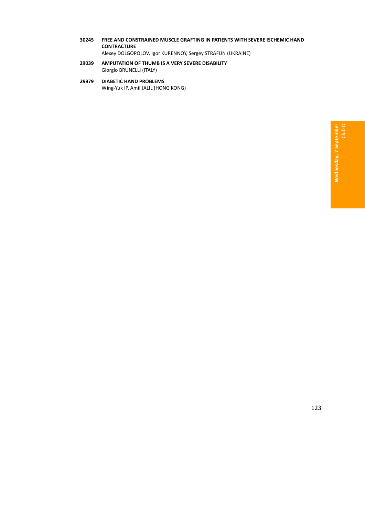- **30245 FREE AND CONSTRAINED MUSCLE GRAFTING IN PATIENTS WITH SEVERE ISCHEMIC HAND CONTRACTURE** Alexey DOLGOPOLOV, Igor KURENNOY, Sergey STRAFUN (UKRAINE)
- **29039 AMPUTATION OF THUMB IS A VERY SEVERE DISABILITY** Giorgio BRUNELLI (ITALY)
- **29979 DIABETIC HAND PROBLEMS** Wing‐Yuk IP, Amil JALIL (HONG KONG)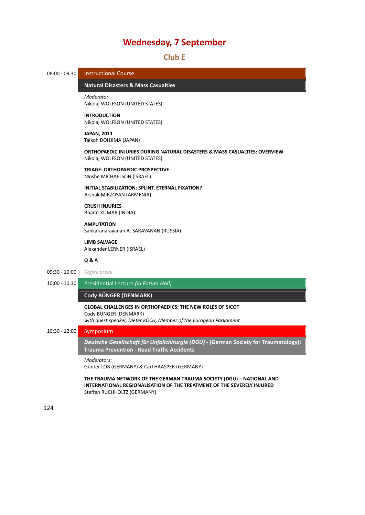# 32B**Club E**

08:00 - 09:30 Instructional Course

# 129B**Natural Disasters & Mass Casualties** *̶ Instructional Course*

*Moderator*: Nikolaj WOLFSON (UNITED STATES)

#### **INTRODUCTION**

Nikolaj WOLFSON (UNITED STATES)

#### **JAPAN, 2011**

Taikoh DOHJIMA (JAPAN)

**ORTHOPAEDIC INJURIES DURING NATURAL DISASTERS & MASS CASUALTIES: OVERVIEW** Nikolaj WOLFSON (UNITED STATES)

#### **TRIAGE: ORTHOPAEDIC PROSPECTIVE**

Moshe MICHAELSON (ISRAEL)

**INITIAL STABILIZATION: SPLINT, ETERNAL FIXATION?** Arshak MIRZOYAN (ARMENIA)

**CRUSH INJURIES** Bharat KUMAR (INDIA)

#### **AMPUTATION**

Sankaranarayanan A. SARAVANAN (RUSSIA)

### **LIMB SALVAGE**

Alexander LERNER (ISRAEL)

#### **Q & A**

- 09:30 ‐ 10:00 *Coffee break*
- 10:00 ‐ 10:30 Presidential Lecture *(in Forum Hall)*

## **Cody BÜNGER (DENMARK)** *̶ Presidential Lecture*

# **GLOBAL CHALLENGES IN ORTHOPAEDICS: THE NEW ROLES OF SICOT** Cody BÜNGER (DENMARK)

*with guest speaker, Dieter KOCH, Member of the European Parliament*

# 10:30 ‐ 12:00 Symposium

130B*Deutsche Gesellschaft für Unfallchirurgie (DGU)* **‐ (German Society for Traumatology): Trauma Prevention - Road Traffic Accidents** 

#### *Moderators*:

Günter LOB (GERMANY) & Carl HAASPER (GERMANY)

**THE TRAUMA NETWORK OF THE GERMAN TRAUMA SOCIETY (DGU) – NATIONAL AND INTERNATIONAL REGIONALISATION OF THE TREATMENT OF THE SEVERELY INJURED** Steffen RUCHHOLTZ (GERMANY)

124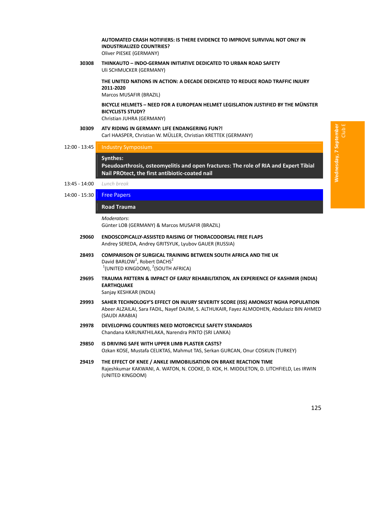**AUTOMATED CRASH NOTIFIERS: IS THERE EVIDENCE TO IMPROVE SURVIVAL NOT ONLY IN INDUSTRIALIZED COUNTRIES?** Oliver PIESKE (GERMANY)

**30308 THINKAUTO – INDO‐GERMAN INITIATIVE DEDICATED TO URBAN ROAD SAFETY** Uli SCHMUCKER (GERMANY)

> **THE UNITED NATIONS IN ACTION: A DECADE DEDICATED TO REDUCE ROAD TRAFFIC INJURY 2011‐2020**

Marcos MUSAFIR (BRAZIL)

#### **BICYCLE HELMETS – NEED FOR A EUROPEAN HELMET LEGISLATION JUSTIFIED BY THE MÜNSTER BICYCLISTS STUDY?** Christian JUHRA (GERMANY)

- **30309 ATV RIDING IN GERMANY: LIFE ENDANGERING FUN?!** Carl HAASPER, Christian W. MÜLLER, Christian KRETTEK (GERMANY)
- 12:00 13:45 | Industry Symposium

#### Svnthes:

**Pseudoarthrosis, osteomyelitis and open fractures: The role of RIA and Expert Tibial Nail PROtect, the first antibiotic‐coated nail** *̶ Industry Symposium*

- 13:45 ‐ 14:00 *Lunch break*
- 14:00 15:30 Free Papers

#### 132B**Road Trauma** *̶ Free Papers*

*Moderators*: Günter LOB (GERMANY) & Marcos MUSAFIR (BRAZIL)

- **29060 ENDOSCOPICALLY‐ASSISTED RAISING OF THORACODORSAL FREE FLAPS** Andrey SEREDA, Andrey GRITSYUK, Lyubov GAUER (RUSSIA)
- **28493 COMPARISON OF SURGICAL TRAINING BETWEEN SOUTH AFRICA AND THE UK** David BARLOW<sup>1</sup>, Robert DACHS<sup>2</sup>  $1$ (UNITED KINGDOM),  $2$ (SOUTH AFRICA)
- **29695 TRAUMA PATTERN & IMPACT OF EARLY REHABILITATION, AN EXPERIENCE OF KASHMIR (INDIA) EARTHQUAKE** Sanjay KESHKAR (INDIA)
	-
- **29993 SAHER TECHNOLOGY'S EFFECT ON INJURY SEVERITY SCORE (ISS) AMONGST NGHA POPULATION** Abeer ALZAILAI, Sara FADIL, Nayef DAJIM, S. ALTHUKAIR, Fayez ALMODHEN, Abdulaziz BIN AHMED (SAUDI ARABIA)
- **29978 DEVELOPING COUNTRIES NEED MOTORCYCLE SAFETY STANDARDS** Chandana KARUNATHILAKA, Narendra PINTO (SRI LANKA)
- **29850 IS DRIVING SAFE WITH UPPER LIMB PLASTER CASTS?** Ozkan KOSE, Mustafa CELIKTAS, Mahmut TAS, Serkan GURCAN, Onur COSKUN (TURKEY)
- **29419 THE EFFECT OF KNEE / ANKLE IMMOBILISATION ON BRAKE REACTION TIME** Rajeshkumar KAKWANI, A. WATON, N. COOKE, D. KOK, H. MIDDLETON, D. LITCHFIELD, Les IRWIN (UNITED KINGDOM)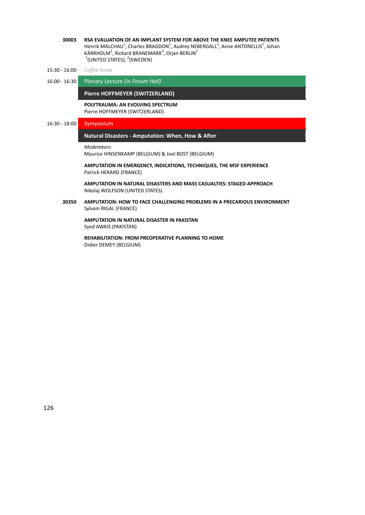- **30003 RSA EVALUATION OF AN IMPLANT SYSTEM FOR ABOVE THE KNEE AMPUTEE PATIENTS** Henrik MALCHAU<sup>1</sup>, Charles BRAGDON<sup>1</sup>, Audrey NEBERGALL<sup>1</sup>, Anne ANTONELLIS<sup>1</sup>, Johan KÄRRHOLM<sup>2</sup>, Rickard BRANEMARK<sup>2</sup>, Orjan BERLIN<sup>2</sup>  $1$ (UNITED STATES),  $2$ (SWEDEN)
- 15:30 ‐ 16:00 *Coffee break*
- 16:00 ‐ 16:30 Plenary Lecture *(in Forum Hall)*

**Pierre HOFFMEYER (SWITZERLAND)** 

#### **POLYTRAUMA: AN EVOLVING SPECTRUM** Pierre HOFFMEYER (SWITZERLAND)

# 16:30 - 18:00 Symposium

#### 13B**Natural Disasters ‐ Amputation: When, How & After** *̶ Symposium*

```
Moderators:
```
Maurice HINSENKAMP (BELGIUM) & Joel BOST (BELGIUM)

## **AMPUTATION IN EMERGENCY, INDICATIONS, TECHNIQUES, THE MSF EXPERIENCE** Patrick HERARD (FRANCE)

**AMPUTATION IN NATURAL DISASTERS AND MASS CASUALTIES: STAGED APPROACH** Nikolaj WOLFSON (UNITED STATES)

**30350 AMPUTATION: HOW TO FACE CHALLENGING PROBLEMS IN A PRECARIOUS ENVIRONMENT** Sylvain RIGAL (FRANCE)

**AMPUTATION IN NATURAL DISASTER IN PAKISTAN** Syed AWAIS (PAKISTAN)

**REHABILITATION: FROM PREOPERATIVE PLANNING TO HOME** Didier DEMEY (BELGIUM)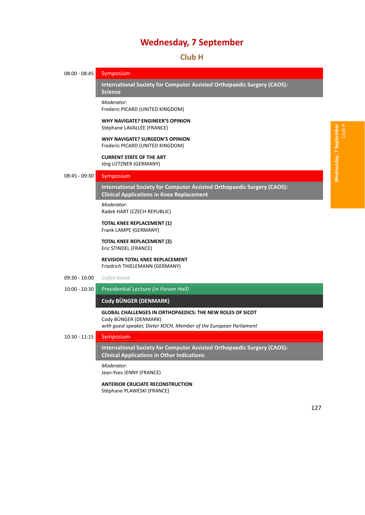3B**Club H**

08:00 - 08:45 Symposium 134B**International Society for Computer Assisted Orthopaedic Surgery (CAOS): Science** *̶ Symposium Moderator*: Frederic PICARD (UNITED KINGDOM) **WHY NAVIGATE? ENGINEER'S OPINION** Stéphane LAVALLÉE (FRANCE) **WHY NAVIGATE? SURGEON'S OPINION** Frederic PICARD (UNITED KINGDOM) **CURRENT STATE OF THE ART** Jörg LÜTZNER (GERMANY) 08:45 ‐ 09:30 Symposium 135B**International Society for Computer Assisted Orthopaedic Surgery (CAOS): Clinical Applications in Knee Replacement** *Moderator*: Radek HART (CZECH REPUBLIC) **TOTAL KNEE REPLACEMENT (1)** Frank LAMPE (GERMANY) **TOTAL KNEE REPLACEMENT (2)** Eric STINDEL (FRANCE) **REVISION TOTAL KNEE REPLACEMENT** Friedrich THIELEMANN (GERMANY) 09:30 ‐ 10:00 *Coffee break* 10:00 ‐ 10:30 Presidential Lecture *(in Forum Hall)* **Cody BÜNGER (DENMARK)** *̶ Presidential Lecture* **GLOBAL CHALLENGES IN ORTHOPAEDICS: THE NEW ROLES OF SICOT** Cody BÜNGER (DENMARK) *with guest speaker, Dieter KOCH, Member of the European Parliament* 10:30 ‐ 11:15 Symposium 136B**International Society for Computer Assisted Orthopaedic Surgery (CAOS): Clinical Applications in Other Indications** *Moderator*: Jean‐Yves JENNY (FRANCE)

> **ANTERIOR CRUCIATE RECONSTRUCTION** Stéphane PLAWESKI (FRANCE)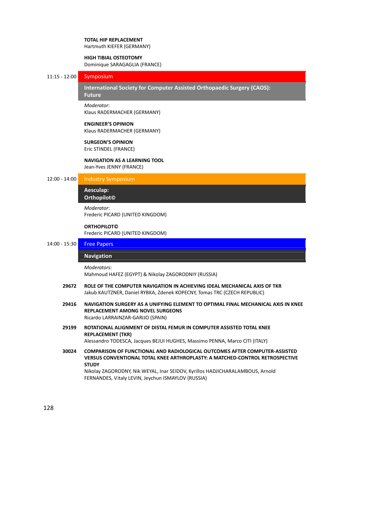#### **TOTAL HIP REPLACEMENT** Hartmuth KIEFER (GERMANY)

#### **HIGH TIBIAL OSTEOTOMY**

Dominique SARAGAGLIA (FRANCE)

# 11:15 ‐ 12:00 Symposium

137B**International Society for Computer Assisted Orthopaedic Surgery (CAOS): Future** 

# *Moderator*:

Klaus RADERMACHER (GERMANY)

#### **ENGINEER'S OPINION**

Klaus RADERMACHER (GERMANY)

#### **SURGEON'S OPINION**

Eric STINDEL (FRANCE)

# **NAVIGATION AS A LEARNING TOOL**

Jean‐Yves JENNY (FRANCE)

| $12:00 - 14:00$ | Industry Symposium |  |
|-----------------|--------------------|--|
|-----------------|--------------------|--|

## 138B**Aesculap: Orthopilot©** *̶ Industry Symposium*

*Moderator*: Frederic PICARD (UNITED KINGDOM)

# **ORTHOPILOT©**

Frederic PICARD (UNITED KINGDOM)

### 14:00 - 15:30 **Free Papers**

# **Navigation**

#### *Moderators*:

Mahmoud HAFEZ (EGYPT) & Nikolay ZAGORODNIY (RUSSIA)

- **29672 ROLE OF THE COMPUTER NAVIGATION IN ACHIEVING IDEAL MECHANICAL AXIS OF TKR** Jakub KAUTZNER, Daniel RYBKA, Zdenek KOPECNY, Tomas TRC (CZECH REPUBLIC)
- **29416 NAVIGATION SURGERY AS A UNIFYING ELEMENT TO OPTIMAL FINAL MECHANICAL AXIS IN KNEE REPLACEMENT AMONG NOVEL SURGEONS** Ricardo LARRAINZAR‐GARIJO (SPAIN)
- **29199 ROTATIONAL ALIGNMENT OF DISTAL FEMUR IN COMPUTER ASSISTED TOTAL KNEE REPLACEMENT (TKR)**

Alessandro TODESCA, Jacques BEJUI HUGHES, Massimo PENNA, Marco CITI (ITALY)

**30024 COMPARISON OF FUNCTIONAL AND RADIOLOGICAL OUTCOMES AFTER COMPUTER‐ASSISTED VERSUS CONVENTIONAL TOTAL KNEE ARTHROPLASTY: A MATCHED‐CONTROL RETROSPECTIVE STUDY**

Nikolay ZAGORODNY, Nik WEYAL, Inar SEIDOV, Kyrillos HADJICHARALAMBOUS, Arnold FERNANDES, Vitaly LEVIN, Jeychun ISMAYLOV (RUSSIA)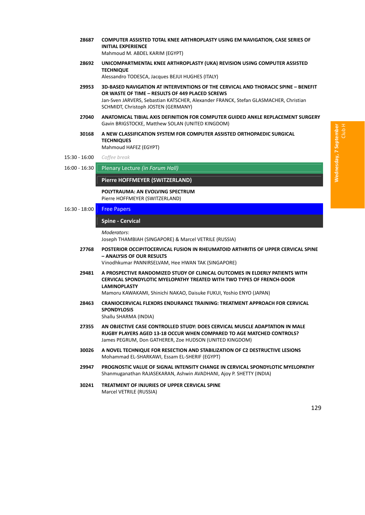- **28687 COMPUTER ASSISTED TOTAL KNEE ARTHROPLASTY USING EM NAVIGATION, CASE SERIES OF INITIAL EXPERIENCE** Mahmoud M. ABDEL KARIM (EGYPT)
- **28692 UNICOMPARTMENTAL KNEE ARTHROPLASTY (UKA) REVISION USING COMPUTER ASSISTED TECHNIQUE** Alessandro TODESCA, Jacques BEJUI HUGHES (ITALY)
- **29953 3D‐BASED NAVIGATION AT INTERVENTIONS OF THE CERVICAL AND THORACIC SPINE – BENEFIT OR WASTE OF TIME – RESULTS OF 449 PLACED SCREWS** Jan‐Sven JARVERS, Sebastian KATSCHER, Alexander FRANCK, Stefan GLASMACHER, Christian SCHMIDT, Christoph JOSTEN (GERMANY)
- **27040 ANATOMICAL TIBIAL AXIS DEFINITION FOR COMPUTER GUIDED ANKLE REPLACEMENT SURGERY** Gavin BRIGSTOCKE, Matthew SOLAN (UNITED KINGDOM)
- **30168 A NEW CLASSIFICATION SYSTEM FOR COMPUTER ASSISTED ORTHOPAEDIC SURGICAL TECHNIQUES** Mahmoud HAFEZ (EGYPT)
- 15:30 ‐ 16:00 *Coffee break*
- 16:00 ‐ 16:30 Plenary Lecture *(in Forum Hall)*

**Pierre HOFFMEYER (SWITZERLAND)** *̶ Plenary Lecture*

**POLYTRAUMA: AN EVOLVING SPECTRUM** Pierre HOFFMEYER (SWITZERLAND)

16:30 ‐ 18:00 Free Papers

#### 140B**Spine ‐ Cervical** *̶ Free Papers*

*Moderators*:

Joseph THAMBIAH (SINGAPORE) & Marcel VETRILE (RUSSIA)

**27768 POSTERIOR OCCIPITOCERVICAL FUSION IN RHEUMATOID ARTHRITIS OF UPPER CERVICAL SPINE – ANALYSIS OF OUR RESULTS**

Vinodhkumar PANNIRSELVAM, Hee HWAN TAK (SINGAPORE)

**29481 A PROSPECTIVE RANDOMIZED STUDY OF CLINICAL OUTCOMES IN ELDERLY PATIENTS WITH CERVICAL SPONDYLOTIC MYELOPATHY TREATED WITH TWO TYPES OF FRENCH‐DOOR LAMINOPLASTY**

Mamoru KAWAKAMI, Shinichi NAKAO, Daisuke FUKUI, Yoshio ENYO (JAPAN)

**28463 CRANIOCERVICAL FLEXORS ENDURANCE TRAINING: TREATMENT APPROACH FOR CERVICAL SPONDYLOSIS**

Shallu SHARMA (INDIA)

- **27355 AN OBJECTIVE CASE CONTROLLED STUDY: DOES CERVICAL MUSCLE ADAPTATION IN MALE RUGBY PLAYERS AGED 13‐18 OCCUR WHEN COMPARED TO AGE MATCHED CONTROLS?** James PEGRUM, Don GATHERER, Zoe HUDSON (UNITED KINGDOM)
- **30026 A NOVEL TECHNIQUE FOR RESECTION AND STABILIZATION OF C2 DESTRUCTIVE LESIONS** Mohammad EL‐SHARKAWI, Essam EL‐SHERIF (EGYPT)
- **29947 PROGNOSTIC VALUE OF SIGNAL INTENSITY CHANGE IN CERVICAL SPONDYLOTIC MYELOPATHY** Shanmuganathan RAJASEKARAN, Ashwin AVADHANI, Ajoy P. SHETTY (INDIA)
- **30241 TREATMENT OF INJURIES OF UPPER CERVICAL SPINE** Marcel VETRILE (RUSSIA)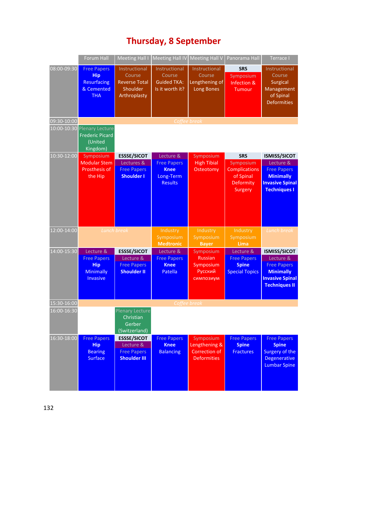# 218B**Thursday, 8 September**

|             | <b>Forum Hall</b>                                                                    | <b>Meeting Hall I</b>                                                        | <b>Meeting Hall IV</b>                                                        | <b>Meeting Hall V</b>                                             | Panorama Hall                                                                        | Terrace I                                                                                                                    |
|-------------|--------------------------------------------------------------------------------------|------------------------------------------------------------------------------|-------------------------------------------------------------------------------|-------------------------------------------------------------------|--------------------------------------------------------------------------------------|------------------------------------------------------------------------------------------------------------------------------|
| 08:00-09:30 | <b>Free Papers</b><br><b>Hip</b><br>Resurfacing<br>& Cemented<br><b>THA</b>          | Instructional<br>Course<br><b>Reverse Total</b><br>Shoulder<br>Arthroplasty  | Instructional<br>Course<br><b>Guided TKA:</b><br>Is it worth it?              | Instructional<br>Course<br>Lengthening of<br><b>Long Bones</b>    | <b>SRS</b><br>Symposium<br>Infection &<br>Tumour                                     | Instructional<br>Course<br><b>Surgical</b><br>Management<br>of Spinal<br><b>Deformities</b>                                  |
| 09:30-10:00 |                                                                                      |                                                                              | Coffee break                                                                  |                                                                   |                                                                                      |                                                                                                                              |
|             | 10:00-10:30 Plenary Lecture<br><b>Frederic Picard</b><br>(United<br>Kingdom)         |                                                                              |                                                                               |                                                                   |                                                                                      |                                                                                                                              |
| 10:30-12:00 | Symposium<br><b>Modular Stem</b><br>Prosthesis of<br>the Hip                         | <b>ESSSE/SICOT</b><br>Lectures &<br><b>Free Papers</b><br><b>Shoulder I</b>  | Lecture &<br><b>Free Papers</b><br><b>Knee</b><br>Long-Term<br><b>Results</b> | Symposium<br><b>High Tibial</b><br>Osteotomy                      | <b>SRS</b><br>Symposium<br><b>Complications</b><br>of Spinal<br>Deformity<br>Surgery | <b>ISMISS/SICOT</b><br>Lecture &<br><b>Free Papers</b><br><b>Minimally</b><br><b>Invasive Spinal</b><br><b>Techniques I</b>  |
| 12:00-14:00 | Lunch break                                                                          |                                                                              | Industry<br>Symposium<br><b>Medtronic</b>                                     | Industry<br>Symposium<br><b>Bayer</b>                             | Industry<br>Symposium<br>Lima                                                        | Lunch break                                                                                                                  |
| 14:00-15:30 | Lecture &<br><b>Free Papers</b><br><b>Hip</b><br><b>Minimally</b><br><b>Invasive</b> | <b>ESSSE/SICOT</b><br>Lecture &<br><b>Free Papers</b><br><b>Shoulder II</b>  | Lecture &<br><b>Free Papers</b><br><b>Knee</b><br>Patella                     | Symposium<br><b>Russian</b><br>Symposium<br>Русский<br>симпозиум  | Lecture &<br><b>Free Papers</b><br><b>Spine</b><br><b>Special Topics</b>             | <b>ISMISS/SICOT</b><br>Lecture &<br><b>Free Papers</b><br><b>Minimally</b><br><b>Invasive Spinal</b><br><b>Techniques II</b> |
| 15:30-16:00 |                                                                                      |                                                                              | Coffee break                                                                  |                                                                   |                                                                                      |                                                                                                                              |
| 16:00-16:30 |                                                                                      | <b>Plenary Lecture</b><br>Christian<br>Gerber<br>(Switzerland)               |                                                                               |                                                                   |                                                                                      |                                                                                                                              |
| 16:30-18:00 | <b>Free Papers</b><br><b>Hip</b><br><b>Bearing</b><br><b>Surface</b>                 | <b>ESSSE/SICOT</b><br>Lecture &<br><b>Free Papers</b><br><b>Shoulder III</b> | <b>Free Papers</b><br><b>Knee</b><br><b>Balancing</b>                         | Symposium<br>Lengthening &<br>Correction of<br><b>Deformities</b> | <b>Free Papers</b><br><b>Spine</b><br><b>Fractures</b>                               | <b>Free Papers</b><br><b>Spine</b><br><b>Surgery of the</b><br><b>Degenerative</b><br><b>Lumbar Spine</b>                    |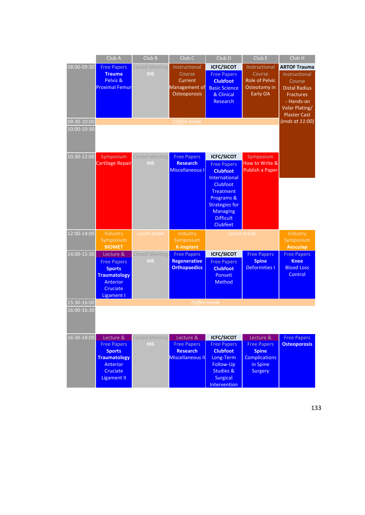|                            | Club A                                                                                                                | Club B                              | Club <sub>C</sub>                                                                   | Club <sub>D</sub>                                                                                                                                                                                            | Club E                                                                                                | Club H                                                                                                                                                               |
|----------------------------|-----------------------------------------------------------------------------------------------------------------------|-------------------------------------|-------------------------------------------------------------------------------------|--------------------------------------------------------------------------------------------------------------------------------------------------------------------------------------------------------------|-------------------------------------------------------------------------------------------------------|----------------------------------------------------------------------------------------------------------------------------------------------------------------------|
| 08:00-09:30<br>09:30-10:00 | <b>Free Papers</b><br><b>Trauma</b><br>Pelvis &<br><b>Proximal Femur</b>                                              | <b>Closed Meeting</b><br><b>IHS</b> | Instructional<br>Course<br>Current<br>Management of<br>Osteoporosis<br>Coffee break | <b>ICFC/SICOT</b><br><b>Free Papers</b><br><b>Clubfoot</b><br><b>Basic Science</b><br>& Clinical<br><b>Research</b>                                                                                          | Instructional<br>Course<br><b>Role of Pelvic</b><br>Osteotomy in<br>Early OA                          | <b>ARTOF Trauma</b><br>Instructional<br>Course<br><b>Distal Radius</b><br><b>Fractures</b><br>- Hands-on<br>Volar Plating/<br><b>Plaster Cast</b><br>(ends at 11:00) |
| 10:00-10:30                |                                                                                                                       |                                     |                                                                                     |                                                                                                                                                                                                              |                                                                                                       |                                                                                                                                                                      |
| 10:30-12:00                | Symposium<br><b>Cartilage Repair</b>                                                                                  | <b>Closed Meeting</b><br><b>IHS</b> | <b>Free Papers</b><br><b>Research</b><br>Miscellaneous I                            | <b>ICFC/SICOT</b><br><b>Free Papers</b><br><b>Clubfoot</b><br>International<br>Clubfoot<br><b>Treatment</b><br>Programs &<br><b>Strategies for</b><br><b>Managing</b><br><b>Difficult</b><br><b>Clubfeet</b> | Symposium<br>How to Write &<br>Publish a Paper                                                        |                                                                                                                                                                      |
| 12:00-14:00                | Industry<br>Symposium<br><b>BIOMET</b>                                                                                | Lunch break                         | Industry<br>Symposium<br><b>K-Implant</b>                                           | Lunch break                                                                                                                                                                                                  |                                                                                                       | Industry<br>Symposium<br><b>Aesculap</b>                                                                                                                             |
| 14:00-15:30                | Lecture &<br><b>Free Papers</b><br><b>Sports</b><br><b>Traumatology</b><br>Anterior<br>Cruciate<br>Ligament I         | <b>Closed Meeting</b><br><b>IHS</b> | <b>Free Papers</b><br><b>Regenerative</b><br><b>Orthopaedics</b>                    | <b>ICFC/SICOT</b><br><b>Free Papers</b><br><b>Clubfoot</b><br>Ponseti<br><b>Method</b>                                                                                                                       | <b>Free Papers</b><br><b>Spine</b><br><b>Deformities I</b>                                            | <b>Free Papers</b><br><b>Knee</b><br><b>Blood Loss</b><br>Control                                                                                                    |
| 15:30-16:00                | Coffee break                                                                                                          |                                     |                                                                                     |                                                                                                                                                                                                              |                                                                                                       |                                                                                                                                                                      |
| 16:00-16:30                |                                                                                                                       |                                     |                                                                                     |                                                                                                                                                                                                              |                                                                                                       |                                                                                                                                                                      |
| 16:30-18:00                | Lecture &<br><b>Free Papers</b><br><b>Sports</b><br><b>Traumatology</b><br>Anterior<br>Cruciate<br><b>Ligament II</b> | <b>Closed Meeting</b><br><b>IHS</b> | Lecture &<br><b>Free Papers</b><br><b>Research</b><br><b>Miscellaneous II</b>       | <b>ICFC/SICOT</b><br><b>Free Papers</b><br><b>Clubfoot</b><br>Long-Term<br>Follow-Up<br><b>Studies &amp;</b><br><b>Surgical</b><br>Intervention                                                              | Lecture &<br><b>Free Papers</b><br><b>Spine</b><br><b>Complications</b><br>in Spine<br><b>Surgery</b> | <b>Free Papers</b><br><b>Osteoporosis</b>                                                                                                                            |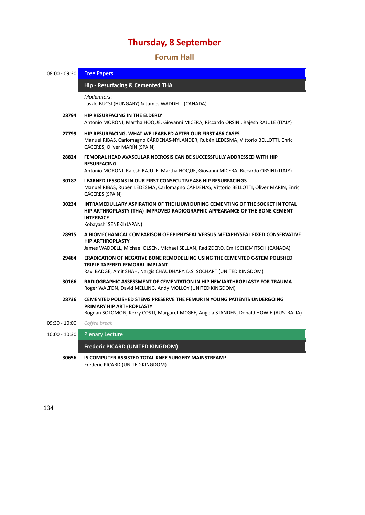# 34B**Forum Hall**

| $08:00 - 09:30$ | <b>Free Papers</b>                                                                                                                                                                                           |
|-----------------|--------------------------------------------------------------------------------------------------------------------------------------------------------------------------------------------------------------|
|                 | Hip - Resurfacing & Cemented THA                                                                                                                                                                             |
|                 | Moderators:<br>Laszlo BUCSI (HUNGARY) & James WADDELL (CANADA)                                                                                                                                               |
| 28794           | HIP RESURFACING IN THE ELDERLY<br>Antonio MORONI, Martha HOQUE, Giovanni MICERA, Riccardo ORSINI, Rajesh RAJULE (ITALY)                                                                                      |
| 27799           | <b>HIP RESURFACING. WHAT WE LEARNED AFTER OUR FIRST 486 CASES</b><br>Manuel RIBAS, Carlomagno CÁRDENAS-NYLANDER, Rubén LEDESMA, Vittorio BELLOTTI, Enric<br>CÁCERES, Oliver MARÍN (SPAIN)                    |
| 28824           | FEMORAL HEAD AVASCULAR NECROSIS CAN BE SUCCESSFULLY ADDRESSED WITH HIP<br><b>RESURFACING</b><br>Antonio MORONI, Rajesh RAJULE, Martha HOQUE, Giovanni MICERA, Riccardo ORSINI (ITALY)                        |
| 30187           | LEARNED LESSONS IN OUR FIRST CONSECUTIVE 486 HIP RESURFACINGS<br>Manuel RIBAS, Rubén LEDESMA, Carlomagno CÁRDENAS, Vittorio BELLOTTI, Oliver MARÍN, Enric<br>CÁCERES (SPAIN)                                 |
| 30234           | INTRAMEDULLARY ASPIRATION OF THE ILIUM DURING CEMENTING OF THE SOCKET IN TOTAL<br>HIP ARTHROPLASTY (THA) IMPROVED RADIOGRAPHIC APPEARANCE OF THE BONE-CEMENT<br><b>INTERFACE</b><br>Kobayashi SENEKI (JAPAN) |
| 28915           | A BIOMECHANICAL COMPARISON OF EPIPHYSEAL VERSUS METAPHYSEAL FIXED CONSERVATIVE<br><b>HIP ARTHROPLASTY</b><br>James WADDELL, Michael OLSEN, Michael SELLAN, Rad ZDERO, Emil SCHEMITSCH (CANADA)               |
| 29484           | <b>ERADICATION OF NEGATIVE BONE REMODELLING USING THE CEMENTED C-STEM POLISHED</b><br>TRIPLE TAPERED FEMORAL IMPLANT<br>Ravi BADGE, Amit SHAH, Nargis CHAUDHARY, D.S. SOCHART (UNITED KINGDOM)               |
| 30166           | RADIOGRAPHIC ASSESSMENT OF CEMENTATION IN HIP HEMIARTHROPLASTY FOR TRAUMA<br>Roger WALTON, David MELLING, Andy MOLLOY (UNITED KINGDOM)                                                                       |
| 28736           | CEMENTED POLISHED STEMS PRESERVE THE FEMUR IN YOUNG PATIENTS UNDERGOING<br>PRIMARY HIP ARTHROPLASTY<br>Bogdan SOLOMON, Kerry COSTI, Margaret MCGEE, Angela STANDEN, Donald HOWIE (AUSTRALIA)                 |
| 09:30 - 10:00   | Coffee break                                                                                                                                                                                                 |
| $10:00 - 10:30$ | <b>Plenary Lecture</b>                                                                                                                                                                                       |
|                 | <b>Frederic PICARD (UNITED KINGDOM)</b>                                                                                                                                                                      |
| 30656           | <b>IS COMPUTER ASSISTED TOTAL KNEE SURGERY MAINSTREAM?</b>                                                                                                                                                   |

Frederic PICARD (UNITED KINGDOM)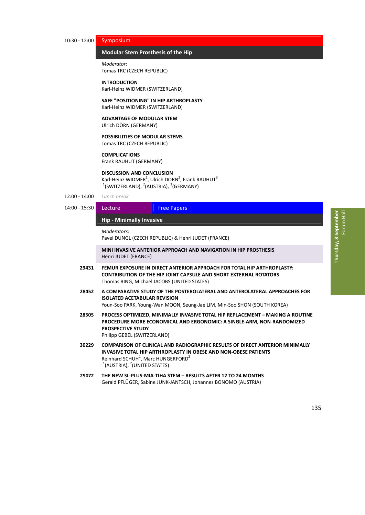# 10:30 ‐ 12:00 Symposium

# **Modular Stem Prosthesis of the Hip**

*Moderator*: Tomas TRC (CZECH REPUBLIC)

# **INTRODUCTION** Karl‐Heinz WIDMER (SWITZERLAND)

# **SAFE "POSITIONING" IN HIP ARTHROPLASTY**

Karl‐Heinz WIDMER (SWITZERLAND)

## **ADVANTAGE OF MODULAR STEM** Ulrich DÖRN (GERMANY)

# **POSSIBILITIES OF MODULAR STEMS**

Tomas TRC (CZECH REPUBLIC)

## **COMPLICATIONS**

Frank RAUHUT (GERMANY)

## **DISCUSSION AND CONCLUSION**

Karl-Heinz WIDMER<sup>1</sup>, Ulrich DORN<sup>2</sup>, Frank RAUHUT<sup>3</sup>  $1$ (SWITZERLAND),  $2$ (AUSTRIA),  $3$ (GERMANY)

- 12:00 ‐ 14:00 *Lunch break*
- 14:00 15:30 Lecture Free Papers

# 14B**Hip ‐ Minimally Invasive** *̶ Lecture / Free Papers*

*Moderators*:

Pavel DUNGL (CZECH REPUBLIC) & Henri JUDET (FRANCE)

**MINI INVASIVE ANTERIOR APPROACH AND NAVIGATION IN HIP PROSTHESIS** Henri JUDET (FRANCE)

- **29431 FEMUR EXPOSURE IN DIRECT ANTERIOR APPROACH FOR TOTAL HIP ARTHROPLASTY: CONTRIBUTION OF THE HIP JOINT CAPSULE AND SHORT EXTERNAL ROTATORS** Thomas RING, Michael JACOBS (UNITED STATES)
- **28452 A COMPARATIVE STUDY OF THE POSTEROLATERAL AND ANTEROLATERAL APPROACHES FOR ISOLATED ACETABULAR REVISION** Youn‐Soo PARK, Young‐Wan MOON, Seung‐Jae LIM, Min‐Soo SHON (SOUTH KOREA)
- **28505 PROCESS OPTIMIZED, MINIMALLY INVASIVE TOTAL HIP REPLACEMENT – MAKING A ROUTINE PROCEDURE MORE ECONOMICAL AND ERGONOMIC: A SINGLE‐ARM, NON‐RANDOMIZED PROSPECTIVE STUDY** Philipp GEBEL (SWITZERLAND)
- **30229 COMPARISON OF CLINICAL AND RADIOGRAPHIC RESULTS OF DIRECT ANTERIOR MINIMALLY INVASIVE TOTAL HIP ARTHROPLASTY IN OBESE AND NON‐OBESE PATIENTS** Reinhard SCHUH $<sup>1</sup>$ , Marc HUNGERFORD $<sup>2</sup>$ </sup></sup>  $1$ (AUSTRIA),  $2$ (UNITED STATES)
- **29072 THE NEW SL‐PLUS‐MIA‐TIHA STEM – RESULTS AFTER 12 TO 24 MONTHS** Gerald PFLÜGER, Sabine JUNK‐JANTSCH, Johannes BONOMO (AUSTRIA)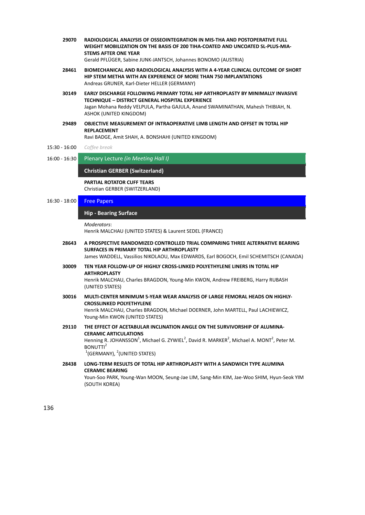**29070 RADIOLOGICAL ANALYSIS OF OSSEOINTEGRATION IN MIS‐THA AND POSTOPERATIVE FULL WEIGHT MOBILIZATION ON THE BASIS OF 200 TIHA‐COATED AND UNCOATED SL‐PLUS‐MIA‐ STEMS AFTER ONE YEAR**

Gerald PFLÜGER, Sabine JUNK‐JANTSCH, Johannes BONOMO (AUSTRIA)

- **28461 BIOMECHANICAL AND RADIOLOGICAL ANALYSIS WITH A 4‐YEAR CLINICAL OUTCOME OF SHORT HIP STEM METHA WITH AN EXPERIENCE OF MORE THAN 750 IMPLANTATIONS** Andreas GRUNER, Karl‐Dieter HELLER (GERMANY)
- **30149 EARLY DISCHARGE FOLLOWING PRIMARY TOTAL HIP ARTHROPLASTY BY MINIMALLY INVASIVE TECHNIQUE – DISTRICT GENERAL HOSPITAL EXPERIENCE** Jagan Mohana Reddy VELPULA, Partha GAJULA, Anand SWAMINATHAN, Mahesh THIBIAH, N. ASHOK (UNITED KINGDOM)
- **29489 OBJECTIVE MEASUREMENT OF INTRAOPERATIVE LIMB LENGTH AND OFFSET IN TOTAL HIP REPLACEMENT**

Ravi BADGE, Amit SHAH, A. BONSHAHI (UNITED KINGDOM)

- 15:30 ‐ 16:00 *Coffee break*
- 16:00 ‐ 16:30 Plenary Lecture *(in Meeting Hall I)*

**Christian GERBER (Switzerland)** 

**PARTIAL ROTATOR CUFF TEARS**

Christian GERBER (SWITZERLAND)

# 16:30 - 18:00 Free Papers

# 145B**Hip ‐ Bearing Surface** *̶ Free Papers*

*Moderators*:

Henrik MALCHAU (UNITED STATES) & Laurent SEDEL (FRANCE)

**28643 A PROSPECTIVE RANDOMIZED CONTROLLED TRIAL COMPARING THREE ALTERNATIVE BEARING SURFACES IN PRIMARY TOTAL HIP ARTHROPLASTY**

James WADDELL, Vassilios NIKOLAOU, Max EDWARDS, Earl BOGOCH, Emil SCHEMITSCH (CANADA)

- **30009 TEN YEAR FOLLOW‐UP OF HIGHLY CROSS‐LINKED POLYETHYLENE LINERS IN TOTAL HIP ARTHROPLASTY** Henrik MALCHAU, Charles BRAGDON, Young‐Min KWON, Andrew FREIBERG, Harry RUBASH (UNITED STATES)
- **30016 MULTI‐CENTER MINIMUM 5‐YEAR WEAR ANALYSIS OF LARGE FEMORAL HEADS ON HIGHLY‐ CROSSLINKED POLYETHYLENE** Henrik MALCHAU, Charles BRAGDON, Michael DOERNER, John MARTELL, Paul LACHIEWICZ, Young‐Min KWON (UNITED STATES)
- **29110 THE EFFECT OF ACETABULAR INCLINATION ANGLE ON THE SURVIVORSHIP OF ALUMINA‐ CERAMIC ARTICULATIONS** Henning R. JOHANSSON<sup>1</sup>, Michael G. ZYWIEL<sup>2</sup>, David R. MARKER<sup>2</sup>, Michael A. MONT<sup>2</sup>, Peter M. BONUTTI<sup>2</sup>  $1$ (GERMANY),  $2$ (UNITED STATES)
- **28438 LONG‐TERM RESULTS OF TOTAL HIP ARTHROPLASTY WITH A SANDWICH TYPE ALUMINA CERAMIC BEARING** Youn‐Soo PARK, Young‐Wan MOON, Seung‐Jae LIM, Sang‐Min KIM, Jae‐Woo SHIM, Hyun‐Seok YIM (SOUTH KOREA)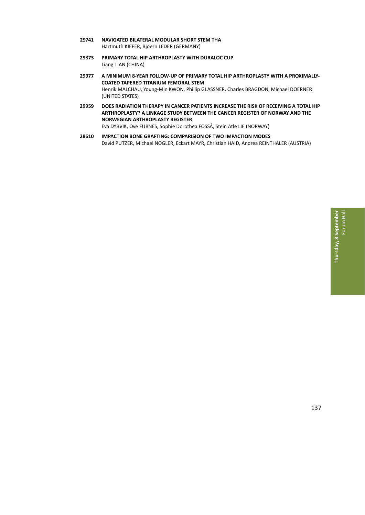- **29741 NAVIGATED BILATERAL MODULAR SHORT STEM THA** Hartmuth KIEFER, Bjoern LEDER (GERMANY)
- **29373 PRIMARY TOTAL HIP ARTHROPLASTY WITH DURALOC CUP** Liang TIAN (CHINA)
- **29977 A MINIMUM 8‐YEAR FOLLOW‐UP OF PRIMARY TOTAL HIP ARTHROPLASTY WITH A PROXIMALLY‐ COATED TAPERED TITANIUM FEMORAL STEM** Henrik MALCHAU, Young‐Min KWON, Phillip GLASSNER, Charles BRAGDON, Michael DOERNER (UNITED STATES)
- **29959 DOES RADIATION THERAPY IN CANCER PATIENTS INCREASE THE RISK OF RECEIVING A TOTAL HIP ARTHROPLASTY? A LINKAGE STUDY BETWEEN THE CANCER REGISTER OF NORWAY AND THE NORWEGIAN ARTHROPLASTY REGISTER** Eva DYBVIK, Ove FURNES, Sophie Dorothea FOSSÅ, Stein Atle LIE (NORWAY)
- **28610 IMPACTION BONE GRAFTING: COMPARISION OF TWO IMPACTION MODES** David PUTZER, Michael NOGLER, Eckart MAYR, Christian HAID, Andrea REINTHALER (AUSTRIA)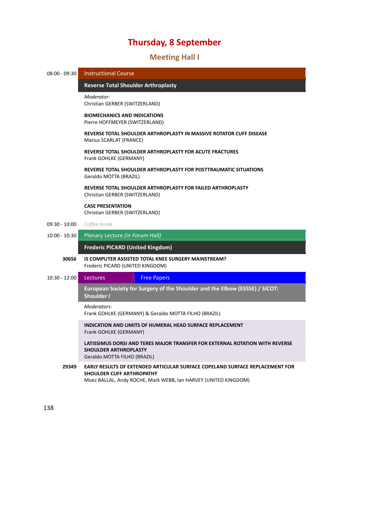# 35B**Meeting Hall I**

| $08:00 - 09:30$ | <b>Instructional Course</b>                                                                                                                                                  |
|-----------------|------------------------------------------------------------------------------------------------------------------------------------------------------------------------------|
|                 | <b>Reverse Total Shoulder Arthroplasty</b>                                                                                                                                   |
|                 | Moderator:<br>Christian GERBER (SWITZERLAND)                                                                                                                                 |
|                 | <b>BIOMECHANICS AND INDICATIONS</b><br>Pierre HOFFMEYER (SWITZERLAND)                                                                                                        |
|                 | REVERSE TOTAL SHOULDER ARTHROPLASTY IN MASSIVE ROTATOR CUFF DISEASE<br>Marius SCARLAT (FRANCE)                                                                               |
|                 | REVERSE TOTAL SHOULDER ARTHROPLASTY FOR ACUTE FRACTURES<br>Frank GOHLKE (GERMANY)                                                                                            |
|                 | REVERSE TOTAL SHOULDER ARTHROPLASTY FOR POSTTRAUMATIC SITUATIONS<br>Geraldo MOTTA (BRAZIL)                                                                                   |
|                 | REVERSE TOTAL SHOULDER ARTHROPLASTY FOR FAILED ARTHROPLASTY<br>Christian GERBER (SWITZERLAND)                                                                                |
|                 | <b>CASE PRESENTATION</b><br>Christian GERBER (SWITZERLAND)                                                                                                                   |
| $09:30 - 10:00$ | Coffee break                                                                                                                                                                 |
| $10:00 - 10:30$ | Plenary Lecture (in Forum Hall)                                                                                                                                              |
|                 | <b>Frederic PICARD (United Kingdom)</b>                                                                                                                                      |
| 30656           | IS COMPUTER ASSISTED TOTAL KNEE SURGERY MAINSTREAM?<br>Frederic PICARD (UNITED KINGDOM)                                                                                      |
| $10:30 - 12:00$ | Lectures<br><b>Free Papers</b>                                                                                                                                               |
|                 | European Society for Surgery of the Shoulder and the Elbow (ESSSE) / SICOT:<br><b>Shoulder I</b>                                                                             |
|                 | Moderators:<br>Frank GOHLKE (GERMANY) & Geraldo MOTTA FILHO (BRAZIL)                                                                                                         |
|                 | <b>INDICATION AND LIMITS OF HUMERAL HEAD SURFACE REPLACEMENT</b><br>Frank GOHLKE (GERMANY)                                                                                   |
|                 | LATISSIMUS DORSI AND TERES MAJOR TRANSFER FOR EXTERNAL ROTATION WITH REVERSE<br><b>SHOULDER ARTHROPLASTY</b><br>Geraldo MOTTA FILHO (BRAZIL)                                 |
| 29349           | EARLY RESULTS OF EXTENDED ARTICULAR SURFACE COPELAND SURFACE REPLACEMENT FOR<br>SHOULDER CUFF ARTHROPATHY<br>Moez BALLAL, Andy ROCHE, Mark WEBB, Ian HARVEY (UNITED KINGDOM) |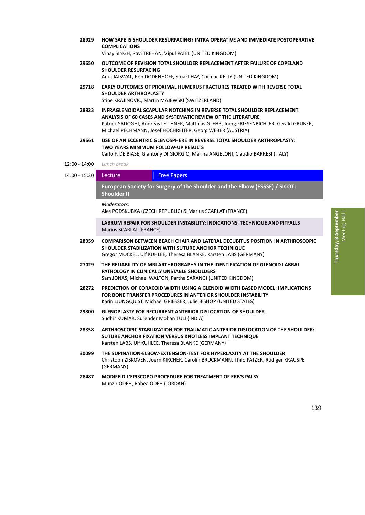**28929 HOW SAFE IS SHOULDER RESURFACING? INTRA OPERATIVE AND IMMEDIATE POSTOPERATIVE COMPLICATIONS**

Vinay SINGH, Ravi TREHAN, Vipul PATEL (UNITED KINGDOM)

- **29650 OUTCOME OF REVISION TOTAL SHOULDER REPLACEMENT AFTER FAILURE OF COPELAND SHOULDER RESURFACING** Anuj JAISWAL, Ron DODENHOFF, Stuart HAY, Cormac KELLY (UNITED KINGDOM)
- **29718 EARLY OUTCOMES OF PROXIMAL HUMERUS FRACTURES TREATED WITH REVERSE TOTAL SHOULDER ARTHROPLASTY** Stipe KRAJINOVIC, Martin MAJEWSKI (SWITZERLAND)
- **28823 INFRAGLENOIDAL SCAPULAR NOTCHING IN REVERSE TOTAL SHOULDER REPLACEMENT: ANALYSIS OF 60 CASES AND SYSTEMATIC REVIEW OF THE LITERATURE** Patrick SADOGHI, Andreas LEITHNER, Matthias GLEHR, Joerg FRIESENBICHLER, Gerald GRUBER, Michael PECHMANN, Josef HOCHREITER, Georg WEBER (AUSTRIA)
- **29661 USE OF AN ECCENTRIC GLENOSPHERE IN REVERSE TOTAL SHOULDER ARTHROPLASTY: TWO YEARS MINIMUM FOLLOW‐UP RESULTS**

Carlo F. DE BIASE, Giantony DI GIORGIO, Marina ANGELONI, Claudio BARRESI (ITALY)

12:00 ‐ 14:00 *Lunch break*

# 14:00 - 15:30 Lecture Free Papers

148B**European Society for Surgery of the Shoulder and the Elbow (ESSSE) / SICOT: Shoulder II** *̶ Lecture / Free Papers*

*Moderators*:

Ales PODSKUBKA (CZECH REPUBLIC) & Marius SCARLAT (FRANCE)

**LABRUM REPAIR FOR SHOULDER INSTABILITY: INDICATIONS, TECHNIQUE AND PITFALLS** Marius SCARLAT (FRANCE)

- **28359 COMPARISON BETWEEN BEACH CHAIR AND LATERAL DECUBITUS POSITION IN ARTHROSCOPIC SHOULDER STABILIZATION WITH SUTURE ANCHOR TECHNIQUE** Gregor MÖCKEL, Ulf KUHLEE, Theresa BLANKE, Karsten LABS (GERMANY)
- **27029 THE RELIABILITY OF MRI ARTHROGRAPHY IN THE IDENTIFICATION OF GLENOID LABRAL PATHOLOGY IN CLINICALLY UNSTABLE SHOULDERS** Sam JONAS, Michael WALTON, Partha SARANGI (UNITED KINGDOM)
- **28272 PREDICTION OF CORACOID WIDTH USING A GLENOID WIDTH BASED MODEL: IMPLICATIONS FOR BONE TRANSFER PROCEDURES IN ANTERIOR SHOULDER INSTABILITY** Karin LJUNGQUIST, Michael GRIESSER, Julie BISHOP (UNITED STATES)
- **29800 GLENOPLASTY FOR RECURRENT ANTERIOR DISLOCATION OF SHOULDER** Sudhir KUMAR, Surender Mohan TULI (INDIA)
- **28358 ARTHROSCOPIC STABILIZATION FOR TRAUMATIC ANTERIOR DISLOCATION OF THE SHOULDER: SUTURE ANCHOR FIXATION VERSUS KNOTLESS IMPLANT TECHNIQUE** Karsten LABS, Ulf KUHLEE, Theresa BLANKE (GERMANY)
- **30099 THE SUPINATION‐ELBOW‐EXTENSION‐TEST FOR HYPERLAXITY AT THE SHOULDER** Christoph ZISKOVEN, Joern KIRCHER, Carolin BRUCKMANN, Thilo PATZER, Rüdiger KRAUSPE (GERMANY)
- **28487 MODIFEID L'EPISCOPO PROCEDURE FOR TREATMENT OF ERB'S PALSY** Munzir ODEH, Rabea ODEH (JORDAN)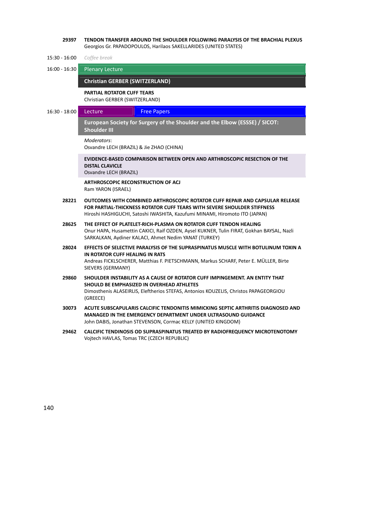| 29397           | TENDON TRANSFER AROUND THE SHOULDER FOLLOWING PARALYSIS OF THE BRACHIAL PLEXUS<br>Georgios Gr. PAPADOPOULOS, Harilaos SAKELLARIDES (UNITED STATES)                                                                                     |
|-----------------|----------------------------------------------------------------------------------------------------------------------------------------------------------------------------------------------------------------------------------------|
| $15:30 - 16:00$ | Coffee break                                                                                                                                                                                                                           |
| $16:00 - 16:30$ | <b>Plenary Lecture</b>                                                                                                                                                                                                                 |
|                 | <b>Christian GERBER (SWITZERLAND)</b>                                                                                                                                                                                                  |
|                 | <b>PARTIAL ROTATOR CUFF TEARS</b><br>Christian GERBER (SWITZERLAND)                                                                                                                                                                    |
| $16:30 - 18:00$ | Lecture<br><b>Free Papers</b>                                                                                                                                                                                                          |
|                 | European Society for Surgery of the Shoulder and the Elbow (ESSSE) / SICOT:<br><b>Shoulder III</b>                                                                                                                                     |
|                 | Moderators:<br>Osvandre LECH (BRAZIL) & Jie ZHAO (CHINA)                                                                                                                                                                               |
|                 | EVIDENCE-BASED COMPARISON BETWEEN OPEN AND ARTHROSCOPIC RESECTION OF THE<br><b>DISTAL CLAVICLE</b><br>Osvandre LECH (BRAZIL)                                                                                                           |
|                 | <b>ARTHROSCOPIC RECONSTRUCTION OF ACJ</b><br>Ram YARON (ISRAEL)                                                                                                                                                                        |
| 28221           | OUTCOMES WITH COMBINED ARTHROSCOPIC ROTATOR CUFF REPAIR AND CAPSULAR RELEASE<br>FOR PARTIAL-THICKNESS ROTATOR CUFF TEARS WITH SEVERE SHOULDER STIFFNESS<br>Hiroshi HASHIGUCHI, Satoshi IWASHITA, Kazufumi MINAMI, Hiromoto ITO (JAPAN) |
| 28625           | THE EFFECT OF PLATELET-RICH-PLASMA ON ROTATOR CUFF TENDON HEALING<br>Onur HAPA, Husamettin CAKICI, Raif OZDEN, Aysel KUKNER, Tulin FIRAT, Gokhan BAYSAL, Nazli<br>SARKALKAN, Aydiner KALACI, Ahmet Nedim YANAT (TURKEY)                |
| 28024           | EFFECTS OF SELECTIVE PARALYSIS OF THE SUPRASPINATUS MUSCLE WITH BOTULINUM TOXIN A<br>IN ROTATOR CUFF HEALING IN RATS<br>Andreas FICKLSCHERER, Matthias F. PIETSCHMANN, Markus SCHARF, Peter E. MÜLLER, Birte<br>SIEVERS (GERMANY)      |
| 29860           | SHOULDER INSTABILITY AS A CAUSE OF ROTATOR CUFF IMPINGEMENT. AN ENTITY THAT<br>SHOULD BE EMPHASIZED IN OVERHEAD ATHLETES<br>Dimosthenis ALASEIRLIS, Eleftherios STEFAS, Antonios KOUZELIS, Christos PAPAGEORGIOU<br>(GREECE)           |
| 30073           | ACUTE SUBSCAPULARIS CALCIFIC TENDONITIS MIMICKING SEPTIC ARTHRITIS DIAGNOSED AND<br><b>MANAGED IN THE EMERGENCY DEPARTMENT UNDER ULTRASOUND GUIDANCE</b><br>John DABIS, Jonathan STEVENSON, Cormac KELLY (UNITED KINGDOM)              |
| 29462           | CALCIFIC TENDINOSIS OD SUPRASPINATUS TREATED BY RADIOFREQUENCY MICROTENOTOMY<br>Vojtech HAVLAS, Tomas TRC (CZECH REPUBLIC)                                                                                                             |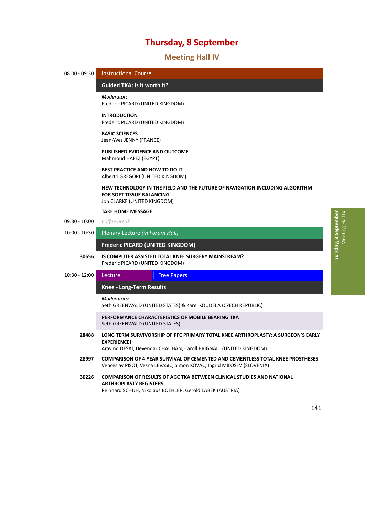# 36B**Meeting Hall IV**

| $08:00 - 09:30$ | <b>Instructional Course</b>                                               |                                                                                                                                                                 |
|-----------------|---------------------------------------------------------------------------|-----------------------------------------------------------------------------------------------------------------------------------------------------------------|
|                 | <b>Guided TKA: Is it worth it?</b>                                        |                                                                                                                                                                 |
|                 | Moderator:<br>Frederic PICARD (UNITED KINGDOM)                            |                                                                                                                                                                 |
|                 | <b>INTRODUCTION</b><br>Frederic PICARD (UNITED KINGDOM)                   |                                                                                                                                                                 |
|                 | <b>BASIC SCIENCES</b><br>Jean-Yves JENNY (FRANCE)                         |                                                                                                                                                                 |
|                 | PUBLISHED EVIDENCE AND OUTCOME<br>Mahmoud HAFEZ (EGYPT)                   |                                                                                                                                                                 |
|                 | <b>BEST PRACTICE AND HOW TO DO IT</b><br>Alberto GREGORI (UNITED KINGDOM) |                                                                                                                                                                 |
|                 | <b>FOR SOFT-TISSUE BALANCING</b><br>Jon CLARKE (UNITED KINGDOM)           | NEW TECHNOLOGY IN THE FIELD AND THE FUTURE OF NAVIGATION INCLUDING ALGORITHM                                                                                    |
|                 | <b>TAKE HOME MESSAGE</b>                                                  |                                                                                                                                                                 |
| $09:30 - 10:00$ | Coffee break                                                              |                                                                                                                                                                 |
| $10:00 - 10:30$ | Plenary Lecture (in Forum Hall)                                           |                                                                                                                                                                 |
|                 | Frederic PICARD (UNITED KINGDOM)                                          |                                                                                                                                                                 |
| 30656           | Frederic PICARD (UNITED KINGDOM)                                          | IS COMPUTER ASSISTED TOTAL KNEE SURGERY MAINSTREAM?                                                                                                             |
| $10:30 - 12:00$ | Lecture                                                                   | <b>Free Papers</b>                                                                                                                                              |
|                 | <b>Knee - Long-Term Results</b>                                           |                                                                                                                                                                 |
|                 | Moderators:                                                               | Seth GREENWALD (UNITED STATES) & Karel KOUDELA (CZECH REPUBLIC)                                                                                                 |
|                 | Seth GREENWALD (UNITED STATES)                                            | PERFORMANCE CHARACTERISTICS OF MOBILE BEARING TKA                                                                                                               |
| 28488           | <b>EXPERIENCE!</b>                                                        | LONG TERM SURVIVORSHIP OF PFC PRIMARY TOTAL KNEE ARTHROPLASTY: A SURGEON'S EARLY<br>Aravind DESAI, Devendar CHAUHAN, Caroll BRIGNALL (UNITED KINGDOM)           |
| 28997           |                                                                           | <b>COMPARISON OF 4-YEAR SURVIVAL OF CEMENTED AND CEMENTLESS TOTAL KNEE PROSTHESES</b><br>Venceslav PISOT, Vesna LEVASIC, Simon KOVAC, Ingrid MILOSEV (SLOVENIA) |
| 30226           | <b>ARTHROPLASTY REGISTERS</b>                                             | <b>COMPARISON OF RESULTS OF AGC TKA BETWEEN CLINICAL STUDIES AND NATIONAL</b>                                                                                   |

Reinhard SCHUH, Nikolaus BOEHLER, Gerold LABEK (AUSTRIA)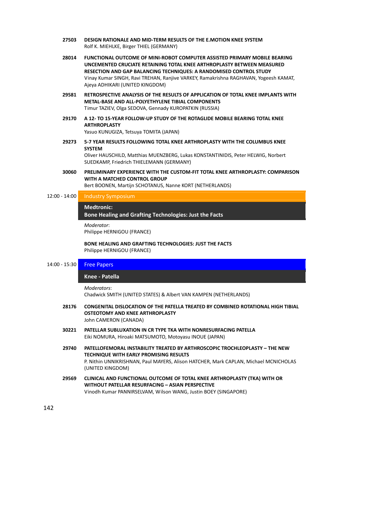- **27503 DESIGN RATIONALE AND MID‐TERM RESULTS OF THE E.MOTION KNEE SYSTEM** Rolf K. MIEHLKE, Birger THIEL (GERMANY)
- **28014 FUNCTIONAL OUTCOME OF MINI‐ROBOT COMPUTER ASSISTED PRIMARY MOBILE BEARING UNCEMENTED CRUCIATE RETAINING TOTAL KNEE ARTHROPLASTY BETWEEN MEASURED RESECTION AND GAP BALANCING TECHNIQUES: A RANDOMISED CONTROL STUDY** Vinay Kumar SINGH, Ravi TREHAN, Ranjive VARKEY, Ramakrishna RAGHAVAN, Yogeesh KAMAT, Ajeya ADHIKARI (UNITED KINGDOM)
- **29581 RETROSPECTIVE ANALYSIS OF THE RESULTS OF APPLICATION OF TOTAL KNEE IMPLANTS WITH METAL‐BASE AND ALL‐POLYETHYLENE TIBIAL COMPONENTS** Timur TAZIEV, Olga SEDOVA, Gennady KUROPATKIN (RUSSIA)
- **29170 A 12‐ TO 15‐YEAR FOLLOW‐UP STUDY OF THE ROTAGLIDE MOBILE BEARING TOTAL KNEE ARTHROPLASTY**

Yasuo KUNUGIZA, Tetsuya TOMITA (JAPAN)

**29273 5‐7 YEAR RESULTS FOLLOWING TOTAL KNEE ARTHROPLASTY WITH THE COLUMBUS KNEE SYSTEM**

Oliver HAUSCHILD, Matthias MUENZBERG, Lukas KONSTANTINIDIS, Peter HELWIG, Norbert SUEDKAMP, Friedrich THIELEMANN (GERMANY)

**30060 PRELIMINARY EXPERIENCE WITH THE CUSTOM‐FIT TOTAL KNEE ARTHROPLASTY: COMPARISON WITH A MATCHED CONTROL GROUP** Bert BOONEN, Martijn SCHOTANUS, Nanne KORT (NETHERLANDS)

12:00 ‐ 14:00 Industry Symposium

### 153B**Medtronic:**

**Bone Healing and Grafting Technologies: Just the Facts** *– Industry Symposium*

*Moderator*:

Philippe HERNIGOU (FRANCE)

**BONE HEALING AND GRAFTING TECHNOLOGIES: JUST THE FACTS** Philippe HERNIGOU (FRANCE)

# 14:00 - 15:30 **Free Papers**

# 154B**Knee ‐ Patella** *̶ Free Papers*

*Moderators*:

Chadwick SMITH (UNITED STATES) & Albert VAN KAMPEN (NETHERLANDS)

- **28176 CONGENITAL DISLOCATION OF THE PATELLA TREATED BY COMBINED ROTATIONAL HIGH TIBIAL OSTEOTOMY AND KNEE ARTHROPLASTY** John CAMERON (CANADA)
- **30221 PATELLAR SUBLUXATION IN CR TYPE TKA WITH NONRESURFACING PATELLA** Eiki NOMURA, Hiroaki MATSUMOTO, Motoyasu INOUE (JAPAN)
- **29740 PATELLOFEMORAL INSTABILITY TREATED BY ARTHROSCOPIC TROCHLEOPLASTY – THE NEW TECHNIQUE WITH EARLY PROMISING RESULTS** P. Nithin UNNIKRISHNAN, Paul MAYERS, Alison HATCHER, Mark CAPLAN, Michael MCNICHOLAS (UNITED KINGDOM)
- **29569 CLINICAL AND FUNCTIONAL OUTCOME OF TOTAL KNEE ARTHROPLASTY (TKA) WITH OR WITHOUT PATELLAR RESURFACING – ASIAN PERSPECTIVE** Vinodh Kumar PANNIRSELVAM, Wilson WANG, Justin BOEY (SINGAPORE)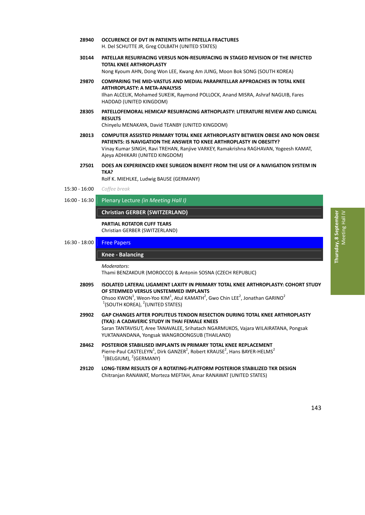Thursday, 8 September **Thursday, 8 September** Meeting Hall IV Meeting Hall IV

- **28940 OCCURENCE OF DVT IN PATIENTS WITH PATELLA FRACTURES** H. Del SCHUTTE JR, Greg COLBATH (UNITED STATES)
- **30144 PATELLAR RESURFACING VERSUS NON‐RESURFACING IN STAGED REVISION OF THE INFECTED TOTAL KNEE ARTHROPLASTY**

Nong Kyoum AHN, Dong Won LEE, Kwang Am JUNG, Moon Bok SONG (SOUTH KOREA)

- **29870 COMPARING THE MID‐VASTUS AND MEDIAL PARAPATELLAR APPROACHES IN TOTAL KNEE ARTHROPLASTY: A META‐ANALYSIS** Ilhan ALCELIK, Mohamed SUKEIK, Raymond POLLOCK, Anand MISRA, Ashraf NAGUIB, Fares HADDAD (UNITED KINGDOM)
- **28305 PATELLOFEMORAL HEMICAP RESURFACING ARTHOPLASTY: LITERATURE REVIEW AND CLINICAL RESULTS**

Chinyelu MENAKAYA, David TEANBY (UNITED KINGDOM)

- **28013 COMPUTER ASSISTED PRIMARY TOTAL KNEE ARTHROPLASTY BETWEEN OBESE AND NON OBESE PATIENTS: IS NAVIGATION THE ANSWER TO KNEE ARTHROPLASTY IN OBESITY?** Vinay Kumar SINGH, Ravi TREHAN, Ranjive VARKEY, Ramakrishna RAGHAVAN, Yogeesh KAMAT, Ajeya ADHIKARI (UNITED KINGDOM)
- **27501 DOES AN EXPERIENCED KNEE SURGEON BENEFIT FROM THE USE OF A NAVIGATION SYSTEM IN TKA?**

Rolf K. MIEHLKE, Ludwig BAUSE (GERMANY)

- 15:30 ‐ 16:00 *Coffee break*
- 16:00 ‐ 16:30 Plenary Lecture *(in Meeting Hall I)*

# **Christian GERBER (SWITZERLAND)** *̶ Plenary Lecture*

**PARTIAL ROTATOR CUFF TEARS** Christian GERBER (SWITZERLAND)

16:30 - 18:00 Free Papers

# 15B**Knee ‐ Balancing** *̶ Free Papers*

*Moderators*:

Thami BENZAKOUR (MOROCCO) & Antonin SOSNA (CZECH REPUBLIC)

- **28095 ISOLATED LATERAL LIGAMENT LAXITY IN PRIMARY TOTAL KNEE ARTHROPLASTY: COHORT STUDY OF STEMMED VERSUS UNSTEMMED IMPLANTS** Ohsoo KWON<sup>1</sup>, Weon-Yoo KIM<sup>1</sup>, Atul KAMATH<sup>2</sup>, Gwo Chin LEE<sup>2</sup>, Jonathan GARINO<sup>2</sup>  $\rm ^1$ (SOUTH KOREA),  $\rm ^2$ (UNITED STATES)
- **29902 GAP CHANGES AFTER POPLITEUS TENDON RESECTION DURING TOTAL KNEE ARTHROPLASTY (TKA): A CADAVERIC STUDY IN THAI FEMALE KNEES** Saran TANTAVISUT, Aree TANAVALEE, Srihatach NGARMUKOS, Vajara WILAIRATANA, Pongsak YUKTANANDANA, Yongsak WANGROONGSUB (THAILAND)
- **28462 POSTERIOR STABILISED IMPLANTS IN PRIMARY TOTAL KNEE REPLACEMENT** Pierre-Paul CASTELEYN<sup>1</sup>, Dirk GANZER<sup>2</sup>, Robert KRAUSE<sup>2</sup>, Hans BAYER-HELMS<sup>2</sup>  $1$ (BELGIUM),  $2$ (GERMANY)
- **29120 LONG‐TERM RESULTS OF A ROTATING‐PLATFORM POSTERIOR STABILIZED TKR DESIGN** Chitranjan RANAWAT, Morteza MEFTAH, Amar RANAWAT (UNITED STATES)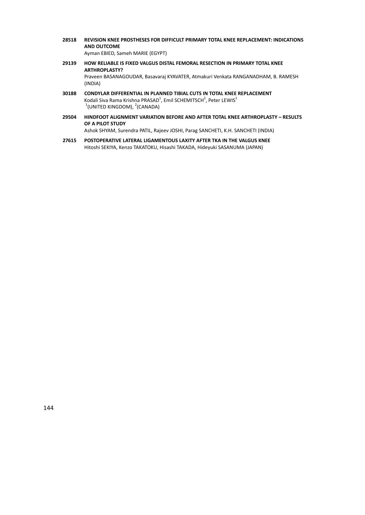**28518 REVISION KNEE PROSTHESES FOR DIFFICULT PRIMARY TOTAL KNEE REPLACEMENT: INDICATIONS AND OUTCOME**

Ayman EBIED, Sameh MARIE (EGYPT)

- **29139 HOW RELIABLE IS FIXED VALGUS DISTAL FEMORAL RESECTION IN PRIMARY TOTAL KNEE ARTHROPLASTY?** Praveen BASANAGOUDAR, Basavaraj KYAVATER, Atmakuri Venkata RANGANADHAM, B. RAMESH (INDIA)
- **30188 CONDYLAR DIFFERENTIAL IN PLANNED TIBIAL CUTS IN TOTAL KNEE REPLACEMENT** Kodali Siva Rama Krishna PRASAD<sup>1</sup>, Emil SCHEMITSCH<sup>2</sup>, Peter LEWIS<sup>1</sup>  $1$ (UNITED KINGDOM),  $2$ (CANADA)
- **29504 HINDFOOT ALIGNMENT VARIATION BEFORE AND AFTER TOTAL KNEE ARTHROPLASTY – RESULTS OF A PILOT STUDY**

Ashok SHYAM, Surendra PATIL, Rajeev JOSHI, Parag SANCHETI, K.H. SANCHETI (INDIA)

**27615 POSTOPERATIVE LATERAL LIGAMENTOUS LAXITY AFTER TKA IN THE VALGUS KNEE** Hitoshi SEKIYA, Kenzo TAKATOKU, Hisashi TAKADA, Hideyuki SASANUMA (JAPAN)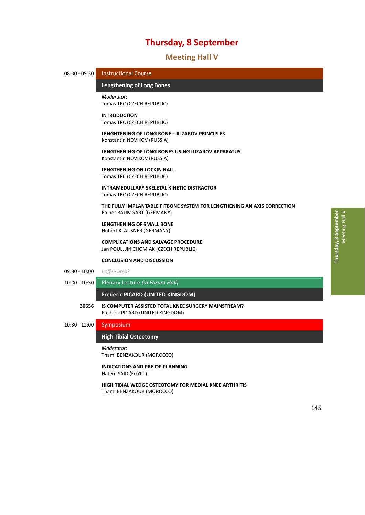# 37B**Meeting Hall V**



# **High Tibial Osteotomy**

*Moderator*: Thami BENZAKOUR (MOROCCO)

**INDICATIONS AND PRE‐OP PLANNING** Hatem SAID (EGYPT)

**HIGH TIBIAL WEDGE OSTEOTOMY FOR MEDIAL KNEE ARTHRITIS** Thami BENZAKOUR (MOROCCO)

 $\, > \,$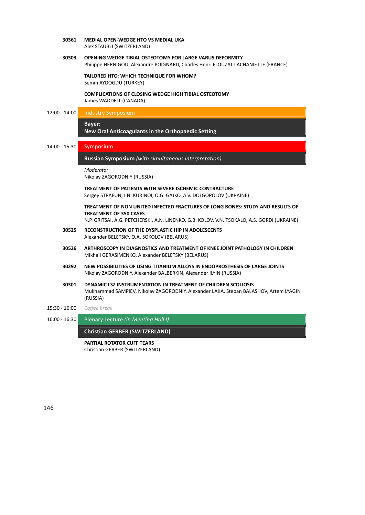**30361 MEDIAL OPEN‐WEDGE HTO VS MEDIAL UKA** Alex STAUBLI (SWITZERLAND)

# **30303 OPENING WEDGE TIBIAL OSTEOTOMY FOR LARGE VARUS DEFORMITY**

Philippe HERNIGOU, Alexandre POIGNARD, Charles Henri FLOUZAT LACHANIETTE (FRANCE)

**TAILORED HTO: WHICH TECHNIQUE FOR WHOM?** Semih AYDOGDU (TURKEY)

**COMPLICATIONS OF CLOSING WEDGE HIGH TIBIAL OSTEOTOMY** James WADDELL (CANADA)

## 12:00 - 14:00 Industry Symposium

# 158B**Bayer:**

**New Oral Anticoagulants in the Orthopaedic Setting** 

14:00 ‐ 15:30 Symposium

**Russian Symposium** (with simultaneous interpretation)

*Moderator*:

Nikolay ZAGORODNIY (RUSSIA)

**TREATMENT OF PATIENTS WITH SEVERE ISCHEMIC CONTRACTURE** Sergey STRAFUN, I.N. KURINOI, O.G. GAJKO, A.V. DOLGOPOLOV (UKRAINE)

**TREATMENT OF NON UNITED INFECTED FRACTURES OF LONG BONES: STUDY AND RESULTS OF TREATMENT OF 350 CASES**

N.P. GRITSAI, A.G. PETCHERSKI, A.N. LINENKO, G.B. KOLOV, V.N. TSOKALO, A.S. GORDI (UKRAINE)

- **30525 RECONSTRUCTION OF THE DYSPLASTIC HIP IN ADOLESCENTS** Alexander BELETSKY, O.A. SOKOLOV (BELARUS)
- **30526 ARTHROSCOPY IN DIAGNOSTICS AND TREATMENT OF KNEE JOINT PATHOLOGY IN CHILDREN** Mikhail GERASIMENKO, Alexander BELETSKY (BELARUS)
- **30292 NEW POSSIBILITIES OF USING TITANIUM ALLOYS IN ENDOPROSTHESIS OF LARGE JOINTS** Nikolay ZAGORODNIY, Alexander BALBERKIN, Alexander ILYIN (RUSSIA)
- **30301 DYNAMIC LSZ INSTRUMENTATION IN TREATMENT OF CHILDREN SCOLIOSIS** Mukhammad SAMPIEV, Nikolay ZAGORODNIY, Alexander LAKA, Stepan BALASHOV, Artem LYAGIN (RUSSIA)
- 15:30 ‐ 16:00 *Coffee break*
- 16:00 ‐ 16:30 Plenary Lecture *(in Meeting Hall I)*

**Christian GERBER (SWITZERLAND)** *̶ Plenary Lecture*

**PARTIAL ROTATOR CUFF TEARS** Christian GERBER (SWITZERLAND)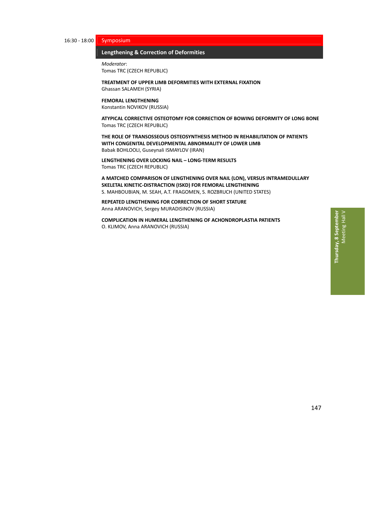# 16:30 ‐ 18:00 Symposium

# **Lengthening & Correction of Deformities**

*Moderator*: Tomas TRC (CZECH REPUBLIC)

**TREATMENT OF UPPER LIMB DEFORMITIES WITH EXTERNAL FIXATION** Ghassan SALAMEH (SYRIA)

# **FEMORAL LENGTHENING**

Konstantin NOVIKOV (RUSSIA)

**ATYPICAL CORRECTIVE OSTEOTOMY FOR CORRECTION OF BOWING DEFORMITY OF LONG BONE** Tomas TRC (CZECH REPUBLIC)

**THE ROLE OF TRANSOSSEOUS OSTEOSYNTHESIS METHOD IN REHABILITATION OF PATIENTS WITH CONGENITAL DEVELOPMENTAL ABNORMALITY OF LOWER LIMB** Babak BOHLOOLI, Guseynali ISMAYLOV (IRAN)

**LENGTHENING OVER LOCKING NAIL – LONG‐TERM RESULTS** Tomas TRC (CZECH REPUBLIC)

**A MATCHED COMPARISON OF LENGTHENING OVER NAIL (LON), VERSUS INTRAMEDULLARY SKELETAL KINETIC‐DISTRACTION (ISKD) FOR FEMORAL LENGTHENING** S. MAHBOUBIAN, M. SEAH, A.T. FRAGOMEN, S. ROZBRUCH (UNITED STATES)

**REPEATED LENGTHENING FOR CORRECTION OF SHORT STATURE** Anna ARANOVICH, Sergey MURADISINOV (RUSSIA)

**COMPLICATION IN HUMERAL LENGTHENING OF ACHONDROPLASTIA PATIENTS** O. KLIMOV, Anna ARANOVICH (RUSSIA)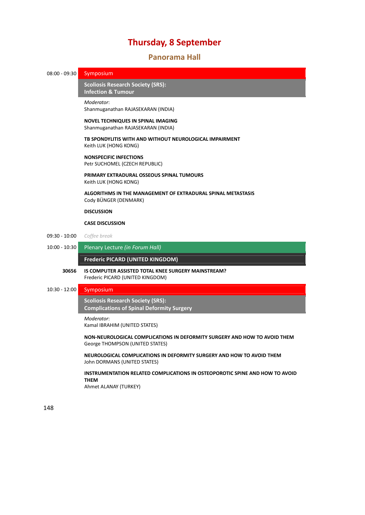# 38B**Panorama Hall**

# 08:00 - 09:30 Symposium

16B**Scoliosis Research Society (SRS): Infection & Tumour** 

### *Moderator*:

Shanmuganathan RAJASEKARAN (INDIA)

## **NOVEL TECHNIQUES IN SPINAL IMAGING** Shanmuganathan RAJASEKARAN (INDIA)

# **TB SPONDYLITIS WITH AND WITHOUT NEUROLOGICAL IMPAIRMENT** Keith LUK (HONG KONG)

**NONSPECIFIC INFECTIONS** Petr SUCHOMEL (CZECH REPUBLIC)

# **PRIMARY EXTRADURAL OSSEOUS SPINAL TUMOURS** Keith LUK (HONG KONG)

**ALGORITHMS IN THE MANAGEMENT OF EXTRADURAL SPINAL METASTASIS** Cody BÜNGER (DENMARK)

# **DISCUSSION**

# **CASE DISCUSSION**

- 09:30 ‐ 10:00 *Coffee break*
- 10:00 ‐ 10:30 Plenary Lecture *(in Forum Hall)*

**Frederic PICARD (UNITED KINGDOM)** 

# **30656 IS COMPUTER ASSISTED TOTAL KNEE SURGERY MAINSTREAM?** Frederic PICARD (UNITED KINGDOM)

## 10:30 ‐ 12:00 Symposium

162B**Scoliosis Research Society (SRS):** *Complications of Spinal Deformity Surgery* 

*Moderator*:

Kamal IBRAHIM (UNITED STATES)

# **NON‐NEUROLOGICAL COMPLICATIONS IN DEFORMITY SURGERY AND HOW TO AVOID THEM** George THOMPSON (UNITED STATES)

**NEUROLOGICAL COMPLICATIONS IN DEFORMITY SURGERY AND HOW TO AVOID THEM** John DORMANS (UNITED STATES)

# **INSTRUMENTATION RELATED COMPLICATIONS IN OSTEOPOROTIC SPINE AND HOW TO AVOID THEM**

Ahmet ALANAY (TURKEY)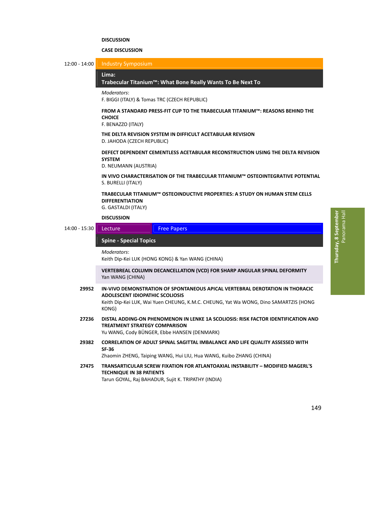# **DISCUSSION**

# **CASE DISCUSSION**

12:00 ‐ 14:00 Industry Symposium

### Lima:

**Trabecular Titanium™: What Bone Really Wants To Be Next To** *̶ Industry Symposium*

### *Moderators*:

F. BIGGI (ITALY) & Tomas TRC (CZECH REPUBLIC)

# **FROM A STANDARD PRESS‐FIT CUP TO THE TRABECULAR TITANIUM™: REASONS BEHIND THE CHOICE**

F. BENAZZO (ITALY)

# **THE DELTA REVISION SYSTEM IN DIFFICULT ACETABULAR REVISION** D. JAHODA (CZECH REPUBLIC)

**DEFECT DEPENDENT CEMENTLESS ACETABULAR RECONSTRUCTION USING THE DELTA REVISION SYSTEM**

D. NEUMANN (AUSTRIA)

# **IN VIVO CHARACTERISATION OF THE TRABECULAR TITANIUM™ OSTEOINTEGRATIVE POTENTIAL** S. BURELLI (ITALY)

# **TRABECULAR TITANIUM™ OSTEOINDUCTIVE PROPERTIES: A STUDY ON HUMAN STEM CELLS DIFFERENTIATION**

G. GASTALDI (ITALY)

# **DISCUSSION**

14:00 - 15:30 Lecture Free Papers

## 164B**Spine ‐ Special Topics** *̶ Lecture / Free Papers*

### *Moderators*:

Keith Dip‐Kei LUK (HONG KONG) & Yan WANG (CHINA)

**VERTEBREAL COLUMN DECANCELLATION (VCD) FOR SHARP ANGULAR SPINAL DEFORMITY** Yan WANG (CHINA)

- **29952 IN‐VIVO DEMONSTRATION OF SPONTANEOUS APICAL VERTEBRAL DEROTATION IN THORACIC ADOLESCENT IDIOPATHIC SCOLIOSIS** Keith Dip‐Kei LUK, Wai Yuen CHEUNG, K.M.C. CHEUNG, Yat Wa WONG, Dino SAMARTZIS (HONG KONG)
- **27236 DISTAL ADDING‐ON PHENOMENON IN LENKE 1A SCOLIOSIS: RISK FACTOR IDENTIFICATION AND TREATMENT STRATEGY COMPARISON**

Yu WANG, Cody BÜNGER, Ebbe HANSEN (DENMARK)

**29382 CORRELATION OF ADULT SPINAL SAGITTAL IMBALANCE AND LIFE QUALITY ASSESSED WITH SF‐36**

Zhaomin ZHENG, Taiping WANG, Hui LIU, Hua WANG, Kuibo ZHANG (CHINA)

**27475 TRANSARTICULAR SCREW FIXATION FOR ATLANTOAXIAL INSTABILITY – MODIFIED MAGERL'S TECHNIQUE IN 38 PATIENTS** Tarun GOYAL, Raj BAHADUR, Sujit K. TRIPATHY (INDIA)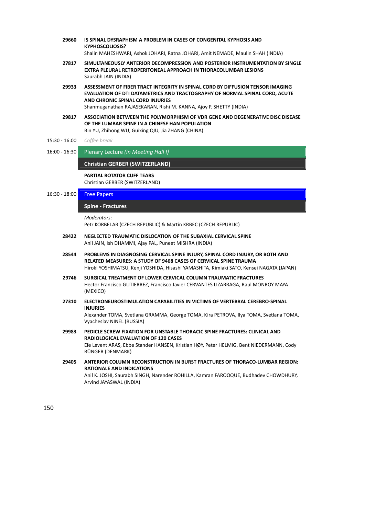- **29660 IS SPINAL DYSRAPHISM A PROBLEM IN CASES OF CONGENITAL KYPHOSIS AND KYPHOSCOLIOSIS?** Shalin MAHESHWARI, Ashok JOHARI, Ratna JOHARI, Amit NEMADE, Maulin SHAH (INDIA)
- **27817 SIMULTANEOUSLY ANTERIOR DECOMPRESSION AND POSTERIOR INSTRUMENTATION BY SINGLE EXTRA PLEURAL RETROPERITONEAL APPROACH IN THORACOLUMBAR LESIONS** Saurabh JAIN (INDIA)
- **29933 ASSESSMENT OF FIBER TRACT INTEGRITY IN SPINAL CORD BY DIFFUSION TENSOR IMAGING EVALUATION OF DTI DATAMETRICS AND TRACTOGRAPHY OF NORMAL SPINAL CORD, ACUTE AND CHRONIC SPINAL CORD INJURIES** Shanmuganathan RAJASEKARAN, Rishi M. KANNA, Ajoy P. SHETTY (INDIA)

- **29817 ASSOCIATION BETWEEN THE POLYMORPHISM OF VDR GENE AND DEGENERATIVE DISC DISEASE OF THE LUMBAR SPINE IN A CHINESE HAN POPULATION** Bin YU, Zhihong WU, Guixing QIU, Jia ZHANG (CHINA)
- 15:30 ‐ 16:00 *Coffee break*
- 16:00 ‐ 16:30 Plenary Lecture *(in Meeting Hall I)*

# **Christian GERBER (SWITZERLAND)** *̶ Plenary Lecture*

**PARTIAL ROTATOR CUFF TEARS**

Christian GERBER (SWITZERLAND)

# 16:30 - 18:00 Free Papers

# 165B**Spine ‐ Fractures** *̶ Free Papers*

*Moderators*:

Petr KORBELAR (CZECH REPUBLIC) & Martin KRBEC (CZECH REPUBLIC)

- **28422 NEGLECTED TRAUMATIC DISLOCATION OF THE SUBAXIAL CERVICAL SPINE** Anil JAIN, Ish DHAMMI, Ajay PAL, Puneet MISHRA (INDIA)
- **28544 PROBLEMS IN DIAGNOSING CERVICAL SPINE INJURY, SPINAL CORD INJURY, OR BOTH AND RELATED MEASURES: A STUDY OF 9468 CASES OF CERVICAL SPINE TRAUMA** Hiroki YOSHIMATSU, Kenji YOSHIDA, Hisashi YAMASHITA, Kimiaki SATO, Kensei NAGATA (JAPAN)
- **29746 SURGICAL TREATMENT OF LOWER CERVICAL COLUMN TRAUMATIC FRACTURES** Hector Francisco GUTIERREZ, Francisco Javier CERVANTES LIZARRAGA, Raul MONROY MAYA (MEXICO)
- **27310 ELECTRONEUROSTIMULATION CAPABILITIES IN VICTIMS OF VERTEBRAL CEREBRO‐SPINAL INJURIES**

Alexander TOMA, Svetlana GRAMMA, George TOMA, Kira PETROVA, Ilya TOMA, Svetlana TOMA, Vyacheslav NINEL (RUSSIA)

- **29983 PEDICLE SCREW FIXATION FOR UNSTABLE THORACIC SPINE FRACTURES: CLINICAL AND RADIOLOGICAL EVALUATION OF 120 CASES** Efe Levent ARAS, Ebbe Stander HANSEN, Kristian HØY, Peter HELMIG, Bent NIEDERMANN, Cody BÜNGER (DENMARK)
- **29405 ANTERIOR COLUMN RECONSTRUCTION IN BURST FRACTURES OF THORACO‐LUMBAR REGION: RATIONALE AND INDICATIONS** Anil K. JOSHI, Saurabh SINGH, Narender ROHILLA, Kamran FAROOQUE, Budhadev CHOWDHURY, Arvind JAYASWAL (INDIA)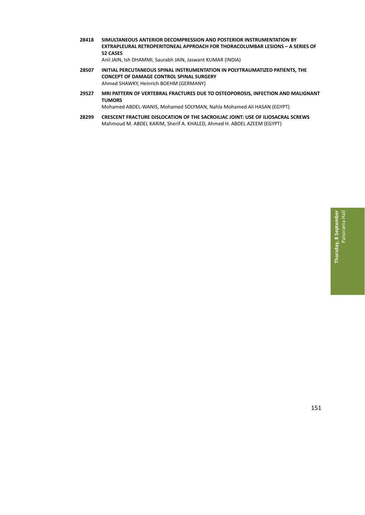**28418 SIMULTANEOUS ANTERIOR DECOMPRESSION AND POSTERIOR INSTRUMENTATION BY EXTRAPLEURAL RETROPERITONEAL APPROACH FOR THORACOLUMBAR LESIONS – A SERIES OF 52 CASES**

Anil JAIN, Ish DHAMMI, Saurabh JAIN, Jaswant KUMAR (INDIA)

- **28507 INITIAL PERCUTANEOUS SPINAL INSTRUMENTATION IN POLYTRAUMATIZED PATIENTS, THE CONCEPT OF DAMAGE CONTROL SPINAL SURGERY** Ahmed SHAWKY, Heinrich BOEHM (GERMANY)
- **29527 MRI PATTERN OF VERTEBRAL FRACTURES DUE TO OSTEOPOROSIS, INFECTION AND MALIGNANT TUMORS**

Mohamed ABDEL‐WANIS, Mohamed SOLYMAN, Nahla Mohamed Ali HASAN (EGYPT)

**28299 CRESCENT FRACTURE DISLOCATION OF THE SACROILIAC JOINT: USE OF ILIOSACRAL SCREWS** Mahmoud M. ABDEL KARIM, Sherif A. KHALED, Ahmed H. ABDEL AZEEM (EGYPT)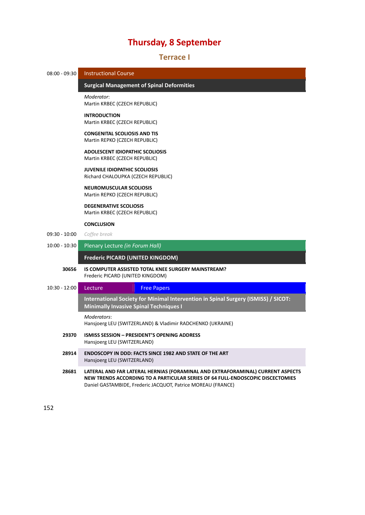# 39B**Terrace I**

16B**Surgical Management of Spinal Deformities** *̶ Instructional Course*

08:00 ‐ 09:30 Instructional Course

*Moderator*:

|                 | Martin KRBEC (CZECH REPUBLIC)                                                                                                       |
|-----------------|-------------------------------------------------------------------------------------------------------------------------------------|
|                 | <b>INTRODUCTION</b><br>Martin KRBEC (CZECH REPUBLIC)                                                                                |
|                 | <b>CONGENITAL SCOLIOSIS AND TIS</b><br>Martin REPKO (CZECH REPUBLIC)                                                                |
|                 | <b>ADOLESCENT IDIOPATHIC SCOLIOSIS</b><br>Martin KRBEC (CZECH REPUBLIC)                                                             |
|                 | <b>JUVENILE IDIOPATHIC SCOLIOSIS</b><br>Richard CHALOUPKA (CZECH REPUBLIC)                                                          |
|                 | <b>NEUROMUSCULAR SCOLIOSIS</b><br>Martin REPKO (CZECH REPUBLIC)                                                                     |
|                 | <b>DEGENERATIVE SCOLIOSIS</b><br>Martin KRBEC (CZECH REPUBLIC)                                                                      |
|                 | <b>CONCLUSION</b>                                                                                                                   |
| $09:30 - 10:00$ | Coffee break                                                                                                                        |
| $10:00 - 10:30$ | Plenary Lecture (in Forum Hall)                                                                                                     |
|                 |                                                                                                                                     |
|                 | <b>Frederic PICARD (UNITED KINGDOM)</b>                                                                                             |
| 30656           | <b>IS COMPUTER ASSISTED TOTAL KNEE SURGERY MAINSTREAM?</b><br>Frederic PICARD (UNITED KINGDOM)                                      |
| $10:30 - 12:00$ | Lecture<br><b>Free Papers</b>                                                                                                       |
|                 | International Society for Minimal Intervention in Spinal Surgery (ISMISS) / SICOT:<br><b>Minimally Invasive Spinal Techniques I</b> |
|                 | Moderators:<br>Hansjoerg LEU (SWITZERLAND) & Vladimir RADCHENKO (UKRAINE)                                                           |
| 29370           | <b>ISMISS SESSION - PRESIDENT'S OPENING ADDRESS</b><br>Hansjoerg LEU (SWITZERLAND)                                                  |
| 28914           | <b>ENDOSCOPY IN DDD: FACTS SINCE 1982 AND STATE OF THE ART</b><br>Hansjoerg LEU (SWITZERLAND)                                       |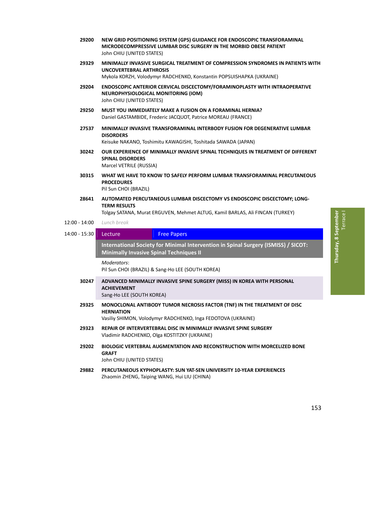- **29200 NEW GRID POSITIONING SYSTEM (GPS) GUIDANCE FOR ENDOSCOPIC TRANSFORAMINAL MICRODECOMPRESSIVE LUMBAR DISC SURGERY IN THE MORBID OBESE PATIENT** John CHIU (UNITED STATES)
- **29329 MINIMALLY INVASIVE SURGICAL TREATMENT OF COMPRESSION SYNDROMES IN PATIENTS WITH UNCOVERTEBRAL ARTHROSIS** Mykola KORZH, Volodymyr RADCHENKO, Konstantin POPSUISHAPKA (UKRAINE)
- **29204 ENDOSCOPIC ANTERIOR CERVICAL DISCECTOMY/FORAMINOPLASTY WITH INTRAOPERATIVE NEUROPHYSIOLOGICAL MONITORING (IOM)** John CHIU (UNITED STATES)
- **29250 MUST YOU IMMEDIATELY MAKE A FUSION ON A FORAMINAL HERNIA?** Daniel GASTAMBIDE, Frederic JACQUOT, Patrice MOREAU (FRANCE)
- **27537 MINIMALLY INVASIVE TRANSFORAMINAL INTERBODY FUSION FOR DEGENERATIVE LUMBAR DISORDERS**

Keisuke NAKANO, Toshimitu KAWAGISHI, Toshitada SAWADA (JAPAN)

- **30242 OUR EXPERIENCE OF MINIMALLY INVASIVE SPINAL TECHNIQUES IN TREATMENT OF DIFFERENT SPINAL DISORDERS** Marcel VETRILE (RUSSIA)
- **30315 WHAT WE HAVE TO KNOW TO SAFELY PERFORM LUMBAR TRANSFORAMINAL PERCUTANEOUS PROCEDURES**

Pil Sun CHOI (BRAZIL)

**28641 AUTOMATED PERCUTANEOUS LUMBAR DISCECTOMY VS ENDOSCOPIC DISCECTOMY; LONG‐ TERM RESULTS**

Tolgay SATANA, Murat ERGUVEN, Mehmet ALTUG, Kamil BARLAS, Ali FINCAN (TURKEY)

- 12:00 ‐ 14:00 *Lunch break*
- 14:00 15:30 Lecture Free Papers

168B**International Society for Minimal Intervention in Spinal Surgery (ISMISS) / SICOT: Minimally Invasive Spinal Techniques II** *̶ Lecture / Free Papers*

*Moderators*:

Pil Sun CHOI (BRAZIL) & Sang‐Ho LEE (SOUTH KOREA)

**30247 ADVANCED MINIMALLY INVASIVE SPINE SURGERY (MISS) IN KOREA WITH PERSONAL ACHIEVEMENT**

Sang‐Ho LEE (SOUTH KOREA)

**29325 MONOCLONAL ANTIBODY TUMOR NECROSIS FACTOR (TNF) IN THE TREATMENT OF DISC HERNIATION**

Vasiliy SHIMON, Volodymyr RADCHENKO, Inga FEDOTOVA (UKRAINE)

- **29323 REPAIR OF INTERVERTEBRAL DISC IN MINIMALLY INVASIVE SPINE SURGERY** Vladimir RADCHENKO, Olga KOSTITZKY (UKRAINE)
- **29202 BIOLOGIC VERTEBRAL AUGMENTATION AND RECONSTRUCTION WITH MORCELIZED BONE GRAFT**
	- John CHIU (UNITED STATES)
- **29882 PERCUTANEOUS KYPHOPLASTY: SUN YAT‐SEN UNIVERSITY 10‐YEAR EXPERIENCES** Zhaomin ZHENG, Taiping WANG, Hui LIU (CHINA)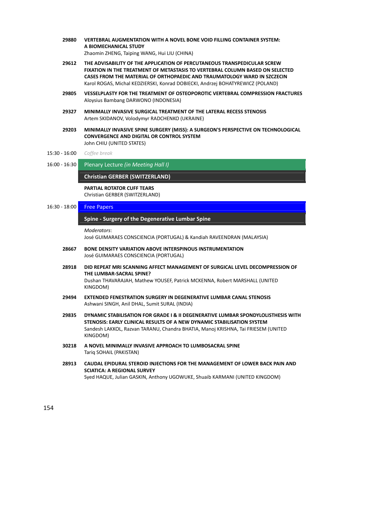- **29880 VERTEBRAL AUGMENTATION WITH A NOVEL BONE VOID FILLING CONTAINER SYSTEM: A BIOMECHANICAL STUDY** Zhaomin ZHENG, Taiping WANG, Hui LIU (CHINA)
	-
- **29612 THE ADVISABILITY OF THE APPLICATION OF PERCUTANEOUS TRANSPEDICULAR SCREW FIXATION IN THE TREATMENT OF METASTASIS TO VERTEBRAL COLUMN BASED ON SELECTED CASES FROM THE MATERIAL OF ORTHOPAEDIC AND TRAUMATOLOGY WARD IN SZCZECIN** Karol ROGAS, Michal KEDZIERSKI, Konrad DOBIECKI, Andrzej BOHATYREWICZ (POLAND)
- **29805 VESSELPLASTY FOR THE TREATMENT OF OSTEOPOROTIC VERTEBRAL COMPRESSION FRACTURES** Aloysius Bambang DARWONO (INDONESIA)
- **29327 MINIMALLY INVASIVE SURGICAL TREATMENT OF THE LATERAL RECESS STENOSIS** Artem SKIDANOV, Volodymyr RADCHENKO (UKRAINE)
- **29203 MINIMALLY INVASIVE SPINE SURGERY (MISS): A SURGEON'S PERSPECTIVE ON TECHNOLOGICAL CONVERGENCE AND DIGITAL OR CONTROL SYSTEM** John CHIU (UNITED STATES)
- 15:30 ‐ 16:00 *Coffee break*
- 16:00 ‐ 16:30 Plenary Lecture *(in Meeting Hall I)*

**Christian GERBER (SWITZERLAND)** *̶ Plenary Lecture*

# **PARTIAL ROTATOR CUFF TEARS** Christian GERBER (SWITZERLAND)

# 16:30 ‐ 18:00 Free Papers

## 169B**Spine ‐ Surgery of the Degenerative Lumbar Spine** *̶ Free Papers*

### *Moderators*:

José GUIMARAES CONSCIENCIA (PORTUGAL) & Kandiah RAVEENDRAN (MALAYSIA)

- **28667 BONE DENSITY VARIATION ABOVE INTERSPINOUS INSTRUMENTATION** José GUIMARAES CONSCIENCIA (PORTUGAL)
- **28918 DID REPEAT MRI SCANNING AFFECT MANAGEMENT OF SURGICAL LEVEL DECOMPRESSION OF THE LUMBAR‐SACRAL SPINE?** Dushan THAVARAJAH, Mathew YOUSEF, Patrick MCKENNA, Robert MARSHALL (UNITED KINGDOM)
- **29494 EXTENDED FENESTRATION SURGERY IN DEGENERATIVE LUMBAR CANAL STENOSIS** Ashwani SINGH, Anil DHAL, Sumit SURAL (INDIA)
- **29835 DYNAMIC STABILISATION FOR GRADE I & II DEGENERATIVE LUMBAR SPONDYLOLISTHESIS WITH STENOSIS: EARLY CLINICAL RESULTS OF A NEW DYNAMIC STABILISATION SYSTEM** Sandesh LAKKOL, Razvan TARANU, Chandra BHATIA, Manoj KRISHNA, Tai FRIESEM (UNITED KINGDOM)
- **30218 A NOVEL MINIMALLY INVASIVE APPROACH TO LUMBOSACRAL SPINE** Tariq SOHAIL (PAKISTAN)
- **28913 CAUDAL EPIDURAL STEROID INJECTIONS FOR THE MANAGEMENT OF LOWER BACK PAIN AND SCIATICA: A REGIONAL SURVEY** Syed HAQUE, Julian GASKIN, Anthony UGOWUKE, Shuaib KARMANI (UNITED KINGDOM)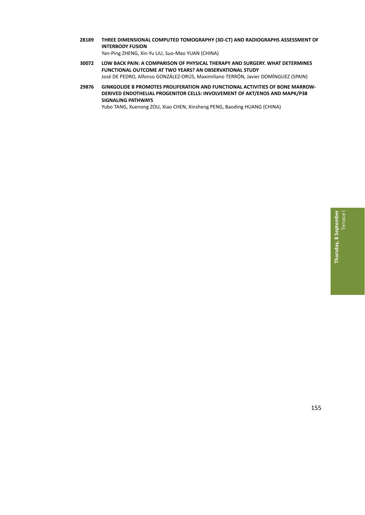**28189 THREE DIMENSIONAL COMPUTED TOMOGRAPHY (3D‐CT) AND RADIOGRAPHS ASSESSMENT OF INTERBODY FUSION**

Yan‐Ping ZHENG, Xin‐Yu LIU, Suo‐Mao YUAN (CHINA)

- **30072 LOW BACK PAIN: A COMPARISON OF PHYSICAL THERAPY AND SURGERY. WHAT DETERMINES FUNCTIONAL OUTCOME AT TWO YEARS? AN OBSERVATIONAL STUDY** José DE PEDRO, Alfonso GONZÁLEZ‐ORÚS, Maximiliano TERRÓN, Javier DOMÍNGUEZ (SPAIN)
- **29876 GINKGOLIDE B PROMOTES PROLIFERATION AND FUNCTIONAL ACTIVITIES OF BONE MARROW‐ DERIVED ENDOTHELIAL PROGENITOR CELLS: INVOLVEMENT OF AKT/ENOS AND MAPK/P38 SIGNALING PATHWAYS**

Yubo TANG, Xuenong ZOU, Xiao CHEN, Xinsheng PENG, Baoding HUANG (CHINA)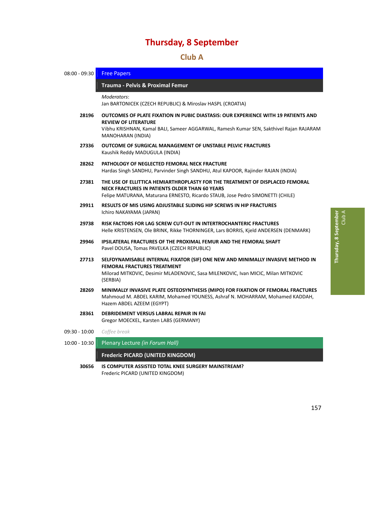# 40B**Club A**

| $08:00 - 09:30$ | <b>Free Papers</b>                                                                                                                                                                                                               |  |
|-----------------|----------------------------------------------------------------------------------------------------------------------------------------------------------------------------------------------------------------------------------|--|
|                 | Trauma - Pelvis & Proximal Femur                                                                                                                                                                                                 |  |
|                 | Moderators:<br>Jan BARTONICEK (CZECH REPUBLIC) & Miroslav HASPL (CROATIA)                                                                                                                                                        |  |
| 28196           | OUTCOMES OF PLATE FIXATION IN PUBIC DIASTASIS: OUR EXPERIENCE WITH 19 PATIENTS AND<br><b>REVIEW OF LITERATURE</b><br>Vibhu KRISHNAN, Kamal BALI, Sameer AGGARWAL, Ramesh Kumar SEN, Sakthivel Rajan RAJARAM<br>MANOHARAN (INDIA) |  |
| 27336           | <b>OUTCOME OF SURGICAL MANAGEMENT OF UNSTABLE PELVIC FRACTURES</b><br>Kaushik Reddy MADUGULA (INDIA)                                                                                                                             |  |
| 28262           | PATHOLOGY OF NEGLECTED FEMORAL NECK FRACTURE<br>Hardas Singh SANDHU, Parvinder Singh SANDHU, Atul KAPOOR, Rajinder RAJAN (INDIA)                                                                                                 |  |
| 27381           | THE USE OF ELLITTICA HEMIARTHROPLASTY FOR THE TREATMENT OF DISPLACED FEMORAL<br>NECK FRACTURES IN PATIENTS OLDER THAN 60 YEARS<br>Felipe MATURANA, Maturana ERNESTO, Ricardo STAUB, Jose Pedro SIMONETTI (CHILE)                 |  |
| 29911           | RESULTS OF MIS USING ADJUSTABLE SLIDING HIP SCREWS IN HIP FRACTURES<br>Ichiro NAKAYAMA (JAPAN)                                                                                                                                   |  |
| 29738           | RISK FACTORS FOR LAG SCREW CUT-OUT IN INTERTROCHANTERIC FRACTURES<br>Helle KRISTENSEN, Ole BRINK, Rikke THORNINGER, Lars BORRIS, Kjeld ANDERSEN (DENMARK)                                                                        |  |
| 29946           | <b>IPSILATERAL FRACTURES OF THE PROXIMAL FEMUR AND THE FEMORAL SHAFT</b><br>Pavel DOUSA, Tomas PAVELKA (CZECH REPUBLIC)                                                                                                          |  |
| 27713           | SELFDYNAMISABLE INTERNAL FIXATOR (SIF) ONE NEW AND MINIMALLY INVASIVE METHOD IN<br><b>FEMORAL FRACTURES TREATMENT</b><br>Milorad MITKOVIC, Desimir MLADENOVIC, Sasa MILENKOVIC, Ivan MICIC, Milan MITKOVIC<br>(SERBIA)           |  |
| 28269           | MINIMALLY INVASIVE PLATE OSTEOSYNTHESIS (MIPO) FOR FIXATION OF FEMORAL FRACTURES<br>Mahmoud M. ABDEL KARIM, Mohamed YOUNESS, Ashraf N. MOHARRAM, Mohamed KADDAH,<br>Hazem ABDEL AZEEM (EGYPT)                                    |  |
| 28361           | DEBRIDEMENT VERSUS LABRAL REPAIR IN FAI<br>Gregor MOECKEL, Karsten LABS (GERMANY)                                                                                                                                                |  |
| $09:30 - 10:00$ | Coffee break                                                                                                                                                                                                                     |  |
| $10:00 - 10:30$ | Plenary Lecture (in Forum Hall)                                                                                                                                                                                                  |  |
|                 | <b>Frederic PICARD (UNITED KINGDOM)</b>                                                                                                                                                                                          |  |

**30656 IS COMPUTER ASSISTED TOTAL KNEE SURGERY MAINSTREAM?** Frederic PICARD (UNITED KINGDOM)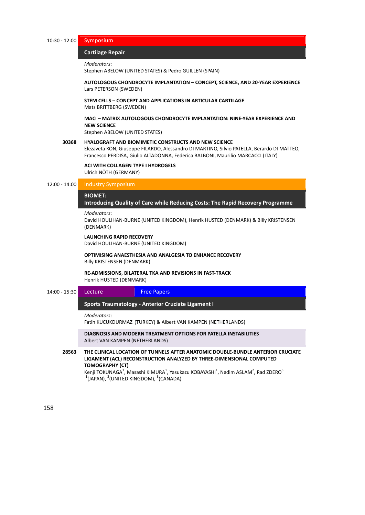10:30 ‐ 12:00 Symposium

## $Cartilage Repair$

```
Moderators:
```
Stephen ABELOW (UNITED STATES) & Pedro GUILLEN (SPAIN)

**AUTOLOGOUS CHONDROCYTE IMPLANTATION – CONCEPT, SCIENCE, AND 20‐YEAR EXPERIENCE** Lars PETERSON (SWEDEN)

**STEM CELLS – CONCEPT AND APPLICATIONS IN ARTICULAR CARTILAGE** Mats BRITTBERG (SWEDEN)

# **MACI – MATRIX AUTOLOGOUS CHONDROCYTE IMPLANTATION: NINE‐YEAR EXPERIENCE AND NEW SCIENCE**

Stephen ABELOW (UNITED STATES)

## **30368 HYALOGRAFT AND BIOMIMETIC CONSTRUCTS AND NEW SCIENCE**

Elezaveta KON, Giuseppe FILARDO, Alessandro DI MARTINO, Silvio PATELLA, Berardo DI MATTEO, Francesco PERDISA, Giulio ALTADONNA, Federica BALBONI, Maurilio MARCACCI (ITALY)

**ACI WITH COLLAGEN TYPE I HYDROGELS** Ulrich NÖTH (GERMANY)

# 12:00 ‐ 14:00 Industry Symposium

# BIOMET:

**Introducing Quality of Care while Reducing Costs: The Rapid Recovery Programme**  *̶Industry Symposium*

# *Moderators*:

David HOULIHAN‐BURNE (UNITED KINGDOM), Henrik HUSTED (DENMARK) & Billy KRISTENSEN (DENMARK)

# **LAUNCHING RAPID RECOVERY**

David HOULIHAN‐BURNE (UNITED KINGDOM)

**OPTIMISING ANAESTHESIA AND ANALGESIA TO ENHANCE RECOVERY** Billy KRISTENSEN (DENMARK)

**RE‐ADMISSIONS, BILATERAL TKA AND REVISIONS IN FAST‐TRACK** Henrik HUSTED (DENMARK)

# 14:00 - 15:30 Lecture Free Papers

173B**Sports Traumatology ‐ Anterior Cruciate Ligament I** *̶ Lecture / Free Papers*

*Moderators*:

Fatih KUCUKDURMAZ (TURKEY) & Albert VAN KAMPEN (NETHERLANDS)

**DIAGNOSIS AND MODERN TREATMENT OPTIONS FOR PATELLA INSTABILITIES** Albert VAN KAMPEN (NETHERLANDS)

**28563 THE CLINICAL LOCATION OF TUNNELS AFTER ANATOMIC DOUBLE‐BUNDLE ANTERIOR CRUCIATE LIGAMENT (ACL) RECONSTRUCTION ANALYZED BY THREE‐DIMENSIONAL COMPUTED TOMOGRAPHY (CT)**

Kenji TOKUNAGA<sup>1</sup>, Masashi KIMURA<sup>1</sup>, Yasukazu KOBAYASHI<sup>1</sup>, Nadim ASLAM<sup>2</sup>, Rad ZDERO<sup>3</sup>  $1$ (JAPAN),  $2$ (UNITED KINGDOM),  $3$ (CANADA)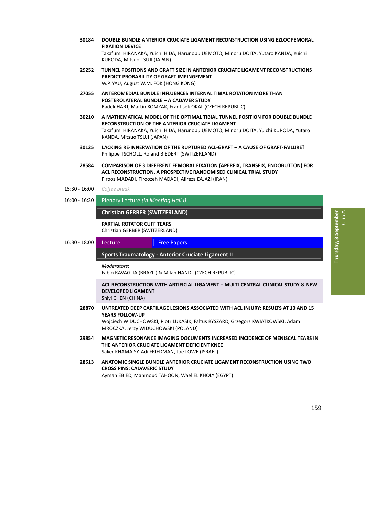- **30184 DOUBLE BUNDLE ANTERIOR CRUCIATE LIGAMENT RECONSTRUCTION USING EZLOC FEMORAL FIXATION DEVICE** Takafumi HIRANAKA, Yuichi HIDA, Harunobu UEMOTO, Minoru DOITA, Yutaro KANDA, Yuichi KURODA, Mitsuo TSUJI (JAPAN)
- **29252 TUNNEL POSITIONS AND GRAFT SIZE IN ANTERIOR CRUCIATE LIGAMENT RECONSTRUCTIONS PREDICT PROBABILITY OF GRAFT IMPINGEMENT** W.P. YAU, August W.M. FOK (HONG KONG)
- **27055 ANTEROMEDIAL BUNDLE INFLUENCES INTERNAL TIBIAL ROTATION MORE THAN POSTEROLATERAL BUNDLE – A CADAVER STUDY** Radek HART, Martin KOMZAK, Frantisek OKAL (CZECH REPUBLIC)
- **30210 A MATHEMATICAL MODEL OF THE OPTIMAL TIBIAL TUNNEL POSITION FOR DOUBLE BUNDLE RECONSTRUCTION OF THE ANTERIOR CRUCIATE LIGAMENT** Takafumi HIRANAKA, Yuichi HIDA, Harunobu UEMOTO, Minoru DOITA, Yuichi KURODA, Yutaro KANDA, Mitsuo TSUJI (JAPAN)
- **30125 LACKING RE‐INNERVATION OF THE RUPTURED ACL‐GRAFT – A CAUSE OF GRAFT‐FAILURE?** Philippe TSCHOLL, Roland BIEDERT (SWITZERLAND)
- **28584 COMPARISON OF 3 DIFFERENT FEMORAL FIXATION (APERFIX, TRANSFIX, ENDOBUTTON) FOR ACL RECONSTRUCTION. A PROSPECTIVE RANDOMISED CLINICAL TRIAL STUDY** Firooz MADADI, Firoozeh MADADI, Alireza EAJAZI (IRAN)
- 15:30 ‐ 16:00 *Coffee break*
- 16:00 ‐ 16:30 Plenary Lecture *(in Meeting Hall I)*

# **Christian GERBER (SWITZERLAND)** *̶ Plenary Lecture*

**PARTIAL ROTATOR CUFF TEARS** Christian GERBER (SWITZERLAND)

16:30 - 18:00 Lecture Free Papers

# 174B**Sports Traumatology ‐ Anterior Cruciate Ligament II** *̶ Lecture / Free Papers*

*Moderators*:

Fabio RAVAGLIA (BRAZIL) & Milan HANDL (CZECH REPUBLIC)

**ACL RECONSTRUCTION WITH ARTIFICIAL LIGAMENT – MULTI‐CENTRAL CLINICAL STUDY & NEW DEVELOPED LIGAMENT** Shiyi CHEN (CHINA)

- **28870 UNTREATED DEEP CARTILAGE LESIONS ASSOCIATED WITH ACL INJURY: RESULTS AT 10 AND 15 YEARS FOLLOW‐UP** Wojciech WIDUCHOWSKI, Piotr LUKASIK, Faltus RYSZARD, Grzegorz KWIATKOWSKI, Adam MROCZKA, Jerzy WIDUCHOWSKI (POLAND)
- **29854 MAGNETIC RESONANCE IMAGING DOCUMENTS INCREASED INCIDENCE OF MENISCAL TEARS IN THE ANTERIOR CRUCIATE LIGAMENT DEFICIENT KNEE** Saker KHAMAISY, Adi FRIEDMAN, Joe LOWE (ISRAEL)
- **28513 ANATOMIC SINGLE BUNDLE ANTERIOR CRUCIATE LIGAMENT RECONSTRUCTION USING TWO CROSS PINS: CADAVERIC STUDY** Ayman EBIED, Mahmoud TAHOON, Wael EL KHOLY (EGYPT)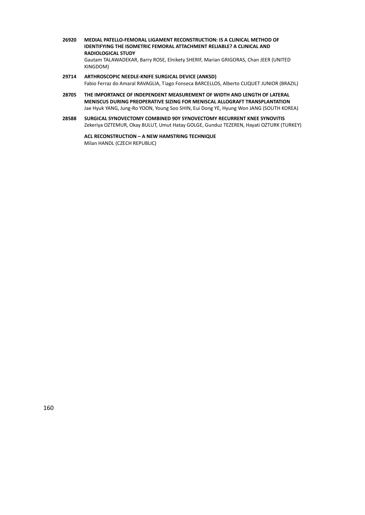- **26920 MEDIAL PATELLO‐FEMORAL LIGAMENT RECONSTRUCTION: IS A CLINICAL METHOD OF IDENTIFYING THE ISOMETRIC FEMORAL ATTACHMENT RELIABLE? A CLINICAL AND RADIOLOGICAL STUDY** Gautam TALAWADEKAR, Barry ROSE, Elnikety SHERIF, Marian GRIGORAS, Chan JEER (UNITED KINGDOM)
- **29714 ARTHROSCOPIC NEEDLE‐KNIFE SURGICAL DEVICE (ANKSD)** Fabio Ferraz do Amaral RAVAGLIA, Tiago Fonseca BARCELLOS, Alberto CLIQUET JUNIOR (BRAZIL)
- **28705 THE IMPORTANCE OF INDEPENDENT MEASUREMENT OF WIDTH AND LENGTH OF LATERAL MENISCUS DURING PREOPERATIVE SIZING FOR MENISCAL ALLOGRAFT TRANSPLANTATION** Jae Hyuk YANG, Jung‐Ro YOON, Young Soo SHIN, Eui Dong YE, Hyung Won JANG (SOUTH KOREA)
- **28588 SURGICAL SYNOVECTOMY COMBINED 90Y SYNOVECTOMY RECURRENT KNEE SYNOVITIS** Zekeriya OZTEMUR, Okay BULUT, Umut Hatay GOLGE, Gunduz TEZEREN, Hayati OZTURK (TURKEY)

**ACL RECONSTRUCTION – A NEW HAMSTRING TECHNIQUE** Milan HANDL (CZECH REPUBLIC)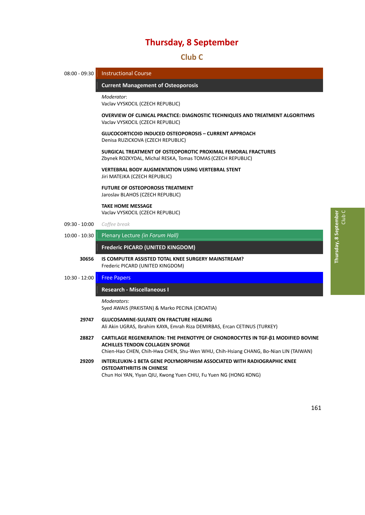41B**Club C**

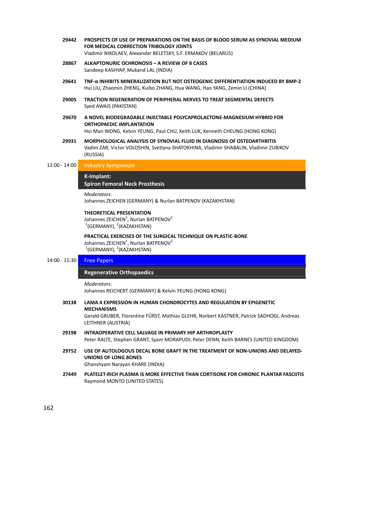| 29442           | PROSPECTS OF USE OF PREPARATIONS ON THE BASIS OF BLOOD SERUM AS SYNOVIAL MEDIUM<br>FOR MEDICAL CORRECTION TRIBOLOGY JOINTS<br>Vladimir NIKOLAEV, Alexander BELETSKY, S.F. ERMAKOV (BELARUS)                  |
|-----------------|--------------------------------------------------------------------------------------------------------------------------------------------------------------------------------------------------------------|
| 28867           | <b>ALKAPTONURIC OCHRONOSIS - A REVIEW OF 8 CASES</b><br>Sandeep KASHYAP, Mukand LAL (INDIA)                                                                                                                  |
| 29641           | TNF-a INHIBITS MINERALIZATION BUT NOT OSTEOGENIC DIFFERENTIATION INDUCED BY BMP-2<br>Hui LIU, Zhaomin ZHENG, Kuibo ZHANG, Hua WANG, Hao YANG, Zemin LI (CHINA)                                               |
| 29005           | TRACTION REGENERATION OF PERIPHERAL NERVES TO TREAT SEGMENTAL DEFECTS<br>Syed AWAIS (PAKISTAN)                                                                                                               |
| 29670           | A NOVEL BIODEGRADABLE INJECTABLE POLYCAPROLACTONE-MAGNESIUM HYBRID FOR<br><b>ORTHOPAEDIC IMPLANTATION</b><br>Hoi Man WONG, Kelvin YEUNG, Paul CHU, Keith LUK, Kenneth CHEUNG (HONG KONG)                     |
| 29931           | <b>MORPHOLOGICAL ANALYSIS OF SYNOVIAL FLUID IN DIAGNOSIS OF OSTEOARTHRITIS</b><br>Vadim ZAR, Victor VOLOSHIN, Svetlana SHATOKHINA, Vladimir SHABALIN, Vladimir ZUBIKOV<br>(RUSSIA)                           |
| $12:00 - 14:00$ | <b>Industry Symposium</b>                                                                                                                                                                                    |
|                 | K-Implant:<br><b>Spiron Femoral Neck Prosthesis</b>                                                                                                                                                          |
|                 | Moderators:<br>Johannes ZEICHEN (GERMANY) & Nurlan BATPENOV (KAZAKHSTAN)                                                                                                                                     |
|                 | <b>THEORETICAL PRESENTATION</b><br>Johannes ZEICHEN <sup>1</sup> , Nurlan BATPENOV <sup>2</sup><br>$1$ (GERMANY), $2$ (KAZAKHSTAN)                                                                           |
|                 | PRACTICAL EXERCISES OF THE SURGICAL TECHNIQUE ON PLASTIC-BONE<br>Johannes ZEICHEN <sup>1</sup> , Nurlan BATPENOV <sup>2</sup><br>$1$ (GERMANY), $2$ (KAZAKHSTAN)                                             |
| 14:00 - 15:30   | <b>Free Papers</b>                                                                                                                                                                                           |
|                 | <b>Regenerative Orthopaedics</b>                                                                                                                                                                             |
|                 | Moderators:<br>Johannes REICHERT (GERMANY) & Kelvin YEUNG (HONG KONG)                                                                                                                                        |
| 30138           | LAMA 4 EXPRESSION IN HUMAN CHONDROCYTES AND REGULATION BY EPIGENETIC<br><b>MECHANISMS</b><br>Gerald GRUBER, Florentine FÜRST, Mathias GLEHR, Norbert KASTNER, Patrick SADHOGI, Andreas<br>LEITHNER (AUSTRIA) |
| 29198           | INTRAOPERATIVE CELL SALVAGE IN PRIMARY HIP ARTHROPLASTY<br>Peter RALTE, Stephen GRANT, Syam MORAPUDI, Peter DENN, Keith BARNES (UNITED KINGDOM)                                                              |
| 29752           | USE OF AUTOLOGOUS DECAL BONE GRAFT IN THE TREATMENT OF NON-UNIONS AND DELAYED-<br><b>UNIONS OF LONG BONES</b><br>Ghanshyam Narayan KHARE (INDIA)                                                             |
| 27449           | PLATELET-RICH PLASMA IS MORE EFFECTIVE THAN CORTISONE FOR CHRONIC PLANTAR FASCIITIS<br>Raymond MONTO (UNITED STATES)                                                                                         |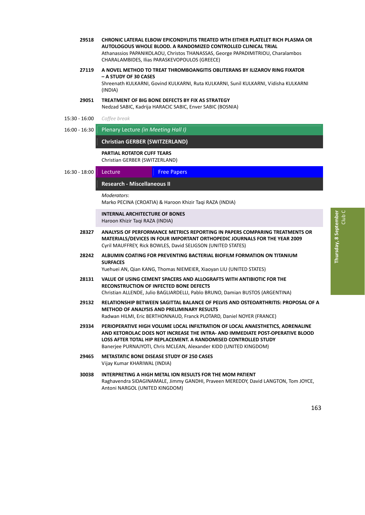- **29518 CHRONIC LATERAL ELBOW EPICONDYLITIS TREATED WTH EITHER PLATELET RICH PLASMA OR AUTOLOGOUS WHOLE BLOOD. A RANDOMIZED CONTROLLED CLINICAL TRIAL** Athanassios PAPANIKOLAOU, Christos THANASSAS, George PAPADIMITRIOU, Charalambos CHARALAMBIDES, Ilias PARASKEVOPOULOS (GREECE)
- **27119 A NOVEL METHOD TO TREAT THROMBOANGITIS OBLITERANS BY ILIZAROV RING FIXATOR – A STUDY OF 30 CASES** Shreenath KULKARNI, Govind KULKARNI, Ruta KULKARNI, Sunil KULKARNI, Vidisha KULKARNI (INDIA)
- **29051 TREATMENT OF BIG BONE DEFECTS BY FIX AS STRATEGY** Nedzad SABIC, Kadrija HARACIC SABIC, Enver SABIC (BOSNIA)
- 15:30 ‐ 16:00 *Coffee break*
- 16:00 ‐ 16:30 Plenary Lecture *(in Meeting Hall I)*

## **Christian GERBER (SWITZERLAND)** *̶ Plenary Lecture*

**PARTIAL ROTATOR CUFF TEARS** Christian GERBER (SWITZERLAND)

# 16:30 - 18:00 Lecture Free Papers

# 179B**Research ‐ Miscellaneous II** *̶ Lecture / Free Papers*

*Moderators*:

Marko PECINA (CROATIA) & Haroon Khizir Taqi RAZA (INDIA)

**INTERNAL ARCHITECTURE OF BONES** Haroon Khizir Taqi RAZA (INDIA)

- **28327 ANALYSIS OF PERFORMANCE METRICS REPORTING IN PAPERS COMPARING TREATMENTS OR MATERIALS/DEVICES IN FOUR IMPORTANT ORTHOPEDIC JOURNALS FOR THE YEAR 2009** Cyril MAUFFREY, Rick BOWLES, David SELIGSON (UNITED STATES)
- **28242 ALBUMIN COATING FOR PREVENTING BACTERIAL BIOFILM FORMATION ON TITANIUM SURFACES**

Yuehuei AN, Qian KANG, Thomas NIEMEIER, Xiaoyan LIU (UNITED STATES)

- **28131 VALUE OF USING CEMENT SPACERS AND ALLOGRAFTS WITH ANTIBIOTIC FOR THE RECONSTRUCTION OF INFECTED BONE DEFECTS** Christian ALLENDE, Julio BAGLIARDELLI, Pablo BRUNO, Damian BUSTOS (ARGENTINA)
- **29132 RELATIONSHIP BETWEEN SAGITTAL BALANCE OF PELVIS AND OSTEOARTHRITIS: PROPOSAL OF A METHOD OF ANALYSIS AND PRELIMINARY RESULTS** Radwan HILMI, Eric BERTHONNAUD, Franck PLOTARD, Daniel NOYER (FRANCE)
- **29334 PERIOPERATIVE HIGH VOLUME LOCAL INFILTRATION OF LOCAL ANAESTHETICS, ADRENALINE AND KETOROLAC DOES NOT INCREASE THE INTRA‐ AND IMMEDIATE POST‐OPERATIVE BLOOD LOSS AFTER TOTAL HIP REPLACEMENT. A RANDOMISED CONTROLLED STUDY** Banerjee PURNAJYOTI, Chris MCLEAN, Alexander KIDD (UNITED KINGDOM)
- **29465 METASTATIC BONE DISEASE STUDY OF 250 CASES** Vijay Kumar KHARIWAL (INDIA)
- **30038 INTERPRETING A HIGH METAL ION RESULTS FOR THE MOM PATIENT** Raghavendra SIDAGINAMALE, Jimmy GANDHI, Praveen MEREDDY, David LANGTON, Tom JOYCE, Antoni NARGOL (UNITED KINGDOM)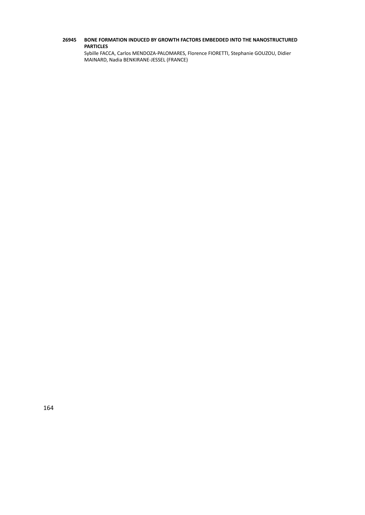# **26945 BONE FORMATION INDUCED BY GROWTH FACTORS EMBEDDED INTO THE NANOSTRUCTURED PARTICLES**

Sybille FACCA, Carlos MENDOZA‐PALOMARES, Florence FIORETTI, Stephanie GOUZOU, Didier MAINARD, Nadia BENKIRANE‐JESSEL (FRANCE)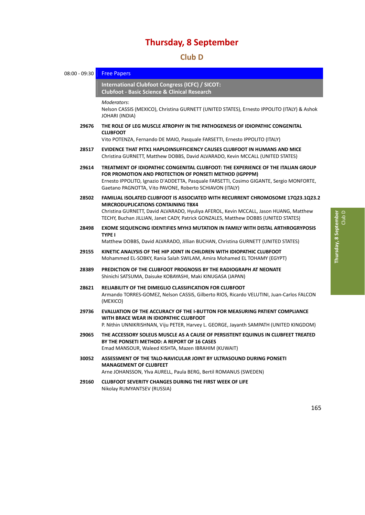42B**Club D**

08:00 - 09:30 Free Papers 180B**International Clubfoot Congress (ICFC) / SICOT: Clubfoot ‐ Basic Science & Clinical Research** *̶ Free Papers Moderators*: Nelson CASSIS (MEXICO), Christina GURNETT (UNITED STATES), Ernesto IPPOLITO (ITALY) & Ashok JOHARI (INDIA) **29676 THE ROLE OF LEG MUSCLE ATROPHY IN THE PATHOGENESIS OF IDIOPATHIC CONGENITAL CLUBFOOT** Vito POTENZA, Fernando DE MAIO, Pasquale FARSETTI, Ernesto IPPOLITO (ITALY) **28517 EVIDENCE THAT PITX1 HAPLOINSUFFICIENCY CAUSES CLUBFOOT IN HUMANS AND MICE** Christina GURNETT, Matthew DOBBS, David ALVARADO, Kevin MCCALL (UNITED STATES) **29614 TREATMENT OF IDIOPATHIC CONGENITAL CLUBFOOT: THE EXPERIENCE OF THE ITALIAN GROUP FOR PROMOTION AND PROTECTION OF PONSETI METHOD (IGPPPM)** Ernesto IPPOLITO, Ignazio D'ADDETTA, Pasquale FARSETTI, Cosimo GIGANTE, Sergio MONFORTE, Gaetano PAGNOTTA, Vito PAVONE, Roberto SCHIAVON (ITALY) **28502 FAMILIAL ISOLATED CLUBFOOT IS ASSOCIATED WITH RECURRENT CHROMOSOME 17Q23.1Q23.2 MIRCRODUPLICATIONS CONTAINING TBX4** Christina GURNETT, David ALVARADO, Hyuliya AFEROL, Kevin MCCALL, Jason HUANG, Matthew TECHY, Buchan JILLIAN, Janet CADY, Patrick GONZALES, Matthew DOBBS (UNITED STATES) **28498 EXOME SEQUENCING IDENTIFIES MYH3 MUTATION IN FAMILY WITH DISTAL ARTHROGRYPOSIS TYPE I** Matthew DOBBS, David ALVARADO, Jillian BUCHAN, Christina GURNETT (UNITED STATES) **29155 KINETIC ANALYSIS OF THE HIP JOINT IN CHILDREN WITH IDIOPATHIC CLUBFOOT** Mohammed EL‐SOBKY, Rania Salah SWILAM, Amira Mohamed EL TOHAMY (EGYPT) **28389 PREDICTION OF THE CLUBFOOT PROGNOSIS BY THE RADIOGRAPH AT NEONATE** Shinichi SATSUMA, Daisuke KOBAYASHI, Maki KINUGASA (JAPAN) **28621 RELIABILITY OF THE DIMEGLIO CLASSIFICATION FOR CLUBFOOT** Armando TORRES‐GOMEZ, Nelson CASSIS, Gilberto RIOS, Ricardo VELUTINI, Juan‐Carlos FALCON (MEXICO) **29736 EVALUATION OF THE ACCURACY OF THE I‐BUTTON FOR MEASURING PATIENT COMPLIANCE WITH BRACE WEAR IN IDIOPATHIC CLUBFOOT** P. Nithin UNNIKRISHNAN, Viju PETER, Harvey L. GEORGE, Jayanth SAMPATH (UNITED KINGDOM) **29065 THE ACCESSORY SOLEUS MUSCLE AS A CAUSE OF PERSISTENT EQUINUS IN CLUBFEET TREATED BY THE PONSETI METHOD: A REPORT OF 16 CASES** Emad MANSOUR, Waleed KISHTA, Mazen IBRAHIM (KUWAIT) **30052 ASSESSMENT OF THE TALO‐NAVICULAR JOINT BY ULTRASOUND DURING PONSETI MANAGEMENT OF CLUBFEET** Arne JOHANSSON, Ylva AURELL, Paula BERG, Bertil ROMANUS (SWEDEN) **29160 CLUBFOOT SEVERITY CHANGES DURING THE FIRST WEEK OF LIFE** Nikolay RUMYANTSEV (RUSSIA)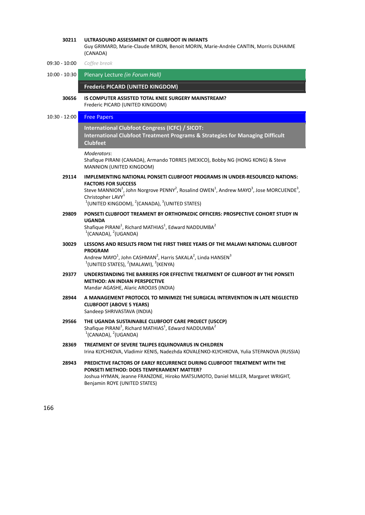| 30211           | ULTRASOUND ASSESSMENT OF CLUBFOOT IN INFANTS<br>Guy GRIMARD, Marie-Claude MIRON, Benoit MORIN, Marie-Andrée CANTIN, Morris DUHAIME<br>(CANADA)                                                                                                                                                                                                                 |
|-----------------|----------------------------------------------------------------------------------------------------------------------------------------------------------------------------------------------------------------------------------------------------------------------------------------------------------------------------------------------------------------|
| 09:30 - 10:00   | Coffee break                                                                                                                                                                                                                                                                                                                                                   |
| $10:00 - 10:30$ | Plenary Lecture (in Forum Hall)                                                                                                                                                                                                                                                                                                                                |
|                 | Frederic PICARD (UNITED KINGDOM)                                                                                                                                                                                                                                                                                                                               |
| 30656           | <b>IS COMPUTER ASSISTED TOTAL KNEE SURGERY MAINSTREAM?</b><br>Frederic PICARD (UNITED KINGDOM)                                                                                                                                                                                                                                                                 |
| $10:30 - 12:00$ | <b>Free Papers</b>                                                                                                                                                                                                                                                                                                                                             |
|                 | International Clubfoot Congress (ICFC) / SICOT:<br>International Clubfoot Treatment Programs & Strategies for Managing Difficult<br><b>Clubfeet</b>                                                                                                                                                                                                            |
|                 | Moderators:<br>Shafique PIRANI (CANADA), Armando TORRES (MEXICO), Bobby NG (HONG KONG) & Steve<br>MANNION (UNITED KINGDOM)                                                                                                                                                                                                                                     |
| 29114           | IMPLEMENTING NATIONAL PONSETI CLUBFOOT PROGRAMS IN UNDER-RESOURCED NATIONS:<br><b>FACTORS FOR SUCCESS</b><br>Steve MANNION <sup>1</sup> , John Norgrove PENNY <sup>2</sup> , Rosalind OWEN <sup>1</sup> , Andrew MAYO <sup>3</sup> , Jose MORCUENDE <sup>3</sup> ,<br>Christopher LAVY <sup>1</sup><br>$1$ (UNITED KINGDOM), $2$ (CANADA), $3$ (UNITED STATES) |
| 29809           | PONSETI CLUBFOOT TREAMENT BY ORTHOPAEDIC OFFICERS: PROSPECTIVE COHORT STUDY IN<br><b>UGANDA</b><br>Shafique PIRANI <sup>1</sup> , Richard MATHIAS <sup>1</sup> , Edward NADDUMBA <sup>2</sup><br>$1$ (CANADA), $2$ (UGANDA)                                                                                                                                    |
| 30029           | LESSONS AND RESULTS FROM THE FIRST THREE YEARS OF THE MALAWI NATIONAL CLUBFOOT<br><b>PROGRAM</b><br>Andrew MAYO <sup>1</sup> , John CASHMAN <sup>2</sup> , Harris SAKALA <sup>2</sup> , Linda HANSEN <sup>3</sup><br>$1$ (UNITED STATES), $2$ (MALAWI), $3$ (KENYA)                                                                                            |
| 29377           | UNDERSTANDING THE BARRIERS FOR EFFECTIVE TREATMENT OF CLUBFOOT BY THE PONSETI<br><b>METHOD: AN INDIAN PERSPECTIVE</b><br>Mandar AGASHE, Alaric AROOJIS (INDIA)                                                                                                                                                                                                 |
| 28944           | A MANAGEMENT PROTOCOL TO MINIMIZE THE SURGICAL INTERVENTION IN LATE NEGLECTED<br><b>CLUBFOOT (ABOVE 5 YEARS)</b><br>Sandeep SHRIVASTAVA (INDIA)                                                                                                                                                                                                                |
| 29566           | THE UGANDA SUSTAINABLE CLUBFOOT CARE PROJECT (USCCP)<br>Shafique PIRANI <sup>1</sup> , Richard MATHIAS <sup>1</sup> , Edward NADDUMBA <sup>2</sup><br>$1$ (CANADA), $2$ (UGANDA)                                                                                                                                                                               |
| 28369           | TREATMENT OF SEVERE TALIPES EQUINOVARUS IN CHILDREN<br>Irina KLYCHKOVA, Vladimir KENIS, Nadezhda KOVALENKO-KLYCHKOVA, Yulia STEPANOVA (RUSSIA)                                                                                                                                                                                                                 |
| 28943           | PREDICTIVE FACTORS OF EARLY RECURRENCE DURING CLUBFOOT TREATMENT WITH THE<br><b>PONSETI METHOD: DOES TEMPERAMENT MATTER?</b><br>Joshua HYMAN, Jeanne FRANZONE, Hiroko MATSUMOTO, Daniel MILLER, Margaret WRIGHT,<br>Benjamin ROYE (UNITED STATES)                                                                                                              |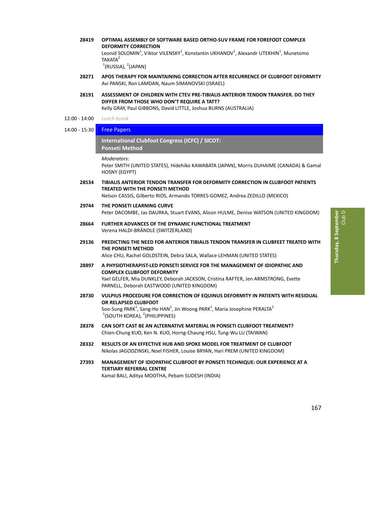**28419 OPTIMAL ASSEMBLY OF SOFTWARE BASED ORTHO‐SUV FRAME FOR FOREFOOT COMPLEX DEFORMITY CORRECTION**

Leonid SOLOMIN<sup>1</sup>, Viktor VILENSKY<sup>1</sup>, Konstantin UKHANOV<sup>1</sup>, Alexandr UTEKHIN<sup>1</sup>, Munetomo TAKATA<sup>2</sup>

 $1$ (RUSSIA),  $2$ (JAPAN)

- **28271 APOS THERAPY FOR MAINTAINING CORRECTION AFTER RECURRENCE OF CLUBFOOT DEFORMITY** Avi PANSKI, Ron LAMDAN, Naum SIMANOVSKI (ISRAEL)
- **28191 ASSESSMENT OF CHILDREN WITH CTEV PRE‐TIBIALIS ANTERIOR TENDON TRANSFER. DO THEY DIFFER FROM THOSE WHO DON'T REQUIRE A TATT?** Kelly GRAY, Paul GIBBONS, David LITTLE, Joshua BURNS (AUSTRALIA)
- 12:00 ‐ 14:00 *Lunch break*

# 14:00 - 15:30 Free Papers

# 182B**International Clubfoot Congress (ICFC) / SICOT: Ponseti** Method

*Moderators*:

Peter SMITH (UNITED STATES), Hidehiko KAWABATA (JAPAN), Morris DUHAIME (CANADA) & Gamal HOSNY (EGYPT)

- **28534 TIBIALIS ANTERIOR TENDON TRANSFER FOR DEFORMITY CORRECTION IN CLUBFOOT PATIENTS TREATED WITH THE PONSETI METHOD** Nelson CASSIS, Gilberto RIOS, Armando TORRES‐GOMEZ, Andrea ZEDILLO (MEXICO)
- **29744 THE PONSETI LEARNING CURVE** Peter DACOMBE, Jas DAURKA, Stuart EVANS, Alison HULME, Denise WATSON (UNITED KINGDOM)
- **28664 FURTHER ADVANCES OF THE DYNAMIC FUNCTIONAL TREATMENT** Verena HALDI‐BRÄNDLE (SWITZERLAND)
- **29136 PREDICTING THE NEED FOR ANTERIOR TIBIALIS TENDON TRANSFER IN CLUBFEET TREATED WITH THE PONSETI METHOD**

Alice CHU, Rachel GOLDSTEIN, Debra SALA, Wallace LEHMAN (UNITED STATES)

- **28897 A PHYSIOTHERAPIST‐LED PONSETI SERVICE FOR THE MANAGEMENT OF IDIOPATHIC AND COMPLEX CLUBFOOT DEFORMITY** Yael GELFER, Mia DUNKLEY, Deborah JACKSON, Cristina RAFTER, Jen ARMSTRONG, Evette PARNELL, Deborah EASTWOOD (UNITED KINGDOM)
- **28730 VULPIUS PROCEDURE FOR CORRECTION OF EQUINUS DEFORMITY IN PATIENTS WITH RESIDUAL OR RELAPSED CLUBFOOT** Soo-Sung PARK<sup>1</sup>, Sang-Ho HAN<sup>1</sup>, Jin Woong PARK<sup>1</sup>, Maria Josephine PERALTA<sup>2</sup>  $1$ (SOUTH KOREA),  $2$ (PHILIPPINES)
- **28378 CAN SOFT CAST BE AN ALTERNATIVE MATERIAL IN PONSETI CLUBFOOT TREATMENT?** Chien‐Chung KUO, Ken N. KUO, Horng‐Chaung HSU, Tung‐Wu LU (TAIWAN)
- **28332 RESULTS OF AN EFFECTIVE HUB AND SPOKE MODEL FOR TREATMENT OF CLUBFOOT** Nikolas JAGODZINSKI, Noel FISHER, Louise BRYAN, Hari PREM (UNITED KINGDOM)
- **27393 MANAGEMENT OF IDIOPATHIC CLUBFOOT BY PONSETI TECHNIQUE: OUR EXPERIENCE AT A TERTIARY REFERRAL CENTRE** Kamal BALI, Aditya MOOTHA, Pebam SUDESH (INDIA)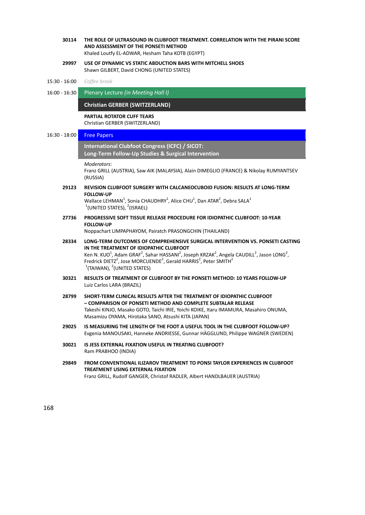- **30114 THE ROLE OF ULTRASOUND IN CLUBFOOT TREATMENT. CORRELATION WITH THE PIRANI SCORE AND ASSESSMENT OF THE PONSETI METHOD** Khaled Loutfy EL‐ADWAR, Hesham Taha KOTB (EGYPT)
- **29997 USE OF DYNAMIC VS STATIC ABDUCTION BARS WITH MITCHELL SHOES** Shawn GILBERT, David CHONG (UNITED STATES)
- 15:30 ‐ 16:00 *Coffee break*
- 16:00 ‐ 16:30 Plenary Lecture *(in Meeting Hall I)*

**Christian GERBER (SWITZERLAND)** *̶ Plenary Lecture*

**PARTIAL ROTATOR CUFF TEARS** Christian GERBER (SWITZERLAND)

16:30 - 18:00 **Free Papers** 

183B**International Clubfoot Congress (ICFC) / SICOT: Long‐Term Follow‐Up Studies & Surgical Intervention** *̶ Free Papers*

*Moderators*: Franz GRILL (AUSTRIA), Saw AIK (MALAYSIA), Alain DIMEGLIO (FRANCE) & Nikolay RUMYANTSEV (RUSSIA)

**29123 REVISION CLUBFOOT SURGERY WITH CALCANEOCUBOID FUSION: RESULTS AT LONG‐TERM FOLLOW‐UP**

Wallace LEHMAN<sup>1</sup>, Sonia CHAUDHRY<sup>1</sup>, Alice CHU<sup>1</sup>, Dan ATAR<sup>2</sup>, Debra SALA<sup>1</sup>  $1$ (UNITED STATES),  $2$ (ISRAEL)

**27736 PROGRESSIVE SOFT TISSUE RELEASE PROCEDURE FOR IDIOPATHIC CLUBFOOT: 10‐YEAR FOLLOW‐UP**

Noppachart LIMPAPHAYOM, Pairatch PRASONGCHIN (THAILAND)

- **28334 LONG‐TERM OUTCOMES OF COMPREHENSIVE SURGICAL INTERVENTION VS. PONSETI CASTING IN THE TREATMENT OF IDIOPATHIC CLUBFOOT** Ken N. KUO<sup>1</sup>, Adam GRAF<sup>2</sup>, Sahar HASSANI<sup>2</sup>, Joseph KRZAK<sup>2</sup>, Angela CAUDILL<sup>2</sup>, Jason LONG<sup>2</sup>, Fredrick DIETZ<sup>2</sup>, Jose MORCUENDE<sup>2</sup>, Gerald HARRIS<sup>2</sup>, Peter SMITH<sup>2</sup>  $1$ (TAIWAN),  $2$ (UNITED STATES)
- **30321 RESULTS OF TREATMENT OF CLUBFOOT BY THE PONSETI METHOD: 10 YEARS FOLLOW‐UP** Luiz Carlos LARA (BRAZIL)
- **28799 SHORT‐TERM CLINICAL RESULTS AFTER THE TREATMENT OF IDIOPATHIC CLUBFOOT – COMPARISON OF PONSETI METHOD AND COMPLETE SUBTALAR RELEASE** Takeshi KINJO, Masako GOTO, Taichi IRIE, Yoichi KOIKE, Itaru IMAMURA, Masahiro ONUMA, Masamizu OYAMA, Hirotaka SANO, Atsushi KITA (JAPAN)
- **29025 IS MEASURING THE LENGTH OF THE FOOT A USEFUL TOOL IN THE CLUBFOOT FOLLOW‐UP?** Evgenia MANOUSAKI, Hanneke ANDRIESSE, Gunnar HÄGGLUND, Philippe WAGNER (SWEDEN)
- **30021 IS JESS EXTERNAL FIXATION USEFUL IN TREATING CLUBFOOT?** Ram PRABHOO (INDIA)
- **29849 FROM CONVENTIONAL ILIZAROV TREATMENT TO PONSI TAYLOR EXPERIENCES IN CLUBFOOT TREATMENT USING EXTERNAL FIXATION** Franz GRILL, Rudolf GANGER, Christof RADLER, Albert HANDLBAUER (AUSTRIA)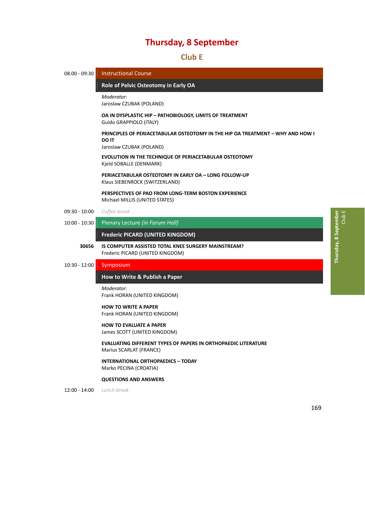# 43B**Club E**

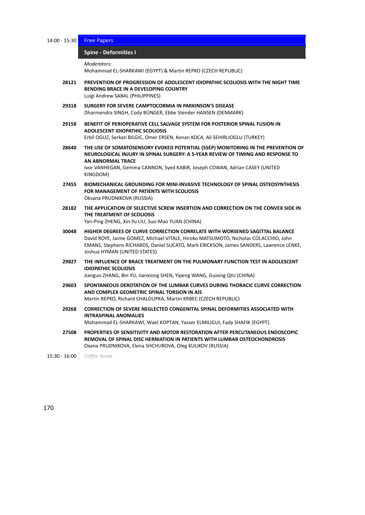14:00 - 15:30 Free Papers

# **Spine** - Deformities I

*Moderators*:

Mohammad EL‐SHARKAWI (EGYPT) & Martin REPKO (CZECH REPUBLIC)

- **28121 PREVENTION OF PROGRESSION OF ADOLESCENT IDIOPATHIC SCOLIOSIS WITH THE NIGHT TIME BENDING BRACE IN A DEVELOPING COUNTRY** Luigi Andrew SABAL (PHILIPPINES)
- **29318 SURGERY FOR SEVERE CAMPTOCORMIA IN PARKINSON'S DISEASE** Dharmendra SINGH, Cody BÜNGER, Ebbe Stender HANSEN (DENMARK)
- **29158 BENEFIT OF PERIOPERATIVE CELL SALVAGE SYSTEM FOR POSTERIOR SPINAL FUSION IN ADOLESCENT IDIOPATHIC SCOLIOSIS** Erbil OGUZ, Serkan BILGIC, Omer ERSEN, Kenan KOCA, Ali SEHIRLIOGLU (TURKEY)
- **28640 THE USE OF SOMATOSENSORY EVOKED POTENTIAL (SSEP) MONITORING IN THE PREVENTION OF NEUROLOGICAL INJURY IN SPINAL SURGERY: A 5‐YEAR REVIEW OF TIMING AND RESPONSE TO AN ABNORMAL TRACE** Ivor VANHEGAN, Gemma CANNON, Syed KABIR, Joseph COWAN, Adrian CASEY (UNITED KINGDOM)
- **27455 BIOMECHANICAL GROUNDING FOR MINI‐INVASIVE TECHNOLOGY OF SPINAL OSTEOSYNTHESIS FOR MANAGEMENT OF PATIENTS WITH SCOLIOSIS** Oksana PRUDNIKOVA (RUSSIA)
- **28182 THE APPLICATION OF SELECTIVE SCREW INSERTION AND CORRECTION ON THE CONVEX SIDE IN THE TREATMENT OF SCOLIOSIS** Yan‐Ping ZHENG, Xin‐Yu LIU, Suo‐Mao YUAN (CHINA)
- **30048 HIGHER DEGREES OF CURVE CORRECTION CORRELATE WITH WORSENED SAGITTAL BALANCE** David ROYE, Jaime GOMEZ, Michael VITALE, Hiroko MATSUMOTO, Nicholas COLACCHIO, John EMANS, Stephens RICHARDS, Daniel SUCATO, Mark ERICKSON, James SANDERS, Lawrence LENKE, Joshua HYMAN (UNITED STATES)
- **29827 THE INFLUENCE OF BRACE TREATMENT ON THE PULMONARY FUNCTION TEST IN ADOLESCENT IDIOPATHIC SCOLIOSIS**

Jianguo ZHANG, Bin YU, Jianxiong SHEN, Yipeng WANG, Guixing QIU (CHINA)

- **29603 SPONTANEOUS DEROTATION OF THE LUMBAR CURVES DURING THORACIC CURVE CORRECTION AND COMPLEX GEOMETRIC SPINAL TORSION IN AIS** Martin REPKO, Richard CHALOUPKA, Martin KRBEC (CZECH REPUBLIC)
- **29268 CORRECTION OF SEVERE NEGLECTED CONGENITAL SPINAL DEFORMITIES ASSOCIATED WITH INTRASPINAL ANOMALIES** Mohammad EL‐SHARKAWI, Wael KOPTAN, Yasser ELMILIGUI, Fady SHAFIK (EGYPT)
- **27508 PROPERTIES OF SENSITIVITY AND MOTOR RESTORATION AFTER PERCUTANEOUS ENDOSCOPIC REMOVAL OF SPINAL DISC HERNIATION IN PATIENTS WITH LUMBAR OSTEOCHONDROSIS** Oxana PRUDNIKOVA, Elena SHCHUROVA, Oleg KULIKOV (RUSSIA)

15:30 ‐ 16:00 *Coffee break*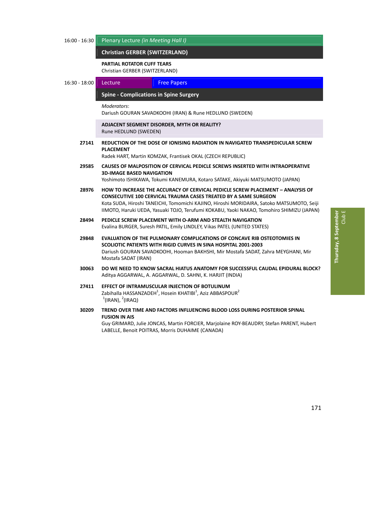#### 16:00 ‐ 16:30 Plenary Lecture *(in Meeting Hall I)*

#### **Christian GERBER (SWITZERLAND)** *̶ Plenary Lecture*

#### **PARTIAL ROTATOR CUFF TEARS**

Christian GERBER (SWITZERLAND)

16:30 - 18:00 Lecture Free Papers

#### 187B**Spine ‐ Complications in Spine Surgery** *̶ Lecture / Free Papers*

*Moderators*:

Dariush GOURAN SAVADKOOHI (IRAN) & Rune HEDLUND (SWEDEN)

#### **ADJACENT SEGMENT DISORDER, MYTH OR REALITY?** Rune HEDLUND (SWEDEN)

**27141 REDUCTION OF THE DOSE OF IONISING RADIATION IN NAVIGATED TRANSPEDICULAR SCREW PLACEMENT**

Radek HART, Martin KOMZAK, Frantisek OKAL (CZECH REPUBLIC)

- **29585 CAUSES OF MALPOSITION OF CERVICAL PEDICLE SCREWS INSERTED WITH INTRAOPERATIVE 3D‐IMAGE BASED NAVIGATION** Yoshimoto ISHIKAWA, Tokumi KANEMURA, Kotaro SATAKE, Akiyuki MATSUMOTO (JAPAN)
- **28976 HOW TO INCREASE THE ACCURACY OF CERVICAL PEDICLE SCREW PLACEMENT – ANALYSIS OF CONSECUTIVE 100 CERVICAL TRAUMA CASES TREATED BY A SAME SURGEON** Kota SUDA, Hiroshi TANEICHI, Tomomichi KAJINO, Hiroshi MORIDAIRA, Satoko MATSUMOTO, Seiji IIMOTO, Haruki UEDA, Yasuaki TOJO, Terufumi KOKABU, Yaoki NAKAO, Tomohiro SHIMIZU (JAPAN)
- **28494 PEDICLE SCREW PLACEMENT WITH O‐ARM AND STEALTH NAVIGATION** Evalina BURGER, Suresh PATIL, Emily LINDLEY, Vikas PATEL (UNITED STATES)
- **29848 EVALUATION OF THE PULMONARY COMPLICATIONS OF CONCAVE RIB OSTEOTOMIES IN SCOLIOTIC PATIENTS WITH RIGID CURVES IN SINA HOSPITAL 2001‐2003** Dariush GOURAN SAVADKOOHI, Hooman BAKHSHI, Mir Mostafa SADAT, Zahra MEYGHANI, Mir Mostafa SADAT (IRAN)
- **30063 DO WE NEED TO KNOW SACRAL HIATUS ANATOMY FOR SUCCESSFUL CAUDAL EPIDURAL BLOCK?** Aditya AGGARWAL, A. AGGARWAL, D. SAHNI, K. HARJIT (INDIA)
- **27411 EFFECT OF INTRAMUSCULAR INJECTION OF BOTULINUM** Zabihalla HASSANZADEH<sup>1</sup>, Hosein KHATIBI<sup>1</sup>, Aziz ABBASPOUR<sup>2</sup>  $1$ (IRAN),  $2$ (IRAQ)
- **30209 TREND OVER TIME AND FACTORS INFLUENCING BLOOD LOSS DURING POSTERIOR SPINAL FUSION IN AIS** Guy GRIMARD, Julie JONCAS, Martin FORCIER, Marjolaine ROY‐BEAUDRY, Stefan PARENT, Hubert LABELLE, Benoit POITRAS, Morris DUHAIME (CANADA)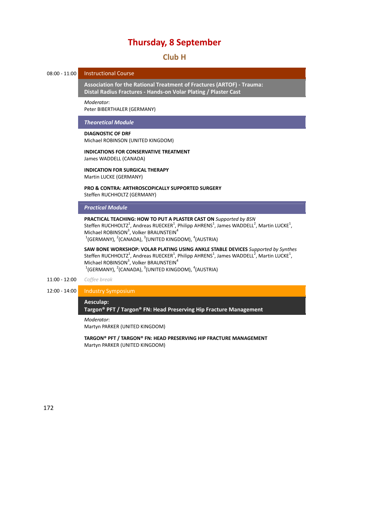### **Thursday, 8 September**

### 4B**Club H**

#### 08:00 - 11:00 Instructional Course

18B**Association for the Rational Treatment of Fractures (ARTOF) ‐ Trauma: Distal Radius Fractures ‐ Hands‐on Volar Plating / Plaster Cast** *̶ Instructional Course*

*Moderator*:

Peter BIBERTHALER (GERMANY)

#### *Theoretical Module*

#### **DIAGNOSTIC OF DRF**

Michael ROBINSON (UNITED KINGDOM)

#### **INDICATIONS FOR CONSERVATIVE TREATMENT** James WADDELL (CANADA)

#### **INDICATION FOR SURGICAL THERAPY** Martin LUCKE (GERMANY)

**PRO & CONTRA: ARTHROSCOPICALLY SUPPORTED SURGERY** Steffen RUCHHOLTZ (GERMANY)

#### *Practical Module*

**PRACTICAL TEACHING: HOW TO PUT A PLASTER CAST ON** *Supported by BSN* Steffen RUCHHOLTZ<sup>1</sup>, Andreas RUECKER<sup>1</sup>, Philipp AHRENS<sup>1</sup>, James WADDELL<sup>2</sup>, Martin LUCKE<sup>1</sup>, Michael ROBINSON<sup>3</sup>, Volker BRAUNSTEIN<sup>4</sup>  $^{1}$ (GERMANY),  $^{2}$ (CANADA),  $^{3}$ (UNITED KINGDOM),  $^{4}$ (AUSTRIA)

**SAW BONE WORKSHOP: VOLAR PLATING USING ANKLE STABLE DEVICES** *Supported by Synthes* Steffen RUCHHOLTZ $^1$ , Andreas RUECKER $^1$ , Philipp AHRENS $^1$ , James WADDELL $^2$ , Martin LUCKE $^1$ , Michael ROBINSON<sup>3</sup>, Volker BRAUNSTEIN<sup>4</sup>  $^{1}$ (GERMANY),  $^{2}$ (CANADA),  $^{3}$ (UNITED KINGDOM),  $^{4}$ (AUSTRIA)

#### 11:00 ‐ 12:00 *Coffee break*

#### 12:00 ‐ 14:00 Industry Symposium

#### 189B**Aesculap:**

**Targon® PFT / Targon® FN: Head Preserving Hip Fracture Management** *̶ Industry Symposium*

*Moderator*:

Martyn PARKER (UNITED KINGDOM)

**TARGON® PFT / TARGON® FN: HEAD PRESERVING HIP FRACTURE MANAGEMENT** Martyn PARKER (UNITED KINGDOM)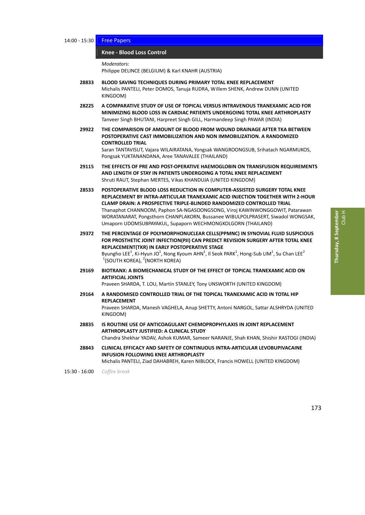14:00 - 15:30 Free Papers

#### 190B**Knee ‐ Blood Loss Control** *̶ Free Papers*

*Moderators*:

Philippe DELINCE (BELGIUM) & Karl KNAHR (AUSTRIA)

- **28833 BLOOD SAVING TECHNIQUES DURING PRIMARY TOTAL KNEE REPLACEMENT** Michalis PANTELI, Peter DOMOS, Tanuja RUDRA, Willem SHENK, Andrew DUNN (UNITED KINGDOM)
- **28225 A COMPARATIVE STUDY OF USE OF TOPICAL VERSUS INTRAVENOUS TRANEXAMIC ACID FOR MINIMIZING BLOOD LOSS IN CARDIAC PATIENTS UNDERGOING TOTAL KNEE ARTHROPLASTY** Tanveer Singh BHUTANI, Harpreet Singh GILL, Harmandeep Singh PAWAR (INDIA)
- **29922 THE COMPARISON OF AMOUNT OF BLOOD FROM WOUND DRAINAGE AFTER TKA BETWEEN POSTOPERATIVE CAST IMMOBILIZATION AND NON IMMOBILIZATION. A RANDOMIZED CONTROLLED TRIAL** Saran TANTAVISUT, Vajara WILAIRATANA, Yongsak WANGROONGSUB, Srihatach NGARMUKOS, Pongsak YUKTANANDANA, Aree TANAVALEE (THAILAND)
- **29115 THE EFFECTS OF PRE AND POST‐OPERATIVE HAEMOGLOBIN ON TRANSFUSION REQUIREMENTS AND LENGTH OF STAY IN PATIENTS UNDERGOING A TOTAL KNEE REPLACEMENT** Shruti RAUT, Stephan MERTES, Vikas KHANDUJA (UNITED KINGDOM)
- **28533 POSTOPERATIVE BLOOD LOSS REDUCTION IN COMPUTER‐ASSISTED SURGERY TOTAL KNEE REPLACEMENT BY INTRA‐ARTICULAR TRANEXAMIC ACID INJECTION TOGETHER WITH 2‐HOUR CLAMP DRAIN: A PROSPECTIVE TRIPLE‐BLINDED RANDOMIZED CONTROLLED TRIAL** Thanaphot CHANNOOM, Paphon SA‐NGASOONGSONG, Viroj KAWINWONGGOWIT, Patarawan WORATANARAT, Pongsthorn CHANPLAKORN, Bussanee WIBULPOLPRASERT, Siwadol WONGSAK, Umaporn UDOMSUBPAYAKUL, Supaporn WECHMONGKOLGORN (THAILAND)
- **29372 THE PERCENTAGE OF POLYMORPHONUCLEAR CELLS(PPMNC) IN SYNOVIAL FLUID SUSPICIOUS FOR PROSTHETIC JOINT INFECTION(PJI) CAN PREDICT REVISION SURGERY AFTER TOTAL KNEE REPLACEMENT(TKR) IN EARLY POSTOPERATIVE STAGE** Byungho LEE<sup>1</sup>, Ki-Hyun JO<sup>1</sup>, Nong Kyoum AHN<sup>1</sup>, Il Seok PARK<sup>1</sup>, Hong-Sub LIM<sup>1</sup>, Su Chan LEE<sup>2</sup>  $1$ (SOUTH KOREA),  $2$ (NORTH KOREA)
- **29169 BIOTRANX: A BIOMECHANICAL STUDY OF THE EFFECT OF TOPICAL TRANEXAMIC ACID ON ARTIFICIAL JOINTS**

Praveen SHARDA, T. LOU, Martin STANLEY, Tony UNSWORTH (UNITED KINGDOM)

- **29164 A RANDOMISED CONTROLLED TRIAL OF THE TOPICAL TRANEXAMIC ACID IN TOTAL HIP REPLACEMENT** Praveen SHARDA, Manesh VAGHELA, Anup SHETTY, Antoni NARGOL, Sattar ALSHRYDA (UNITED KINGDOM)
- **28835 IS ROUTINE USE OF ANTICOAGULANT CHEMOPROPHYLAXIS IN JOINT REPLACEMENT ARTHROPLASTY JUSTIFIED: A CLINICAL STUDY** Chandra Shekhar YADAV, Ashok KUMAR, Sameer NARANJE, Shah KHAN, Shishir RASTOGI (INDIA)
- **28843 CLINICAL EFFICACY AND SAFETY OF CONTINUOUS INTRA‐ARTICULAR LEVOBUPIVACAINE INFUSION FOLLOWING KNEE ARTHROPLASTY**

Michalis PANTELI, Ziad DAHABREH, Karen NIBLOCK, Francis HOWELL (UNITED KINGDOM)

15:30 ‐ 16:00 *Coffee break*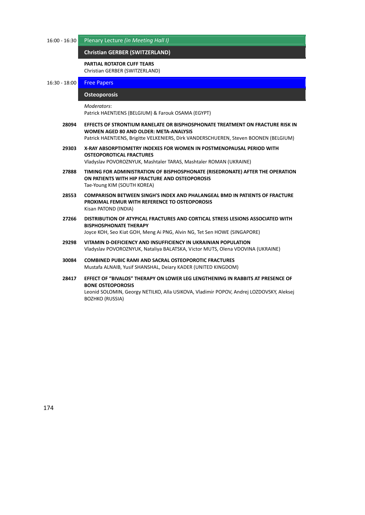16:00 ‐ 16:30 Plenary Lecture *(in Meeting Hall I)*

#### **Christian GERBER (SWITZERLAND)** *̶ Plenary Lecture*

#### **PARTIAL ROTATOR CUFF TEARS**

Christian GERBER (SWITZERLAND)

16:30 - 18:00 **Free Papers** 

#### **Osteoporosis**

```
Moderators:
```
Patrick HAENTJENS (BELGIUM) & Farouk OSAMA (EGYPT)

- **28094 EFFECTS OF STRONTIUM RANELATE OR BISPHOSPHONATE TREATMENT ON FRACTURE RISK IN WOMEN AGED 80 AND OLDER: META‐ANALYSIS** Patrick HAENTJENS, Brigitte VELKENIERS, Dirk VANDERSCHUEREN, Steven BOONEN (BELGIUM)
- **29303 X‐RAY ABSORPTIOMETRY INDEXES FOR WOMEN IN POSTMENOPAUSAL PERIOD WITH OSTEOPOROTICAL FRACTURES** Vladyslav POVOROZNYUK, Mashtaler TARAS, Mashtaler ROMAN (UKRAINE)
- **27888 TIMING FOR ADMINISTRATION OF BISPHOSPHONATE (RISEDRONATE) AFTER THE OPERATION ON PATIENTS WITH HIP FRACTURE AND OSTEOPOROSIS** Tae‐Young KIM (SOUTH KOREA)
- **28553 COMPARISON BETWEEN SINGH'S INDEX AND PHALANGEAL BMD IN PATIENTS OF FRACTURE PROXIMAL FEMUR WITH REFERENCE TO OSTEOPOROSIS** Kisan PATOND (INDIA)
- **27266 DISTRIBUTION OF ATYPICAL FRACTURES AND CORTICAL STRESS LESIONS ASSOCIATED WITH BISPHOSPHONATE THERAPY** Joyce KOH, Seo Kiat GOH, Meng Ai PNG, Alvin NG, Tet Sen HOWE (SINGAPORE)
- **29298 VITAMIN D‐DEFICIENCY AND INSUFFICIENCY IN UKRAINIAN POPULATION** Vladyslav POVOROZNYUK, Nataliya BALATSKA, Victor MUTS, Olena VDOVINA (UKRAINE)
- **30084 COMBINED PUBIC RAMI AND SACRAL OSTEOPOROTIC FRACTURES** Mustafa ALNAIB, Yusif SHANSHAL, Deiary KADER (UNITED KINGDOM)
- **28417 EFFECT OF "BIVALOS" THERAPY ON LOWER LEG LENGTHENING IN RABBITS AT PRESENCE OF BONE OSTEOPOROSIS** Leonid SOLOMIN, Georgy NETILKO, Alla USIKOVA, Vladimir POPOV, Andrej LOZDOVSKY, Aleksej BOZHKO (RUSSIA)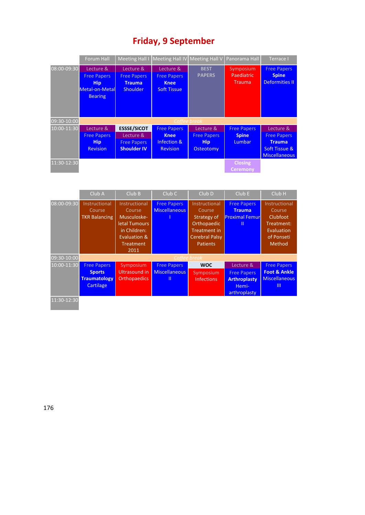|             | Forum Hall                                                                        |                                                                             | Meeting Hall   Meeting Hall IV Meeting Hall V   Panorama Hall        |                                                            |                                                     | Terrace I                                                                                 |
|-------------|-----------------------------------------------------------------------------------|-----------------------------------------------------------------------------|----------------------------------------------------------------------|------------------------------------------------------------|-----------------------------------------------------|-------------------------------------------------------------------------------------------|
| 08:00-09:30 | Lecture &<br><b>Free Papers</b><br><b>Hip</b><br>Metal-on-Metal<br><b>Bearing</b> | Lecture &<br><b>Free Papers</b><br><b>Trauma</b><br><b>Shoulder</b>         | Lecture &<br><b>Free Papers</b><br><b>Knee</b><br><b>Soft Tissue</b> | <b>BEST</b><br><b>PAPERS</b>                               | Symposium<br>Paediatric<br><b>Trauma</b>            | <b>Free Papers</b><br><b>Spine</b><br><b>Deformities II</b>                               |
| 09:30-10:00 |                                                                                   |                                                                             |                                                                      | Coffee break                                               |                                                     |                                                                                           |
| 10:00-11:30 | Lecture &<br><b>Free Papers</b><br><b>Hip</b><br><b>Revision</b>                  | <b>ESSSE/SICOT</b><br>Lecture &<br><b>Free Papers</b><br><b>Shoulder IV</b> | <b>Free Papers</b><br><b>Knee</b><br>Infection &<br><b>Revision</b>  | Lecture &<br><b>Free Papers</b><br><b>Hip</b><br>Osteotomy | <b>Free Papers</b><br><b>Spine</b><br><b>Lumbar</b> | Lecture &<br><b>Free Papers</b><br><b>Trauma</b><br>Soft Tissue &<br><b>Miscellaneous</b> |
| 11:30-12:30 |                                                                                   |                                                                             |                                                                      |                                                            | <b>Closing</b><br><b>Ceremony</b>                   |                                                                                           |

|             | Club A                                                                  | Club B                                                                                                              | Club <sub>C</sub>                               | Club <sub>D</sub>                                                                                                        | Club E                                                                          | Club <sub>H</sub>                                                                              |
|-------------|-------------------------------------------------------------------------|---------------------------------------------------------------------------------------------------------------------|-------------------------------------------------|--------------------------------------------------------------------------------------------------------------------------|---------------------------------------------------------------------------------|------------------------------------------------------------------------------------------------|
| 08:00-09:30 | Instructional<br>Course<br><b>TKR Balancing</b>                         | Instructional<br>Course<br>Musculoske-<br>letal Tumours<br>in Children:<br>Evaluation &<br><b>Treatment</b><br>2011 | <b>Free Papers</b><br><b>Miscellaneous</b>      | Instructional<br>Course<br>Strategy of<br>Orthopaedic<br><b>Treatment in</b><br><b>Cerebral Palsy</b><br><b>Patients</b> | <b>Free Papers</b><br><b>Trauma</b><br><b>Proximal Femur</b><br>Ш               | Instructional<br>Course<br><b>Clubfoot</b><br>Treatment:<br>Evaluation<br>of Ponseti<br>Method |
| 09:30-10:00 | Coffee break                                                            |                                                                                                                     |                                                 |                                                                                                                          |                                                                                 |                                                                                                |
| 10:00-11:30 | <b>Free Papers</b><br><b>Sports</b><br><b>Traumatology</b><br>Cartilage | Symposium<br>Ultrasound in<br><b>Orthopaedics</b>                                                                   | <b>Free Papers</b><br><b>Miscellaneous</b><br>Ш | <b>WOC</b><br>Symposium<br><b>Infections</b>                                                                             | Lecture &<br><b>Free Papers</b><br><b>Arthroplasty</b><br>Hemi-<br>arthroplasty | <b>Free Papers</b><br><b>Foot &amp; Ankle</b><br><b>Miscellaneous</b><br>Ш                     |
| 11:30-12:30 |                                                                         |                                                                                                                     |                                                 |                                                                                                                          |                                                                                 |                                                                                                |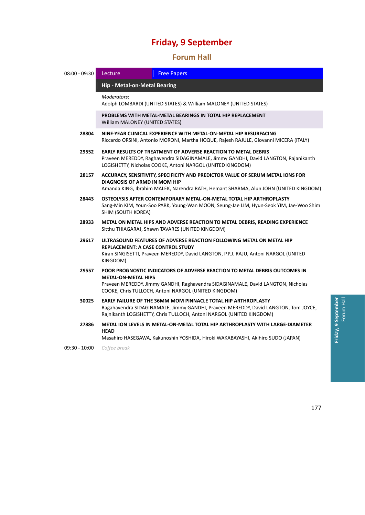### 45B**Forum Hall**

| 08:00 - 09:30 | Lecture                                                                                                                                                                                                                                              | <b>Free Papers</b>                                                                                                                                                                                                           |  |  |
|---------------|------------------------------------------------------------------------------------------------------------------------------------------------------------------------------------------------------------------------------------------------------|------------------------------------------------------------------------------------------------------------------------------------------------------------------------------------------------------------------------------|--|--|
|               |                                                                                                                                                                                                                                                      | <b>Hip - Metal-on-Metal Bearing</b>                                                                                                                                                                                          |  |  |
|               | Moderators:                                                                                                                                                                                                                                          | Adolph LOMBARDI (UNITED STATES) & William MALONEY (UNITED STATES)                                                                                                                                                            |  |  |
|               | PROBLEMS WITH METAL-METAL BEARINGS IN TOTAL HIP REPLACEMENT<br>William MALONEY (UNITED STATES)                                                                                                                                                       |                                                                                                                                                                                                                              |  |  |
| 28804         | NINE-YEAR CLINICAL EXPERIENCE WITH METAL-ON-METAL HIP RESURFACING<br>Riccardo ORSINI, Antonio MORONI, Martha HOQUE, Rajesh RAJULE, Giovanni MICERA (ITALY)                                                                                           |                                                                                                                                                                                                                              |  |  |
| 29552         | <b>EARLY RESULTS OF TREATMENT OF ADVERSE REACTION TO METAL DEBRIS</b><br>Praveen MEREDDY, Raghavendra SIDAGINAMALE, Jimmy GANDHI, David LANGTON, Rajanikanth<br>LOGISHETTY, Nicholas COOKE, Antoni NARGOL (UNITED KINGDOM)                           |                                                                                                                                                                                                                              |  |  |
| 28157         | ACCURACY, SENSITIVITY, SPECIFICITY AND PREDICTOR VALUE OF SERUM METAL IONS FOR<br>DIAGNOSIS OF ARMD IN MOM HIP<br>Amanda KING, Ibrahim MALEK, Narendra RATH, Hemant SHARMA, Alun JOHN (UNITED KINGDOM)                                               |                                                                                                                                                                                                                              |  |  |
| 28443         | OSTEOLYSIS AFTER CONTEMPORARY METAL-ON-METAL TOTAL HIP ARTHROPLASTY<br>Sang-Min KIM, Youn-Soo PARK, Young-Wan MOON, Seung-Jae LIM, Hyun-Seok YIM, Jae-Woo Shim<br>SHIM (SOUTH KOREA)                                                                 |                                                                                                                                                                                                                              |  |  |
| 28933         | METAL ON METAL HIPS AND ADVERSE REACTION TO METAL DEBRIS, READING EXPERIENCE<br>Sitthu THIAGARAJ, Shawn TAVARES (UNITED KINGDOM)                                                                                                                     |                                                                                                                                                                                                                              |  |  |
| 29617         | ULTRASOUND FEATURES OF ADVERSE REACTION FOLLOWING METAL ON METAL HIP<br><b>REPLACEMENT: A CASE CONTROL STUDY</b><br>Kiran SINGISETTI, Praveen MEREDDY, David LANGTON, P.P.J. RAJU, Antoni NARGOL (UNITED<br>KINGDOM)                                 |                                                                                                                                                                                                                              |  |  |
| 29557         | POOR PROGNOSTIC INDICATORS OF ADVERSE REACTION TO METAL DEBRIS OUTCOMES IN<br><b>METAL-ON-METAL HIPS</b><br>Praveen MEREDDY, Jimmy GANDHI, Raghavendra SIDAGINAMALE, David LANGTON, Nicholas<br>COOKE, Chris TULLOCH, Antoni NARGOL (UNITED KINGDOM) |                                                                                                                                                                                                                              |  |  |
| 30025         |                                                                                                                                                                                                                                                      | EARLY FAILURE OF THE 36MM MOM PINNACLE TOTAL HIP ARTHROPLASTY<br>Ragahavendra SIDAGINAMALE, Jimmy GANDHI, Praveen MEREDDY, David LANGTON, Tom JOYCE,<br>Rajnikanth LOGISHETTY, Chris TULLOCH, Antoni NARGOL (UNITED KINGDOM) |  |  |
| 27886         | <b>HEAD</b>                                                                                                                                                                                                                                          | METAL ION LEVELS IN METAL-ON-METAL TOTAL HIP ARTHROPLASTY WITH LARGE-DIAMETER<br>Masahiro HASEGAWA, Kakunoshin YOSHIDA, Hiroki WAKABAYASHI, Akihiro SUDO (JAPAN)                                                             |  |  |

09:30 ‐ 10:00 *Coffee break*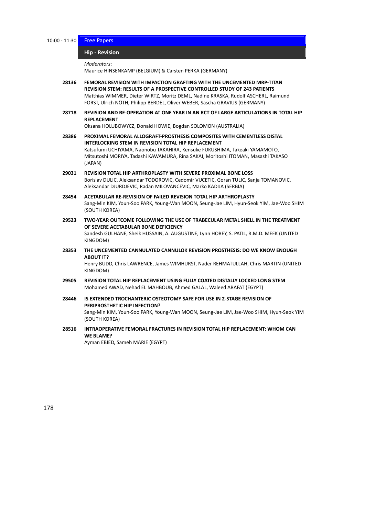10:00 - 11:30 Free Papers

#### **Hip** - Revision

*Moderators*:

Maurice HINSENKAMP (BELGIUM) & Carsten PERKA (GERMANY)

- **28136 FEMORAL REVISION WITH IMPACTION GRAFTING WITH THE UNCEMENTED MRP‐TITAN REVISION STEM: RESULTS OF A PROSPECTIVE CONTROLLED STUDY OF 243 PATIENTS** Matthias WIMMER, Dieter WIRTZ, Moritz DEML, Nadine KRASKA, Rudolf ASCHERL, Raimund FORST, Ulrich NÖTH, Philipp BERDEL, Oliver WEBER, Sascha GRAVIUS (GERMANY)
- **28718 REVISION AND RE‐OPERATION AT ONE YEAR IN AN RCT OF LARGE ARTICULATIONS IN TOTAL HIP REPLACEMENT**

Oksana HOLUBOWYCZ, Donald HOWIE, Bogdan SOLOMON (AUSTRALIA)

- **28386 PROXIMAL FEMORAL ALLOGRAFT‐PROSTHESIS COMPOSITES WITH CEMENTLESS DISTAL INTERLOCKING STEM IN REVISION TOTAL HIP REPLACEMENT** Katsufumi UCHIYAMA, Naonobu TAKAHIRA, Kensuke FUKUSHIMA, Takeaki YAMAMOTO, Mitsutoshi MORIYA, Tadashi KAWAMURA, Rina SAKAI, Moritoshi ITOMAN, Masashi TAKASO (JAPAN)
- **29031 REVISION TOTAL HIP ARTHROPLASTY WITH SEVERE PROXIMAL BONE LOSS** Borislav DULIC, Aleksandar TODOROVIC, Cedomir VUCETIC, Goran TULIC, Sanja TOMANOVIC, Aleksandar DJURDJEVIC, Radan MILOVANCEVIC, Marko KADIJA (SERBIA)
- **28454 ACETABULAR RE‐REVISION OF FAILED REVISION TOTAL HIP ARTHROPLASTY** Sang‐Min KIM, Youn‐Soo PARK, Young‐Wan MOON, Seung‐Jae LIM, Hyun‐Seok YIM, Jae‐Woo SHIM (SOUTH KOREA)
- **29523 TWO‐YEAR OUTCOME FOLLOWING THE USE OF TRABECULAR METAL SHELL IN THE TREATMENT OF SEVERE ACETABULAR BONE DEFICIENCY** Sandesh GULHANE, Sheik HUSSAIN, A. AUGUSTINE, Lynn HOREY, S. PATIL, R.M.D. MEEK (UNITED KINGDOM)
- **28353 THE UNCEMENTED CANNULATED CANNULOK REVISION PROSTHESIS: DO WE KNOW ENOUGH ABOUT IT?**

Henry BUDD, Chris LAWRENCE, James WIMHURST, Nader REHMATULLAH, Chris MARTIN (UNITED KINGDOM)

- **29505 REVISION TOTAL HIP REPLACEMENT USING FULLY COATED DISTALLY LOCKED LONG STEM** Mohamed AWAD, Nehad EL MAHBOUB, Ahmed GALAL, Waleed ARAFAT (EGYPT)
- **28446 IS EXTENDED TROCHANTERIC OSTEOTOMY SAFE FOR USE IN 2‐STAGE REVISION OF PERIPROSTHETIC HIP INFECTION?** Sang‐Min KIM, Youn‐Soo PARK, Young‐Wan MOON, Seung‐Jae LIM, Jae‐Woo SHIM, Hyun‐Seok YIM (SOUTH KOREA)
- **28516 INTRAOPERATIVE FEMORAL FRACTURES IN REVISION TOTAL HIP REPLACEMENT: WHOM CAN WE BLAME?**

Ayman EBIED, Sameh MARIE (EGYPT)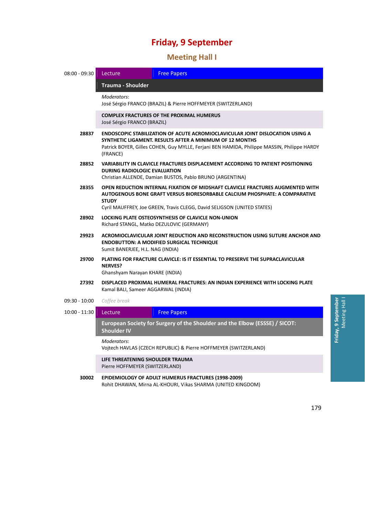# 46B**Meeting Hall I**

| $08:00 - 09:30$                                                    | Lecture                                                                                                                                                                                                                                                     | <b>Free Papers</b>                                                                                                  |  |
|--------------------------------------------------------------------|-------------------------------------------------------------------------------------------------------------------------------------------------------------------------------------------------------------------------------------------------------------|---------------------------------------------------------------------------------------------------------------------|--|
|                                                                    | <b>Trauma - Shoulder</b>                                                                                                                                                                                                                                    |                                                                                                                     |  |
|                                                                    | Moderators:<br>José Sérgio FRANCO (BRAZIL) & Pierre HOFFMEYER (SWITZERLAND)                                                                                                                                                                                 |                                                                                                                     |  |
|                                                                    | José Sérgio FRANCO (BRAZIL)                                                                                                                                                                                                                                 | <b>COMPLEX FRACTURES OF THE PROXIMAL HUMERUS</b>                                                                    |  |
| 28837                                                              | <b>ENDOSCOPIC STABILIZATION OF ACUTE ACROMIOCLAVICULAR JOINT DISLOCATION USING A</b><br>SYNTHETIC LIGAMENT. RESULTS AFTER A MINIMUM OF 12 MONTHS<br>Patrick BOYER, Gilles COHEN, Guy MYLLE, Ferjani BEN HAMIDA, Philippe MASSIN, Philippe HARDY<br>(FRANCE) |                                                                                                                     |  |
| 28852                                                              | VARIABILITY IN CLAVICLE FRACTURES DISPLACEMENT ACCORDING TO PATIENT POSITIONING<br><b>DURING RADIOLOGIC EVALUATION</b><br>Christian ALLENDE, Damian BUSTOS, Pablo BRUNO (ARGENTINA)                                                                         |                                                                                                                     |  |
| 28355                                                              | OPEN REDUCTION INTERNAL FIXATION OF MIDSHAFT CLAVICLE FRACTURES AUGMENTED WITH<br>AUTOGENOUS BONE GRAFT VERSUS BIORESORBABLE CALCIUM PHOSPHATE: A COMPARATIVE<br><b>STUDY</b><br>Cyril MAUFFREY, Joe GREEN, Travis CLEGG, David SELIGSON (UNITED STATES)    |                                                                                                                     |  |
| 28902                                                              | LOCKING PLATE OSTEOSYNTHESIS OF CLAVICLE NON-UNION<br>Richard STANGL, Matko DEZULOVIC (GERMANY)                                                                                                                                                             |                                                                                                                     |  |
| 29923                                                              | ACROMIOCLAVICULAR JOINT REDUCTION AND RECONSTRUCTION USING SUTURE ANCHOR AND<br><b>ENDOBUTTON: A MODIFIED SURGICAL TECHNIQUE</b><br>Sumit BANERJEE, H.L. NAG (INDIA)                                                                                        |                                                                                                                     |  |
| 29700                                                              | PLATING FOR FRACTURE CLAVICLE: IS IT ESSENTIAL TO PRESERVE THE SUPRACLAVICULAR<br><b>NERVES?</b><br>Ghanshyam Narayan KHARE (INDIA)                                                                                                                         |                                                                                                                     |  |
| 27392                                                              | DISPLACED PROXIMAL HUMERAL FRACTURES: AN INDIAN EXPERIENCE WITH LOCKING PLATE<br>Kamal BALI, Sameer AGGARWAL (INDIA)                                                                                                                                        |                                                                                                                     |  |
| $09:30 - 10:00$                                                    | Coffee break                                                                                                                                                                                                                                                |                                                                                                                     |  |
| $10:00 - 11:30$                                                    | Lecture                                                                                                                                                                                                                                                     | <b>Free Papers</b>                                                                                                  |  |
|                                                                    | European Society for Surgery of the Shoulder and the Elbow (ESSSE) / SICOT:<br><b>Shoulder IV</b>                                                                                                                                                           |                                                                                                                     |  |
|                                                                    | Moderators:<br>Vojtech HAVLAS (CZECH REPUBLIC) & Pierre HOFFMEYER (SWITZERLAND)                                                                                                                                                                             |                                                                                                                     |  |
| LIFE THREATENING SHOULDER TRAUMA<br>Pierre HOFFMEYER (SWITZERLAND) |                                                                                                                                                                                                                                                             |                                                                                                                     |  |
| 30002                                                              |                                                                                                                                                                                                                                                             | EPIDEMIOLOGY OF ADULT HUMERUS FRACTURES (1998-2009)<br>Rohit DHAWAN, Mirna AL-KHOURI, Vikas SHARMA (UNITED KINGDOM) |  |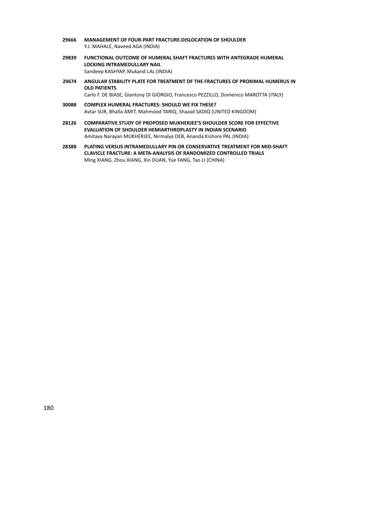- **29666 MANAGEMENT OF FOUR‐PART FRACTURE‐DISLOCATION OF SHOULDER** Y.J. MAHALE, Naveed AGA (INDIA)
- **29839 FUNCTIONAL OUTCOME OF HUMERAL SHAFT FRACTURES WITH ANTEGRADE HUMERAL LOCKING INTRAMEDULLARY NAIL** Sandeep KASHYAP, Mukand LAL (INDIA)
- **29674 ANGULAR STABILITY PLATE FOR TREATMENT OF THE FRACTURES OF PROXIMAL HUMERUS IN OLD PATIENTS**

Carlo F. DE BIASE, Giantony DI GIORGIO, Francesco PEZZILLO, Domenico MAROTTA (ITALY)

- **30088 COMPLEX HUMERAL FRACTURES: SHOULD WE FIX THESE?** Avtar SUR, Bhalla AMIT, Mahmood TARIQ, Shazad SADIQ (UNITED KINGDOM)
- **28126 COMPARATIVE STUDY OF PROPOSED MUKHERJEE'S SHOULDER SCORE FOR EFFECTIVE EVALUATION OF SHOULDER HEMIARTHROPLASTY IN INDIAN SCENARIO** Amitava Narayan MUKHERJEE, Nirmalya DEB, Ananda Kishore PAL (INDIA)
- **28388 PLATING VERSUS INTRAMEDULLARY PIN OR CONSERVATIVE TREATMENT FOR MID‐SHAFT CLAVICLE FRACTURE: A META‐ANALYSIS OF RANDOMIZED CONTROLLED TRIALS** Ming XIANG, Zhou XIANG, Xin DUAN, Yue FANG, Tao LI (CHINA)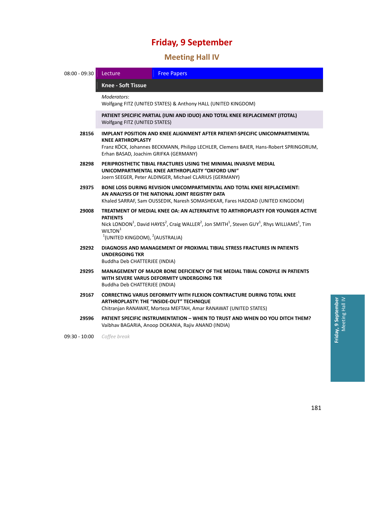# 47B**Meeting Hall IV**

| $08:00 - 09:30$ | <b>Free Papers</b><br>Lecture                                                                                                                                                                                                                                                                                                              |  |  |
|-----------------|--------------------------------------------------------------------------------------------------------------------------------------------------------------------------------------------------------------------------------------------------------------------------------------------------------------------------------------------|--|--|
|                 | <b>Knee - Soft Tissue</b>                                                                                                                                                                                                                                                                                                                  |  |  |
|                 | Moderators:<br>Wolfgang FITZ (UNITED STATES) & Anthony HALL (UNITED KINGDOM)                                                                                                                                                                                                                                                               |  |  |
|                 | PATIENT SPECIFIC PARTIAL (IUNI AND IDUO) AND TOTAL KNEE REPLACEMENT (ITOTAL)<br>Wolfgang FITZ (UNITED STATES)                                                                                                                                                                                                                              |  |  |
| 28156           | IMPLANT POSITION AND KNEE ALIGNMENT AFTER PATIENT-SPECIFIC UNICOMPARTMENTAL<br><b>KNEE ARTHROPLASTY</b><br>Franz KÖCK, Johannes BECKMANN, Philipp LECHLER, Clemens BAIER, Hans-Robert SPRINGORUM,<br>Erhan BASAD, Joachim GRIFKA (GERMANY)                                                                                                 |  |  |
| 28298           | PERIPROSTHETIC TIBIAL FRACTURES USING THE MINIMAL INVASIVE MEDIAL<br>UNICOMPARTMENTAL KNEE ARTHROPLASTY "OXFORD UNI"<br>Joern SEEGER, Peter ALDINGER, Michael CLARIUS (GERMANY)                                                                                                                                                            |  |  |
| 29375           | BONE LOSS DURING REVISION UNICOMPARTMENTAL AND TOTAL KNEE REPLACEMENT:<br>AN ANALYSIS OF THE NATIONAL JOINT REGISTRY DATA<br>Khaled SARRAF, Sam OUSSEDIK, Naresh SOMASHEKAR, Fares HADDAD (UNITED KINGDOM)                                                                                                                                 |  |  |
| 29008           | TREATMENT OF MEDIAL KNEE OA: AN ALTERNATIVE TO ARTHROPLASTY FOR YOUNGER ACTIVE<br><b>PATIENTS</b><br>Nick LONDON <sup>1</sup> , David HAYES <sup>2</sup> , Craig WALLER <sup>2</sup> , Jon SMITH <sup>1</sup> , Steven GUY <sup>1</sup> , Rhys WILLIAMS <sup>1</sup> , Tim<br>WILTON <sup>1</sup><br>$1$ (UNITED KINGDOM), $2$ (AUSTRALIA) |  |  |
| 29292           | DIAGNOSIS AND MANAGEMENT OF PROXIMAL TIBIAL STRESS FRACTURES IN PATIENTS<br><b>UNDERGOING TKR</b><br>Buddha Deb CHATTERJEE (INDIA)                                                                                                                                                                                                         |  |  |
| 29295           | <b>MANAGEMENT OF MAJOR BONE DEFICIENCY OF THE MEDIAL TIBIAL CONDYLE IN PATIENTS</b><br>WITH SEVERE VARUS DEFORMITY UNDERGOING TKR<br>Buddha Deb CHATTERJEE (INDIA)                                                                                                                                                                         |  |  |
| 29167           | <b>CORRECTING VARUS DEFORMITY WITH FLEXION CONTRACTURE DURING TOTAL KNEE</b><br>ARTHROPLASTY: THE "INSIDE-OUT" TECHNIQUE<br>Chitranjan RANAWAT, Morteza MEFTAH, Amar RANAWAT (UNITED STATES)                                                                                                                                               |  |  |
| 29596           | PATIENT SPECIFIC INSTRUMENTATION - WHEN TO TRUST AND WHEN DO YOU DITCH THEM?<br>Vaibhav BAGARIA, Anoop DOKANIA, Rajiv ANAND (INDIA)                                                                                                                                                                                                        |  |  |
| $09:30 - 10:00$ | Coffee break                                                                                                                                                                                                                                                                                                                               |  |  |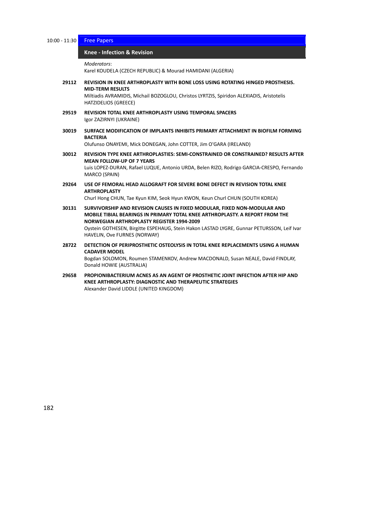10:00 - 11:30 Free Papers

#### 197B**Knee ‐ Infection & Revision** *̶ Free Papers*

*Moderators*:

Karel KOUDELA (CZECH REPUBLIC) & Mourad HAMIDANI (ALGERIA)

**29112 REVISION IN KNEE ARTHROPLASTY WITH BONE LOSS USING ROTATING HINGED PROSTHESIS. MID‐TERM RESULTS**

Miltiadis AVRAMIDIS, Michail BOZOGLOU, Christos LYRTZIS, Spiridon ALEXIADIS, Aristotelis HATZIDELIOS (GREECE)

- **29519 REVISION TOTAL KNEE ARTHROPLASTY USING TEMPORAL SPACERS** Igor ZAZIRNYI (UKRAINE)
- **30019 SURFACE MODIFICATION OF IMPLANTS INHIBITS PRIMARY ATTACHMENT IN BIOFILM FORMING BACTERIA**

Olufunso ONAYEMI, Mick DONEGAN, John COTTER, Jim O'GARA (IRELAND)

**30012 REVISION TYPE KNEE ARTHROPLASTIES: SEMI‐CONSTRAINED OR CONSTRAINED? RESULTS AFTER MEAN FOLLOW‐UP OF 7 YEARS**

Luis LOPEZ‐DURAN, Rafael LUQUE, Antonio URDA, Belen RIZO, Rodrigo GARCIA‐CRESPO, Fernando MARCO (SPAIN)

**29264 USE OF FEMORAL HEAD ALLOGRAFT FOR SEVERE BONE DEFECT IN REVISION TOTAL KNEE ARTHROPLASTY**

Churl Hong CHUN, Tae Kyun KIM, Seok Hyun KWON, Keun Churl CHUN (SOUTH KOREA)

**30131 SURVIVORSHIP AND REVISION CAUSES IN FIXED MODULAR, FIXED NON‐MODULAR AND MOBILE TIBIAL BEARINGS IN PRIMARY TOTAL KNEE ARTHROPLASTY. A REPORT FROM THE NORWEGIAN ARTHROPLASTY REGISTER 1994‐2009** Oystein GOTHESEN, Birgitte ESPEHAUG, Stein Hakon LASTAD LYGRE, Gunnar PETURSSON, Leif Ivar

HAVELIN, Ove FURNES (NORWAY)

- **28722 DETECTION OF PERIPROSTHETIC OSTEOLYSIS IN TOTAL KNEE REPLACEMENTS USING A HUMAN CADAVER MODEL** Bogdan SOLOMON, Roumen STAMENKOV, Andrew MACDONALD, Susan NEALE, David FINDLAY,
- Donald HOWIE (AUSTRALIA) **29658 PROPIONIBACTERIUM ACNES AS AN AGENT OF PROSTHETIC JOINT INFECTION AFTER HIP AND KNEE ARTHROPLASTY: DIAGNOSTIC AND THERAPEUTIC STRATEGIES**

Alexander David LIDDLE (UNITED KINGDOM)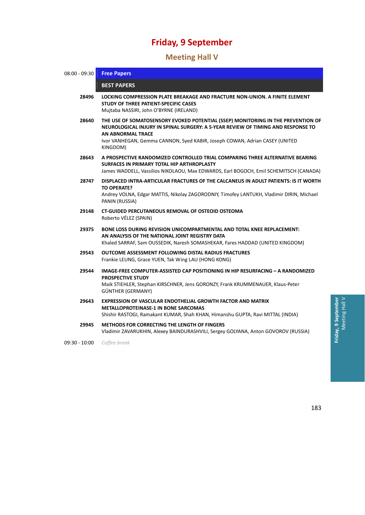## 48B**Meeting Hall V**

| $08:00 - 09:30$ | <b>Free Papers</b>                                                                                                                                                                                                                                                                          |
|-----------------|---------------------------------------------------------------------------------------------------------------------------------------------------------------------------------------------------------------------------------------------------------------------------------------------|
|                 | <b>BEST PAPERS</b>                                                                                                                                                                                                                                                                          |
| 28496           | LOCKING COMPRESSION PLATE BREAKAGE AND FRACTURE NON-UNION. A FINITE ELEMENT<br>STUDY OF THREE PATIENT-SPECIFIC CASES<br>Mujtaba NASSIRI, John O'BYRNE (IRELAND)                                                                                                                             |
| 28640           | THE USE OF SOMATOSENSORY EVOKED POTENTIAL (SSEP) MONITORING IN THE PREVENTION OF<br>NEUROLOGICAL INJURY IN SPINAL SURGERY: A 5-YEAR REVIEW OF TIMING AND RESPONSE TO<br><b>AN ABNORMAL TRACE</b><br>Ivor VANHEGAN, Gemma CANNON, Syed KABIR, Joseph COWAN, Adrian CASEY (UNITED<br>KINGDOM) |
| 28643           | A PROSPECTIVE RANDOMIZED CONTROLLED TRIAL COMPARING THREE ALTERNATIVE BEARING<br>SURFACES IN PRIMARY TOTAL HIP ARTHROPLASTY<br>James WADDELL, Vassilios NIKOLAOU, Max EDWARDS, Earl BOGOCH, Emil SCHEMITSCH (CANADA)                                                                        |
| 28747           | DISPLACED INTRA-ARTICULAR FRACTURES OF THE CALCANEUS IN ADULT PATIENTS: IS IT WORTH<br><b>TO OPERATE?</b><br>Andrey VOLNA, Edgar MATTIS, Nikolay ZAGORODNIY, Timofey LANTUKH, Vladimir DIRIN, Michael<br>PANIN (RUSSIA)                                                                     |
| 29148           | <b>CT-GUIDED PERCUTANEOUS REMOVAL OF OSTEOID OSTEOMA</b><br>Roberto VÉLEZ (SPAIN)                                                                                                                                                                                                           |
| 29375           | <b>BONE LOSS DURING REVISION UNICOMPARTMENTAL AND TOTAL KNEE REPLACEMENT:</b><br>AN ANALYSIS OF THE NATIONAL JOINT REGISTRY DATA<br>Khaled SARRAF, Sam OUSSEDIK, Naresh SOMASHEKAR, Fares HADDAD (UNITED KINGDOM)                                                                           |
| 29543           | <b>OUTCOME ASSESSMENT FOLLOWING DISTAL RADIUS FRACTURES</b><br>Frankie LEUNG, Grace YUEN, Tak Wing LAU (HONG KONG)                                                                                                                                                                          |
| 29544           | IMAGE-FREE COMPUTER-ASSISTED CAP POSITIONING IN HIP RESURFACING - A RANDOMIZED<br><b>PROSPECTIVE STUDY</b><br>Maik STIEHLER, Stephan KIRSCHNER, Jens GORONZY, Frank KRUMMENAUER, Klaus-Peter<br>GÜNTHER (GERMANY)                                                                           |
| 29643           | <b>EXPRESSION OF VASCULAR ENDOTHELIAL GROWTH FACTOR AND MATRIX</b><br><b>METALLOPROTEINASE-1 IN BONE SARCOMAS</b><br>Shishir RASTOGI, Ramakant KUMAR, Shah KHAN, Himanshu GUPTA, Ravi MITTAL (INDIA)                                                                                        |
| 29945           | METHODS FOR CORRECTING THE LENGTH OF FINGERS<br>Vladimir ZAVARUKHIN, Alexey BAINDURASHVILI, Sergey GOLYANA, Anton GOVOROV (RUSSIA)                                                                                                                                                          |

09:30 ‐ 10:00 *Coffee break*

 $\, > \,$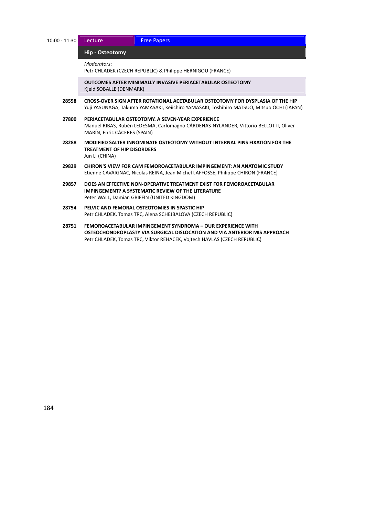10:00 - 11:30 Lecture Free Papers

#### $Hip - Osteotomy$

*Moderators*:

Petr CHLADEK (CZECH REPUBLIC) & Philippe HERNIGOU (FRANCE)

**OUTCOMES AFTER MINIMALLY INVASIVE PERIACETABULAR OSTEOTOMY** Kjeld SOBALLE (DENMARK)

- **28558 CROSS‐OVER SIGN AFTER ROTATIONAL ACETABULAR OSTEOTOMY FOR DYSPLASIA OF THE HIP** Yuji YASUNAGA, Takuma YAMASAKI, Keiichiro YAMASAKI, Toshihiro MATSUO, Mitsuo OCHI (JAPAN)
- **27800 PERIACETABULAR OSTEOTOMY. A SEVEN‐YEAR EXPERIENCE** Manuel RIBAS, Rubén LEDESMA, Carlomagno CÁRDENAS‐NYLANDER, Vittorio BELLOTTI, Oliver MARÍN, Enric CÁCERES (SPAIN)
- **28288 MODIFIED SALTER INNOMINATE OSTEOTOMY WITHOUT INTERNAL PINS FIXATION FOR THE TREATMENT OF HIP DISORDERS** Jun LI (CHINA)
- **29829 CHIRON'S VIEW FOR CAM FEMOROACETABULAR IMPINGEMENT: AN ANATOMIC STUDY** Etienne CAVAIGNAC, Nicolas REINA, Jean Michel LAFFOSSE, Philippe CHIRON (FRANCE)
- **29857 DOES AN EFFECTIVE NON‐OPERATIVE TREATMENT EXIST FOR FEMOROACETABULAR IMPINGEMENT? A SYSTEMATIC REVIEW OF THE LITERATURE** Peter WALL, Damian GRIFFIN (UNITED KINGDOM)
- **28754 PELVIC AND FEMORAL OSTEOTOMIES IN SPASTIC HIP** Petr CHLADEK, Tomas TRC, Alena SCHEJBALOVA (CZECH REPUBLIC)
- **28751 FEMOROACETABULAR IMPINGEMENT SYNDROMA – OUR EXPERIENCE WITH OSTEOCHONDROPLASTY VIA SURGICAL DISLOCATION AND VIA ANTERIOR MIS APPROACH** Petr CHLADEK, Tomas TRC, Viktor REHACEK, Vojtech HAVLAS (CZECH REPUBLIC)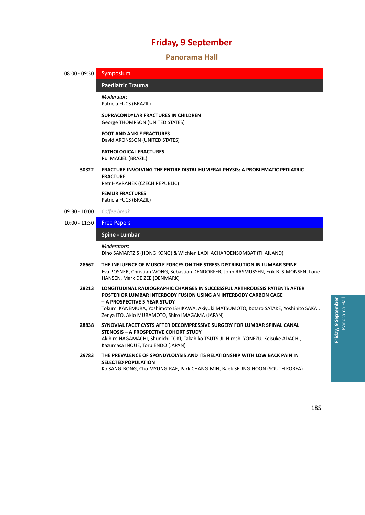#### 49B**Panorama Hall**

08:00 - 09:30 Symposium

**Paediatric Trauma** 

*Moderator*: Patricia FUCS (BRAZIL)

#### **SUPRACONDYLAR FRACTURES IN CHILDREN** George THOMPSON (UNITED STATES)

**FOOT AND ANKLE FRACTURES**

David ARONSSON (UNITED STATES)

#### **PATHOLOGICAL FRACTURES** Rui MACIEL (BRAZIL)

#### **30322 FRACTURE INVOLVING THE ENTIRE DISTAL HUMERAL PHYSIS: A PROBLEMATIC PEDIATRIC FRACTURE**

Petr HAVRANEK (CZECH REPUBLIC)

**FEMUR FRACTURES** Patricia FUCS (BRAZIL)

- 09:30 ‐ 10:00 *Coffee break*
- 10:00 ‐ 11:30 Free Papers

### 20B**Spine ‐ Lumbar** *̶ Free Papers*

#### *Moderators*:

Dino SAMARTZIS (HONG KONG) & Wichien LAOHACHAROENSOMBAT (THAILAND)

- **28662 THE INFLUENCE OF MUSCLE FORCES ON THE STRESS DISTRIBUTION IN LUMBAR SPINE** Eva POSNER, Christian WONG, Sebastian DENDORFER, John RASMUSSEN, Erik B. SIMONSEN, Lone HANSEN, Mark DE ZEE (DENMARK)
- **28213 LONGITUDINAL RADIOGRAPHIC CHANGES IN SUCCESSFUL ARTHRODESIS PATIENTS AFTER POSTERIOR LUMBAR INTERBODY FUSION USING AN INTERBODY CARBON CAGE – A PROSPECTIVE 5‐YEAR STUDY** Tokumi KANEMURA, Yoshimoto ISHIKAWA, Akiyuki MATSUMOTO, Kotaro SATAKE, Yoshihito SAKAI, Zenya ITO, Akio MURAMOTO, Shiro IMAGAMA (JAPAN)
- **28838 SYNOVIAL FACET CYSTS AFTER DECOMPRESSIVE SURGERY FOR LUMBAR SPINAL CANAL STENOSIS – A PROSPECTIVE COHORT STUDY** Akihiro NAGAMACHI, Shunichi TOKI, Takahiko TSUTSUI, Hiroshi YONEZU, Keisuke ADACHI, Kazumasa INOUE, Toru ENDO (JAPAN)
- **29783 THE PREVALENCE OF SPONDYLOLYSIS AND ITS RELATIONSHIP WITH LOW BACK PAIN IN SELECTED POPULATION**

Ko SANG‐BONG, Cho MYUNG‐RAE, Park CHANG‐MIN, Baek SEUNG‐HOON (SOUTH KOREA)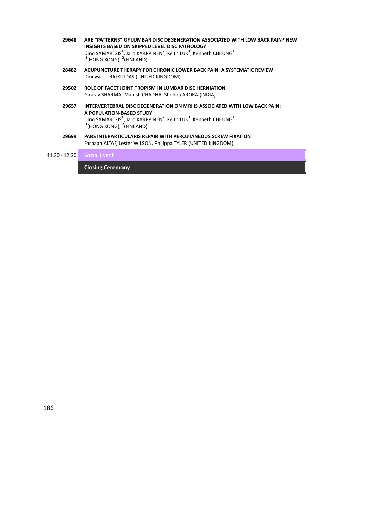| 28482 | ACUPUNCTURE THERAPY FOR CHRONIC LOWER BACK PAIN: A SYSTEMATIC REVIEW                                                                                                                                 |
|-------|------------------------------------------------------------------------------------------------------------------------------------------------------------------------------------------------------|
|       | INSIGHTS BASED ON SKIPPED LEVEL DISC PATHOLOGY<br>Dino SAMARTZIS <sup>1</sup> , Jaro KARPPINEN <sup>2</sup> , Keith LUK <sup>1</sup> , Kenneth CHEUNG <sup>1</sup><br>$1$ (HONG KONG), $2$ (FINLAND) |
| 29648 | ARE "PATTERNS" OF LUMBAR DISC DEGENERATION ASSOCIATED WITH LOW BACK PAIN? NEW                                                                                                                        |

**29502 ROLE OF FACET JOINT TROPISM IN LUMBAR DISC HERNIATION**

Dionysios TRIGKILIDAS (UNITED KINGDOM)

Gaurav SHARMA, Manish CHADHA, Shobha ARORA (INDIA)

- **29657 INTERVERTEBRAL DISC DEGENERATION ON MRI IS ASSOCIATED WITH LOW BACK PAIN: A POPULATION‐BASED STUDY** Dino SAMARTZIS<sup>1</sup>, Jaro KARPPINEN<sup>2</sup>, Keith LUK<sup>1</sup>, Kenneth CHEUNG<sup>1</sup><br><sup>1</sup>(HONG KONG), <sup>2</sup>(FINLAND)
- **29699 PARS INTERARTICULARIS REPAIR WITH PERCUTANEOUS SCREW FIXATION** Farhaan ALTAF, Lester WILSON, Philippa TYLER (UNITED KINGDOM)

### 11:30 - 12:30 Social Event

 $C$ *losing Ceremony*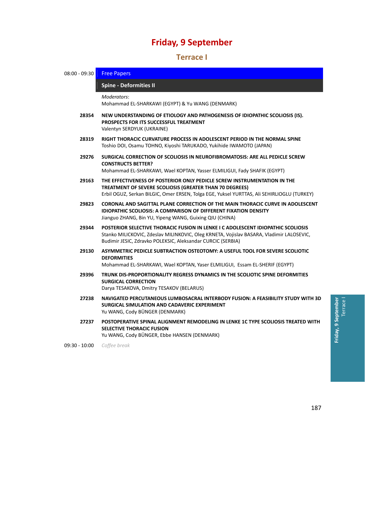### 50B**Terrace I**

| $08:00 - 09:30$ | <b>Free Papers</b>                                                                                                                                                                                                                                 |
|-----------------|----------------------------------------------------------------------------------------------------------------------------------------------------------------------------------------------------------------------------------------------------|
|                 | <b>Spine - Deformities II</b>                                                                                                                                                                                                                      |
|                 | Moderators:<br>Mohammad EL-SHARKAWI (EGYPT) & Yu WANG (DENMARK)                                                                                                                                                                                    |
| 28354           | NEW UNDERSTANDING OF ETIOLOGY AND PATHOGENESIS OF IDIOPATHIC SCOLIOSIS (IS).<br>PROSPECTS FOR ITS SUCCESSFUL TREATMENT<br>Valentyn SERDYUK (UKRAINE)                                                                                               |
| 28319           | RIGHT THORACIC CURVATURE PROCESS IN ADOLESCENT PERIOD IN THE NORMAL SPINE<br>Toshio DOI, Osamu TOHNO, Kiyoshi TARUKADO, Yukihide IWAMOTO (JAPAN)                                                                                                   |
| 29276           | SURGICAL CORRECTION OF SCOLIOSIS IN NEUROFIBROMATOSIS: ARE ALL PEDICLE SCREW<br><b>CONSTRUCTS BETTER?</b><br>Mohammad EL-SHARKAWI, Wael KOPTAN, Yasser ELMILIGUI, Fady SHAFIK (EGYPT)                                                              |
| 29163           | THE EFFECTIVENESS OF POSTERIOR ONLY PEDICLE SCREW INSTRUMENTATION IN THE<br>TREATMENT OF SEVERE SCOLIOSIS (GREATER THAN 70 DEGREES)<br>Erbil OGUZ, Serkan BILGIC, Omer ERSEN, Tolga EGE, Yuksel YURTTAS, Ali SEHIRLIOGLU (TURKEY)                  |
| 29823           | CORONAL AND SAGITTAL PLANE CORRECTION OF THE MAIN THORACIC CURVE IN ADOLESCENT<br><b>IDIOPATHIC SCOLIOSIS: A COMPARISON OF DIFFERENT FIXATION DENSITY</b><br>Jianguo ZHANG, Bin YU, Yipeng WANG, Guixing QIU (CHINA)                               |
| 29344           | <b>POSTERIOR SELECTIVE THORACIC FUSION IN LENKE I C ADOLESCENT IDIOPATHIC SCOLIOSIS</b><br>Stanko MILICKOVIC, Zdeslav MILINKOVIC, Oleg KRNETA, Vojislav BASARA, Vladimir LALOSEVIC,<br>Budimir JESIC, Zdravko POLEKSIC, Aleksandar CURCIC (SERBIA) |
| 29130           | ASYMMETRIC PEDICLE SUBTRACTION OSTEOTOMY: A USEFUL TOOL FOR SEVERE SCOLIOTIC<br><b>DEFORMITIES</b><br>Mohammad EL-SHARKAWI, Wael KOPTAN, Yaser ELMILIGUI, Essam EL-SHERIF (EGYPT)                                                                  |
| 29396           | TRUNK DIS-PROPORTIONALITY REGRESS DYNAMICS IN THE SCOLIOTIC SPINE DEFORMITIES<br><b>SURGICAL CORRECTION</b><br>Darya TESAKOVA, Dmitry TESAKOV (BELARUS)                                                                                            |
| 27238           | NAVIGATED PERCUTANEOUS LUMBOSACRAL INTERBODY FUSION: A FEASIBILITY STUDY WITH 3D<br>SURGICAL SIMULATION AND CADAVERIC EXPERIMENT<br>Yu WANG, Cody BÜNGER (DENMARK)                                                                                 |
| 27237           | POSTOPERATIVE SPINAL ALIGNMENT REMODELING IN LENKE 1C TYPE SCOLIOSIS TREATED WITH<br><b>SELECTIVE THORACIC FUSION</b><br>Yu WANG, Cody BÜNGER, Ebbe HANSEN (DENMARK)                                                                               |
| $09:30 - 10:00$ | Coffee break                                                                                                                                                                                                                                       |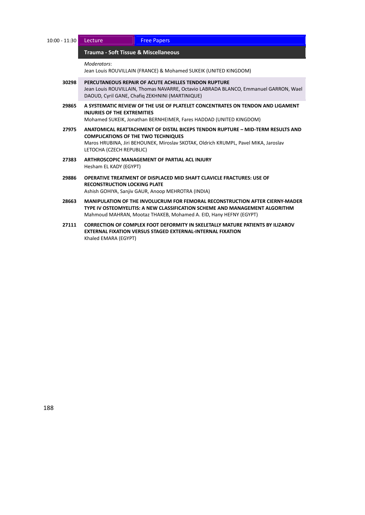| $10:00 - 11:30$ | Lecture                                                                                                                                                                                                                                         | <b>Free Papers</b>                                                                                                                                                                                                                      |  |
|-----------------|-------------------------------------------------------------------------------------------------------------------------------------------------------------------------------------------------------------------------------------------------|-----------------------------------------------------------------------------------------------------------------------------------------------------------------------------------------------------------------------------------------|--|
|                 | Trauma - Soft Tissue & Miscellaneous                                                                                                                                                                                                            |                                                                                                                                                                                                                                         |  |
|                 | Moderators:                                                                                                                                                                                                                                     | Jean Louis ROUVILLAIN (FRANCE) & Mohamed SUKEIK (UNITED KINGDOM)                                                                                                                                                                        |  |
| 30298           | PERCUTANEOUS REPAIR OF ACUTE ACHILLES TENDON RUPTURE<br>Jean Louis ROUVILLAIN, Thomas NAVARRE, Octavio LABRADA BLANCO, Emmanuel GARRON, Wael<br>DAOUD, Cyril GANE, Chafig ZEKHNINI (MARTINIQUE)                                                 |                                                                                                                                                                                                                                         |  |
| 29865           | A SYSTEMATIC REVIEW OF THE USE OF PLATELET CONCENTRATES ON TENDON AND LIGAMENT<br>INJURIES OF THE EXTREMITIES<br>Mohamed SUKEIK, Jonathan BERNHEIMER, Fares HADDAD (UNITED KINGDOM)                                                             |                                                                                                                                                                                                                                         |  |
| 27975           | ANATOMICAL REATTACHMENT OF DISTAL BICEPS TENDON RUPTURE - MID-TERM RESULTS AND<br><b>COMPLICATIONS OF THE TWO TECHNIQUES</b><br>Maros HRUBINA, Jiri BEHOUNEK, Miroslav SKOTAK, Oldrich KRUMPL, Pavel MIKA, Jaroslav<br>LETOCHA (CZECH REPUBLIC) |                                                                                                                                                                                                                                         |  |
| 27383           | ARTHROSCOPIC MANAGEMENT OF PARTIAL ACL INJURY<br>Hesham EL KADY (EGYPT)                                                                                                                                                                         |                                                                                                                                                                                                                                         |  |
| 29886           | <b>RECONSTRUCTION LOCKING PLATE</b>                                                                                                                                                                                                             | OPERATIVE TREATMENT OF DISPLACED MID SHAFT CLAVICLE FRACTURES: USE OF<br>Ashish GOHIYA, Sanjiv GAUR, Anoop MEHROTRA (INDIA)                                                                                                             |  |
| 28663           |                                                                                                                                                                                                                                                 | <b>MANIPULATION OF THE INVOLUCRUM FOR FEMORAL RECONSTRUCTION AFTER CIERNY-MADER</b><br>TYPE IV OSTEOMYELITIS: A NEW CLASSIFICATION SCHEME AND MANAGEMENT ALGORITHM<br>Mahmoud MAHRAN, Mootaz THAKEB, Mohamed A. EID, Hany HEFNY (EGYPT) |  |
| 27111           | Khaled EMARA (EGYPT)                                                                                                                                                                                                                            | <b>CORRECTION OF COMPLEX FOOT DEFORMITY IN SKELETALLY MATURE PATIENTS BY ILIZAROV</b><br><b>EXTERNAL FIXATION VERSUS STAGED EXTERNAL-INTERNAL FIXATION</b>                                                                              |  |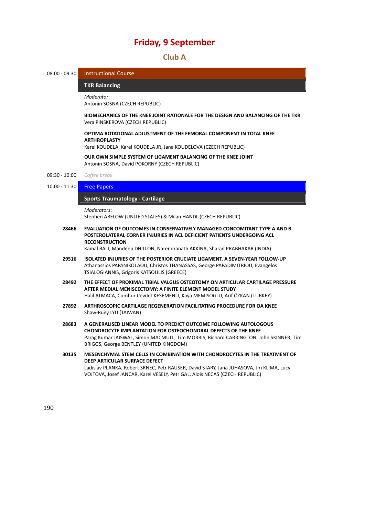### 51B**Club A**

```
08:00 - 09:30   Instructional Course
```
204B**TKR Balancing** *̶ Instructional Course*

```
Moderator:
Antonin SOSNA (CZECH REPUBLIC)
```
**BIOMECHANICS OF THE KNEE JOINT RATIONALE FOR THE DESIGN AND BALANCING OF THE TKR** Vera PINSKEROVA (CZECH REPUBLIC)

#### **OPTIMA ROTATIONAL ADJUSTMENT OF THE FEMORAL COMPONENT IN TOTAL KNEE ARTHROPLASTY**

Karel KOUDELA, Karel KOUDELA JR, Jana KOUDELOVA (CZECH REPUBLIC)

**OUR OWN SIMPLE SYSTEM OF LIGAMENT BALANCING OF THE KNEE JOINT** Antonin SOSNA, David POKORNY (CZECH REPUBLIC)

- 09:30 ‐ 10:00 *Coffee break*
- 10:00 11:30 Free Papers

#### 205B**Sports Traumatology ‐ Cartilage** *̶ Free Papers*

*Moderators*:

Stephen ABELOW (UNITED STATES) & Milan HANDL (CZECH REPUBLIC)

**28466 EVALUATION OF OUTCOMES IN CONSERVATIVELY MANAGED CONCOMITANT TYPE A AND B POSTEROLATERAL CORNER INJURIES IN ACL DEFICIENT PATIENTS UNDERGOING ACL RECONSTRUCTION**

Kamal BALI, Mandeep DHILLON, Narendranath AKKINA, Sharad PRABHAKAR (INDIA)

- **29516 ISOLATED INJURIES OF THE POSTERIOR CRUCIATE LIGAMENT. A SEVEN‐YEAR FOLLOW‐UP** Athanassios PAPANIKOLAOU, Christos THANASSAS, George PAPADIMITRIOU, Evangelos TSIALOGIANNIS, Grigoris KATSOULIS (GREECE)
- **28492 THE EFFECT OF PROXIMAL TIBIAL VALGUS OSTEOTOMY ON ARTICULAR CARTILAGE PRESSURE AFTER MEDIAL MENISCECTOMY: A FINITE ELEMENT MODEL STUDY** Halil ATMACA, Cumhur Cevdet KESEMENLI, Kaya MEMISOGLU, Arif ÖZKAN (TURKEY)
- **27892 ARTHROSCOPIC CARTILAGE REGENERATION FACILITATING PROCEDURE FOR OA KNEE** Shaw‐Ruey LYU (TAIWAN)
- **28683 A GENERALISED LINEAR MODEL TO PREDICT OUTCOME FOLLOWING AUTOLOGOUS CHONDROCYTE IMPLANTATION FOR OSTEOCHONDRAL DEFECTS OF THE KNEE** Parag Kumar JAISWAL, Simon MACMULL, Tim MORRIS, Richard CARRINGTON, John SKINNER, Tim BRIGGS, George BENTLEY (UNITED KINGDOM)
- **30135 MESENCHYMAL STEM CELLS IN COMBINATION WITH CHONDROCYTES IN THE TREATMENT OF DEEP ARTICULAR SURFACE DEFECT** Ladislav PLANKA, Robert SRNEC, Petr RAUSER, David STARY, Jana JUHASOVA, Jiri KLIMA, Lucy VOJTOVA, Josef JANCAR, Karel VESELY, Petr GAL, Alois NECAS (CZECH REPUBLIC)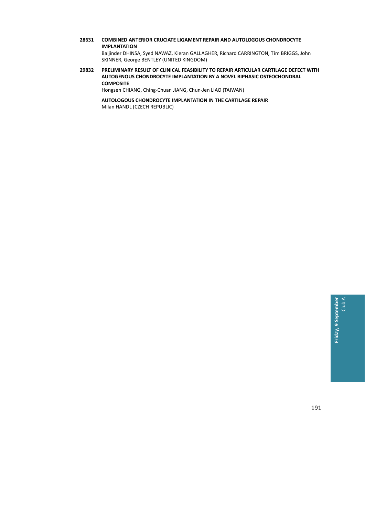**28631 COMBINED ANTERIOR CRUCIATE LIGAMENT REPAIR AND AUTOLOGOUS CHONDROCYTE IMPLANTATION**

Baljinder DHINSA, Syed NAWAZ, Kieran GALLAGHER, Richard CARRINGTON, Tim BRIGGS, John SKINNER, George BENTLEY (UNITED KINGDOM)

**29832 PRELIMINARY RESULT OF CLINICAL FEASIBILITY TO REPAIR ARTICULAR CARTILAGE DEFECT WITH AUTOGENOUS CHONDROCYTE IMPLANTATION BY A NOVEL BIPHASIC OSTEOCHONDRAL COMPOSITE**

Hongsen CHIANG, Ching‐Chuan JIANG, Chun‐Jen LIAO (TAIWAN)

**AUTOLOGOUS CHONDROCYTE IMPLANTATION IN THE CARTILAGE REPAIR** Milan HANDL (CZECH REPUBLIC)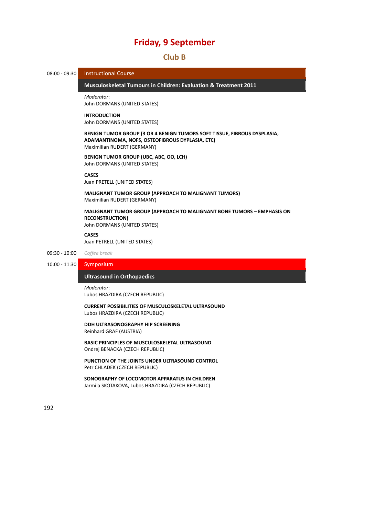#### 52B**Club B**

08:00 - 09:30 Instructional Course

206B**Musculoskeletal Tumours in Children: Evaluation & Treatment 2011** *̶ InstructionalCourse*

*Moderator*: John DORMANS (UNITED STATES)

#### **INTRODUCTION**

John DORMANS (UNITED STATES)

**BENIGN TUMOR GROUP (3 OR 4 BENIGN TUMORS SOFT TISSUE, FIBROUS DYSPLASIA, ADAMANTINOMA, NOFS, OSTEOFIBROUS DYPLASIA, ETC)** Maximilian RUDERT (GERMANY)

**BENIGN TUMOR GROUP (UBC, ABC, OO, LCH)** John DORMANS (UNITED STATES)

**CASES**

Juan PRETELL (UNITED STATES)

**MALIGNANT TUMOR GROUP (APPROACH TO MALIGNANT TUMORS)** Maximilian RUDERT (GERMANY)

**MALIGNANT TUMOR GROUP (APPROACH TO MALIGNANT BONE TUMORS – EMPHASIS ON RECONSTRUCTION)** John DORMANS (UNITED STATES)

**CASES**

Juan PETRELL (UNITED STATES)

09:30 ‐ 10:00 *Coffee break*

10:00 ‐ 11:30 Symposium

#### *<u>Ultrasound</u> in Orthopaedics*

*Moderator*: Lubos HRAZDIRA (CZECH REPUBLIC)

**CURRENT POSSIBILITIES OF MUSCULOSKELETAL ULTRASOUND** Lubos HRAZDIRA (CZECH REPUBLIC)

**DDH ULTRASONOGRAPHY HIP SCREENING** Reinhard GRAF (AUSTRIA)

**BASIC PRINCIPLES OF MUSCULOSKELETAL ULTRASOUND** Ondrej BENACKA (CZECH REPUBLIC)

**PUNCTION OF THE JOINTS UNDER ULTRASOUND CONTROL** Petr CHLADEK (CZECH REPUBLIC)

**SONOGRAPHY OF LOCOMOTOR APPARATUS IN CHILDREN** Jarmila SKOTAKOVA, Lubos HRAZDIRA (CZECH REPUBLIC)

192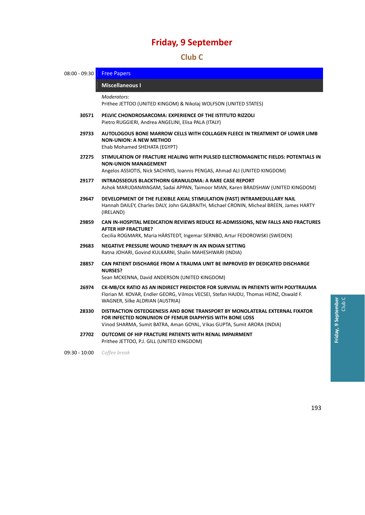## 53B**Club C**

| $08:00 - 09:30$ | <b>Free Papers</b>                                                                                                                                                                                                |  |  |
|-----------------|-------------------------------------------------------------------------------------------------------------------------------------------------------------------------------------------------------------------|--|--|
|                 | <b>Miscellaneous I</b>                                                                                                                                                                                            |  |  |
|                 | Moderators:<br>Prithee JETTOO (UNITED KINGOM) & Nikolaj WOLFSON (UNITED STATES)                                                                                                                                   |  |  |
| 30571           | PELVIC CHONDROSARCOMA: EXPERIENCE OF THE ISTITUTO RIZZOLI<br>Pietro RUGGIERI, Andrea ANGELINI, Elisa PALA (ITALY)                                                                                                 |  |  |
| 29733           | AUTOLOGOUS BONE MARROW CELLS WITH COLLAGEN FLEECE IN TREATMENT OF LOWER LIMB<br><b>NON-UNION: A NEW METHOD</b><br>Ehab Mohamed SHEHATA (EGYPT)                                                                    |  |  |
| 27275           | STIMULATION OF FRACTURE HEALING WITH PULSED ELECTROMAGNETIC FIELDS: POTENTIALS IN<br><b>NON-UNION MANAGEMENT</b><br>Angelos ASSIOTIS, Nick SACHINIS, Ioannis PENGAS, Ahmad ALI (UNITED KINGDOM)                   |  |  |
| 29177           | <b>INTRAOSSEOUS BLACKTHORN GRANULOMA: A RARE CASE REPORT</b><br>Ashok MARUDANAYAGAM, Sadai APPAN, Taimoor MIAN, Karen BRADSHAW (UNITED KINGDOM)                                                                   |  |  |
| 29647           | DEVELOPMENT OF THE FLEXIBLE AXIAL STIMULATION (FAST) INTRAMEDULLARY NAIL<br>Hannah DAILEY, Charles DALY, John GALBRAITH, Michael CRONIN, Micheal BREEN, James HARTY<br>(IRELAND)                                  |  |  |
| 29859           | CAN IN-HOSPITAL MEDICATION REVIEWS REDUCE RE-ADMISSIONS, NEW FALLS AND FRACTURES<br><b>AFTER HIP FRACTURE?</b><br>Cecilia ROGMARK, Maria HÄRSTEDT, Ingemar SERNBO, Artur FEDOROWSKI (SWEDEN)                      |  |  |
| 29683           | NEGATIVE PRESSURE WOUND THERAPY IN AN INDIAN SETTING<br>Ratna JOHARI, Govind KULKARNI, Shalin MAHESHWARI (INDIA)                                                                                                  |  |  |
| 28857           | CAN PATIENT DISCHARGE FROM A TRAUMA UNIT BE IMPROVED BY DEDICATED DISCHARGE<br><b>NURSES?</b><br>Sean MCKENNA, David ANDERSON (UNITED KINGDOM)                                                                    |  |  |
| 26974           | CK-MB/CK RATIO AS AN INDIRECT PREDICTOR FOR SURVIVAL IN PATIENTS WITH POLYTRAUMA<br>Florian M. KOVAR, Endler GEORG, Vilmos VECSEI, Stefan HAJDU, Thomas HEINZ, Oswald F.<br>WAGNER, Silke ALDRIAN (AUSTRIA)       |  |  |
| 28330           | DISTRACTION OSTEOGENESIS AND BONE TRANSPORT BY MONOLATERAL EXTERNAL FIXATOR<br>FOR INFECTED NONUNION OF FEMUR DIAPHYSIS WITH BONE LOSS<br>Vinod SHARMA, Sumit BATRA, Aman GOYAL, Vikas GUPTA, Sumit ARORA (INDIA) |  |  |
| 27702           | OUTCOME OF HIP FRACTURE PATIENTS WITH RENAL IMPAIRMENT<br>Prithee JETTOO, P.J. GILL (UNITED KINGDOM)                                                                                                              |  |  |

09:30 ‐ 10:00 *Coffee break*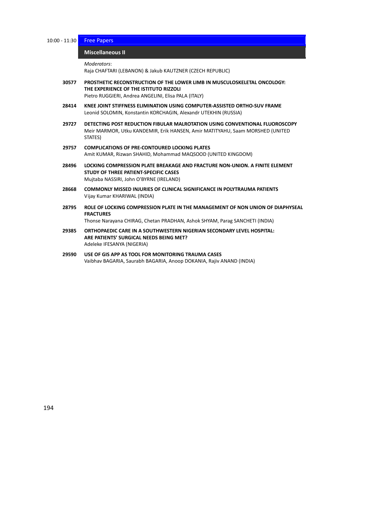10:00 - 11:30 Free Papers

#### **Miscellaneous** II

```
Moderators:
```
Raja CHAFTARI (LEBANON) & Jakub KAUTZNER (CZECH REPUBLIC)

- **30577 PROSTHETIC RECONSTRUCTION OF THE LOWER LIMB IN MUSCULOSKELETAL ONCOLOGY: THE EXPERIENCE OF THE ISTITUTO RIZZOLI** Pietro RUGGIERI, Andrea ANGELINI, Elisa PALA (ITALY)
- **28414 KNEE JOINT STIFFNESS ELIMINATION USING COMPUTER‐ASSISTED ORTHO‐SUV FRAME** Leonid SOLOMIN, Konstantin KORCHAGIN, Alexandr UTEKHIN (RUSSIA)
- **29727 DETECTING POST REDUCTION FIBULAR MALROTATION USING CONVENTIONAL FLUOROSCOPY** Meir MARMOR, Utku KANDEMIR, Erik HANSEN, Amir MATITYAHU, Saam MORSHED (UNITED STATES)
- **29757 COMPLICATIONS OF PRE‐CONTOURED LOCKING PLATES** Amit KUMAR, Rizwan SHAHID, Mohammad MAQSOOD (UNITED KINGDOM)
- **28496 LOCKING COMPRESSION PLATE BREAKAGE AND FRACTURE NON‐UNION. A FINITE ELEMENT STUDY OF THREE PATIENT‐SPECIFIC CASES** Mujtaba NASSIRI, John O'BYRNE (IRELAND)
- **28668 COMMONLY MISSED INJURIES OF CLINICAL SIGNIFICANCE IN POLYTRAUMA PATIENTS** Vijay Kumar KHARIWAL (INDIA)
- **28795 ROLE OF LOCKING COMPRESSION PLATE IN THE MANAGEMENT OF NON UNION OF DIAPHYSEAL FRACTURES**

Thonse Narayana CHIRAG, Chetan PRADHAN, Ashok SHYAM, Parag SANCHETI (INDIA)

- **29385 ORTHOPAEDIC CARE IN A SOUTHWESTERN NIGERIAN SECONDARY LEVEL HOSPITAL: ARE PATIENTS' SURGICAL NEEDS BEING MET?** Adeleke IFESANYA (NIGERIA)
- **29590 USE OF GIS APP AS TOOL FOR MONITORING TRAUMA CASES** Vaibhav BAGARIA, Saurabh BAGARIA, Anoop DOKANIA, Rajiv ANAND (INDIA)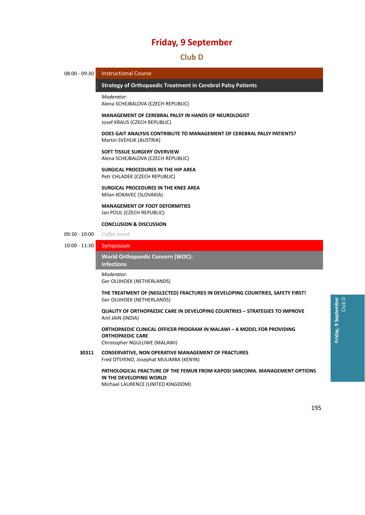### 54B**Club D**

08:00 - 09:30 Instructional Course

#### 210B**Strategy of Orthopaedic Treatment in Cerebral Palsy Patients** *̶ Instructional Course*

*Moderator*: Alena SCHEJBALOVA (CZECH REPUBLIC)

**MANAGEMENT OF CEREBRAL PALSY IN HANDS OF NEUROLOGIST** Josef KRAUS (CZECH REPUBLIC)

**DOES GAIT ANALYSIS CONTRIBUTE TO MANAGEMENT OF CEREBRAL PALSY PATIENTS?** Martin SVEHLIK (AUSTRIA)

#### **SOFT TISSUE SURGERY OVERVIEW** Alena SCHEJBALOVA (CZECH REPUBLIC)

**SURGICAL PROCEDURES IN THE HIP AREA**

Petr CHLADEK (CZECH REPUBLIC)

**SURGICAL PROCEDURES IN THE KNEE AREA** Milan KOKAVEC (SLOVAKIA)

**MANAGEMENT OF FOOT DEFORMITIES** Jan POUL (CZECH REPUBLIC)

#### **CONCLUSION & DISCUSSION**

09:30 ‐ 10:00 *Coffee break*

10:00 ‐ 11:30 Symposium

21B**World Orthopaedic Concern (WOC):**  $Infections$ 

*Moderator*: Ger OLIJHOEK (NETHERLANDS)

**THE TREATMENT OF (NEGLECTED) FRACTURES IN DEVELOPING COUNTRIES, SAFETY FIRST!** Ger OLIJHOEK (NETHERLANDS)

**QUALITY OF ORTHOPAEDIC CARE IN DEVELOPING COUNTRIES – STRATEGIES TO IMPROVE** Anil JAIN (INDIA)

**ORTHOPAEDIC CLINICAL OFFICER PROGRAM IN MALAWI – A MODEL FOR PROVIDING ORTHOPAEDIC CARE** Christopher NGULUWE (MALAWI)

**30311 CONSERVATIVE, NON OPERATIVE MANAGEMENT OF FRACTURES** Fred OTSYENO, Josephat MULIMBA (KENYA)

### **PATHOLOGICAL FRACTURE OF THE FEMUR FROM KAPOSI SARCOMA. MANAGEMENT OPTIONS IN THE DEVELOPING WORLD**

Michael LAURENCE (UNITED KINGDOM)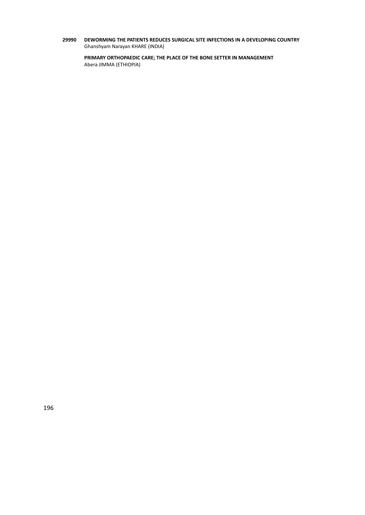**29990 DEWORMING THE PATIENTS REDUCES SURGICAL SITE INFECTIONS IN A DEVELOPING COUNTRY** Ghanshyam Narayan KHARE (INDIA)

**PRIMARY ORTHOPAEDIC CARE; THE PLACE OF THE BONE SETTER IN MANAGEMENT** Abera JIMMA (ETHIOPIA)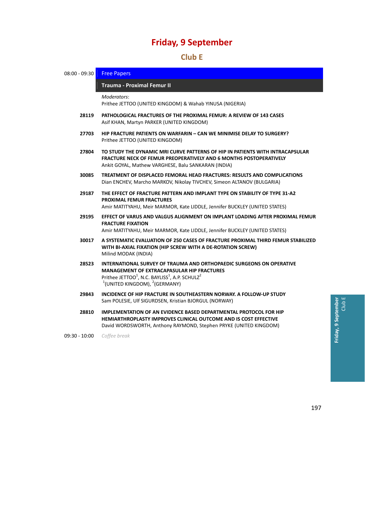### 5B**Club E**

| $08:00 - 09:30$ | <b>Free Papers</b>                                                                                                                                                                                                                                     |
|-----------------|--------------------------------------------------------------------------------------------------------------------------------------------------------------------------------------------------------------------------------------------------------|
|                 | Trauma - Proximal Femur II                                                                                                                                                                                                                             |
|                 | Moderators:<br>Prithee JETTOO (UNITED KINGDOM) & Wahab YINUSA (NIGERIA)                                                                                                                                                                                |
| 28119           | <b>PATHOLOGICAL FRACTURES OF THE PROXIMAL FEMUR: A REVIEW OF 143 CASES</b><br>Asif KHAN, Martyn PARKER (UNITED KINGDOM)                                                                                                                                |
| 27703           | HIP FRACTURE PATIENTS ON WARFARIN - CAN WE MINIMISE DELAY TO SURGERY?<br>Prithee JETTOO (UNITED KINGDOM)                                                                                                                                               |
| 27804           | TO STUDY THE DYNAMIC MRI CURVE PATTERNS OF HIP IN PATIENTS WITH INTRACAPSULAR<br><b>FRACTURE NECK OF FEMUR PREOPERATIVELY AND 6 MONTHS POSTOPERATIVELY</b><br>Ankit GOYAL, Mathew VARGHESE, Balu SANKARAN (INDIA)                                      |
| 30085           | TREATMENT OF DISPLACED FEMORAL HEAD FRACTURES: RESULTS AND COMPLICATIONS<br>Dian ENCHEV, Marcho MARKOV, Nikolay TIVCHEV, Simeon ALTANOV (BULGARIA)                                                                                                     |
| 29187           | THE EFFECT OF FRACTURE PATTERN AND IMPLANT TYPE ON STABILITY OF TYPE 31-A2<br><b>PROXIMAL FEMUR FRACTURES</b><br>Amir MATITYAHU, Meir MARMOR, Kate LIDDLE, Jennifer BUCKLEY (UNITED STATES)                                                            |
| 29195           | EFFECT OF VARUS AND VALGUS ALIGNMENT ON IMPLANT LOADING AFTER PROXIMAL FEMUR<br><b>FRACTURE FIXATION</b><br>Amir MATITYAHU, Meir MARMOR, Kate LIDDLE, Jennifer BUCKLEY (UNITED STATES)                                                                 |
| 30017           | A SYSTEMATIC EVALUATION OF 250 CASES OF FRACTURE PROXIMAL THIRD FEMUR STABILIZED<br>WITH BI-AXIAL FIXATION (HIP SCREW WITH A DE-ROTATION SCREW)<br>Milind MODAK (INDIA)                                                                                |
| 28523           | INTERNATIONAL SURVEY OF TRAUMA AND ORTHOPAEDIC SURGEONS ON OPERATIVE<br><b>MANAGEMENT OF EXTRACAPASULAR HIP FRACTURES</b><br>Prithee JETTOO <sup>1</sup> , N.C. BAYLISS <sup>1</sup> , A.P. SCHULZ <sup>2</sup><br>$1$ (UNITED KINGDOM), $2$ (GERMANY) |
| 29843           | INCIDENCE OF HIP FRACTURE IN SOUTHEASTERN NORWAY, A FOLLOW-UP STUDY<br>Sam POLESIE, Ulf SIGURDSEN, Kristian BJORGUL (NORWAY)                                                                                                                           |
| 28810           | IMPLEMENTATION OF AN EVIDENCE BASED DEPARTMENTAL PROTOCOL FOR HIP<br><b>HEMIARTHROPLASTY IMPROVES CLINICAL OUTCOME AND IS COST EFFECTIVE</b><br>David WORDSWORTH, Anthony RAYMOND, Stephen PRYKE (UNITED KINGDOM)                                      |

09:30 ‐ 10:00 *Coffee break*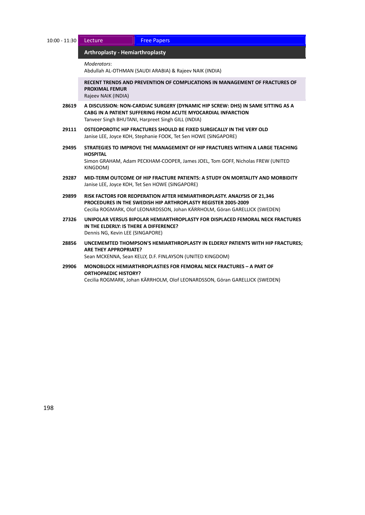| 10:00 - 11:30 Lecture |                   |
|-----------------------|-------------------|
|                       | Arthroniacty - He |

**Free Papers** 

#### 213B**Arthroplasty ‐ Hemiarthroplasty** *̶ Lecture / Free Papers*

*Moderators*:

Abdullah AL‐OTHMAN (SAUDI ARABIA) & Rajeev NAIK (INDIA)

**RECENT TRENDS AND PREVENTION OF COMPLICATIONS IN MANAGEMENT OF FRACTURES OF PROXIMAL FEMUR**

Rajeev NAIK (INDIA)

- **28619 A DISCUSSION: NON‐CARDIAC SURGERY (DYNAMIC HIP SCREW: DHS) IN SAME SITTING AS A CABG IN A PATIENT SUFFERING FROM ACUTE MYOCARDIAL INFARCTION** Tanveer Singh BHUTANI, Harpreet Singh GILL (INDIA)
- **29111 OSTEOPOROTIC HIP FRACTURES SHOULD BE FIXED SURGICALLY IN THE VERY OLD** Janise LEE, Joyce KOH, Stephanie FOOK, Tet Sen HOWE (SINGAPORE)
- **29495 STRATEGIES TO IMPROVE THE MANAGEMENT OF HIP FRACTURES WITHIN A LARGE TEACHING HOSPITAL**

Simon GRAHAM, Adam PECKHAM‐COOPER, James JOEL, Tom GOFF, Nicholas FREW (UNITED KINGDOM)

- **29287 MID‐TERM OUTCOME OF HIP FRACTURE PATIENTS: A STUDY ON MORTALITY AND MORBIDITY** Janise LEE, Joyce KOH, Tet Sen HOWE (SINGAPORE)
- **29899 RISK FACTORS FOR REOPERATION AFTER HEMIARTHROPLASTY. ANALYSIS OF 21,346 PROCEDURES IN THE SWEDISH HIP ARTHROPLASTY REGISTER 2005‐2009** Cecilia ROGMARK, Olof LEONARDSSON, Johan KÄRRHOLM, Göran GARELLICK (SWEDEN)
- **27326 UNIPOLAR VERSUS BIPOLAR HEMIARTHROPLASTY FOR DISPLACED FEMORAL NECK FRACTURES IN THE ELDERLY: IS THERE A DIFFERENCE?** Dennis NG, Kevin LEE (SINGAPORE)
- **28856 UNCEMEMTED THOMPSON'S HEMIARTHROPLASTY IN ELDERLY PATIENTS WITH HIP FRACTURES; ARE THEY APPROPRIATE?** Sean MCKENNA, Sean KELLY, D.F. FINLAYSON (UNITED KINGDOM)
- **29906 MONOBLOCK HEMIARTHROPLASTIES FOR FEMORAL NECK FRACTURES – A PART OF ORTHOPAEDIC HISTORY?** Cecilia ROGMARK, Johan KÄRRHOLM, Olof LEONARDSSON, Göran GARELLICK (SWEDEN)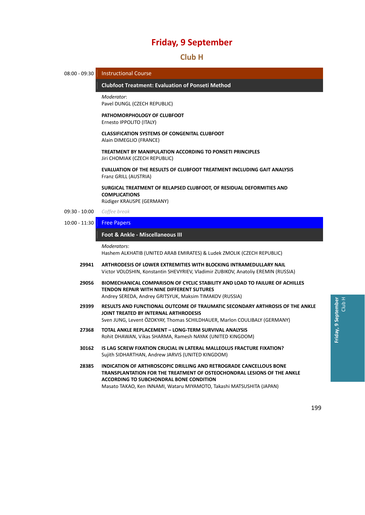### 56B**Club H**



199